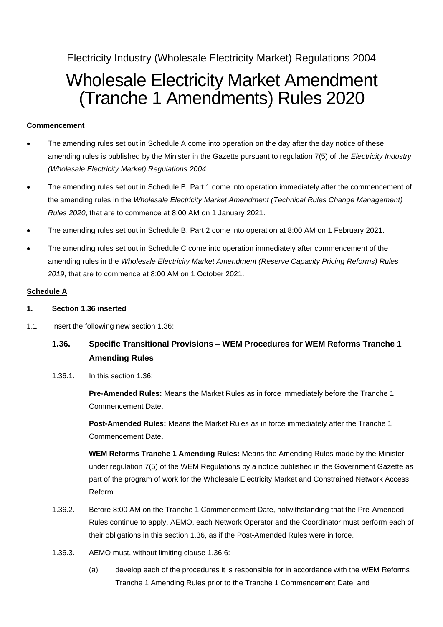Electricity Industry (Wholesale Electricity Market) Regulations 2004

# Wholesale Electricity Market Amendment (Tranche 1 Amendments) Rules 2020

## **Commencement**

- The amending rules set out in Schedule A come into operation on the day after the day notice of these amending rules is published by the Minister in the Gazette pursuant to regulation 7(5) of the *Electricity Industry (Wholesale Electricity Market) Regulations 2004*.
- The amending rules set out in Schedule B, Part 1 come into operation immediately after the commencement of the amending rules in the *Wholesale Electricity Market Amendment (Technical Rules Change Management) Rules 2020*, that are to commence at 8:00 AM on 1 January 2021.
- The amending rules set out in Schedule B, Part 2 come into operation at 8:00 AM on 1 February 2021.
- The amending rules set out in Schedule C come into operation immediately after commencement of the amending rules in the *Wholesale Electricity Market Amendment (Reserve Capacity Pricing Reforms) Rules 2019*, that are to commence at 8:00 AM on 1 October 2021.

#### **Schedule A**

#### **1. Section 1.36 inserted**

1.1 Insert the following new section 1.36:

# **1.36. Specific Transitional Provisions – WEM Procedures for WEM Reforms Tranche 1 Amending Rules**

1.36.1. In this section 1.36:

**Pre-Amended Rules:** Means the Market Rules as in force immediately before the Tranche 1 Commencement Date.

**Post-Amended Rules:** Means the Market Rules as in force immediately after the Tranche 1 Commencement Date.

**WEM Reforms Tranche 1 Amending Rules:** Means the Amending Rules made by the Minister under regulation 7(5) of the WEM Regulations by a notice published in the Government Gazette as part of the program of work for the Wholesale Electricity Market and Constrained Network Access Reform.

- 1.36.2. Before 8:00 AM on the Tranche 1 Commencement Date, notwithstanding that the Pre-Amended Rules continue to apply, AEMO, each Network Operator and the Coordinator must perform each of their obligations in this section 1.36, as if the Post-Amended Rules were in force.
- 1.36.3. AEMO must, without limiting clause 1.36.6:
	- (a) develop each of the procedures it is responsible for in accordance with the WEM Reforms Tranche 1 Amending Rules prior to the Tranche 1 Commencement Date; and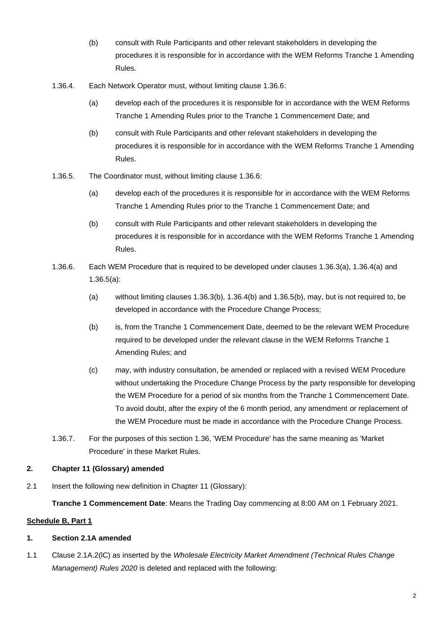- (b) consult with Rule Participants and other relevant stakeholders in developing the procedures it is responsible for in accordance with the WEM Reforms Tranche 1 Amending Rules.
- 1.36.4. Each Network Operator must, without limiting clause 1.36.6:
	- (a) develop each of the procedures it is responsible for in accordance with the WEM Reforms Tranche 1 Amending Rules prior to the Tranche 1 Commencement Date; and
	- (b) consult with Rule Participants and other relevant stakeholders in developing the procedures it is responsible for in accordance with the WEM Reforms Tranche 1 Amending Rules.
- 1.36.5. The Coordinator must, without limiting clause 1.36.6:
	- (a) develop each of the procedures it is responsible for in accordance with the WEM Reforms Tranche 1 Amending Rules prior to the Tranche 1 Commencement Date; and
	- (b) consult with Rule Participants and other relevant stakeholders in developing the procedures it is responsible for in accordance with the WEM Reforms Tranche 1 Amending Rules.
- 1.36.6. Each WEM Procedure that is required to be developed under clauses 1.36.3(a), 1.36.4(a) and 1.36.5(a):
	- (a) without limiting clauses 1.36.3(b), 1.36.4(b) and 1.36.5(b), may, but is not required to, be developed in accordance with the Procedure Change Process;
	- (b) is, from the Tranche 1 Commencement Date, deemed to be the relevant WEM Procedure required to be developed under the relevant clause in the WEM Reforms Tranche 1 Amending Rules; and
	- (c) may, with industry consultation, be amended or replaced with a revised WEM Procedure without undertaking the Procedure Change Process by the party responsible for developing the WEM Procedure for a period of six months from the Tranche 1 Commencement Date. To avoid doubt, after the expiry of the 6 month period, any amendment or replacement of the WEM Procedure must be made in accordance with the Procedure Change Process.
- 1.36.7. For the purposes of this section 1.36, 'WEM Procedure' has the same meaning as 'Market Procedure' in these Market Rules.

# **2. Chapter 11 (Glossary) amended**

2.1 Insert the following new definition in Chapter 11 (Glossary):

**Tranche 1 Commencement Date**: Means the Trading Day commencing at 8:00 AM on 1 February 2021.

#### **Schedule B, Part 1**

#### **1. Section 2.1A amended**

1.1 Clause 2.1A.2(lC) as inserted by the *Wholesale Electricity Market Amendment (Technical Rules Change Management) Rules 2020* is deleted and replaced with the following: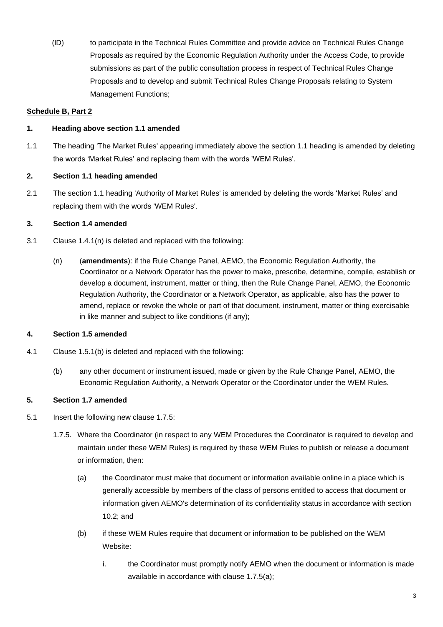(lD) to participate in the Technical Rules Committee and provide advice on Technical Rules Change Proposals as required by the Economic Regulation Authority under the Access Code, to provide submissions as part of the public consultation process in respect of Technical Rules Change Proposals and to develop and submit Technical Rules Change Proposals relating to System Management Functions;

# **Schedule B, Part 2**

# **1. Heading above section 1.1 amended**

1.1 The heading 'The Market Rules' appearing immediately above the section 1.1 heading is amended by deleting the words 'Market Rules' and replacing them with the words 'WEM Rules'.

#### **2. Section 1.1 heading amended**

2.1 The section 1.1 heading 'Authority of Market Rules' is amended by deleting the words 'Market Rules' and replacing them with the words 'WEM Rules'.

#### **3. Section 1.4 amended**

- 3.1 Clause 1.4.1(n) is deleted and replaced with the following:
	- (n) (**amendments**): if the Rule Change Panel, AEMO, the Economic Regulation Authority, the Coordinator or a Network Operator has the power to make, prescribe, determine, compile, establish or develop a document, instrument, matter or thing, then the Rule Change Panel, AEMO, the Economic Regulation Authority, the Coordinator or a Network Operator, as applicable, also has the power to amend, replace or revoke the whole or part of that document, instrument, matter or thing exercisable in like manner and subject to like conditions (if any);

#### **4. Section 1.5 amended**

- 4.1 Clause 1.5.1(b) is deleted and replaced with the following:
	- (b) any other document or instrument issued, made or given by the Rule Change Panel, AEMO, the Economic Regulation Authority, a Network Operator or the Coordinator under the WEM Rules.

# **5. Section 1.7 amended**

- 5.1 Insert the following new clause 1.7.5:
	- 1.7.5. Where the Coordinator (in respect to any WEM Procedures the Coordinator is required to develop and maintain under these WEM Rules) is required by these WEM Rules to publish or release a document or information, then:
		- (a) the Coordinator must make that document or information available online in a place which is generally accessible by members of the class of persons entitled to access that document or information given AEMO's determination of its confidentiality status in accordance with section 10.2; and
		- (b) if these WEM Rules require that document or information to be published on the WEM Website:
			- i. the Coordinator must promptly notify AEMO when the document or information is made available in accordance with clause 1.7.5(a);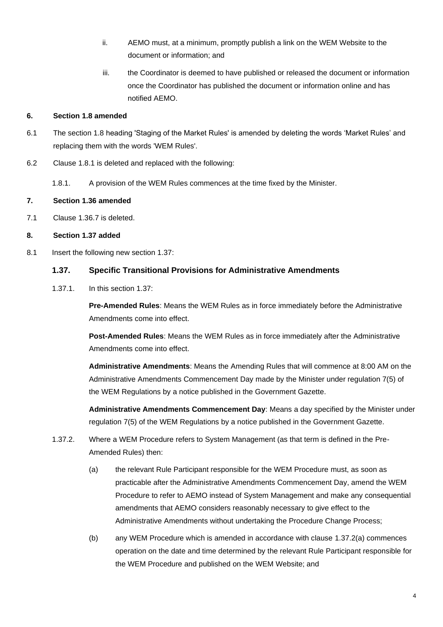- ii. AEMO must, at a minimum, promptly publish a link on the WEM Website to the document or information; and
- iii. the Coordinator is deemed to have published or released the document or information once the Coordinator has published the document or information online and has notified AEMO.

# **6. Section 1.8 amended**

- 6.1 The section 1.8 heading 'Staging of the Market Rules' is amended by deleting the words 'Market Rules' and replacing them with the words 'WEM Rules'.
- 6.2 Clause 1.8.1 is deleted and replaced with the following:
	- 1.8.1. A provision of the WEM Rules commences at the time fixed by the Minister.

# **7. Section 1.36 amended**

7.1 Clause 1.36.7 is deleted.

# **8. Section 1.37 added**

8.1 Insert the following new section 1.37:

# **1.37. Specific Transitional Provisions for Administrative Amendments**

1.37.1. In this section 1.37:

**Pre-Amended Rules**: Means the WEM Rules as in force immediately before the Administrative Amendments come into effect.

**Post-Amended Rules**: Means the WEM Rules as in force immediately after the Administrative Amendments come into effect.

**Administrative Amendments**: Means the Amending Rules that will commence at 8:00 AM on the Administrative Amendments Commencement Day made by the Minister under regulation 7(5) of the WEM Regulations by a notice published in the Government Gazette.

**Administrative Amendments Commencement Day**: Means a day specified by the Minister under regulation 7(5) of the WEM Regulations by a notice published in the Government Gazette.

- 1.37.2. Where a WEM Procedure refers to System Management (as that term is defined in the Pre-Amended Rules) then:
	- (a) the relevant Rule Participant responsible for the WEM Procedure must, as soon as practicable after the Administrative Amendments Commencement Day, amend the WEM Procedure to refer to AEMO instead of System Management and make any consequential amendments that AEMO considers reasonably necessary to give effect to the Administrative Amendments without undertaking the Procedure Change Process;
	- (b) any WEM Procedure which is amended in accordance with clause 1.37.2(a) commences operation on the date and time determined by the relevant Rule Participant responsible for the WEM Procedure and published on the WEM Website; and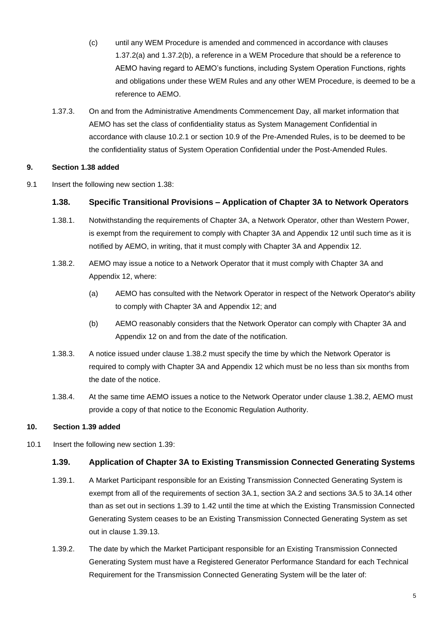- (c) until any WEM Procedure is amended and commenced in accordance with clauses 1.37.2(a) and 1.37.2(b), a reference in a WEM Procedure that should be a reference to AEMO having regard to AEMO's functions, including System Operation Functions, rights and obligations under these WEM Rules and any other WEM Procedure, is deemed to be a reference to AEMO.
- 1.37.3. On and from the Administrative Amendments Commencement Day, all market information that AEMO has set the class of confidentiality status as System Management Confidential in accordance with clause 10.2.1 or section 10.9 of the Pre-Amended Rules, is to be deemed to be the confidentiality status of System Operation Confidential under the Post-Amended Rules.

#### **9. Section 1.38 added**

9.1 Insert the following new section 1.38:

#### **1.38. Specific Transitional Provisions – Application of Chapter 3A to Network Operators**

- 1.38.1. Notwithstanding the requirements of Chapter 3A, a Network Operator, other than Western Power, is exempt from the requirement to comply with Chapter 3A and Appendix 12 until such time as it is notified by AEMO, in writing, that it must comply with Chapter 3A and Appendix 12.
- 1.38.2. AEMO may issue a notice to a Network Operator that it must comply with Chapter 3A and Appendix 12, where:
	- (a) AEMO has consulted with the Network Operator in respect of the Network Operator's ability to comply with Chapter 3A and Appendix 12; and
	- (b) AEMO reasonably considers that the Network Operator can comply with Chapter 3A and Appendix 12 on and from the date of the notification.
- 1.38.3. A notice issued under clause 1.38.2 must specify the time by which the Network Operator is required to comply with Chapter 3A and Appendix 12 which must be no less than six months from the date of the notice.
- 1.38.4. At the same time AEMO issues a notice to the Network Operator under clause 1.38.2, AEMO must provide a copy of that notice to the Economic Regulation Authority.

# **10. Section 1.39 added**

10.1 Insert the following new section 1.39:

# **1.39. Application of Chapter 3A to Existing Transmission Connected Generating Systems**

- 1.39.1. A Market Participant responsible for an Existing Transmission Connected Generating System is exempt from all of the requirements of section 3A.1, section 3A.2 and sections 3A.5 to 3A.14 other than as set out in sections 1.39 to 1.42 until the time at which the Existing Transmission Connected Generating System ceases to be an Existing Transmission Connected Generating System as set out in clause 1.39.13.
- 1.39.2. The date by which the Market Participant responsible for an Existing Transmission Connected Generating System must have a Registered Generator Performance Standard for each Technical Requirement for the Transmission Connected Generating System will be the later of: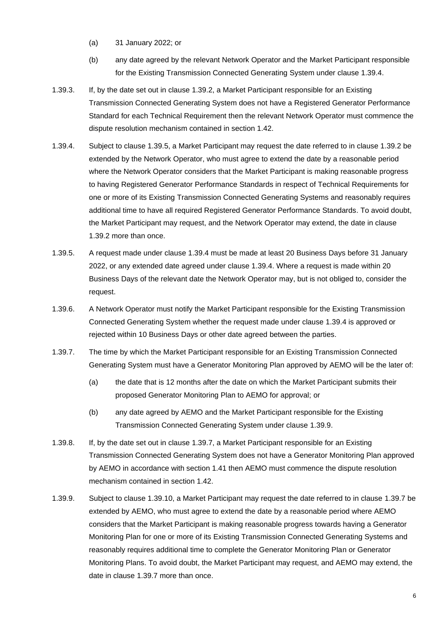- (a) 31 January 2022; or
- (b) any date agreed by the relevant Network Operator and the Market Participant responsible for the Existing Transmission Connected Generating System under clause 1.39.4.
- 1.39.3. If, by the date set out in clause 1.39.2, a Market Participant responsible for an Existing Transmission Connected Generating System does not have a Registered Generator Performance Standard for each Technical Requirement then the relevant Network Operator must commence the dispute resolution mechanism contained in section 1.42.
- 1.39.4. Subject to clause 1.39.5, a Market Participant may request the date referred to in clause 1.39.2 be extended by the Network Operator, who must agree to extend the date by a reasonable period where the Network Operator considers that the Market Participant is making reasonable progress to having Registered Generator Performance Standards in respect of Technical Requirements for one or more of its Existing Transmission Connected Generating Systems and reasonably requires additional time to have all required Registered Generator Performance Standards. To avoid doubt, the Market Participant may request, and the Network Operator may extend, the date in clause 1.39.2 more than once.
- 1.39.5. A request made under clause 1.39.4 must be made at least 20 Business Days before 31 January 2022, or any extended date agreed under clause 1.39.4. Where a request is made within 20 Business Days of the relevant date the Network Operator may, but is not obliged to, consider the request.
- 1.39.6. A Network Operator must notify the Market Participant responsible for the Existing Transmission Connected Generating System whether the request made under clause 1.39.4 is approved or rejected within 10 Business Days or other date agreed between the parties.
- 1.39.7. The time by which the Market Participant responsible for an Existing Transmission Connected Generating System must have a Generator Monitoring Plan approved by AEMO will be the later of:
	- (a) the date that is 12 months after the date on which the Market Participant submits their proposed Generator Monitoring Plan to AEMO for approval; or
	- (b) any date agreed by AEMO and the Market Participant responsible for the Existing Transmission Connected Generating System under clause 1.39.9.
- 1.39.8. If, by the date set out in clause 1.39.7, a Market Participant responsible for an Existing Transmission Connected Generating System does not have a Generator Monitoring Plan approved by AEMO in accordance with section 1.41 then AEMO must commence the dispute resolution mechanism contained in section 1.42.
- 1.39.9. Subject to clause 1.39.10, a Market Participant may request the date referred to in clause 1.39.7 be extended by AEMO, who must agree to extend the date by a reasonable period where AEMO considers that the Market Participant is making reasonable progress towards having a Generator Monitoring Plan for one or more of its Existing Transmission Connected Generating Systems and reasonably requires additional time to complete the Generator Monitoring Plan or Generator Monitoring Plans. To avoid doubt, the Market Participant may request, and AEMO may extend, the date in clause 1.39.7 more than once.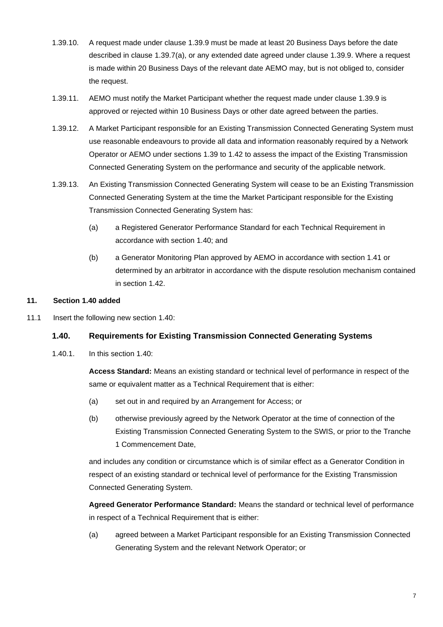- 1.39.10. A request made under clause 1.39.9 must be made at least 20 Business Days before the date described in clause 1.39.7(a), or any extended date agreed under clause 1.39.9. Where a request is made within 20 Business Days of the relevant date AEMO may, but is not obliged to, consider the request.
- 1.39.11. AEMO must notify the Market Participant whether the request made under clause 1.39.9 is approved or rejected within 10 Business Days or other date agreed between the parties.
- 1.39.12. A Market Participant responsible for an Existing Transmission Connected Generating System must use reasonable endeavours to provide all data and information reasonably required by a Network Operator or AEMO under sections 1.39 to 1.42 to assess the impact of the Existing Transmission Connected Generating System on the performance and security of the applicable network.
- 1.39.13. An Existing Transmission Connected Generating System will cease to be an Existing Transmission Connected Generating System at the time the Market Participant responsible for the Existing Transmission Connected Generating System has:
	- (a) a Registered Generator Performance Standard for each Technical Requirement in accordance with section 1.40; and
	- (b) a Generator Monitoring Plan approved by AEMO in accordance with section 1.41 or determined by an arbitrator in accordance with the dispute resolution mechanism contained in section 1.42.

# **11. Section 1.40 added**

11.1 Insert the following new section 1.40:

# **1.40. Requirements for Existing Transmission Connected Generating Systems**

1.40.1. In this section 1.40:

**Access Standard:** Means an existing standard or technical level of performance in respect of the same or equivalent matter as a Technical Requirement that is either:

- (a) set out in and required by an Arrangement for Access; or
- (b) otherwise previously agreed by the Network Operator at the time of connection of the Existing Transmission Connected Generating System to the SWIS, or prior to the Tranche 1 Commencement Date,

and includes any condition or circumstance which is of similar effect as a Generator Condition in respect of an existing standard or technical level of performance for the Existing Transmission Connected Generating System.

**Agreed Generator Performance Standard:** Means the standard or technical level of performance in respect of a Technical Requirement that is either:

(a) agreed between a Market Participant responsible for an Existing Transmission Connected Generating System and the relevant Network Operator; or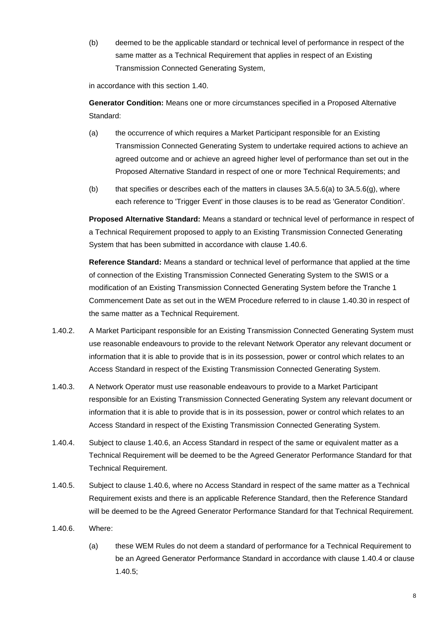(b) deemed to be the applicable standard or technical level of performance in respect of the same matter as a Technical Requirement that applies in respect of an Existing Transmission Connected Generating System,

in accordance with this section 1.40.

**Generator Condition:** Means one or more circumstances specified in a Proposed Alternative Standard:

- (a) the occurrence of which requires a Market Participant responsible for an Existing Transmission Connected Generating System to undertake required actions to achieve an agreed outcome and or achieve an agreed higher level of performance than set out in the Proposed Alternative Standard in respect of one or more Technical Requirements; and
- (b) that specifies or describes each of the matters in clauses  $3A.5.6(a)$  to  $3A.5.6(a)$ , where each reference to 'Trigger Event' in those clauses is to be read as 'Generator Condition'.

**Proposed Alternative Standard:** Means a standard or technical level of performance in respect of a Technical Requirement proposed to apply to an Existing Transmission Connected Generating System that has been submitted in accordance with clause 1.40.6.

**Reference Standard:** Means a standard or technical level of performance that applied at the time of connection of the Existing Transmission Connected Generating System to the SWIS or a modification of an Existing Transmission Connected Generating System before the Tranche 1 Commencement Date as set out in the WEM Procedure referred to in clause 1.40.30 in respect of the same matter as a Technical Requirement.

- 1.40.2. A Market Participant responsible for an Existing Transmission Connected Generating System must use reasonable endeavours to provide to the relevant Network Operator any relevant document or information that it is able to provide that is in its possession, power or control which relates to an Access Standard in respect of the Existing Transmission Connected Generating System.
- 1.40.3. A Network Operator must use reasonable endeavours to provide to a Market Participant responsible for an Existing Transmission Connected Generating System any relevant document or information that it is able to provide that is in its possession, power or control which relates to an Access Standard in respect of the Existing Transmission Connected Generating System.
- 1.40.4. Subject to clause 1.40.6, an Access Standard in respect of the same or equivalent matter as a Technical Requirement will be deemed to be the Agreed Generator Performance Standard for that Technical Requirement.
- 1.40.5. Subject to clause 1.40.6, where no Access Standard in respect of the same matter as a Technical Requirement exists and there is an applicable Reference Standard, then the Reference Standard will be deemed to be the Agreed Generator Performance Standard for that Technical Requirement.
- 1.40.6. Where:
	- (a) these WEM Rules do not deem a standard of performance for a Technical Requirement to be an Agreed Generator Performance Standard in accordance with clause 1.40.4 or clause 1.40.5;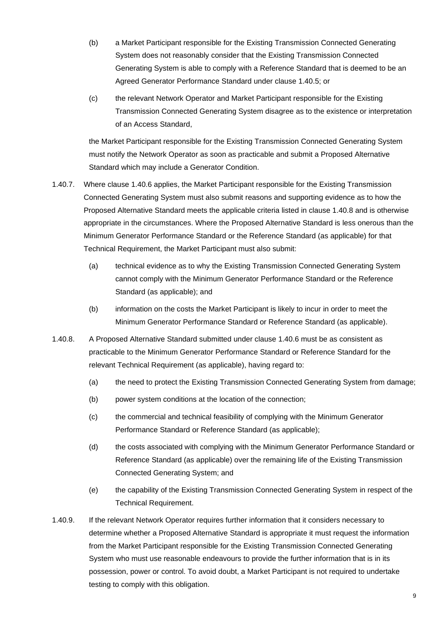- (b) a Market Participant responsible for the Existing Transmission Connected Generating System does not reasonably consider that the Existing Transmission Connected Generating System is able to comply with a Reference Standard that is deemed to be an Agreed Generator Performance Standard under clause 1.40.5; or
- (c) the relevant Network Operator and Market Participant responsible for the Existing Transmission Connected Generating System disagree as to the existence or interpretation of an Access Standard,

the Market Participant responsible for the Existing Transmission Connected Generating System must notify the Network Operator as soon as practicable and submit a Proposed Alternative Standard which may include a Generator Condition.

- 1.40.7. Where clause 1.40.6 applies, the Market Participant responsible for the Existing Transmission Connected Generating System must also submit reasons and supporting evidence as to how the Proposed Alternative Standard meets the applicable criteria listed in clause 1.40.8 and is otherwise appropriate in the circumstances. Where the Proposed Alternative Standard is less onerous than the Minimum Generator Performance Standard or the Reference Standard (as applicable) for that Technical Requirement, the Market Participant must also submit:
	- (a) technical evidence as to why the Existing Transmission Connected Generating System cannot comply with the Minimum Generator Performance Standard or the Reference Standard (as applicable); and
	- (b) information on the costs the Market Participant is likely to incur in order to meet the Minimum Generator Performance Standard or Reference Standard (as applicable).
- 1.40.8. A Proposed Alternative Standard submitted under clause 1.40.6 must be as consistent as practicable to the Minimum Generator Performance Standard or Reference Standard for the relevant Technical Requirement (as applicable), having regard to:
	- (a) the need to protect the Existing Transmission Connected Generating System from damage;
	- (b) power system conditions at the location of the connection;
	- (c) the commercial and technical feasibility of complying with the Minimum Generator Performance Standard or Reference Standard (as applicable);
	- (d) the costs associated with complying with the Minimum Generator Performance Standard or Reference Standard (as applicable) over the remaining life of the Existing Transmission Connected Generating System; and
	- (e) the capability of the Existing Transmission Connected Generating System in respect of the Technical Requirement.
- 1.40.9. If the relevant Network Operator requires further information that it considers necessary to determine whether a Proposed Alternative Standard is appropriate it must request the information from the Market Participant responsible for the Existing Transmission Connected Generating System who must use reasonable endeavours to provide the further information that is in its possession, power or control. To avoid doubt, a Market Participant is not required to undertake testing to comply with this obligation.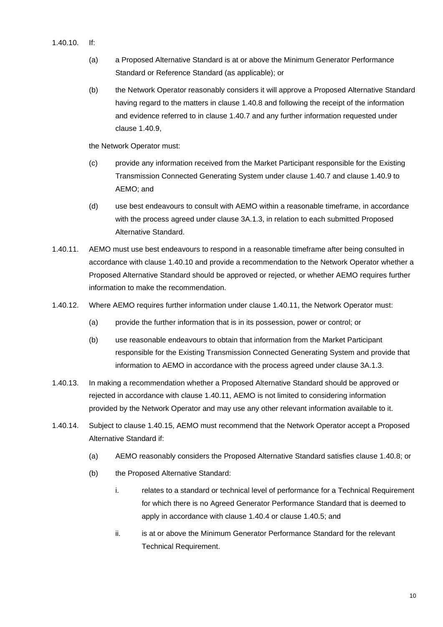- 1.40.10. If:
	- (a) a Proposed Alternative Standard is at or above the Minimum Generator Performance Standard or Reference Standard (as applicable); or
	- (b) the Network Operator reasonably considers it will approve a Proposed Alternative Standard having regard to the matters in clause 1.40.8 and following the receipt of the information and evidence referred to in clause 1.40.7 and any further information requested under clause 1.40.9,

the Network Operator must:

- (c) provide any information received from the Market Participant responsible for the Existing Transmission Connected Generating System under clause 1.40.7 and clause 1.40.9 to AEMO; and
- (d) use best endeavours to consult with AEMO within a reasonable timeframe, in accordance with the process agreed under clause 3A.1.3, in relation to each submitted Proposed Alternative Standard.
- 1.40.11. AEMO must use best endeavours to respond in a reasonable timeframe after being consulted in accordance with clause 1.40.10 and provide a recommendation to the Network Operator whether a Proposed Alternative Standard should be approved or rejected, or whether AEMO requires further information to make the recommendation.
- 1.40.12. Where AEMO requires further information under clause 1.40.11, the Network Operator must:
	- (a) provide the further information that is in its possession, power or control; or
	- (b) use reasonable endeavours to obtain that information from the Market Participant responsible for the Existing Transmission Connected Generating System and provide that information to AEMO in accordance with the process agreed under clause 3A.1.3.
- 1.40.13. In making a recommendation whether a Proposed Alternative Standard should be approved or rejected in accordance with clause 1.40.11, AEMO is not limited to considering information provided by the Network Operator and may use any other relevant information available to it.
- 1.40.14. Subject to clause 1.40.15, AEMO must recommend that the Network Operator accept a Proposed Alternative Standard if:
	- (a) AEMO reasonably considers the Proposed Alternative Standard satisfies clause 1.40.8; or
	- (b) the Proposed Alternative Standard:
		- i. relates to a standard or technical level of performance for a Technical Requirement for which there is no Agreed Generator Performance Standard that is deemed to apply in accordance with clause 1.40.4 or clause 1.40.5; and
		- ii. is at or above the Minimum Generator Performance Standard for the relevant Technical Requirement.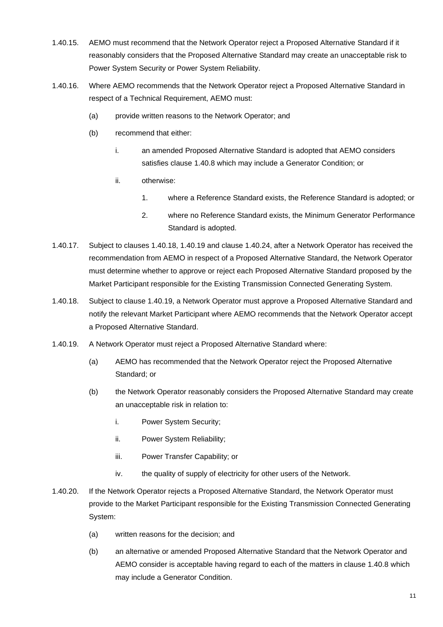- 1.40.15. AEMO must recommend that the Network Operator reject a Proposed Alternative Standard if it reasonably considers that the Proposed Alternative Standard may create an unacceptable risk to Power System Security or Power System Reliability.
- 1.40.16. Where AEMO recommends that the Network Operator reject a Proposed Alternative Standard in respect of a Technical Requirement, AEMO must:
	- (a) provide written reasons to the Network Operator; and
	- (b) recommend that either:
		- i. an amended Proposed Alternative Standard is adopted that AEMO considers satisfies clause 1.40.8 which may include a Generator Condition; or
		- ii. otherwise:
			- 1. where a Reference Standard exists, the Reference Standard is adopted; or
			- 2. where no Reference Standard exists, the Minimum Generator Performance Standard is adopted.
- 1.40.17. Subject to clauses 1.40.18, 1.40.19 and clause 1.40.24, after a Network Operator has received the recommendation from AEMO in respect of a Proposed Alternative Standard, the Network Operator must determine whether to approve or reject each Proposed Alternative Standard proposed by the Market Participant responsible for the Existing Transmission Connected Generating System.
- 1.40.18. Subject to clause 1.40.19, a Network Operator must approve a Proposed Alternative Standard and notify the relevant Market Participant where AEMO recommends that the Network Operator accept a Proposed Alternative Standard.
- 1.40.19. A Network Operator must reject a Proposed Alternative Standard where:
	- (a) AEMO has recommended that the Network Operator reject the Proposed Alternative Standard; or
	- (b) the Network Operator reasonably considers the Proposed Alternative Standard may create an unacceptable risk in relation to:
		- i. Power System Security;
		- ii. Power System Reliability;
		- iii. Power Transfer Capability; or
		- iv. the quality of supply of electricity for other users of the Network.
- 1.40.20. If the Network Operator rejects a Proposed Alternative Standard, the Network Operator must provide to the Market Participant responsible for the Existing Transmission Connected Generating System:
	- (a) written reasons for the decision; and
	- (b) an alternative or amended Proposed Alternative Standard that the Network Operator and AEMO consider is acceptable having regard to each of the matters in clause 1.40.8 which may include a Generator Condition.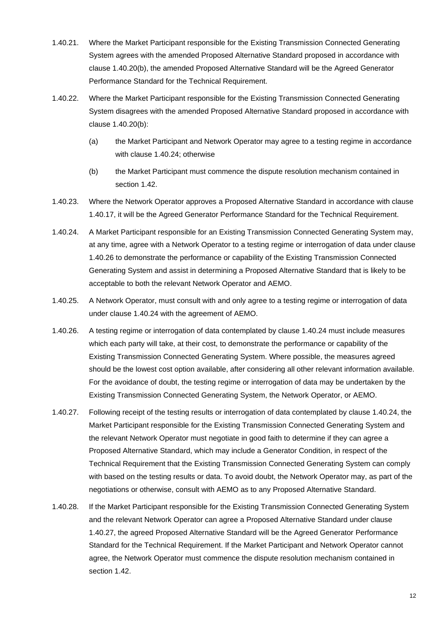- 1.40.21. Where the Market Participant responsible for the Existing Transmission Connected Generating System agrees with the amended Proposed Alternative Standard proposed in accordance with clause 1.40.20(b), the amended Proposed Alternative Standard will be the Agreed Generator Performance Standard for the Technical Requirement.
- 1.40.22. Where the Market Participant responsible for the Existing Transmission Connected Generating System disagrees with the amended Proposed Alternative Standard proposed in accordance with clause 1.40.20(b):
	- (a) the Market Participant and Network Operator may agree to a testing regime in accordance with clause 1.40.24; otherwise
	- (b) the Market Participant must commence the dispute resolution mechanism contained in section 1.42.
- 1.40.23. Where the Network Operator approves a Proposed Alternative Standard in accordance with clause 1.40.17, it will be the Agreed Generator Performance Standard for the Technical Requirement.
- 1.40.24. A Market Participant responsible for an Existing Transmission Connected Generating System may, at any time, agree with a Network Operator to a testing regime or interrogation of data under clause 1.40.26 to demonstrate the performance or capability of the Existing Transmission Connected Generating System and assist in determining a Proposed Alternative Standard that is likely to be acceptable to both the relevant Network Operator and AEMO.
- 1.40.25. A Network Operator, must consult with and only agree to a testing regime or interrogation of data under clause 1.40.24 with the agreement of AEMO.
- 1.40.26. A testing regime or interrogation of data contemplated by clause 1.40.24 must include measures which each party will take, at their cost, to demonstrate the performance or capability of the Existing Transmission Connected Generating System. Where possible, the measures agreed should be the lowest cost option available, after considering all other relevant information available. For the avoidance of doubt, the testing regime or interrogation of data may be undertaken by the Existing Transmission Connected Generating System, the Network Operator, or AEMO.
- 1.40.27. Following receipt of the testing results or interrogation of data contemplated by clause 1.40.24, the Market Participant responsible for the Existing Transmission Connected Generating System and the relevant Network Operator must negotiate in good faith to determine if they can agree a Proposed Alternative Standard, which may include a Generator Condition, in respect of the Technical Requirement that the Existing Transmission Connected Generating System can comply with based on the testing results or data. To avoid doubt, the Network Operator may, as part of the negotiations or otherwise, consult with AEMO as to any Proposed Alternative Standard.
- 1.40.28. If the Market Participant responsible for the Existing Transmission Connected Generating System and the relevant Network Operator can agree a Proposed Alternative Standard under clause 1.40.27, the agreed Proposed Alternative Standard will be the Agreed Generator Performance Standard for the Technical Requirement. If the Market Participant and Network Operator cannot agree, the Network Operator must commence the dispute resolution mechanism contained in section 1.42.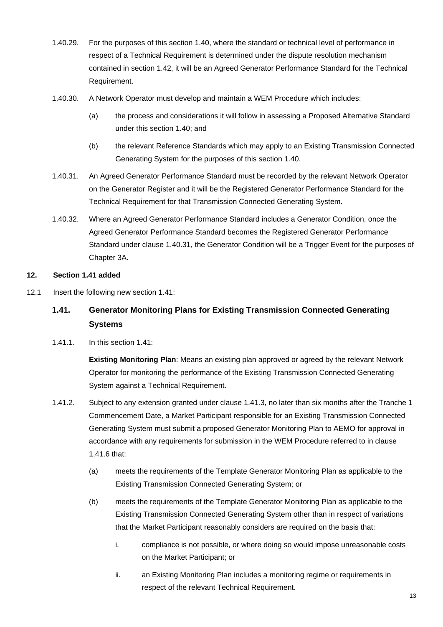- 1.40.29. For the purposes of this section 1.40, where the standard or technical level of performance in respect of a Technical Requirement is determined under the dispute resolution mechanism contained in section 1.42, it will be an Agreed Generator Performance Standard for the Technical Requirement.
- 1.40.30. A Network Operator must develop and maintain a WEM Procedure which includes:
	- (a) the process and considerations it will follow in assessing a Proposed Alternative Standard under this section 1.40; and
	- (b) the relevant Reference Standards which may apply to an Existing Transmission Connected Generating System for the purposes of this section 1.40.
- 1.40.31. An Agreed Generator Performance Standard must be recorded by the relevant Network Operator on the Generator Register and it will be the Registered Generator Performance Standard for the Technical Requirement for that Transmission Connected Generating System.
- 1.40.32. Where an Agreed Generator Performance Standard includes a Generator Condition, once the Agreed Generator Performance Standard becomes the Registered Generator Performance Standard under clause 1.40.31, the Generator Condition will be a Trigger Event for the purposes of Chapter 3A.

# **12. Section 1.41 added**

12.1 Insert the following new section 1.41:

# **1.41. Generator Monitoring Plans for Existing Transmission Connected Generating Systems**

1.41.1. In this section 1.41:

**Existing Monitoring Plan**: Means an existing plan approved or agreed by the relevant Network Operator for monitoring the performance of the Existing Transmission Connected Generating System against a Technical Requirement.

- 1.41.2. Subject to any extension granted under clause 1.41.3, no later than six months after the Tranche 1 Commencement Date, a Market Participant responsible for an Existing Transmission Connected Generating System must submit a proposed Generator Monitoring Plan to AEMO for approval in accordance with any requirements for submission in the WEM Procedure referred to in clause 1.41.6 that:
	- (a) meets the requirements of the Template Generator Monitoring Plan as applicable to the Existing Transmission Connected Generating System; or
	- (b) meets the requirements of the Template Generator Monitoring Plan as applicable to the Existing Transmission Connected Generating System other than in respect of variations that the Market Participant reasonably considers are required on the basis that:
		- i. compliance is not possible, or where doing so would impose unreasonable costs on the Market Participant; or
		- ii. an Existing Monitoring Plan includes a monitoring regime or requirements in respect of the relevant Technical Requirement.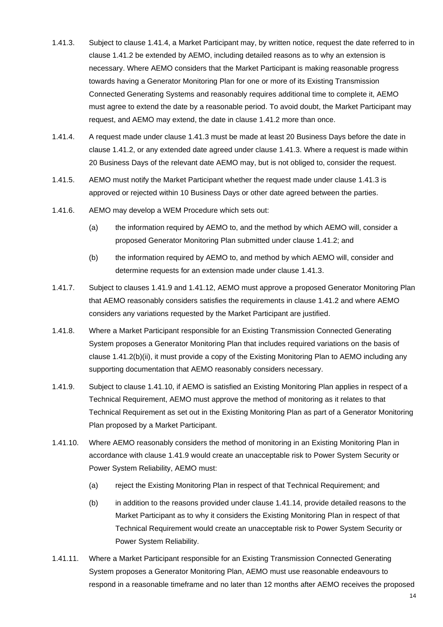- 1.41.3. Subject to clause 1.41.4, a Market Participant may, by written notice, request the date referred to in clause 1.41.2 be extended by AEMO, including detailed reasons as to why an extension is necessary. Where AEMO considers that the Market Participant is making reasonable progress towards having a Generator Monitoring Plan for one or more of its Existing Transmission Connected Generating Systems and reasonably requires additional time to complete it, AEMO must agree to extend the date by a reasonable period. To avoid doubt, the Market Participant may request, and AEMO may extend, the date in clause 1.41.2 more than once.
- 1.41.4. A request made under clause 1.41.3 must be made at least 20 Business Days before the date in clause 1.41.2, or any extended date agreed under clause 1.41.3. Where a request is made within 20 Business Days of the relevant date AEMO may, but is not obliged to, consider the request.
- 1.41.5. AEMO must notify the Market Participant whether the request made under clause 1.41.3 is approved or rejected within 10 Business Days or other date agreed between the parties.
- 1.41.6. AEMO may develop a WEM Procedure which sets out:
	- (a) the information required by AEMO to, and the method by which AEMO will, consider a proposed Generator Monitoring Plan submitted under clause 1.41.2; and
	- (b) the information required by AEMO to, and method by which AEMO will, consider and determine requests for an extension made under clause 1.41.3.
- 1.41.7. Subject to clauses 1.41.9 and 1.41.12, AEMO must approve a proposed Generator Monitoring Plan that AEMO reasonably considers satisfies the requirements in clause 1.41.2 and where AEMO considers any variations requested by the Market Participant are justified.
- 1.41.8. Where a Market Participant responsible for an Existing Transmission Connected Generating System proposes a Generator Monitoring Plan that includes required variations on the basis of clause 1.41.2(b)(ii), it must provide a copy of the Existing Monitoring Plan to AEMO including any supporting documentation that AEMO reasonably considers necessary.
- 1.41.9. Subject to clause 1.41.10, if AEMO is satisfied an Existing Monitoring Plan applies in respect of a Technical Requirement, AEMO must approve the method of monitoring as it relates to that Technical Requirement as set out in the Existing Monitoring Plan as part of a Generator Monitoring Plan proposed by a Market Participant.
- 1.41.10. Where AEMO reasonably considers the method of monitoring in an Existing Monitoring Plan in accordance with clause 1.41.9 would create an unacceptable risk to Power System Security or Power System Reliability, AEMO must:
	- (a) reject the Existing Monitoring Plan in respect of that Technical Requirement; and
	- (b) in addition to the reasons provided under clause 1.41.14, provide detailed reasons to the Market Participant as to why it considers the Existing Monitoring Plan in respect of that Technical Requirement would create an unacceptable risk to Power System Security or Power System Reliability.
- 1.41.11. Where a Market Participant responsible for an Existing Transmission Connected Generating System proposes a Generator Monitoring Plan, AEMO must use reasonable endeavours to respond in a reasonable timeframe and no later than 12 months after AEMO receives the proposed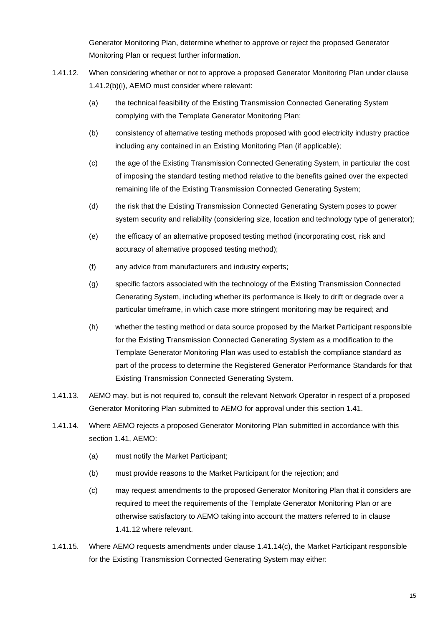Generator Monitoring Plan, determine whether to approve or reject the proposed Generator Monitoring Plan or request further information.

- 1.41.12. When considering whether or not to approve a proposed Generator Monitoring Plan under clause 1.41.2(b)(i), AEMO must consider where relevant:
	- (a) the technical feasibility of the Existing Transmission Connected Generating System complying with the Template Generator Monitoring Plan;
	- (b) consistency of alternative testing methods proposed with good electricity industry practice including any contained in an Existing Monitoring Plan (if applicable);
	- (c) the age of the Existing Transmission Connected Generating System, in particular the cost of imposing the standard testing method relative to the benefits gained over the expected remaining life of the Existing Transmission Connected Generating System;
	- (d) the risk that the Existing Transmission Connected Generating System poses to power system security and reliability (considering size, location and technology type of generator);
	- (e) the efficacy of an alternative proposed testing method (incorporating cost, risk and accuracy of alternative proposed testing method);
	- (f) any advice from manufacturers and industry experts;
	- (g) specific factors associated with the technology of the Existing Transmission Connected Generating System, including whether its performance is likely to drift or degrade over a particular timeframe, in which case more stringent monitoring may be required; and
	- (h) whether the testing method or data source proposed by the Market Participant responsible for the Existing Transmission Connected Generating System as a modification to the Template Generator Monitoring Plan was used to establish the compliance standard as part of the process to determine the Registered Generator Performance Standards for that Existing Transmission Connected Generating System.
- 1.41.13. AEMO may, but is not required to, consult the relevant Network Operator in respect of a proposed Generator Monitoring Plan submitted to AEMO for approval under this section 1.41.
- 1.41.14. Where AEMO rejects a proposed Generator Monitoring Plan submitted in accordance with this section 1.41, AEMO:
	- (a) must notify the Market Participant;
	- (b) must provide reasons to the Market Participant for the rejection; and
	- (c) may request amendments to the proposed Generator Monitoring Plan that it considers are required to meet the requirements of the Template Generator Monitoring Plan or are otherwise satisfactory to AEMO taking into account the matters referred to in clause 1.41.12 where relevant.
- 1.41.15. Where AEMO requests amendments under clause 1.41.14(c), the Market Participant responsible for the Existing Transmission Connected Generating System may either: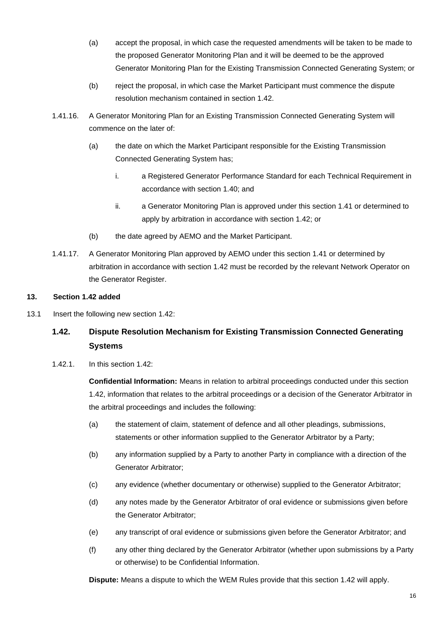- (a) accept the proposal, in which case the requested amendments will be taken to be made to the proposed Generator Monitoring Plan and it will be deemed to be the approved Generator Monitoring Plan for the Existing Transmission Connected Generating System; or
- (b) reject the proposal, in which case the Market Participant must commence the dispute resolution mechanism contained in section 1.42.
- 1.41.16. A Generator Monitoring Plan for an Existing Transmission Connected Generating System will commence on the later of:
	- (a) the date on which the Market Participant responsible for the Existing Transmission Connected Generating System has;
		- i. a Registered Generator Performance Standard for each Technical Requirement in accordance with section 1.40; and
		- ii. a Generator Monitoring Plan is approved under this section 1.41 or determined to apply by arbitration in accordance with section 1.42; or
	- (b) the date agreed by AEMO and the Market Participant.
- 1.41.17. A Generator Monitoring Plan approved by AEMO under this section 1.41 or determined by arbitration in accordance with section 1.42 must be recorded by the relevant Network Operator on the Generator Register.

# **13. Section 1.42 added**

13.1 Insert the following new section 1.42:

# **1.42. Dispute Resolution Mechanism for Existing Transmission Connected Generating Systems**

1.42.1. In this section 1.42:

**Confidential Information:** Means in relation to arbitral proceedings conducted under this section 1.42, information that relates to the arbitral proceedings or a decision of the Generator Arbitrator in the arbitral proceedings and includes the following:

- (a) the statement of claim, statement of defence and all other pleadings, submissions, statements or other information supplied to the Generator Arbitrator by a Party;
- (b) any information supplied by a Party to another Party in compliance with a direction of the Generator Arbitrator;
- (c) any evidence (whether documentary or otherwise) supplied to the Generator Arbitrator;
- (d) any notes made by the Generator Arbitrator of oral evidence or submissions given before the Generator Arbitrator;
- (e) any transcript of oral evidence or submissions given before the Generator Arbitrator; and
- (f) any other thing declared by the Generator Arbitrator (whether upon submissions by a Party or otherwise) to be Confidential Information.

**Dispute:** Means a dispute to which the WEM Rules provide that this section 1.42 will apply.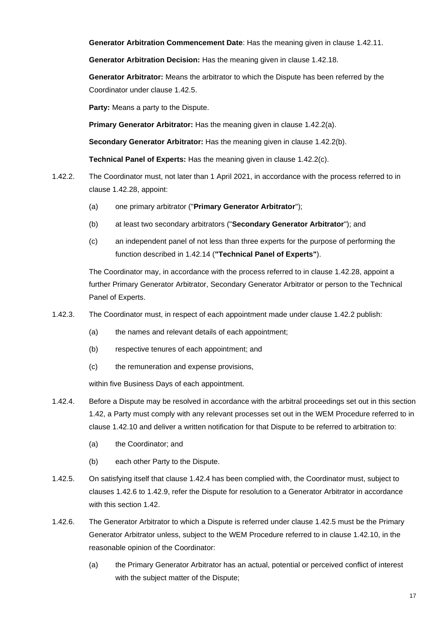**Generator Arbitration Commencement Date**: Has the meaning given in clause 1.42.11.

**Generator Arbitration Decision:** Has the meaning given in clause 1.42.18.

**Generator Arbitrator:** Means the arbitrator to which the Dispute has been referred by the Coordinator under clause 1.42.5.

**Party:** Means a party to the Dispute.

**Primary Generator Arbitrator:** Has the meaning given in clause 1.42.2(a).

**Secondary Generator Arbitrator:** Has the meaning given in clause 1.42.2(b).

**Technical Panel of Experts:** Has the meaning given in clause 1.42.2(c).

- 1.42.2. The Coordinator must, not later than 1 April 2021, in accordance with the process referred to in clause 1.42.28, appoint:
	- (a) one primary arbitrator ("**Primary Generator Arbitrator**");
	- (b) at least two secondary arbitrators ("**Secondary Generator Arbitrator**"); and
	- (c) an independent panel of not less than three experts for the purpose of performing the function described in 1.42.14 (**"Technical Panel of Experts"**).

The Coordinator may, in accordance with the process referred to in clause 1.42.28, appoint a further Primary Generator Arbitrator, Secondary Generator Arbitrator or person to the Technical Panel of Experts.

- 1.42.3. The Coordinator must, in respect of each appointment made under clause 1.42.2 publish:
	- (a) the names and relevant details of each appointment;
	- (b) respective tenures of each appointment; and
	- (c) the remuneration and expense provisions,

within five Business Days of each appointment.

- 1.42.4. Before a Dispute may be resolved in accordance with the arbitral proceedings set out in this section 1.42, a Party must comply with any relevant processes set out in the WEM Procedure referred to in clause 1.42.10 and deliver a written notification for that Dispute to be referred to arbitration to:
	- (a) the Coordinator; and
	- (b) each other Party to the Dispute.
- 1.42.5. On satisfying itself that clause 1.42.4 has been complied with, the Coordinator must, subject to clauses 1.42.6 to 1.42.9, refer the Dispute for resolution to a Generator Arbitrator in accordance with this section 1.42
- 1.42.6. The Generator Arbitrator to which a Dispute is referred under clause 1.42.5 must be the Primary Generator Arbitrator unless, subject to the WEM Procedure referred to in clause 1.42.10, in the reasonable opinion of the Coordinator:
	- (a) the Primary Generator Arbitrator has an actual, potential or perceived conflict of interest with the subject matter of the Dispute;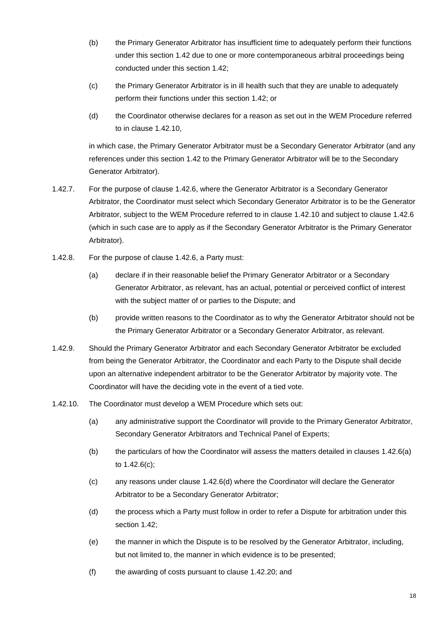- (b) the Primary Generator Arbitrator has insufficient time to adequately perform their functions under this section 1.42 due to one or more contemporaneous arbitral proceedings being conducted under this section 1.42;
- (c) the Primary Generator Arbitrator is in ill health such that they are unable to adequately perform their functions under this section 1.42; or
- (d) the Coordinator otherwise declares for a reason as set out in the WEM Procedure referred to in clause 1.42.10,

in which case, the Primary Generator Arbitrator must be a Secondary Generator Arbitrator (and any references under this section 1.42 to the Primary Generator Arbitrator will be to the Secondary Generator Arbitrator).

- 1.42.7. For the purpose of clause 1.42.6, where the Generator Arbitrator is a Secondary Generator Arbitrator, the Coordinator must select which Secondary Generator Arbitrator is to be the Generator Arbitrator, subject to the WEM Procedure referred to in clause 1.42.10 and subject to clause 1.42.6 (which in such case are to apply as if the Secondary Generator Arbitrator is the Primary Generator Arbitrator).
- 1.42.8. For the purpose of clause 1.42.6, a Party must:
	- (a) declare if in their reasonable belief the Primary Generator Arbitrator or a Secondary Generator Arbitrator, as relevant, has an actual, potential or perceived conflict of interest with the subject matter of or parties to the Dispute; and
	- (b) provide written reasons to the Coordinator as to why the Generator Arbitrator should not be the Primary Generator Arbitrator or a Secondary Generator Arbitrator, as relevant.
- 1.42.9. Should the Primary Generator Arbitrator and each Secondary Generator Arbitrator be excluded from being the Generator Arbitrator, the Coordinator and each Party to the Dispute shall decide upon an alternative independent arbitrator to be the Generator Arbitrator by majority vote. The Coordinator will have the deciding vote in the event of a tied vote.
- 1.42.10. The Coordinator must develop a WEM Procedure which sets out:
	- (a) any administrative support the Coordinator will provide to the Primary Generator Arbitrator, Secondary Generator Arbitrators and Technical Panel of Experts;
	- (b) the particulars of how the Coordinator will assess the matters detailed in clauses 1.42.6(a) to 1.42.6(c);
	- (c) any reasons under clause 1.42.6(d) where the Coordinator will declare the Generator Arbitrator to be a Secondary Generator Arbitrator;
	- (d) the process which a Party must follow in order to refer a Dispute for arbitration under this section 1.42;
	- (e) the manner in which the Dispute is to be resolved by the Generator Arbitrator, including, but not limited to, the manner in which evidence is to be presented;
	- (f) the awarding of costs pursuant to clause 1.42.20; and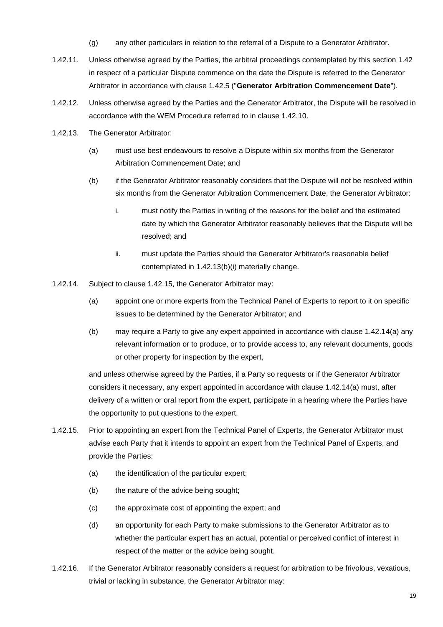- (g) any other particulars in relation to the referral of a Dispute to a Generator Arbitrator.
- 1.42.11. Unless otherwise agreed by the Parties, the arbitral proceedings contemplated by this section 1.42 in respect of a particular Dispute commence on the date the Dispute is referred to the Generator Arbitrator in accordance with clause 1.42.5 ("**Generator Arbitration Commencement Date**").
- 1.42.12. Unless otherwise agreed by the Parties and the Generator Arbitrator, the Dispute will be resolved in accordance with the WEM Procedure referred to in clause 1.42.10.
- 1.42.13. The Generator Arbitrator:
	- (a) must use best endeavours to resolve a Dispute within six months from the Generator Arbitration Commencement Date; and
	- (b) if the Generator Arbitrator reasonably considers that the Dispute will not be resolved within six months from the Generator Arbitration Commencement Date, the Generator Arbitrator:
		- i. must notify the Parties in writing of the reasons for the belief and the estimated date by which the Generator Arbitrator reasonably believes that the Dispute will be resolved; and
		- ii. must update the Parties should the Generator Arbitrator's reasonable belief contemplated in 1.42.13(b)(i) materially change.
- 1.42.14. Subject to clause 1.42.15, the Generator Arbitrator may:
	- (a) appoint one or more experts from the Technical Panel of Experts to report to it on specific issues to be determined by the Generator Arbitrator; and
	- (b) may require a Party to give any expert appointed in accordance with clause 1.42.14(a) any relevant information or to produce, or to provide access to, any relevant documents, goods or other property for inspection by the expert,

and unless otherwise agreed by the Parties, if a Party so requests or if the Generator Arbitrator considers it necessary, any expert appointed in accordance with clause 1.42.14(a) must, after delivery of a written or oral report from the expert, participate in a hearing where the Parties have the opportunity to put questions to the expert.

- 1.42.15. Prior to appointing an expert from the Technical Panel of Experts, the Generator Arbitrator must advise each Party that it intends to appoint an expert from the Technical Panel of Experts, and provide the Parties:
	- (a) the identification of the particular expert;
	- (b) the nature of the advice being sought;
	- (c) the approximate cost of appointing the expert; and
	- (d) an opportunity for each Party to make submissions to the Generator Arbitrator as to whether the particular expert has an actual, potential or perceived conflict of interest in respect of the matter or the advice being sought.
- 1.42.16. If the Generator Arbitrator reasonably considers a request for arbitration to be frivolous, vexatious, trivial or lacking in substance, the Generator Arbitrator may: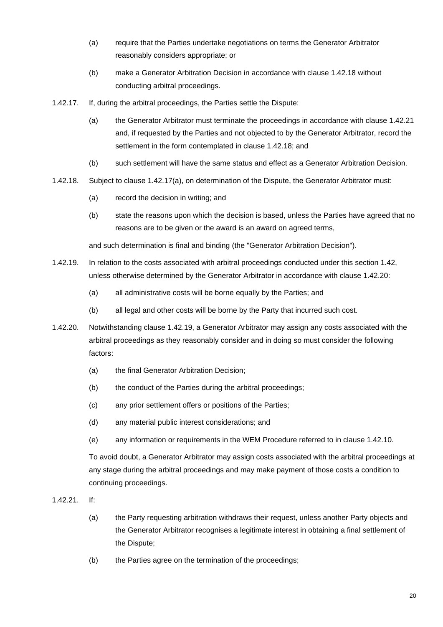- (a) require that the Parties undertake negotiations on terms the Generator Arbitrator reasonably considers appropriate; or
- (b) make a Generator Arbitration Decision in accordance with clause 1.42.18 without conducting arbitral proceedings.
- 1.42.17. If, during the arbitral proceedings, the Parties settle the Dispute:
	- (a) the Generator Arbitrator must terminate the proceedings in accordance with clause 1.42.21 and, if requested by the Parties and not objected to by the Generator Arbitrator, record the settlement in the form contemplated in clause 1.42.18; and
	- (b) such settlement will have the same status and effect as a Generator Arbitration Decision.
- 1.42.18. Subject to clause 1.42.17(a), on determination of the Dispute, the Generator Arbitrator must:
	- (a) record the decision in writing; and
	- (b) state the reasons upon which the decision is based, unless the Parties have agreed that no reasons are to be given or the award is an award on agreed terms,

and such determination is final and binding (the "Generator Arbitration Decision").

- 1.42.19. In relation to the costs associated with arbitral proceedings conducted under this section 1.42, unless otherwise determined by the Generator Arbitrator in accordance with clause 1.42.20:
	- (a) all administrative costs will be borne equally by the Parties; and
	- (b) all legal and other costs will be borne by the Party that incurred such cost.
- 1.42.20. Notwithstanding clause 1.42.19, a Generator Arbitrator may assign any costs associated with the arbitral proceedings as they reasonably consider and in doing so must consider the following factors:
	- (a) the final Generator Arbitration Decision;
	- (b) the conduct of the Parties during the arbitral proceedings;
	- (c) any prior settlement offers or positions of the Parties;
	- (d) any material public interest considerations; and
	- (e) any information or requirements in the WEM Procedure referred to in clause 1.42.10.

To avoid doubt, a Generator Arbitrator may assign costs associated with the arbitral proceedings at any stage during the arbitral proceedings and may make payment of those costs a condition to continuing proceedings.

1.42.21. If:

- (a) the Party requesting arbitration withdraws their request, unless another Party objects and the Generator Arbitrator recognises a legitimate interest in obtaining a final settlement of the Dispute;
- (b) the Parties agree on the termination of the proceedings;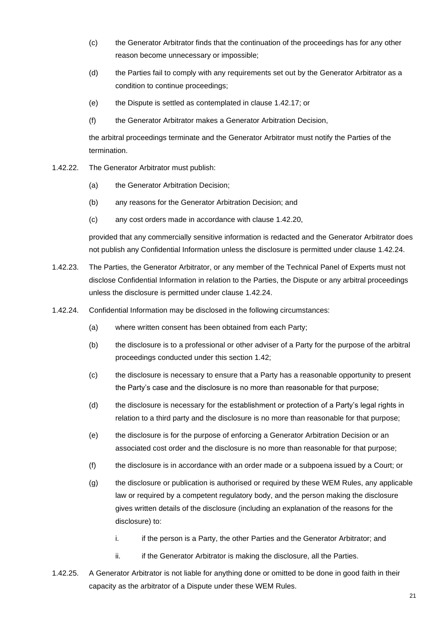- (c) the Generator Arbitrator finds that the continuation of the proceedings has for any other reason become unnecessary or impossible;
- (d) the Parties fail to comply with any requirements set out by the Generator Arbitrator as a condition to continue proceedings;
- (e) the Dispute is settled as contemplated in clause 1.42.17; or
- (f) the Generator Arbitrator makes a Generator Arbitration Decision,

the arbitral proceedings terminate and the Generator Arbitrator must notify the Parties of the termination.

- 1.42.22. The Generator Arbitrator must publish:
	- (a) the Generator Arbitration Decision;
	- (b) any reasons for the Generator Arbitration Decision; and
	- (c) any cost orders made in accordance with clause 1.42.20,

provided that any commercially sensitive information is redacted and the Generator Arbitrator does not publish any Confidential Information unless the disclosure is permitted under clause 1.42.24.

- 1.42.23. The Parties, the Generator Arbitrator, or any member of the Technical Panel of Experts must not disclose Confidential Information in relation to the Parties, the Dispute or any arbitral proceedings unless the disclosure is permitted under clause 1.42.24.
- 1.42.24. Confidential Information may be disclosed in the following circumstances:
	- (a) where written consent has been obtained from each Party;
	- (b) the disclosure is to a professional or other adviser of a Party for the purpose of the arbitral proceedings conducted under this section 1.42;
	- (c) the disclosure is necessary to ensure that a Party has a reasonable opportunity to present the Party's case and the disclosure is no more than reasonable for that purpose;
	- (d) the disclosure is necessary for the establishment or protection of a Party's legal rights in relation to a third party and the disclosure is no more than reasonable for that purpose;
	- (e) the disclosure is for the purpose of enforcing a Generator Arbitration Decision or an associated cost order and the disclosure is no more than reasonable for that purpose;
	- (f) the disclosure is in accordance with an order made or a subpoena issued by a Court; or
	- (g) the disclosure or publication is authorised or required by these WEM Rules, any applicable law or required by a competent regulatory body, and the person making the disclosure gives written details of the disclosure (including an explanation of the reasons for the disclosure) to:
		- i. if the person is a Party, the other Parties and the Generator Arbitrator; and
		- ii. if the Generator Arbitrator is making the disclosure, all the Parties.
- 1.42.25. A Generator Arbitrator is not liable for anything done or omitted to be done in good faith in their capacity as the arbitrator of a Dispute under these WEM Rules.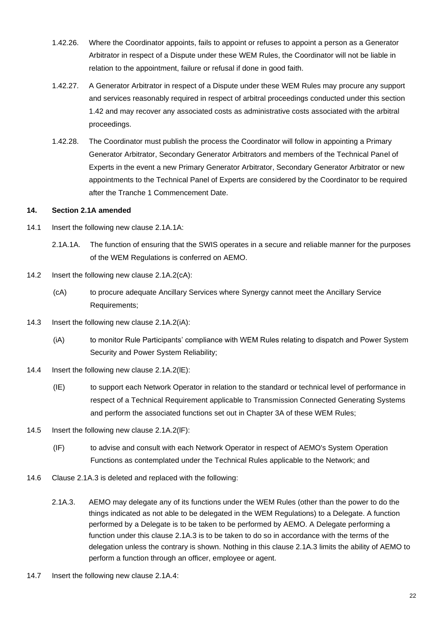- 1.42.26. Where the Coordinator appoints, fails to appoint or refuses to appoint a person as a Generator Arbitrator in respect of a Dispute under these WEM Rules, the Coordinator will not be liable in relation to the appointment, failure or refusal if done in good faith.
- 1.42.27. A Generator Arbitrator in respect of a Dispute under these WEM Rules may procure any support and services reasonably required in respect of arbitral proceedings conducted under this section 1.42 and may recover any associated costs as administrative costs associated with the arbitral proceedings.
- 1.42.28. The Coordinator must publish the process the Coordinator will follow in appointing a Primary Generator Arbitrator, Secondary Generator Arbitrators and members of the Technical Panel of Experts in the event a new Primary Generator Arbitrator, Secondary Generator Arbitrator or new appointments to the Technical Panel of Experts are considered by the Coordinator to be required after the Tranche 1 Commencement Date.

#### **14. Section 2.1A amended**

- 14.1 Insert the following new clause 2.1A.1A:
	- 2.1A.1A. The function of ensuring that the SWIS operates in a secure and reliable manner for the purposes of the WEM Regulations is conferred on AEMO.
- 14.2 Insert the following new clause 2.1A.2(cA):
	- (cA) to procure adequate Ancillary Services where Synergy cannot meet the Ancillary Service Requirements;
- 14.3 Insert the following new clause 2.1A.2(iA):
	- (iA) to monitor Rule Participants' compliance with WEM Rules relating to dispatch and Power System Security and Power System Reliability;
- 14.4 Insert the following new clause 2.1A.2(lE):
	- (IE) to support each Network Operator in relation to the standard or technical level of performance in respect of a Technical Requirement applicable to Transmission Connected Generating Systems and perform the associated functions set out in Chapter 3A of these WEM Rules;
- 14.5 Insert the following new clause 2.1A.2(lF):
	- (IF) to advise and consult with each Network Operator in respect of AEMO's System Operation Functions as contemplated under the Technical Rules applicable to the Network; and
- 14.6 Clause 2.1A.3 is deleted and replaced with the following:
	- 2.1A.3. AEMO may delegate any of its functions under the WEM Rules (other than the power to do the things indicated as not able to be delegated in the WEM Regulations) to a Delegate. A function performed by a Delegate is to be taken to be performed by AEMO. A Delegate performing a function under this clause 2.1A.3 is to be taken to do so in accordance with the terms of the delegation unless the contrary is shown. Nothing in this clause 2.1A.3 limits the ability of AEMO to perform a function through an officer, employee or agent.
- 14.7 Insert the following new clause 2.1A.4: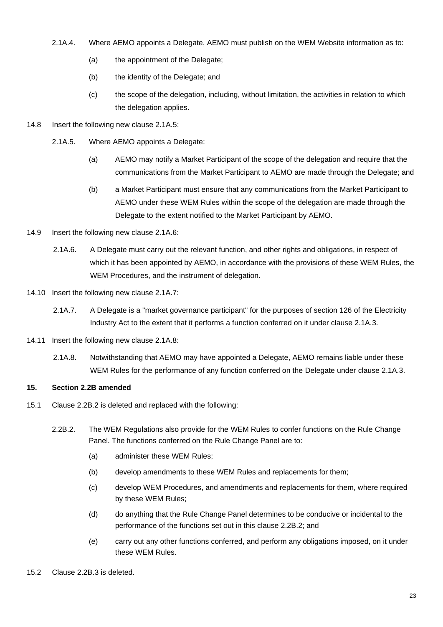- 2.1A.4. Where AEMO appoints a Delegate, AEMO must publish on the WEM Website information as to:
	- (a) the appointment of the Delegate;
	- (b) the identity of the Delegate; and
	- (c) the scope of the delegation, including, without limitation, the activities in relation to which the delegation applies.
- 14.8 Insert the following new clause 2.1A.5:
	- 2.1A.5. Where AEMO appoints a Delegate:
		- (a) AEMO may notify a Market Participant of the scope of the delegation and require that the communications from the Market Participant to AEMO are made through the Delegate; and
		- (b) a Market Participant must ensure that any communications from the Market Participant to AEMO under these WEM Rules within the scope of the delegation are made through the Delegate to the extent notified to the Market Participant by AEMO.
- 14.9 Insert the following new clause 2.1A.6:
	- 2.1A.6. A Delegate must carry out the relevant function, and other rights and obligations, in respect of which it has been appointed by AEMO, in accordance with the provisions of these WEM Rules, the WEM Procedures, and the instrument of delegation.
- 14.10 Insert the following new clause 2.1A.7:
	- 2.1A.7. A Delegate is a "market governance participant" for the purposes of section 126 of the Electricity Industry Act to the extent that it performs a function conferred on it under clause 2.1A.3.
- 14.11 Insert the following new clause 2.1A.8:
	- 2.1A.8. Notwithstanding that AEMO may have appointed a Delegate, AEMO remains liable under these WEM Rules for the performance of any function conferred on the Delegate under clause 2.1A.3.

#### **15. Section 2.2B amended**

- 15.1 Clause 2.2B.2 is deleted and replaced with the following:
	- 2.2B.2. The WEM Regulations also provide for the WEM Rules to confer functions on the Rule Change Panel. The functions conferred on the Rule Change Panel are to:
		- (a) administer these WEM Rules;
		- (b) develop amendments to these WEM Rules and replacements for them;
		- (c) develop WEM Procedures, and amendments and replacements for them, where required by these WEM Rules;
		- (d) do anything that the Rule Change Panel determines to be conducive or incidental to the performance of the functions set out in this clause 2.2B.2; and
		- (e) carry out any other functions conferred, and perform any obligations imposed, on it under these WEM Rules.
- 15.2 Clause 2.2B.3 is deleted.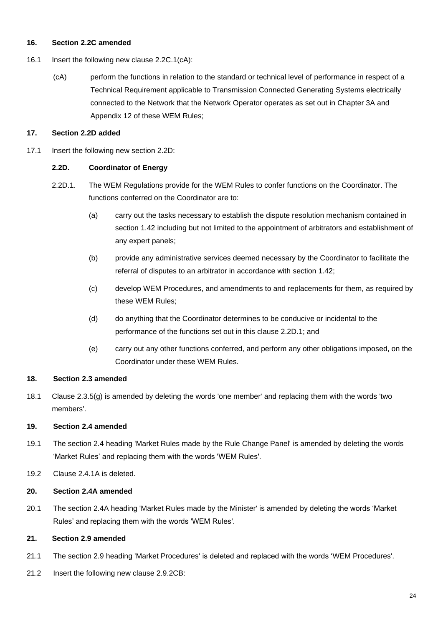#### **16. Section 2.2C amended**

- 16.1 Insert the following new clause 2.2C.1(cA):
	- (cA) perform the functions in relation to the standard or technical level of performance in respect of a Technical Requirement applicable to Transmission Connected Generating Systems electrically connected to the Network that the Network Operator operates as set out in Chapter 3A and Appendix 12 of these WEM Rules;

#### **17. Section 2.2D added**

17.1 Insert the following new section 2.2D:

#### **2.2D. Coordinator of Energy**

- 2.2D.1. The WEM Regulations provide for the WEM Rules to confer functions on the Coordinator. The functions conferred on the Coordinator are to:
	- (a) carry out the tasks necessary to establish the dispute resolution mechanism contained in section 1.42 including but not limited to the appointment of arbitrators and establishment of any expert panels;
	- (b) provide any administrative services deemed necessary by the Coordinator to facilitate the referral of disputes to an arbitrator in accordance with section 1.42;
	- (c) develop WEM Procedures, and amendments to and replacements for them, as required by these WEM Rules;
	- (d) do anything that the Coordinator determines to be conducive or incidental to the performance of the functions set out in this clause 2.2D.1; and
	- (e) carry out any other functions conferred, and perform any other obligations imposed, on the Coordinator under these WEM Rules.

#### **18. Section 2.3 amended**

18.1 Clause 2.3.5(g) is amended by deleting the words 'one member' and replacing them with the words 'two members'.

#### **19. Section 2.4 amended**

- 19.1 The section 2.4 heading 'Market Rules made by the Rule Change Panel' is amended by deleting the words 'Market Rules' and replacing them with the words 'WEM Rules'.
- 19.2 Clause 2.4.1A is deleted.

#### **20. Section 2.4A amended**

20.1 The section 2.4A heading 'Market Rules made by the Minister' is amended by deleting the words 'Market Rules' and replacing them with the words 'WEM Rules'.

## **21. Section 2.9 amended**

- 21.1 The section 2.9 heading 'Market Procedures' is deleted and replaced with the words 'WEM Procedures'.
- 21.2 Insert the following new clause 2.9.2CB: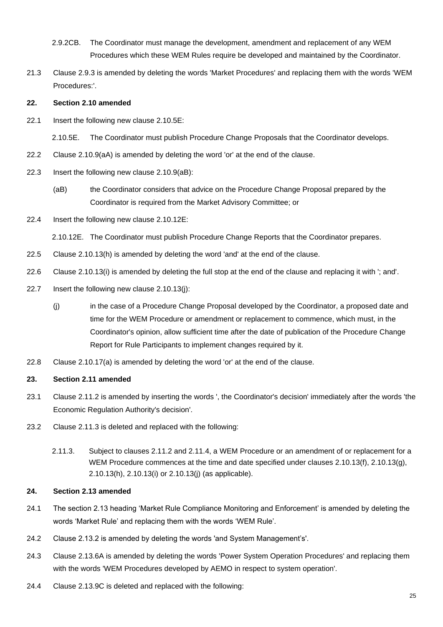- 2.9.2CB. The Coordinator must manage the development, amendment and replacement of any WEM Procedures which these WEM Rules require be developed and maintained by the Coordinator.
- 21.3 Clause 2.9.3 is amended by deleting the words 'Market Procedures' and replacing them with the words 'WEM Procedures:'.

#### **22. Section 2.10 amended**

22.1 Insert the following new clause 2.10.5E:

2.10.5E. The Coordinator must publish Procedure Change Proposals that the Coordinator develops.

- 22.2 Clause 2.10.9(aA) is amended by deleting the word 'or' at the end of the clause.
- 22.3 Insert the following new clause 2.10.9(aB):
	- (aB) the Coordinator considers that advice on the Procedure Change Proposal prepared by the Coordinator is required from the Market Advisory Committee; or
- 22.4 Insert the following new clause 2.10.12E:

2.10.12E. The Coordinator must publish Procedure Change Reports that the Coordinator prepares.

- 22.5 Clause 2.10.13(h) is amended by deleting the word 'and' at the end of the clause.
- 22.6 Clause 2.10.13(i) is amended by deleting the full stop at the end of the clause and replacing it with '; and'.
- 22.7 Insert the following new clause 2.10.13(j):
	- (j) in the case of a Procedure Change Proposal developed by the Coordinator, a proposed date and time for the WEM Procedure or amendment or replacement to commence, which must, in the Coordinator's opinion, allow sufficient time after the date of publication of the Procedure Change Report for Rule Participants to implement changes required by it.
- 22.8 Clause 2.10.17(a) is amended by deleting the word 'or' at the end of the clause.

#### **23. Section 2.11 amended**

- 23.1 Clause 2.11.2 is amended by inserting the words ', the Coordinator's decision' immediately after the words 'the Economic Regulation Authority's decision'.
- 23.2 Clause 2.11.3 is deleted and replaced with the following:
	- 2.11.3. Subject to clauses 2.11.2 and 2.11.4, a WEM Procedure or an amendment of or replacement for a WEM Procedure commences at the time and date specified under clauses 2.10.13(f), 2.10.13(g), 2.10.13(h), 2.10.13(i) or 2.10.13(j) (as applicable).

#### **24. Section 2.13 amended**

- 24.1 The section 2.13 heading 'Market Rule Compliance Monitoring and Enforcement' is amended by deleting the words 'Market Rule' and replacing them with the words 'WEM Rule'.
- 24.2 Clause 2.13.2 is amended by deleting the words 'and System Management's'.
- 24.3 Clause 2.13.6A is amended by deleting the words 'Power System Operation Procedures' and replacing them with the words 'WEM Procedures developed by AEMO in respect to system operation'.
- 24.4 Clause 2.13.9C is deleted and replaced with the following: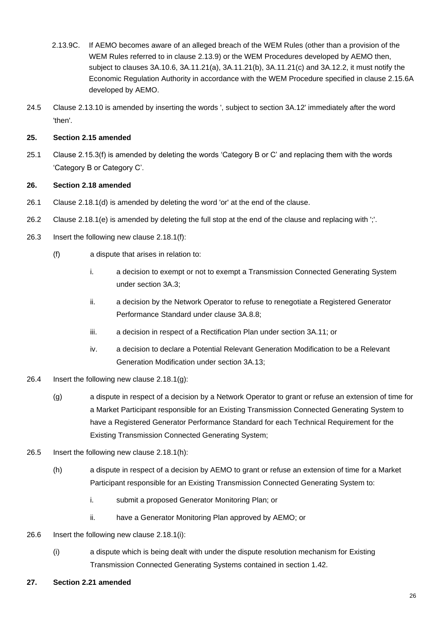- 2.13.9C. If AEMO becomes aware of an alleged breach of the WEM Rules (other than a provision of the WEM Rules referred to in clause 2.13.9) or the WEM Procedures developed by AEMO then, subject to clauses 3A.10.6, 3A.11.21(a), 3A.11.21(b), 3A.11.21(c) and 3A.12.2, it must notify the Economic Regulation Authority in accordance with the WEM Procedure specified in clause 2.15.6A developed by AEMO.
- 24.5 Clause 2.13.10 is amended by inserting the words ', subject to section 3A.12' immediately after the word 'then'.

## **25. Section 2.15 amended**

25.1 Clause 2.15.3(f) is amended by deleting the words 'Category B or C' and replacing them with the words 'Category B or Category C'.

#### **26. Section 2.18 amended**

- 26.1 Clause 2.18.1(d) is amended by deleting the word 'or' at the end of the clause.
- 26.2 Clause 2.18.1(e) is amended by deleting the full stop at the end of the clause and replacing with ';'.
- 26.3 Insert the following new clause 2.18.1(f):
	- (f) a dispute that arises in relation to:
		- i. a decision to exempt or not to exempt a Transmission Connected Generating System under section 3A.3;
		- ii. a decision by the Network Operator to refuse to renegotiate a Registered Generator Performance Standard under clause 3A.8.8;
		- iii. a decision in respect of a Rectification Plan under section 3A.11; or
		- iv. a decision to declare a Potential Relevant Generation Modification to be a Relevant Generation Modification under section 3A.13;
- 26.4 Insert the following new clause 2.18.1(g):
	- (g) a dispute in respect of a decision by a Network Operator to grant or refuse an extension of time for a Market Participant responsible for an Existing Transmission Connected Generating System to have a Registered Generator Performance Standard for each Technical Requirement for the Existing Transmission Connected Generating System;
- 26.5 Insert the following new clause 2.18.1(h):
	- (h) a dispute in respect of a decision by AEMO to grant or refuse an extension of time for a Market Participant responsible for an Existing Transmission Connected Generating System to:
		- i. submit a proposed Generator Monitoring Plan; or
		- ii. have a Generator Monitoring Plan approved by AEMO; or
- 26.6 Insert the following new clause 2.18.1(i):
	- (i) a dispute which is being dealt with under the dispute resolution mechanism for Existing Transmission Connected Generating Systems contained in section 1.42.
- **27. Section 2.21 amended**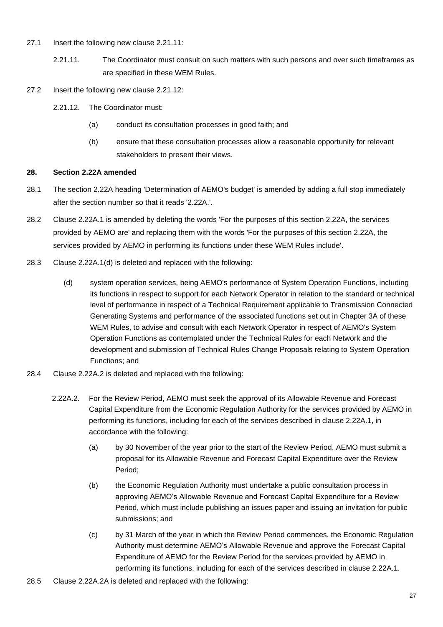- 27.1 Insert the following new clause 2.21.11:
	- 2.21.11. The Coordinator must consult on such matters with such persons and over such timeframes as are specified in these WEM Rules.
- 27.2 Insert the following new clause 2.21.12:
	- 2.21.12. The Coordinator must:
		- (a) conduct its consultation processes in good faith; and
		- (b) ensure that these consultation processes allow a reasonable opportunity for relevant stakeholders to present their views.

#### **28. Section 2.22A amended**

- 28.1 The section 2.22A heading 'Determination of AEMO's budget' is amended by adding a full stop immediately after the section number so that it reads '2.22A.'.
- 28.2 Clause 2.22A.1 is amended by deleting the words 'For the purposes of this section 2.22A, the services provided by AEMO are' and replacing them with the words 'For the purposes of this section 2.22A, the services provided by AEMO in performing its functions under these WEM Rules include'.
- 28.3 Clause 2.22A.1(d) is deleted and replaced with the following:
	- (d) system operation services, being AEMO's performance of System Operation Functions, including its functions in respect to support for each Network Operator in relation to the standard or technical level of performance in respect of a Technical Requirement applicable to Transmission Connected Generating Systems and performance of the associated functions set out in Chapter 3A of these WEM Rules, to advise and consult with each Network Operator in respect of AEMO's System Operation Functions as contemplated under the Technical Rules for each Network and the development and submission of Technical Rules Change Proposals relating to System Operation Functions; and
- 28.4 Clause 2.22A.2 is deleted and replaced with the following:
	- 2.22A.2. For the Review Period, AEMO must seek the approval of its Allowable Revenue and Forecast Capital Expenditure from the Economic Regulation Authority for the services provided by AEMO in performing its functions, including for each of the services described in clause 2.22A.1, in accordance with the following:
		- (a) by 30 November of the year prior to the start of the Review Period, AEMO must submit a proposal for its Allowable Revenue and Forecast Capital Expenditure over the Review Period;
		- (b) the Economic Regulation Authority must undertake a public consultation process in approving AEMO's Allowable Revenue and Forecast Capital Expenditure for a Review Period, which must include publishing an issues paper and issuing an invitation for public submissions; and
		- (c) by 31 March of the year in which the Review Period commences, the Economic Regulation Authority must determine AEMO's Allowable Revenue and approve the Forecast Capital Expenditure of AEMO for the Review Period for the services provided by AEMO in performing its functions, including for each of the services described in clause 2.22A.1.
- 28.5 Clause 2.22A.2A is deleted and replaced with the following: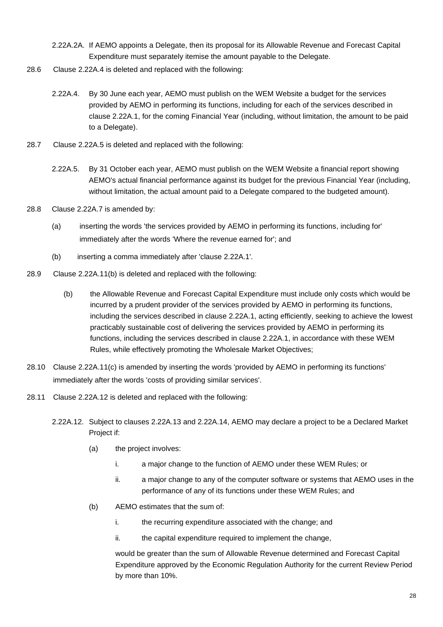- 2.22A.2A. If AEMO appoints a Delegate, then its proposal for its Allowable Revenue and Forecast Capital Expenditure must separately itemise the amount payable to the Delegate.
- 28.6 Clause 2.22A.4 is deleted and replaced with the following:
	- 2.22A.4. By 30 June each year, AEMO must publish on the WEM Website a budget for the services provided by AEMO in performing its functions, including for each of the services described in clause 2.22A.1, for the coming Financial Year (including, without limitation, the amount to be paid to a Delegate).
- 28.7 Clause 2.22A.5 is deleted and replaced with the following:
	- 2.22A.5. By 31 October each year, AEMO must publish on the WEM Website a financial report showing AEMO's actual financial performance against its budget for the previous Financial Year (including, without limitation, the actual amount paid to a Delegate compared to the budgeted amount).
- 28.8 Clause 2.22A.7 is amended by:
	- (a) inserting the words 'the services provided by AEMO in performing its functions, including for' immediately after the words 'Where the revenue earned for'; and
	- (b) inserting a comma immediately after 'clause 2.22A.1'.
- 28.9 Clause 2.22A.11(b) is deleted and replaced with the following:
	- (b) the Allowable Revenue and Forecast Capital Expenditure must include only costs which would be incurred by a prudent provider of the services provided by AEMO in performing its functions, including the services described in clause 2.22A.1, acting efficiently, seeking to achieve the lowest practicably sustainable cost of delivering the services provided by AEMO in performing its functions, including the services described in clause 2.22A.1, in accordance with these WEM Rules, while effectively promoting the Wholesale Market Objectives;
- 28.10 Clause 2.22A.11(c) is amended by inserting the words 'provided by AEMO in performing its functions' immediately after the words 'costs of providing similar services'.
- 28.11 Clause 2.22A.12 is deleted and replaced with the following:
	- 2.22A.12. Subject to clauses 2.22A.13 and 2.22A.14, AEMO may declare a project to be a Declared Market Project if:
		- (a) the project involves:
			- i. a major change to the function of AEMO under these WEM Rules; or
			- ii. a major change to any of the computer software or systems that AEMO uses in the performance of any of its functions under these WEM Rules; and
		- (b) AEMO estimates that the sum of:
			- i. the recurring expenditure associated with the change; and
			- ii. the capital expenditure required to implement the change,

would be greater than the sum of Allowable Revenue determined and Forecast Capital Expenditure approved by the Economic Regulation Authority for the current Review Period by more than 10%.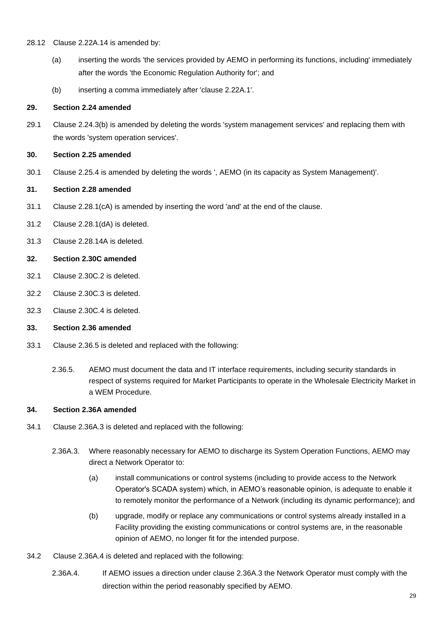#### 28.12 Clause 2.22A.14 is amended by:

- (a) inserting the words 'the services provided by AEMO in performing its functions, including' immediately after the words 'the Economic Regulation Authority for'; and
- (b) inserting a comma immediately after 'clause 2.22A.1'.

#### **29. Section 2.24 amended**

29.1 Clause 2.24.3(b) is amended by deleting the words 'system management services' and replacing them with the words 'system operation services'.

#### **30. Section 2.25 amended**

30.1 Clause 2.25.4 is amended by deleting the words ', AEMO (in its capacity as System Management)'.

#### **31. Section 2.28 amended**

- 31.1 Clause 2.28.1(cA) is amended by inserting the word 'and' at the end of the clause.
- 31.2 Clause 2.28.1(dA) is deleted.
- 31.3 Clause 2.28.14A is deleted.

#### **32. Section 2.30C amended**

- 32.1 Clause 2.30C.2 is deleted.
- 32.2 Clause 2.30C.3 is deleted.
- 32.3 Clause 2.30C.4 is deleted.

#### **33. Section 2.36 amended**

- 33.1 Clause 2.36.5 is deleted and replaced with the following:
	- 2.36.5. AEMO must document the data and IT interface requirements, including security standards in respect of systems required for Market Participants to operate in the Wholesale Electricity Market in a WEM Procedure.

#### **34. Section 2.36A amended**

- 34.1 Clause 2.36A.3 is deleted and replaced with the following:
	- 2.36A.3. Where reasonably necessary for AEMO to discharge its System Operation Functions, AEMO may direct a Network Operator to:
		- (a) install communications or control systems (including to provide access to the Network Operator's SCADA system) which, in AEMO's reasonable opinion, is adequate to enable it to remotely monitor the performance of a Network (including its dynamic performance); and
		- (b) upgrade, modify or replace any communications or control systems already installed in a Facility providing the existing communications or control systems are, in the reasonable opinion of AEMO, no longer fit for the intended purpose.
- 34.2 Clause 2.36A.4 is deleted and replaced with the following:
	- 2.36A.4. If AEMO issues a direction under clause 2.36A.3 the Network Operator must comply with the direction within the period reasonably specified by AEMO.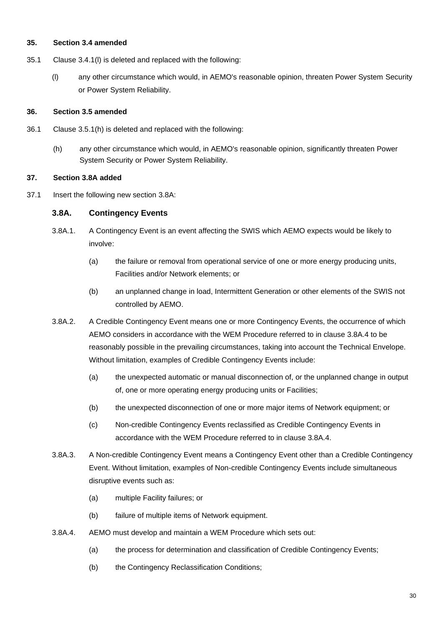#### **35. Section 3.4 amended**

- 35.1 Clause 3.4.1(l) is deleted and replaced with the following:
	- (l) any other circumstance which would, in AEMO's reasonable opinion, threaten Power System Security or Power System Reliability.

#### **36. Section 3.5 amended**

- 36.1 Clause 3.5.1(h) is deleted and replaced with the following:
	- (h) any other circumstance which would, in AEMO's reasonable opinion, significantly threaten Power System Security or Power System Reliability.

#### **37. Section 3.8A added**

37.1 Insert the following new section 3.8A:

#### **3.8A. Contingency Events**

- 3.8A.1. A Contingency Event is an event affecting the SWIS which AEMO expects would be likely to involve:
	- (a) the failure or removal from operational service of one or more energy producing units, Facilities and/or Network elements; or
	- (b) an unplanned change in load, Intermittent Generation or other elements of the SWIS not controlled by AEMO.
- 3.8A.2. A Credible Contingency Event means one or more Contingency Events, the occurrence of which AEMO considers in accordance with the WEM Procedure referred to in clause 3.8A.4 to be reasonably possible in the prevailing circumstances, taking into account the Technical Envelope. Without limitation, examples of Credible Contingency Events include:
	- (a) the unexpected automatic or manual disconnection of, or the unplanned change in output of, one or more operating energy producing units or Facilities;
	- (b) the unexpected disconnection of one or more major items of Network equipment; or
	- (c) Non-credible Contingency Events reclassified as Credible Contingency Events in accordance with the WEM Procedure referred to in clause 3.8A.4.
- 3.8A.3. A Non-credible Contingency Event means a Contingency Event other than a Credible Contingency Event. Without limitation, examples of Non-credible Contingency Events include simultaneous disruptive events such as:
	- (a) multiple Facility failures; or
	- (b) failure of multiple items of Network equipment.
- 3.8A.4. AEMO must develop and maintain a WEM Procedure which sets out:
	- (a) the process for determination and classification of Credible Contingency Events;
	- (b) the Contingency Reclassification Conditions;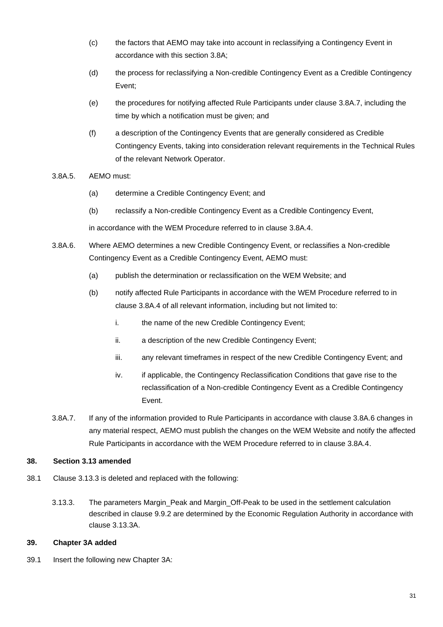- (c) the factors that AEMO may take into account in reclassifying a Contingency Event in accordance with this section 3.8A;
- (d) the process for reclassifying a Non-credible Contingency Event as a Credible Contingency Event;
- (e) the procedures for notifying affected Rule Participants under clause 3.8A.7, including the time by which a notification must be given; and
- (f) a description of the Contingency Events that are generally considered as Credible Contingency Events, taking into consideration relevant requirements in the Technical Rules of the relevant Network Operator.
- 3.8A.5. AEMO must:
	- (a) determine a Credible Contingency Event; and
	- (b) reclassify a Non-credible Contingency Event as a Credible Contingency Event,

in accordance with the WEM Procedure referred to in clause 3.8A.4.

- 3.8A.6. Where AEMO determines a new Credible Contingency Event, or reclassifies a Non-credible Contingency Event as a Credible Contingency Event, AEMO must:
	- (a) publish the determination or reclassification on the WEM Website; and
	- (b) notify affected Rule Participants in accordance with the WEM Procedure referred to in clause 3.8A.4 of all relevant information, including but not limited to:
		- i. the name of the new Credible Contingency Event;
		- ii. a description of the new Credible Contingency Event;
		- iii. any relevant timeframes in respect of the new Credible Contingency Event; and
		- iv. if applicable, the Contingency Reclassification Conditions that gave rise to the reclassification of a Non-credible Contingency Event as a Credible Contingency Event.
- 3.8A.7. If any of the information provided to Rule Participants in accordance with clause 3.8A.6 changes in any material respect, AEMO must publish the changes on the WEM Website and notify the affected Rule Participants in accordance with the WEM Procedure referred to in clause 3.8A.4.

# **38. Section 3.13 amended**

- 38.1 Clause 3.13.3 is deleted and replaced with the following:
	- 3.13.3. The parameters Margin\_Peak and Margin\_Off-Peak to be used in the settlement calculation described in clause 9.9.2 are determined by the Economic Regulation Authority in accordance with clause 3.13.3A.

#### **39. Chapter 3A added**

39.1 Insert the following new Chapter 3A: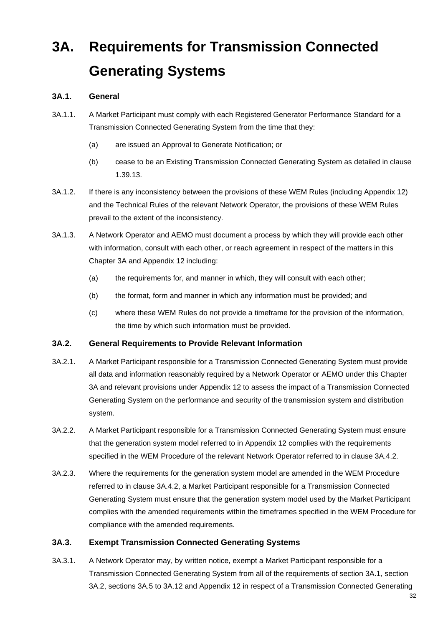# **3A. Requirements for Transmission Connected Generating Systems**

# **3A.1. General**

- 3A.1.1. A Market Participant must comply with each Registered Generator Performance Standard for a Transmission Connected Generating System from the time that they:
	- (a) are issued an Approval to Generate Notification; or
	- (b) cease to be an Existing Transmission Connected Generating System as detailed in clause 1.39.13.
- 3A.1.2. If there is any inconsistency between the provisions of these WEM Rules (including Appendix 12) and the Technical Rules of the relevant Network Operator, the provisions of these WEM Rules prevail to the extent of the inconsistency.
- 3A.1.3. A Network Operator and AEMO must document a process by which they will provide each other with information, consult with each other, or reach agreement in respect of the matters in this Chapter 3A and Appendix 12 including:
	- (a) the requirements for, and manner in which, they will consult with each other;
	- (b) the format, form and manner in which any information must be provided; and
	- (c) where these WEM Rules do not provide a timeframe for the provision of the information, the time by which such information must be provided.

# **3A.2. General Requirements to Provide Relevant Information**

- 3A.2.1. A Market Participant responsible for a Transmission Connected Generating System must provide all data and information reasonably required by a Network Operator or AEMO under this Chapter 3A and relevant provisions under Appendix 12 to assess the impact of a Transmission Connected Generating System on the performance and security of the transmission system and distribution system.
- 3A.2.2. A Market Participant responsible for a Transmission Connected Generating System must ensure that the generation system model referred to in Appendix 12 complies with the requirements specified in the WEM Procedure of the relevant Network Operator referred to in clause 3A.4.2.
- 3A.2.3. Where the requirements for the generation system model are amended in the WEM Procedure referred to in clause 3A.4.2, a Market Participant responsible for a Transmission Connected Generating System must ensure that the generation system model used by the Market Participant complies with the amended requirements within the timeframes specified in the WEM Procedure for compliance with the amended requirements.

# **3A.3. Exempt Transmission Connected Generating Systems**

3A.3.1. A Network Operator may, by written notice, exempt a Market Participant responsible for a Transmission Connected Generating System from all of the requirements of section 3A.1, section 3A.2, sections 3A.5 to 3A.12 and Appendix 12 in respect of a Transmission Connected Generating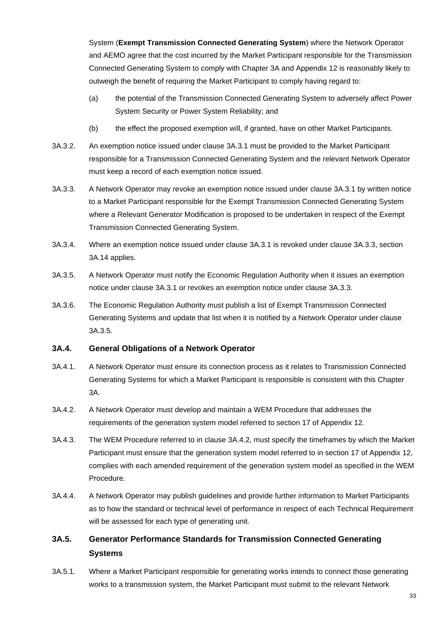System (**Exempt Transmission Connected Generating System**) where the Network Operator and AEMO agree that the cost incurred by the Market Participant responsible for the Transmission Connected Generating System to comply with Chapter 3A and Appendix 12 is reasonably likely to outweigh the benefit of requiring the Market Participant to comply having regard to:

- (a) the potential of the Transmission Connected Generating System to adversely affect Power System Security or Power System Reliability; and
- (b) the effect the proposed exemption will, if granted, have on other Market Participants.
- 3A.3.2. An exemption notice issued under clause 3A.3.1 must be provided to the Market Participant responsible for a Transmission Connected Generating System and the relevant Network Operator must keep a record of each exemption notice issued.
- 3A.3.3. A Network Operator may revoke an exemption notice issued under clause 3A.3.1 by written notice to a Market Participant responsible for the Exempt Transmission Connected Generating System where a Relevant Generator Modification is proposed to be undertaken in respect of the Exempt Transmission Connected Generating System.
- 3A.3.4. Where an exemption notice issued under clause 3A.3.1 is revoked under clause 3A.3.3, section 3A.14 applies.
- 3A.3.5. A Network Operator must notify the Economic Regulation Authority when it issues an exemption notice under clause 3A.3.1 or revokes an exemption notice under clause 3A.3.3.
- 3A.3.6. The Economic Regulation Authority must publish a list of Exempt Transmission Connected Generating Systems and update that list when it is notified by a Network Operator under clause 3A.3.5.

# **3A.4. General Obligations of a Network Operator**

- 3A.4.1. A Network Operator must ensure its connection process as it relates to Transmission Connected Generating Systems for which a Market Participant is responsible is consistent with this Chapter 3A.
- 3A.4.2. A Network Operator must develop and maintain a WEM Procedure that addresses the requirements of the generation system model referred to section 17 of Appendix 12.
- 3A.4.3. The WEM Procedure referred to in clause 3A.4.2, must specify the timeframes by which the Market Participant must ensure that the generation system model referred to in section 17 of Appendix 12, complies with each amended requirement of the generation system model as specified in the WEM Procedure.
- 3A.4.4. A Network Operator may publish guidelines and provide further information to Market Participants as to how the standard or technical level of performance in respect of each Technical Requirement will be assessed for each type of generating unit.

# **3A.5. Generator Performance Standards for Transmission Connected Generating Systems**

3A.5.1. Where a Market Participant responsible for generating works intends to connect those generating works to a transmission system, the Market Participant must submit to the relevant Network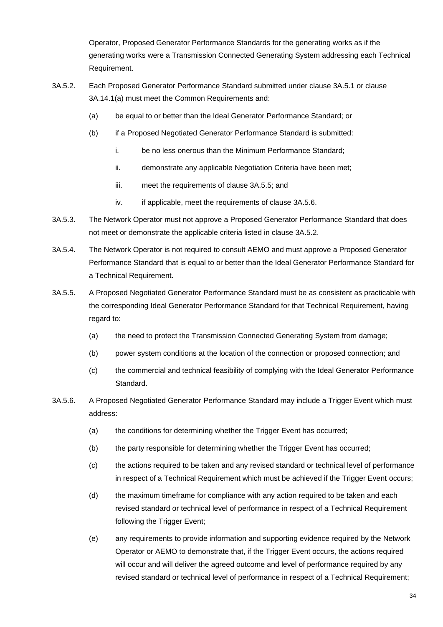Operator, Proposed Generator Performance Standards for the generating works as if the generating works were a Transmission Connected Generating System addressing each Technical Requirement.

- 3A.5.2. Each Proposed Generator Performance Standard submitted under clause 3A.5.1 or clause 3A.14.1(a) must meet the Common Requirements and:
	- (a) be equal to or better than the Ideal Generator Performance Standard; or
	- (b) if a Proposed Negotiated Generator Performance Standard is submitted:
		- i. be no less onerous than the Minimum Performance Standard;
		- ii. demonstrate any applicable Negotiation Criteria have been met;
		- iii. meet the requirements of clause 3A.5.5; and
		- iv. if applicable, meet the requirements of clause 3A.5.6.
- 3A.5.3. The Network Operator must not approve a Proposed Generator Performance Standard that does not meet or demonstrate the applicable criteria listed in clause 3A.5.2.
- 3A.5.4. The Network Operator is not required to consult AEMO and must approve a Proposed Generator Performance Standard that is equal to or better than the Ideal Generator Performance Standard for a Technical Requirement.
- 3A.5.5. A Proposed Negotiated Generator Performance Standard must be as consistent as practicable with the corresponding Ideal Generator Performance Standard for that Technical Requirement, having regard to:
	- (a) the need to protect the Transmission Connected Generating System from damage;
	- (b) power system conditions at the location of the connection or proposed connection; and
	- (c) the commercial and technical feasibility of complying with the Ideal Generator Performance Standard.
- 3A.5.6. A Proposed Negotiated Generator Performance Standard may include a Trigger Event which must address:
	- (a) the conditions for determining whether the Trigger Event has occurred;
	- (b) the party responsible for determining whether the Trigger Event has occurred;
	- (c) the actions required to be taken and any revised standard or technical level of performance in respect of a Technical Requirement which must be achieved if the Trigger Event occurs;
	- (d) the maximum timeframe for compliance with any action required to be taken and each revised standard or technical level of performance in respect of a Technical Requirement following the Trigger Event;
	- (e) any requirements to provide information and supporting evidence required by the Network Operator or AEMO to demonstrate that, if the Trigger Event occurs, the actions required will occur and will deliver the agreed outcome and level of performance required by any revised standard or technical level of performance in respect of a Technical Requirement;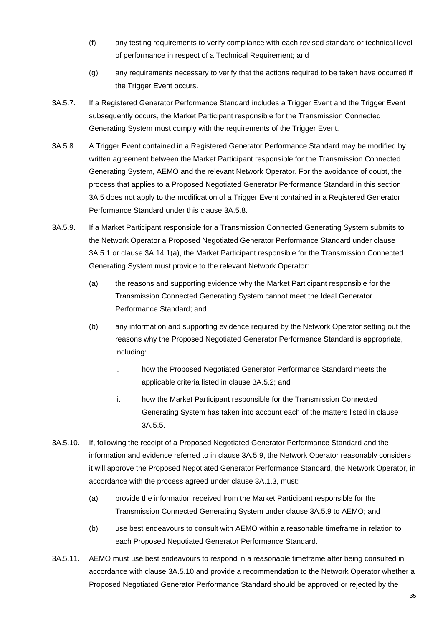- (f) any testing requirements to verify compliance with each revised standard or technical level of performance in respect of a Technical Requirement; and
- (g) any requirements necessary to verify that the actions required to be taken have occurred if the Trigger Event occurs.
- 3A.5.7. If a Registered Generator Performance Standard includes a Trigger Event and the Trigger Event subsequently occurs, the Market Participant responsible for the Transmission Connected Generating System must comply with the requirements of the Trigger Event.
- 3A.5.8. A Trigger Event contained in a Registered Generator Performance Standard may be modified by written agreement between the Market Participant responsible for the Transmission Connected Generating System, AEMO and the relevant Network Operator. For the avoidance of doubt, the process that applies to a Proposed Negotiated Generator Performance Standard in this section 3A.5 does not apply to the modification of a Trigger Event contained in a Registered Generator Performance Standard under this clause 3A.5.8.
- 3A.5.9. If a Market Participant responsible for a Transmission Connected Generating System submits to the Network Operator a Proposed Negotiated Generator Performance Standard under clause 3A.5.1 or clause 3A.14.1(a), the Market Participant responsible for the Transmission Connected Generating System must provide to the relevant Network Operator:
	- (a) the reasons and supporting evidence why the Market Participant responsible for the Transmission Connected Generating System cannot meet the Ideal Generator Performance Standard; and
	- (b) any information and supporting evidence required by the Network Operator setting out the reasons why the Proposed Negotiated Generator Performance Standard is appropriate, including:
		- i. how the Proposed Negotiated Generator Performance Standard meets the applicable criteria listed in clause 3A.5.2; and
		- ii. how the Market Participant responsible for the Transmission Connected Generating System has taken into account each of the matters listed in clause 3A.5.5.
- 3A.5.10. If, following the receipt of a Proposed Negotiated Generator Performance Standard and the information and evidence referred to in clause 3A.5.9, the Network Operator reasonably considers it will approve the Proposed Negotiated Generator Performance Standard, the Network Operator, in accordance with the process agreed under clause 3A.1.3, must:
	- (a) provide the information received from the Market Participant responsible for the Transmission Connected Generating System under clause 3A.5.9 to AEMO; and
	- (b) use best endeavours to consult with AEMO within a reasonable timeframe in relation to each Proposed Negotiated Generator Performance Standard.
- 3A.5.11. AEMO must use best endeavours to respond in a reasonable timeframe after being consulted in accordance with clause 3A.5.10 and provide a recommendation to the Network Operator whether a Proposed Negotiated Generator Performance Standard should be approved or rejected by the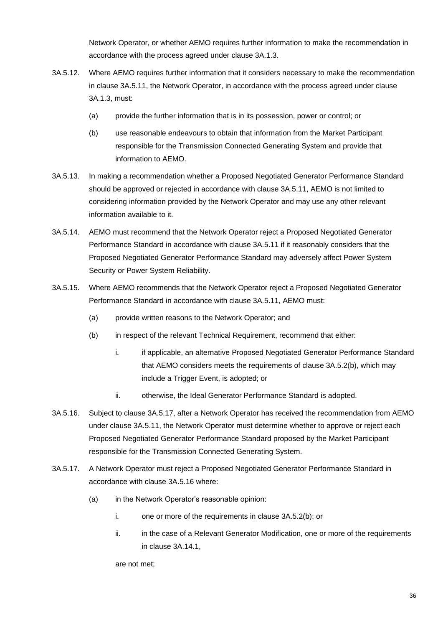Network Operator, or whether AEMO requires further information to make the recommendation in accordance with the process agreed under clause 3A.1.3.

- 3A.5.12. Where AEMO requires further information that it considers necessary to make the recommendation in clause 3A.5.11, the Network Operator, in accordance with the process agreed under clause 3A.1.3, must:
	- (a) provide the further information that is in its possession, power or control; or
	- (b) use reasonable endeavours to obtain that information from the Market Participant responsible for the Transmission Connected Generating System and provide that information to AEMO.
- 3A.5.13. In making a recommendation whether a Proposed Negotiated Generator Performance Standard should be approved or rejected in accordance with clause 3A.5.11, AEMO is not limited to considering information provided by the Network Operator and may use any other relevant information available to it.
- 3A.5.14. AEMO must recommend that the Network Operator reject a Proposed Negotiated Generator Performance Standard in accordance with clause 3A.5.11 if it reasonably considers that the Proposed Negotiated Generator Performance Standard may adversely affect Power System Security or Power System Reliability.
- 3A.5.15. Where AEMO recommends that the Network Operator reject a Proposed Negotiated Generator Performance Standard in accordance with clause 3A.5.11, AEMO must:
	- (a) provide written reasons to the Network Operator; and
	- (b) in respect of the relevant Technical Requirement, recommend that either:
		- i. if applicable, an alternative Proposed Negotiated Generator Performance Standard that AEMO considers meets the requirements of clause 3A.5.2(b), which may include a Trigger Event, is adopted; or
		- ii. otherwise, the Ideal Generator Performance Standard is adopted.
- 3A.5.16. Subject to clause 3A.5.17, after a Network Operator has received the recommendation from AEMO under clause 3A.5.11, the Network Operator must determine whether to approve or reject each Proposed Negotiated Generator Performance Standard proposed by the Market Participant responsible for the Transmission Connected Generating System*.*
- 3A.5.17. A Network Operator must reject a Proposed Negotiated Generator Performance Standard in accordance with clause 3A.5.16 where:
	- (a) in the Network Operator's reasonable opinion:
		- i. one or more of the requirements in clause 3A.5.2(b); or
		- ii. in the case of a Relevant Generator Modification, one or more of the requirements in clause 3A.14.1,

are not met;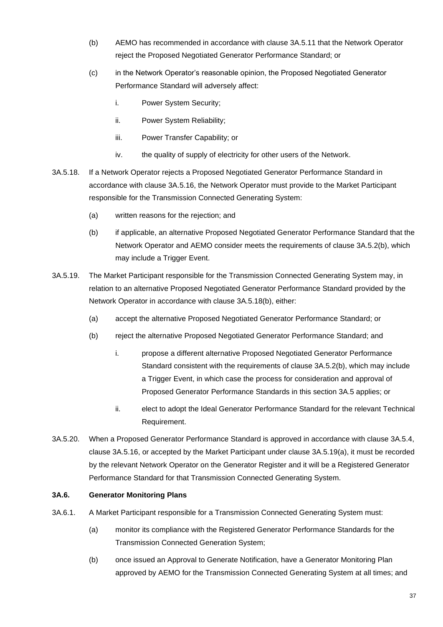- (b) AEMO has recommended in accordance with clause 3A.5.11 that the Network Operator reject the Proposed Negotiated Generator Performance Standard; or
- (c) in the Network Operator's reasonable opinion, the Proposed Negotiated Generator Performance Standard will adversely affect:
	- i. Power System Security;
	- ii. Power System Reliability;
	- iii. Power Transfer Capability; or
	- iv. the quality of supply of electricity for other users of the Network.
- 3A.5.18. If a Network Operator rejects a Proposed Negotiated Generator Performance Standard in accordance with clause 3A.5.16, the Network Operator must provide to the Market Participant responsible for the Transmission Connected Generating System:
	- (a) written reasons for the rejection; and
	- (b) if applicable, an alternative Proposed Negotiated Generator Performance Standard that the Network Operator and AEMO consider meets the requirements of clause 3A.5.2(b), which may include a Trigger Event.
- 3A.5.19. The Market Participant responsible for the Transmission Connected Generating System may, in relation to an alternative Proposed Negotiated Generator Performance Standard provided by the Network Operator in accordance with clause 3A.5.18(b), either:
	- (a) accept the alternative Proposed Negotiated Generator Performance Standard; or
	- (b) reject the alternative Proposed Negotiated Generator Performance Standard; and
		- i. propose a different alternative Proposed Negotiated Generator Performance Standard consistent with the requirements of clause 3A.5.2(b), which may include a Trigger Event, in which case the process for consideration and approval of Proposed Generator Performance Standards in this section 3A.5 applies; or
		- ii. elect to adopt the Ideal Generator Performance Standard for the relevant Technical Requirement.
- 3A.5.20. When a Proposed Generator Performance Standard is approved in accordance with clause 3A.5.4, clause 3A.5.16, or accepted by the Market Participant under clause 3A.5.19(a), it must be recorded by the relevant Network Operator on the Generator Register and it will be a Registered Generator Performance Standard for that Transmission Connected Generating System.

## **3A.6. Generator Monitoring Plans**

- 3A.6.1. A Market Participant responsible for a Transmission Connected Generating System must:
	- (a) monitor its compliance with the Registered Generator Performance Standards for the Transmission Connected Generation System;
	- (b) once issued an Approval to Generate Notification, have a Generator Monitoring Plan approved by AEMO for the Transmission Connected Generating System at all times; and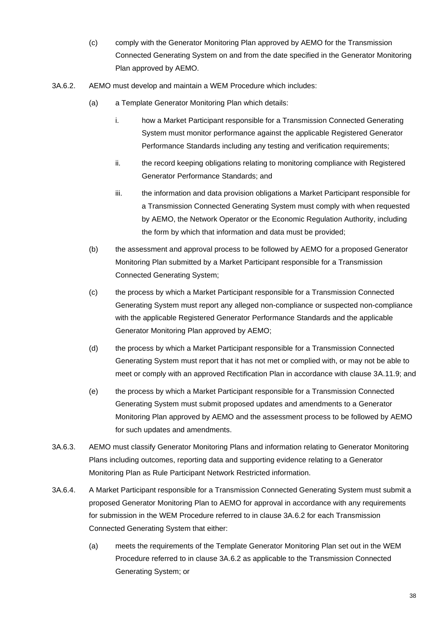- (c) comply with the Generator Monitoring Plan approved by AEMO for the Transmission Connected Generating System on and from the date specified in the Generator Monitoring Plan approved by AEMO.
- 3A.6.2. AEMO must develop and maintain a WEM Procedure which includes:
	- (a) a Template Generator Monitoring Plan which details:
		- i. how a Market Participant responsible for a Transmission Connected Generating System must monitor performance against the applicable Registered Generator Performance Standards including any testing and verification requirements;
		- ii. the record keeping obligations relating to monitoring compliance with Registered Generator Performance Standards; and
		- iii. the information and data provision obligations a Market Participant responsible for a Transmission Connected Generating System must comply with when requested by AEMO, the Network Operator or the Economic Regulation Authority, including the form by which that information and data must be provided;
	- (b) the assessment and approval process to be followed by AEMO for a proposed Generator Monitoring Plan submitted by a Market Participant responsible for a Transmission Connected Generating System;
	- (c) the process by which a Market Participant responsible for a Transmission Connected Generating System must report any alleged non-compliance or suspected non-compliance with the applicable Registered Generator Performance Standards and the applicable Generator Monitoring Plan approved by AEMO;
	- (d) the process by which a Market Participant responsible for a Transmission Connected Generating System must report that it has not met or complied with, or may not be able to meet or comply with an approved Rectification Plan in accordance with clause 3A.11.9; and
	- (e) the process by which a Market Participant responsible for a Transmission Connected Generating System must submit proposed updates and amendments to a Generator Monitoring Plan approved by AEMO and the assessment process to be followed by AEMO for such updates and amendments.
- 3A.6.3. AEMO must classify Generator Monitoring Plans and information relating to Generator Monitoring Plans including outcomes, reporting data and supporting evidence relating to a Generator Monitoring Plan as Rule Participant Network Restricted information.
- 3A.6.4. A Market Participant responsible for a Transmission Connected Generating System must submit a proposed Generator Monitoring Plan to AEMO for approval in accordance with any requirements for submission in the WEM Procedure referred to in clause 3A.6.2 for each Transmission Connected Generating System that either:
	- (a) meets the requirements of the Template Generator Monitoring Plan set out in the WEM Procedure referred to in clause 3A.6.2 as applicable to the Transmission Connected Generating System; or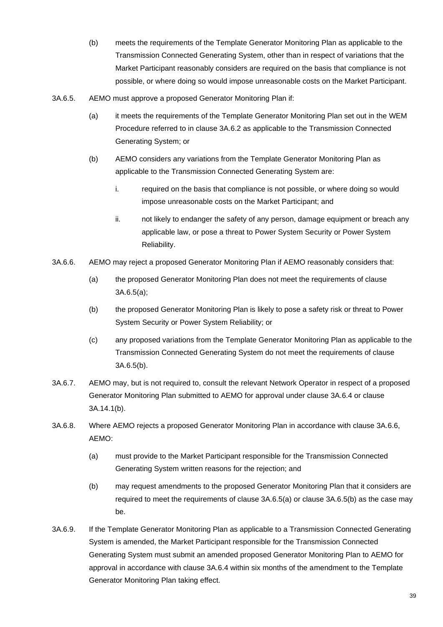- (b) meets the requirements of the Template Generator Monitoring Plan as applicable to the Transmission Connected Generating System, other than in respect of variations that the Market Participant reasonably considers are required on the basis that compliance is not possible, or where doing so would impose unreasonable costs on the Market Participant.
- 3A.6.5. AEMO must approve a proposed Generator Monitoring Plan if:
	- (a) it meets the requirements of the Template Generator Monitoring Plan set out in the WEM Procedure referred to in clause 3A.6.2 as applicable to the Transmission Connected Generating System; or
	- (b) AEMO considers any variations from the Template Generator Monitoring Plan as applicable to the Transmission Connected Generating System are:
		- i. required on the basis that compliance is not possible, or where doing so would impose unreasonable costs on the Market Participant; and
		- ii. not likely to endanger the safety of any person, damage equipment or breach any applicable law, or pose a threat to Power System Security or Power System Reliability.
- 3A.6.6. AEMO may reject a proposed Generator Monitoring Plan if AEMO reasonably considers that:
	- (a) the proposed Generator Monitoring Plan does not meet the requirements of clause 3A.6.5(a);
	- (b) the proposed Generator Monitoring Plan is likely to pose a safety risk or threat to Power System Security or Power System Reliability; or
	- (c) any proposed variations from the Template Generator Monitoring Plan as applicable to the Transmission Connected Generating System do not meet the requirements of clause 3A.6.5(b).
- 3A.6.7. AEMO may, but is not required to, consult the relevant Network Operator in respect of a proposed Generator Monitoring Plan submitted to AEMO for approval under clause 3A.6.4 or clause 3A.14.1(b).
- 3A.6.8. Where AEMO rejects a proposed Generator Monitoring Plan in accordance with clause 3A.6.6, AEMO:
	- (a) must provide to the Market Participant responsible for the Transmission Connected Generating System written reasons for the rejection; and
	- (b) may request amendments to the proposed Generator Monitoring Plan that it considers are required to meet the requirements of clause 3A.6.5(a) or clause 3A.6.5(b) as the case may be.
- 3A.6.9. If the Template Generator Monitoring Plan as applicable to a Transmission Connected Generating System is amended, the Market Participant responsible for the Transmission Connected Generating System must submit an amended proposed Generator Monitoring Plan to AEMO for approval in accordance with clause 3A.6.4 within six months of the amendment to the Template Generator Monitoring Plan taking effect.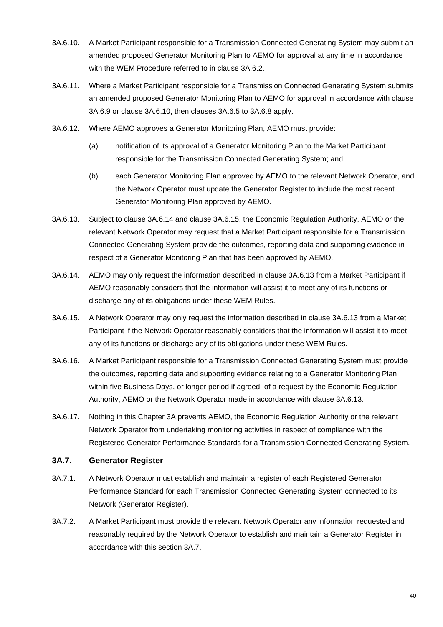- 3A.6.10. A Market Participant responsible for a Transmission Connected Generating System may submit an amended proposed Generator Monitoring Plan to AEMO for approval at any time in accordance with the WEM Procedure referred to in clause 3A.6.2.
- 3A.6.11. Where a Market Participant responsible for a Transmission Connected Generating System submits an amended proposed Generator Monitoring Plan to AEMO for approval in accordance with clause 3A.6.9 or clause 3A.6.10, then clauses 3A.6.5 to 3A.6.8 apply.
- 3A.6.12. Where AEMO approves a Generator Monitoring Plan, AEMO must provide:
	- (a) notification of its approval of a Generator Monitoring Plan to the Market Participant responsible for the Transmission Connected Generating System; and
	- (b) each Generator Monitoring Plan approved by AEMO to the relevant Network Operator, and the Network Operator must update the Generator Register to include the most recent Generator Monitoring Plan approved by AEMO.
- 3A.6.13. Subject to clause 3A.6.14 and clause 3A.6.15, the Economic Regulation Authority, AEMO or the relevant Network Operator may request that a Market Participant responsible for a Transmission Connected Generating System provide the outcomes, reporting data and supporting evidence in respect of a Generator Monitoring Plan that has been approved by AEMO.
- 3A.6.14. AEMO may only request the information described in clause 3A.6.13 from a Market Participant if AEMO reasonably considers that the information will assist it to meet any of its functions or discharge any of its obligations under these WEM Rules.
- 3A.6.15. A Network Operator may only request the information described in clause 3A.6.13 from a Market Participant if the Network Operator reasonably considers that the information will assist it to meet any of its functions or discharge any of its obligations under these WEM Rules.
- 3A.6.16. A Market Participant responsible for a Transmission Connected Generating System must provide the outcomes, reporting data and supporting evidence relating to a Generator Monitoring Plan within five Business Days, or longer period if agreed, of a request by the Economic Regulation Authority, AEMO or the Network Operator made in accordance with clause 3A.6.13.
- 3A.6.17. Nothing in this Chapter 3A prevents AEMO, the Economic Regulation Authority or the relevant Network Operator from undertaking monitoring activities in respect of compliance with the Registered Generator Performance Standards for a Transmission Connected Generating System.

## **3A.7. Generator Register**

- 3A.7.1. A Network Operator must establish and maintain a register of each Registered Generator Performance Standard for each Transmission Connected Generating System connected to its Network (Generator Register).
- 3A.7.2. A Market Participant must provide the relevant Network Operator any information requested and reasonably required by the Network Operator to establish and maintain a Generator Register in accordance with this section 3A.7.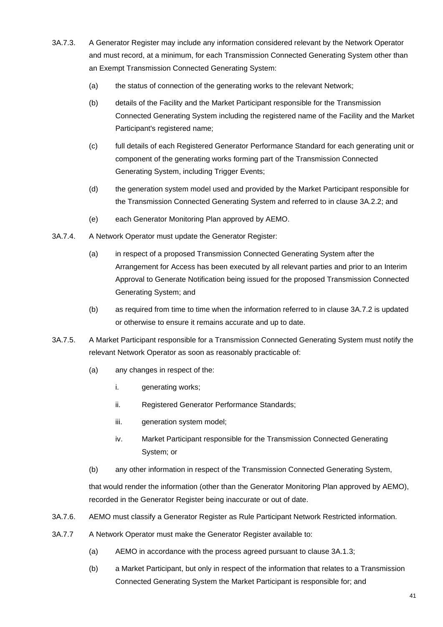- 3A.7.3. A Generator Register may include any information considered relevant by the Network Operator and must record, at a minimum, for each Transmission Connected Generating System other than an Exempt Transmission Connected Generating System:
	- (a) the status of connection of the generating works to the relevant Network;
	- (b) details of the Facility and the Market Participant responsible for the Transmission Connected Generating System including the registered name of the Facility and the Market Participant's registered name;
	- (c) full details of each Registered Generator Performance Standard for each generating unit or component of the generating works forming part of the Transmission Connected Generating System, including Trigger Events;
	- (d) the generation system model used and provided by the Market Participant responsible for the Transmission Connected Generating System and referred to in clause 3A.2.2; and
	- (e) each Generator Monitoring Plan approved by AEMO.
- 3A.7.4. A Network Operator must update the Generator Register:
	- (a) in respect of a proposed Transmission Connected Generating System after the Arrangement for Access has been executed by all relevant parties and prior to an Interim Approval to Generate Notification being issued for the proposed Transmission Connected Generating System; and
	- (b) as required from time to time when the information referred to in clause 3A.7.2 is updated or otherwise to ensure it remains accurate and up to date.
- 3A.7.5. A Market Participant responsible for a Transmission Connected Generating System must notify the relevant Network Operator as soon as reasonably practicable of:
	- (a) any changes in respect of the:
		- i. generating works;
		- ii. Registered Generator Performance Standards;
		- iii. generation system model;
		- iv. Market Participant responsible for the Transmission Connected Generating System; or
	- (b) any other information in respect of the Transmission Connected Generating System,

that would render the information (other than the Generator Monitoring Plan approved by AEMO), recorded in the Generator Register being inaccurate or out of date.

- 3A.7.6. AEMO must classify a Generator Register as Rule Participant Network Restricted information.
- 3A.7.7 A Network Operator must make the Generator Register available to:
	- (a) AEMO in accordance with the process agreed pursuant to clause 3A.1.3;
	- (b) a Market Participant, but only in respect of the information that relates to a Transmission Connected Generating System the Market Participant is responsible for; and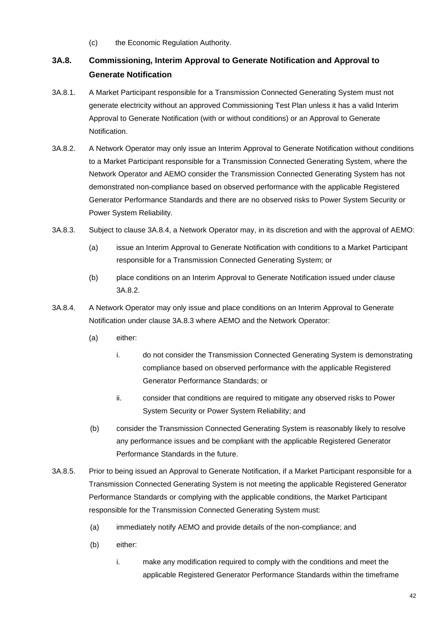(c) the Economic Regulation Authority.

## **3A.8. Commissioning, Interim Approval to Generate Notification and Approval to Generate Notification**

- 3A.8.1. A Market Participant responsible for a Transmission Connected Generating System must not generate electricity without an approved Commissioning Test Plan unless it has a valid Interim Approval to Generate Notification (with or without conditions) or an Approval to Generate Notification.
- 3A.8.2. A Network Operator may only issue an Interim Approval to Generate Notification without conditions to a Market Participant responsible for a Transmission Connected Generating System, where the Network Operator and AEMO consider the Transmission Connected Generating System has not demonstrated non-compliance based on observed performance with the applicable Registered Generator Performance Standards and there are no observed risks to Power System Security or Power System Reliability.
- 3A.8.3. Subject to clause 3A.8.4, a Network Operator may, in its discretion and with the approval of AEMO:
	- (a) issue an Interim Approval to Generate Notification with conditions to a Market Participant responsible for a Transmission Connected Generating System; or
	- (b) place conditions on an Interim Approval to Generate Notification issued under clause 3A.8.2.
- 3A.8.4. A Network Operator may only issue and place conditions on an Interim Approval to Generate Notification under clause 3A.8.3 where AEMO and the Network Operator:
	- (a) either:
		- i. do not consider the Transmission Connected Generating System is demonstrating compliance based on observed performance with the applicable Registered Generator Performance Standards; or
		- ii. consider that conditions are required to mitigate any observed risks to Power System Security or Power System Reliability; and
	- (b) consider the Transmission Connected Generating System is reasonably likely to resolve any performance issues and be compliant with the applicable Registered Generator Performance Standards in the future.
- 3A.8.5. Prior to being issued an Approval to Generate Notification, if a Market Participant responsible for a Transmission Connected Generating System is not meeting the applicable Registered Generator Performance Standards or complying with the applicable conditions, the Market Participant responsible for the Transmission Connected Generating System must:
	- (a) immediately notify AEMO and provide details of the non-compliance; and
	- (b) either:
		- i. make any modification required to comply with the conditions and meet the applicable Registered Generator Performance Standards within the timeframe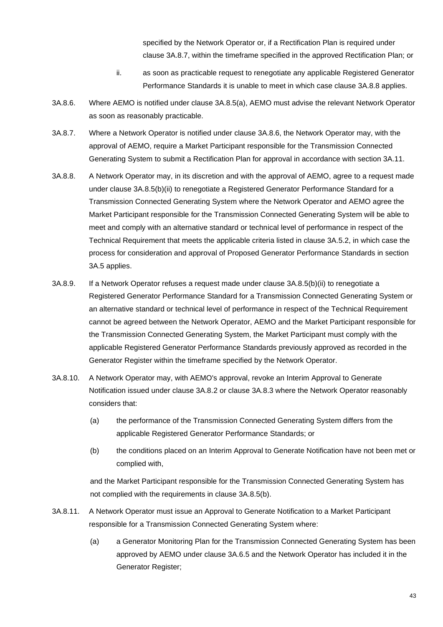specified by the Network Operator or, if a Rectification Plan is required under clause 3A.8.7, within the timeframe specified in the approved Rectification Plan; or

- ii. as soon as practicable request to renegotiate any applicable Registered Generator Performance Standards it is unable to meet in which case clause 3A.8.8 applies.
- 3A.8.6. Where AEMO is notified under clause 3A.8.5(a), AEMO must advise the relevant Network Operator as soon as reasonably practicable.
- 3A.8.7. Where a Network Operator is notified under clause 3A.8.6, the Network Operator may, with the approval of AEMO, require a Market Participant responsible for the Transmission Connected Generating System to submit a Rectification Plan for approval in accordance with section 3A.11.
- 3A.8.8. A Network Operator may, in its discretion and with the approval of AEMO, agree to a request made under clause 3A.8.5(b)(ii) to renegotiate a Registered Generator Performance Standard for a Transmission Connected Generating System where the Network Operator and AEMO agree the Market Participant responsible for the Transmission Connected Generating System will be able to meet and comply with an alternative standard or technical level of performance in respect of the Technical Requirement that meets the applicable criteria listed in clause 3A.5.2, in which case the process for consideration and approval of Proposed Generator Performance Standards in section 3A.5 applies.
- 3A.8.9. If a Network Operator refuses a request made under clause 3A.8.5(b)(ii) to renegotiate a Registered Generator Performance Standard for a Transmission Connected Generating System or an alternative standard or technical level of performance in respect of the Technical Requirement cannot be agreed between the Network Operator, AEMO and the Market Participant responsible for the Transmission Connected Generating System, the Market Participant must comply with the applicable Registered Generator Performance Standards previously approved as recorded in the Generator Register within the timeframe specified by the Network Operator.
- 3A.8.10. A Network Operator may, with AEMO's approval, revoke an Interim Approval to Generate Notification issued under clause 3A.8.2 or clause 3A.8.3 where the Network Operator reasonably considers that:
	- (a) the performance of the Transmission Connected Generating System differs from the applicable Registered Generator Performance Standards; or
	- (b) the conditions placed on an Interim Approval to Generate Notification have not been met or complied with,

and the Market Participant responsible for the Transmission Connected Generating System has not complied with the requirements in clause 3A.8.5(b).

- 3A.8.11. A Network Operator must issue an Approval to Generate Notification to a Market Participant responsible for a Transmission Connected Generating System where:
	- (a) a Generator Monitoring Plan for the Transmission Connected Generating System has been approved by AEMO under clause 3A.6.5 and the Network Operator has included it in the Generator Register;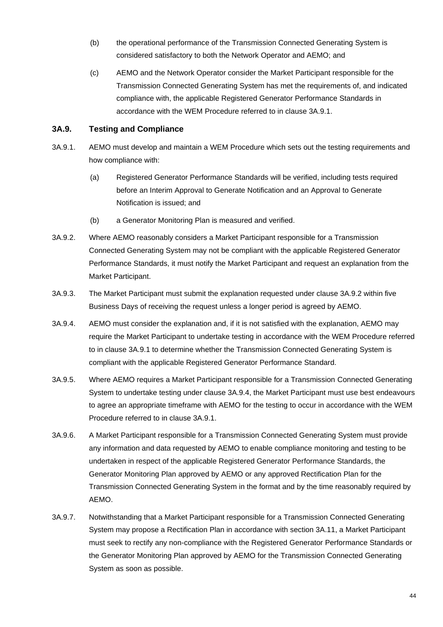- (b) the operational performance of the Transmission Connected Generating System is considered satisfactory to both the Network Operator and AEMO; and
- (c) AEMO and the Network Operator consider the Market Participant responsible for the Transmission Connected Generating System has met the requirements of, and indicated compliance with, the applicable Registered Generator Performance Standards in accordance with the WEM Procedure referred to in clause 3A.9.1.

## **3A.9. Testing and Compliance**

- 3A.9.1. AEMO must develop and maintain a WEM Procedure which sets out the testing requirements and how compliance with:
	- (a) Registered Generator Performance Standards will be verified, including tests required before an Interim Approval to Generate Notification and an Approval to Generate Notification is issued; and
	- (b) a Generator Monitoring Plan is measured and verified.
- 3A.9.2. Where AEMO reasonably considers a Market Participant responsible for a Transmission Connected Generating System may not be compliant with the applicable Registered Generator Performance Standards, it must notify the Market Participant and request an explanation from the Market Participant.
- 3A.9.3. The Market Participant must submit the explanation requested under clause 3A.9.2 within five Business Days of receiving the request unless a longer period is agreed by AEMO.
- 3A.9.4. AEMO must consider the explanation and, if it is not satisfied with the explanation, AEMO may require the Market Participant to undertake testing in accordance with the WEM Procedure referred to in clause 3A.9.1 to determine whether the Transmission Connected Generating System is compliant with the applicable Registered Generator Performance Standard.
- 3A.9.5. Where AEMO requires a Market Participant responsible for a Transmission Connected Generating System to undertake testing under clause 3A.9.4, the Market Participant must use best endeavours to agree an appropriate timeframe with AEMO for the testing to occur in accordance with the WEM Procedure referred to in clause 3A.9.1.
- 3A.9.6. A Market Participant responsible for a Transmission Connected Generating System must provide any information and data requested by AEMO to enable compliance monitoring and testing to be undertaken in respect of the applicable Registered Generator Performance Standards, the Generator Monitoring Plan approved by AEMO or any approved Rectification Plan for the Transmission Connected Generating System in the format and by the time reasonably required by AEMO.
- 3A.9.7. Notwithstanding that a Market Participant responsible for a Transmission Connected Generating System may propose a Rectification Plan in accordance with section 3A.11, a Market Participant must seek to rectify any non-compliance with the Registered Generator Performance Standards or the Generator Monitoring Plan approved by AEMO for the Transmission Connected Generating System as soon as possible.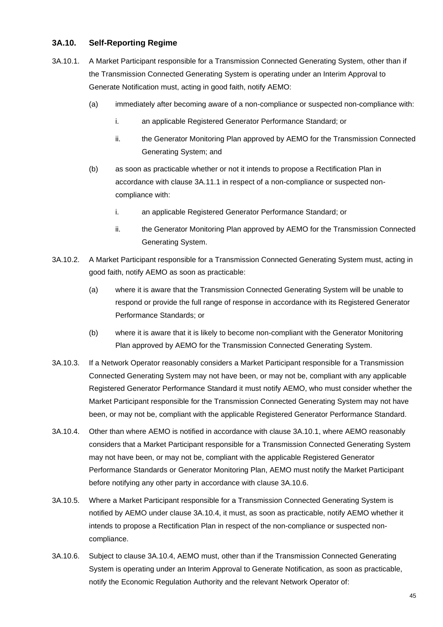## **3A.10. Self-Reporting Regime**

- 3A.10.1. A Market Participant responsible for a Transmission Connected Generating System, other than if the Transmission Connected Generating System is operating under an Interim Approval to Generate Notification must, acting in good faith, notify AEMO:
	- (a) immediately after becoming aware of a non-compliance or suspected non-compliance with:
		- i. an applicable Registered Generator Performance Standard; or
		- ii. the Generator Monitoring Plan approved by AEMO for the Transmission Connected Generating System; and
	- (b) as soon as practicable whether or not it intends to propose a Rectification Plan in accordance with clause 3A.11.1 in respect of a non-compliance or suspected noncompliance with:
		- i. an applicable Registered Generator Performance Standard; or
		- ii. the Generator Monitoring Plan approved by AEMO for the Transmission Connected Generating System.
- 3A.10.2. A Market Participant responsible for a Transmission Connected Generating System must, acting in good faith, notify AEMO as soon as practicable:
	- (a) where it is aware that the Transmission Connected Generating System will be unable to respond or provide the full range of response in accordance with its Registered Generator Performance Standards; or
	- (b) where it is aware that it is likely to become non-compliant with the Generator Monitoring Plan approved by AEMO for the Transmission Connected Generating System.
- 3A.10.3. If a Network Operator reasonably considers a Market Participant responsible for a Transmission Connected Generating System may not have been, or may not be, compliant with any applicable Registered Generator Performance Standard it must notify AEMO, who must consider whether the Market Participant responsible for the Transmission Connected Generating System may not have been, or may not be, compliant with the applicable Registered Generator Performance Standard.
- 3A.10.4. Other than where AEMO is notified in accordance with clause 3A.10.1, where AEMO reasonably considers that a Market Participant responsible for a Transmission Connected Generating System may not have been, or may not be, compliant with the applicable Registered Generator Performance Standards or Generator Monitoring Plan, AEMO must notify the Market Participant before notifying any other party in accordance with clause 3A.10.6.
- 3A.10.5. Where a Market Participant responsible for a Transmission Connected Generating System is notified by AEMO under clause 3A.10.4, it must, as soon as practicable, notify AEMO whether it intends to propose a Rectification Plan in respect of the non-compliance or suspected noncompliance.
- 3A.10.6. Subject to clause 3A.10.4, AEMO must, other than if the Transmission Connected Generating System is operating under an Interim Approval to Generate Notification, as soon as practicable, notify the Economic Regulation Authority and the relevant Network Operator of: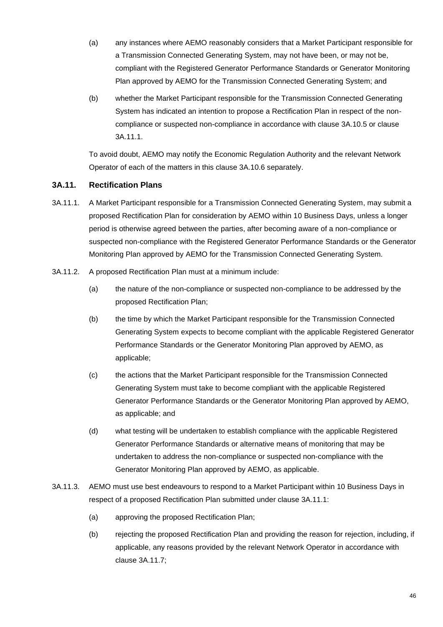- (a) any instances where AEMO reasonably considers that a Market Participant responsible for a Transmission Connected Generating System, may not have been, or may not be, compliant with the Registered Generator Performance Standards or Generator Monitoring Plan approved by AEMO for the Transmission Connected Generating System; and
- (b) whether the Market Participant responsible for the Transmission Connected Generating System has indicated an intention to propose a Rectification Plan in respect of the noncompliance or suspected non-compliance in accordance with clause 3A.10.5 or clause 3A.11.1.

To avoid doubt, AEMO may notify the Economic Regulation Authority and the relevant Network Operator of each of the matters in this clause 3A.10.6 separately.

## **3A.11. Rectification Plans**

- 3A.11.1. A Market Participant responsible for a Transmission Connected Generating System, may submit a proposed Rectification Plan for consideration by AEMO within 10 Business Days, unless a longer period is otherwise agreed between the parties, after becoming aware of a non-compliance or suspected non-compliance with the Registered Generator Performance Standards or the Generator Monitoring Plan approved by AEMO for the Transmission Connected Generating System.
- 3A.11.2. A proposed Rectification Plan must at a minimum include:
	- (a) the nature of the non-compliance or suspected non-compliance to be addressed by the proposed Rectification Plan;
	- (b) the time by which the Market Participant responsible for the Transmission Connected Generating System expects to become compliant with the applicable Registered Generator Performance Standards or the Generator Monitoring Plan approved by AEMO, as applicable;
	- (c) the actions that the Market Participant responsible for the Transmission Connected Generating System must take to become compliant with the applicable Registered Generator Performance Standards or the Generator Monitoring Plan approved by AEMO, as applicable; and
	- (d) what testing will be undertaken to establish compliance with the applicable Registered Generator Performance Standards or alternative means of monitoring that may be undertaken to address the non-compliance or suspected non-compliance with the Generator Monitoring Plan approved by AEMO, as applicable.
- 3A.11.3. AEMO must use best endeavours to respond to a Market Participant within 10 Business Days in respect of a proposed Rectification Plan submitted under clause 3A.11.1:
	- (a) approving the proposed Rectification Plan;
	- (b) rejecting the proposed Rectification Plan and providing the reason for rejection, including, if applicable, any reasons provided by the relevant Network Operator in accordance with clause 3A.11.7;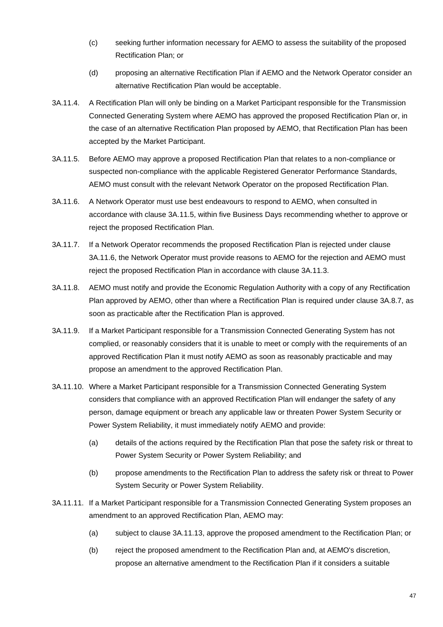- (c) seeking further information necessary for AEMO to assess the suitability of the proposed Rectification Plan; or
- (d) proposing an alternative Rectification Plan if AEMO and the Network Operator consider an alternative Rectification Plan would be acceptable.
- 3A.11.4. A Rectification Plan will only be binding on a Market Participant responsible for the Transmission Connected Generating System where AEMO has approved the proposed Rectification Plan or, in the case of an alternative Rectification Plan proposed by AEMO, that Rectification Plan has been accepted by the Market Participant.
- 3A.11.5. Before AEMO may approve a proposed Rectification Plan that relates to a non-compliance or suspected non-compliance with the applicable Registered Generator Performance Standards, AEMO must consult with the relevant Network Operator on the proposed Rectification Plan.
- 3A.11.6. A Network Operator must use best endeavours to respond to AEMO, when consulted in accordance with clause 3A.11.5, within five Business Days recommending whether to approve or reject the proposed Rectification Plan.
- 3A.11.7. If a Network Operator recommends the proposed Rectification Plan is rejected under clause 3A.11.6, the Network Operator must provide reasons to AEMO for the rejection and AEMO must reject the proposed Rectification Plan in accordance with clause 3A.11.3.
- 3A.11.8. AEMO must notify and provide the Economic Regulation Authority with a copy of any Rectification Plan approved by AEMO, other than where a Rectification Plan is required under clause 3A.8.7, as soon as practicable after the Rectification Plan is approved.
- 3A.11.9. If a Market Participant responsible for a Transmission Connected Generating System has not complied, or reasonably considers that it is unable to meet or comply with the requirements of an approved Rectification Plan it must notify AEMO as soon as reasonably practicable and may propose an amendment to the approved Rectification Plan.
- 3A.11.10. Where a Market Participant responsible for a Transmission Connected Generating System considers that compliance with an approved Rectification Plan will endanger the safety of any person, damage equipment or breach any applicable law or threaten Power System Security or Power System Reliability, it must immediately notify AEMO and provide:
	- (a) details of the actions required by the Rectification Plan that pose the safety risk or threat to Power System Security or Power System Reliability; and
	- (b) propose amendments to the Rectification Plan to address the safety risk or threat to Power System Security or Power System Reliability.
- 3A.11.11. If a Market Participant responsible for a Transmission Connected Generating System proposes an amendment to an approved Rectification Plan, AEMO may:
	- (a) subject to clause 3A.11.13, approve the proposed amendment to the Rectification Plan; or
	- (b) reject the proposed amendment to the Rectification Plan and, at AEMO's discretion, propose an alternative amendment to the Rectification Plan if it considers a suitable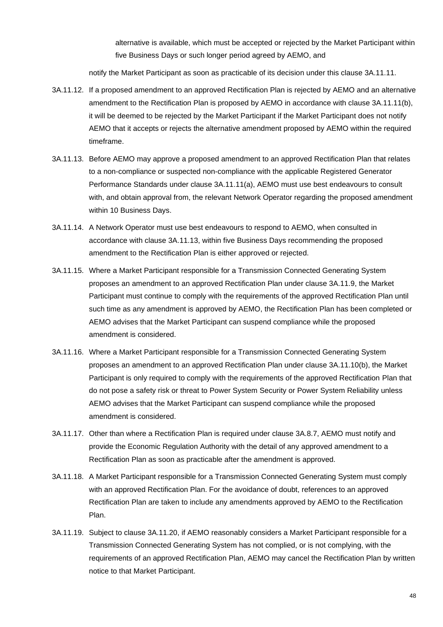alternative is available, which must be accepted or rejected by the Market Participant within five Business Days or such longer period agreed by AEMO, and

notify the Market Participant as soon as practicable of its decision under this clause 3A.11.11.

- 3A.11.12. If a proposed amendment to an approved Rectification Plan is rejected by AEMO and an alternative amendment to the Rectification Plan is proposed by AEMO in accordance with clause 3A.11.11(b), it will be deemed to be rejected by the Market Participant if the Market Participant does not notify AEMO that it accepts or rejects the alternative amendment proposed by AEMO within the required timeframe.
- 3A.11.13. Before AEMO may approve a proposed amendment to an approved Rectification Plan that relates to a non-compliance or suspected non-compliance with the applicable Registered Generator Performance Standards under clause 3A.11.11(a), AEMO must use best endeavours to consult with, and obtain approval from, the relevant Network Operator regarding the proposed amendment within 10 Business Days.
- 3A.11.14. A Network Operator must use best endeavours to respond to AEMO, when consulted in accordance with clause 3A.11.13, within five Business Days recommending the proposed amendment to the Rectification Plan is either approved or rejected.
- 3A.11.15. Where a Market Participant responsible for a Transmission Connected Generating System proposes an amendment to an approved Rectification Plan under clause 3A.11.9, the Market Participant must continue to comply with the requirements of the approved Rectification Plan until such time as any amendment is approved by AEMO, the Rectification Plan has been completed or AEMO advises that the Market Participant can suspend compliance while the proposed amendment is considered.
- 3A.11.16. Where a Market Participant responsible for a Transmission Connected Generating System proposes an amendment to an approved Rectification Plan under clause 3A.11.10(b), the Market Participant is only required to comply with the requirements of the approved Rectification Plan that do not pose a safety risk or threat to Power System Security or Power System Reliability unless AEMO advises that the Market Participant can suspend compliance while the proposed amendment is considered.
- 3A.11.17. Other than where a Rectification Plan is required under clause 3A.8.7, AEMO must notify and provide the Economic Regulation Authority with the detail of any approved amendment to a Rectification Plan as soon as practicable after the amendment is approved.
- 3A.11.18. A Market Participant responsible for a Transmission Connected Generating System must comply with an approved Rectification Plan. For the avoidance of doubt, references to an approved Rectification Plan are taken to include any amendments approved by AEMO to the Rectification Plan.
- 3A.11.19. Subject to clause 3A.11.20, if AEMO reasonably considers a Market Participant responsible for a Transmission Connected Generating System has not complied, or is not complying, with the requirements of an approved Rectification Plan, AEMO may cancel the Rectification Plan by written notice to that Market Participant.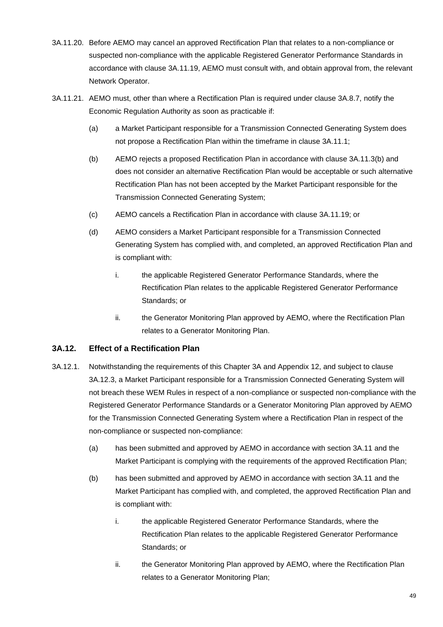- 3A.11.20. Before AEMO may cancel an approved Rectification Plan that relates to a non-compliance or suspected non-compliance with the applicable Registered Generator Performance Standards in accordance with clause 3A.11.19, AEMO must consult with, and obtain approval from, the relevant Network Operator.
- 3A.11.21. AEMO must, other than where a Rectification Plan is required under clause 3A.8.7, notify the Economic Regulation Authority as soon as practicable if:
	- (a) a Market Participant responsible for a Transmission Connected Generating System does not propose a Rectification Plan within the timeframe in clause 3A.11.1;
	- (b) AEMO rejects a proposed Rectification Plan in accordance with clause 3A.11.3(b) and does not consider an alternative Rectification Plan would be acceptable or such alternative Rectification Plan has not been accepted by the Market Participant responsible for the Transmission Connected Generating System;
	- (c) AEMO cancels a Rectification Plan in accordance with clause 3A.11.19; or
	- (d) AEMO considers a Market Participant responsible for a Transmission Connected Generating System has complied with, and completed, an approved Rectification Plan and is compliant with:
		- i. the applicable Registered Generator Performance Standards, where the Rectification Plan relates to the applicable Registered Generator Performance Standards; or
		- ii. the Generator Monitoring Plan approved by AEMO, where the Rectification Plan relates to a Generator Monitoring Plan.

## **3A.12. Effect of a Rectification Plan**

- 3A.12.1. Notwithstanding the requirements of this Chapter 3A and Appendix 12, and subject to clause 3A.12.3, a Market Participant responsible for a Transmission Connected Generating System will not breach these WEM Rules in respect of a non-compliance or suspected non-compliance with the Registered Generator Performance Standards or a Generator Monitoring Plan approved by AEMO for the Transmission Connected Generating System where a Rectification Plan in respect of the non-compliance or suspected non-compliance:
	- (a) has been submitted and approved by AEMO in accordance with section 3A.11 and the Market Participant is complying with the requirements of the approved Rectification Plan;
	- (b) has been submitted and approved by AEMO in accordance with section 3A.11 and the Market Participant has complied with, and completed, the approved Rectification Plan and is compliant with:
		- i. the applicable Registered Generator Performance Standards, where the Rectification Plan relates to the applicable Registered Generator Performance Standards; or
		- ii. the Generator Monitoring Plan approved by AEMO, where the Rectification Plan relates to a Generator Monitoring Plan;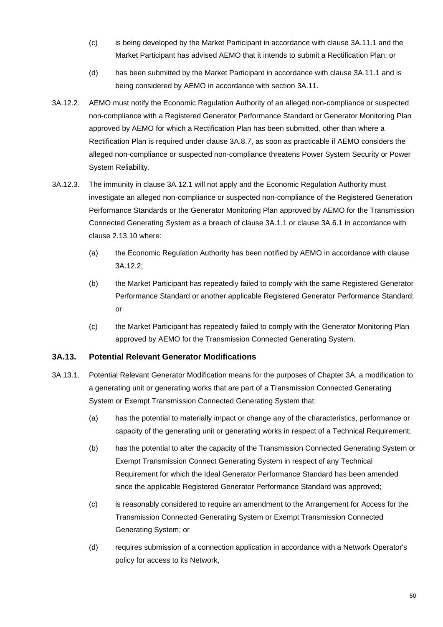- (c) is being developed by the Market Participant in accordance with clause 3A.11.1 and the Market Participant has advised AEMO that it intends to submit a Rectification Plan; or
- (d) has been submitted by the Market Participant in accordance with clause 3A.11.1 and is being considered by AEMO in accordance with section 3A.11.
- 3A.12.2. AEMO must notify the Economic Regulation Authority of an alleged non-compliance or suspected non-compliance with a Registered Generator Performance Standard or Generator Monitoring Plan approved by AEMO for which a Rectification Plan has been submitted, other than where a Rectification Plan is required under clause 3A.8.7, as soon as practicable if AEMO considers the alleged non-compliance or suspected non-compliance threatens Power System Security or Power System Reliability.
- 3A.12.3. The immunity in clause 3A.12.1 will not apply and the Economic Regulation Authority must investigate an alleged non-compliance or suspected non-compliance of the Registered Generation Performance Standards or the Generator Monitoring Plan approved by AEMO for the Transmission Connected Generating System as a breach of clause 3A.1.1 or clause 3A.6.1 in accordance with clause 2.13.10 where:
	- (a) the Economic Regulation Authority has been notified by AEMO in accordance with clause 3A.12.2;
	- (b) the Market Participant has repeatedly failed to comply with the same Registered Generator Performance Standard or another applicable Registered Generator Performance Standard; or
	- (c) the Market Participant has repeatedly failed to comply with the Generator Monitoring Plan approved by AEMO for the Transmission Connected Generating System.

## **3A.13. Potential Relevant Generator Modifications**

- 3A.13.1. Potential Relevant Generator Modification means for the purposes of Chapter 3A, a modification to a generating unit or generating works that are part of a Transmission Connected Generating System or Exempt Transmission Connected Generating System that:
	- (a) has the potential to materially impact or change any of the characteristics, performance or capacity of the generating unit or generating works in respect of a Technical Requirement;
	- (b) has the potential to alter the capacity of the Transmission Connected Generating System or Exempt Transmission Connect Generating System in respect of any Technical Requirement for which the Ideal Generator Performance Standard has been amended since the applicable Registered Generator Performance Standard was approved;
	- (c) is reasonably considered to require an amendment to the Arrangement for Access for the Transmission Connected Generating System or Exempt Transmission Connected Generating System; or
	- (d) requires submission of a connection application in accordance with a Network Operator's policy for access to its Network,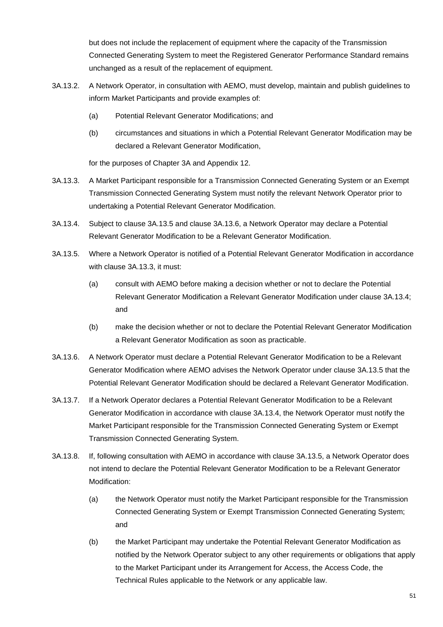but does not include the replacement of equipment where the capacity of the Transmission Connected Generating System to meet the Registered Generator Performance Standard remains unchanged as a result of the replacement of equipment.

- 3A.13.2. A Network Operator, in consultation with AEMO, must develop, maintain and publish guidelines to inform Market Participants and provide examples of:
	- (a) Potential Relevant Generator Modifications; and
	- (b) circumstances and situations in which a Potential Relevant Generator Modification may be declared a Relevant Generator Modification,

for the purposes of Chapter 3A and Appendix 12.

- 3A.13.3. A Market Participant responsible for a Transmission Connected Generating System or an Exempt Transmission Connected Generating System must notify the relevant Network Operator prior to undertaking a Potential Relevant Generator Modification.
- 3A.13.4. Subject to clause 3A.13.5 and clause 3A.13.6, a Network Operator may declare a Potential Relevant Generator Modification to be a Relevant Generator Modification.
- 3A.13.5. Where a Network Operator is notified of a Potential Relevant Generator Modification in accordance with clause 3A.13.3, it must:
	- (a) consult with AEMO before making a decision whether or not to declare the Potential Relevant Generator Modification a Relevant Generator Modification under clause 3A.13.4; and
	- (b) make the decision whether or not to declare the Potential Relevant Generator Modification a Relevant Generator Modification as soon as practicable.
- 3A.13.6. A Network Operator must declare a Potential Relevant Generator Modification to be a Relevant Generator Modification where AEMO advises the Network Operator under clause 3A.13.5 that the Potential Relevant Generator Modification should be declared a Relevant Generator Modification.
- 3A.13.7. If a Network Operator declares a Potential Relevant Generator Modification to be a Relevant Generator Modification in accordance with clause 3A.13.4, the Network Operator must notify the Market Participant responsible for the Transmission Connected Generating System or Exempt Transmission Connected Generating System.
- 3A.13.8. If, following consultation with AEMO in accordance with clause 3A.13.5, a Network Operator does not intend to declare the Potential Relevant Generator Modification to be a Relevant Generator Modification:
	- (a) the Network Operator must notify the Market Participant responsible for the Transmission Connected Generating System or Exempt Transmission Connected Generating System; and
	- (b) the Market Participant may undertake the Potential Relevant Generator Modification as notified by the Network Operator subject to any other requirements or obligations that apply to the Market Participant under its Arrangement for Access, the Access Code, the Technical Rules applicable to the Network or any applicable law.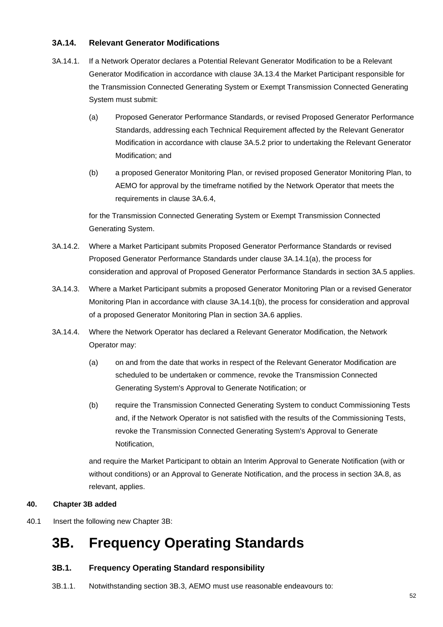## **3A.14. Relevant Generator Modifications**

- 3A.14.1. If a Network Operator declares a Potential Relevant Generator Modification to be a Relevant Generator Modification in accordance with clause 3A.13.4 the Market Participant responsible for the Transmission Connected Generating System or Exempt Transmission Connected Generating System must submit:
	- (a) Proposed Generator Performance Standards, or revised Proposed Generator Performance Standards, addressing each Technical Requirement affected by the Relevant Generator Modification in accordance with clause 3A.5.2 prior to undertaking the Relevant Generator Modification; and
	- (b) a proposed Generator Monitoring Plan, or revised proposed Generator Monitoring Plan, to AEMO for approval by the timeframe notified by the Network Operator that meets the requirements in clause 3A.6.4,

for the Transmission Connected Generating System or Exempt Transmission Connected Generating System.

- 3A.14.2. Where a Market Participant submits Proposed Generator Performance Standards or revised Proposed Generator Performance Standards under clause 3A.14.1(a), the process for consideration and approval of Proposed Generator Performance Standards in section 3A.5 applies.
- 3A.14.3. Where a Market Participant submits a proposed Generator Monitoring Plan or a revised Generator Monitoring Plan in accordance with clause 3A.14.1(b), the process for consideration and approval of a proposed Generator Monitoring Plan in section 3A.6 applies.
- 3A.14.4. Where the Network Operator has declared a Relevant Generator Modification, the Network Operator may:
	- (a) on and from the date that works in respect of the Relevant Generator Modification are scheduled to be undertaken or commence, revoke the Transmission Connected Generating System's Approval to Generate Notification; or
	- (b) require the Transmission Connected Generating System to conduct Commissioning Tests and, if the Network Operator is not satisfied with the results of the Commissioning Tests, revoke the Transmission Connected Generating System's Approval to Generate Notification,

and require the Market Participant to obtain an Interim Approval to Generate Notification (with or without conditions) or an Approval to Generate Notification, and the process in section 3A.8, as relevant, applies.

## **40. Chapter 3B added**

40.1 Insert the following new Chapter 3B:

## **3B. Frequency Operating Standards**

## **3B.1. Frequency Operating Standard responsibility**

3B.1.1. Notwithstanding section 3B.3, AEMO must use reasonable endeavours to: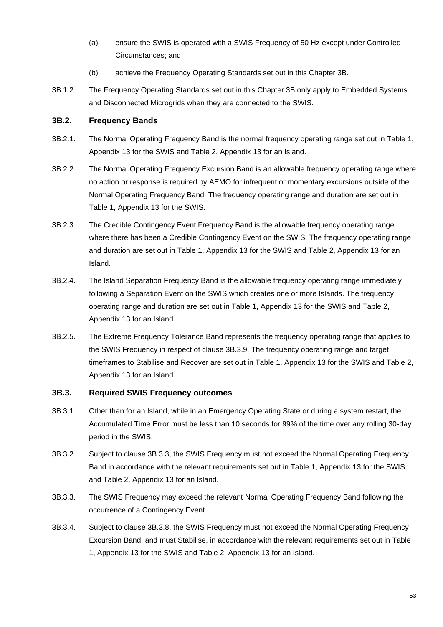- (a) ensure the SWIS is operated with a SWIS Frequency of 50 Hz except under Controlled Circumstances; and
- (b) achieve the Frequency Operating Standards set out in this Chapter 3B.
- 3B.1.2. The Frequency Operating Standards set out in this Chapter 3B only apply to Embedded Systems and Disconnected Microgrids when they are connected to the SWIS.

## **3B.2. Frequency Bands**

- 3B.2.1. The Normal Operating Frequency Band is the normal frequency operating range set out in Table 1, Appendix 13 for the SWIS and Table 2, Appendix 13 for an Island.
- 3B.2.2. The Normal Operating Frequency Excursion Band is an allowable frequency operating range where no action or response is required by AEMO for infrequent or momentary excursions outside of the Normal Operating Frequency Band. The frequency operating range and duration are set out in Table 1, Appendix 13 for the SWIS.
- 3B.2.3. The Credible Contingency Event Frequency Band is the allowable frequency operating range where there has been a Credible Contingency Event on the SWIS. The frequency operating range and duration are set out in Table 1, Appendix 13 for the SWIS and Table 2, Appendix 13 for an Island.
- 3B.2.4. The Island Separation Frequency Band is the allowable frequency operating range immediately following a Separation Event on the SWIS which creates one or more Islands. The frequency operating range and duration are set out in Table 1, Appendix 13 for the SWIS and Table 2, Appendix 13 for an Island.
- 3B.2.5. The Extreme Frequency Tolerance Band represents the frequency operating range that applies to the SWIS Frequency in respect of clause 3B.3.9. The frequency operating range and target timeframes to Stabilise and Recover are set out in Table 1, Appendix 13 for the SWIS and Table 2, Appendix 13 for an Island.

#### **3B.3. Required SWIS Frequency outcomes**

- 3B.3.1. Other than for an Island, while in an Emergency Operating State or during a system restart, the Accumulated Time Error must be less than 10 seconds for 99% of the time over any rolling 30-day period in the SWIS.
- 3B.3.2. Subject to clause 3B.3.3, the SWIS Frequency must not exceed the Normal Operating Frequency Band in accordance with the relevant requirements set out in Table 1, Appendix 13 for the SWIS and Table 2, Appendix 13 for an Island.
- 3B.3.3. The SWIS Frequency may exceed the relevant Normal Operating Frequency Band following the occurrence of a Contingency Event.
- 3B.3.4. Subject to clause 3B.3.8, the SWIS Frequency must not exceed the Normal Operating Frequency Excursion Band, and must Stabilise, in accordance with the relevant requirements set out in Table 1, Appendix 13 for the SWIS and Table 2, Appendix 13 for an Island.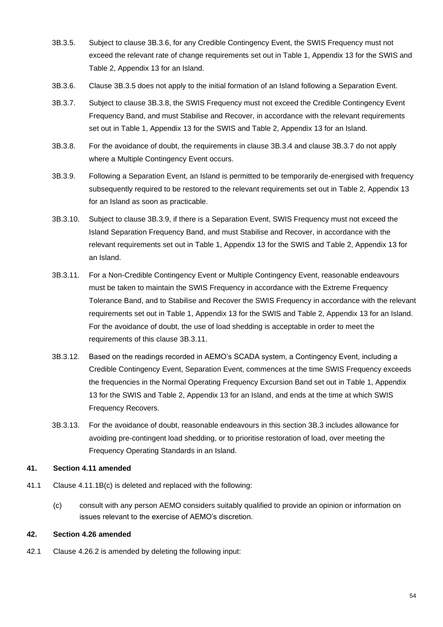- 3B.3.5. Subject to clause 3B.3.6, for any Credible Contingency Event, the SWIS Frequency must not exceed the relevant rate of change requirements set out in Table 1, Appendix 13 for the SWIS and Table 2, Appendix 13 for an Island.
- 3B.3.6. Clause 3B.3.5 does not apply to the initial formation of an Island following a Separation Event.
- 3B.3.7. Subject to clause 3B.3.8, the SWIS Frequency must not exceed the Credible Contingency Event Frequency Band, and must Stabilise and Recover, in accordance with the relevant requirements set out in Table 1, Appendix 13 for the SWIS and Table 2, Appendix 13 for an Island.
- 3B.3.8. For the avoidance of doubt, the requirements in clause 3B.3.4 and clause 3B.3.7 do not apply where a Multiple Contingency Event occurs.
- 3B.3.9. Following a Separation Event, an Island is permitted to be temporarily de-energised with frequency subsequently required to be restored to the relevant requirements set out in Table 2, Appendix 13 for an Island as soon as practicable.
- 3B.3.10. Subject to clause 3B.3.9, if there is a Separation Event, SWIS Frequency must not exceed the Island Separation Frequency Band, and must Stabilise and Recover, in accordance with the relevant requirements set out in Table 1, Appendix 13 for the SWIS and Table 2, Appendix 13 for an Island.
- 3B.3.11. For a Non-Credible Contingency Event or Multiple Contingency Event, reasonable endeavours must be taken to maintain the SWIS Frequency in accordance with the Extreme Frequency Tolerance Band, and to Stabilise and Recover the SWIS Frequency in accordance with the relevant requirements set out in Table 1, Appendix 13 for the SWIS and Table 2, Appendix 13 for an Island. For the avoidance of doubt, the use of load shedding is acceptable in order to meet the requirements of this clause 3B.3.11.
- 3B.3.12. Based on the readings recorded in AEMO's SCADA system, a Contingency Event, including a Credible Contingency Event, Separation Event, commences at the time SWIS Frequency exceeds the frequencies in the Normal Operating Frequency Excursion Band set out in Table 1, Appendix 13 for the SWIS and Table 2, Appendix 13 for an Island, and ends at the time at which SWIS Frequency Recovers.
- 3B.3.13. For the avoidance of doubt, reasonable endeavours in this section 3B.3 includes allowance for avoiding pre-contingent load shedding, or to prioritise restoration of load, over meeting the Frequency Operating Standards in an Island.

#### **41. Section 4.11 amended**

- 41.1 Clause 4.11.1B(c) is deleted and replaced with the following:
	- (c) consult with any person AEMO considers suitably qualified to provide an opinion or information on issues relevant to the exercise of AEMO's discretion.

## **42. Section 4.26 amended**

42.1 Clause 4.26.2 is amended by deleting the following input: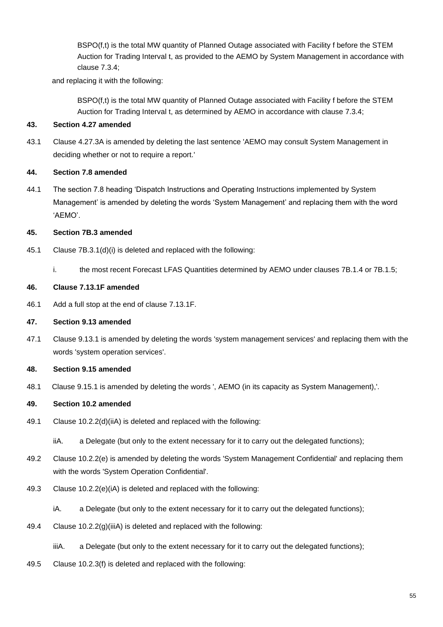BSPO(f,t) is the total MW quantity of Planned Outage associated with Facility f before the STEM Auction for Trading Interval t, as provided to the AEMO by System Management in accordance with clause 7.3.4;

and replacing it with the following:

BSPO(f,t) is the total MW quantity of Planned Outage associated with Facility f before the STEM Auction for Trading Interval t, as determined by AEMO in accordance with clause 7.3.4;

#### **43. Section 4.27 amended**

43.1 Clause 4.27.3A is amended by deleting the last sentence 'AEMO may consult System Management in deciding whether or not to require a report.'

#### **44. Section 7.8 amended**

44.1 The section 7.8 heading 'Dispatch Instructions and Operating Instructions implemented by System Management' is amended by deleting the words 'System Management' and replacing them with the word 'AEMO'.

#### **45. Section 7B.3 amended**

- 45.1 Clause 7B.3.1(d)(i) is deleted and replaced with the following:
	- i. the most recent Forecast LFAS Quantities determined by AEMO under clauses 7B.1.4 or 7B.1.5;

#### **46. Clause 7.13.1F amended**

46.1 Add a full stop at the end of clause 7.13.1F.

#### **47. Section 9.13 amended**

47.1 Clause 9.13.1 is amended by deleting the words 'system management services' and replacing them with the words 'system operation services'.

#### **48. Section 9.15 amended**

48.1 Clause 9.15.1 is amended by deleting the words ', AEMO (in its capacity as System Management),'.

## **49. Section 10.2 amended**

49.1 Clause 10.2.2(d)(iiA) is deleted and replaced with the following:

iiA. a Delegate (but only to the extent necessary for it to carry out the delegated functions);

- 49.2 Clause 10.2.2(e) is amended by deleting the words 'System Management Confidential' and replacing them with the words 'System Operation Confidential'.
- 49.3 Clause 10.2.2(e)(iA) is deleted and replaced with the following:
	- iA. a Delegate (but only to the extent necessary for it to carry out the delegated functions);
- 49.4 Clause 10.2.2(g)(iiiA) is deleted and replaced with the following:
	- iiiA. a Delegate (but only to the extent necessary for it to carry out the delegated functions);
- 49.5 Clause 10.2.3(f) is deleted and replaced with the following: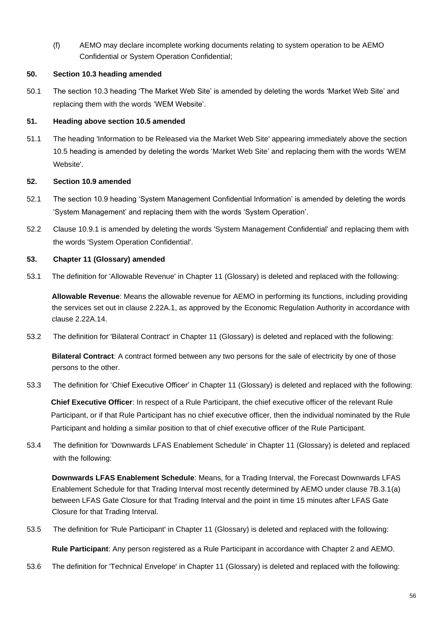(f) AEMO may declare incomplete working documents relating to system operation to be AEMO Confidential or System Operation Confidential;

#### **50. Section 10.3 heading amended**

50.1 The section 10.3 heading 'The Market Web Site' is amended by deleting the words 'Market Web Site' and replacing them with the words 'WEM Website'.

#### **51. Heading above section 10.5 amended**

51.1 The heading 'Information to be Released via the Market Web Site' appearing immediately above the section 10.5 heading is amended by deleting the words 'Market Web Site' and replacing them with the words 'WEM Website'.

#### **52. Section 10.9 amended**

- 52.1 The section 10.9 heading 'System Management Confidential Information' is amended by deleting the words 'System Management' and replacing them with the words 'System Operation'.
- 52.2 Clause 10.9.1 is amended by deleting the words 'System Management Confidential' and replacing them with the words 'System Operation Confidential'.

#### **53. Chapter 11 (Glossary) amended**

53.1 The definition for 'Allowable Revenue' in Chapter 11 (Glossary) is deleted and replaced with the following:

**Allowable Revenue**: Means the allowable revenue for AEMO in performing its functions, including providing the services set out in clause 2.22A.1, as approved by the Economic Regulation Authority in accordance with clause 2.22A.14.

53.2 The definition for 'Bilateral Contract' in Chapter 11 (Glossary) is deleted and replaced with the following:

**Bilateral Contract**: A contract formed between any two persons for the sale of electricity by one of those persons to the other.

53.3 The definition for 'Chief Executive Officer' in Chapter 11 (Glossary) is deleted and replaced with the following:

**Chief Executive Officer**: In respect of a Rule Participant, the chief executive officer of the relevant Rule Participant, or if that Rule Participant has no chief executive officer, then the individual nominated by the Rule Participant and holding a similar position to that of chief executive officer of the Rule Participant.

53.4 The definition for 'Downwards LFAS Enablement Schedule' in Chapter 11 (Glossary) is deleted and replaced with the following:

**Downwards LFAS Enablement Schedule**: Means, for a Trading Interval, the Forecast Downwards LFAS Enablement Schedule for that Trading Interval most recently determined by AEMO under clause 7B.3.1(a) between LFAS Gate Closure for that Trading Interval and the point in time 15 minutes after LFAS Gate Closure for that Trading Interval.

53.5 The definition for 'Rule Participant' in Chapter 11 (Glossary) is deleted and replaced with the following:

**Rule Participant**: Any person registered as a Rule Participant in accordance with Chapter 2 and AEMO.

53.6 The definition for 'Technical Envelope' in Chapter 11 (Glossary) is deleted and replaced with the following: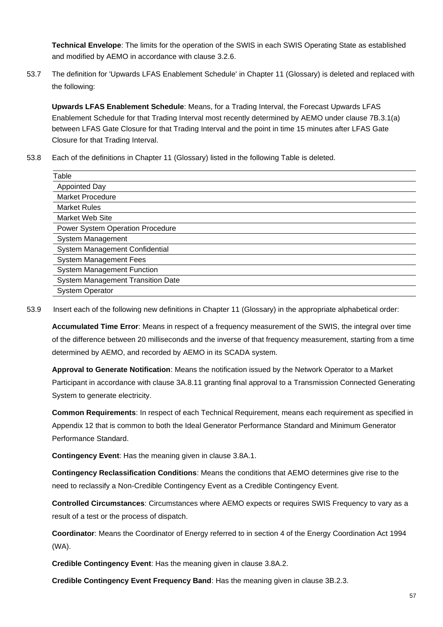**Technical Envelope**: The limits for the operation of the SWIS in each SWIS Operating State as established and modified by AEMO in accordance with clause 3.2.6.

53.7 The definition for 'Upwards LFAS Enablement Schedule' in Chapter 11 (Glossary) is deleted and replaced with the following:

**Upwards LFAS Enablement Schedule**: Means, for a Trading Interval, the Forecast Upwards LFAS Enablement Schedule for that Trading Interval most recently determined by AEMO under clause 7B.3.1(a) between LFAS Gate Closure for that Trading Interval and the point in time 15 minutes after LFAS Gate Closure for that Trading Interval.

53.8 Each of the definitions in Chapter 11 (Glossary) listed in the following Table is deleted.

| Table                                    |  |  |
|------------------------------------------|--|--|
| Appointed Day                            |  |  |
| Market Procedure                         |  |  |
| <b>Market Rules</b>                      |  |  |
| Market Web Site                          |  |  |
| <b>Power System Operation Procedure</b>  |  |  |
| System Management                        |  |  |
| System Management Confidential           |  |  |
| <b>System Management Fees</b>            |  |  |
| <b>System Management Function</b>        |  |  |
| <b>System Management Transition Date</b> |  |  |
| <b>System Operator</b>                   |  |  |
|                                          |  |  |

53.9 Insert each of the following new definitions in Chapter 11 (Glossary) in the appropriate alphabetical order:

**Accumulated Time Error**: Means in respect of a frequency measurement of the SWIS, the integral over time of the difference between 20 milliseconds and the inverse of that frequency measurement, starting from a time determined by AEMO, and recorded by AEMO in its SCADA system.

**Approval to Generate Notification**: Means the notification issued by the Network Operator to a Market Participant in accordance with clause 3A.8.11 granting final approval to a Transmission Connected Generating System to generate electricity.

**Common Requirements**: In respect of each Technical Requirement, means each requirement as specified in Appendix 12 that is common to both the Ideal Generator Performance Standard and Minimum Generator Performance Standard.

**Contingency Event**: Has the meaning given in clause 3.8A.1.

**Contingency Reclassification Conditions**: Means the conditions that AEMO determines give rise to the need to reclassify a Non-Credible Contingency Event as a Credible Contingency Event.

**Controlled Circumstances**: Circumstances where AEMO expects or requires SWIS Frequency to vary as a result of a test or the process of dispatch.

**Coordinator**: Means the Coordinator of Energy referred to in section 4 of the Energy Coordination Act 1994 (WA).

**Credible Contingency Event**: Has the meaning given in clause 3.8A.2.

**Credible Contingency Event Frequency Band**: Has the meaning given in clause 3B.2.3.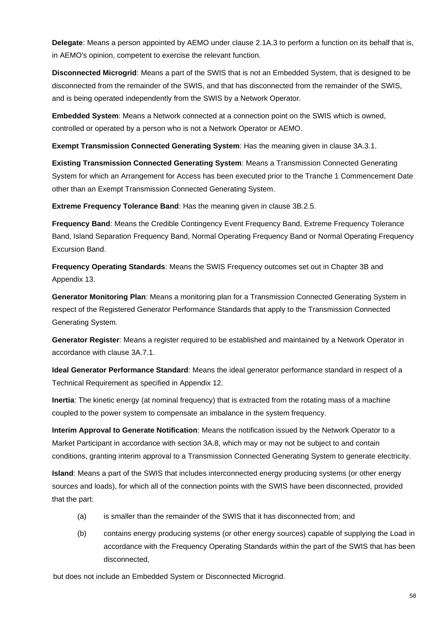**Delegate**: Means a person appointed by AEMO under clause 2.1A.3 to perform a function on its behalf that is, in AEMO's opinion, competent to exercise the relevant function.

**Disconnected Microgrid**: Means a part of the SWIS that is not an Embedded System, that is designed to be disconnected from the remainder of the SWIS, and that has disconnected from the remainder of the SWIS, and is being operated independently from the SWIS by a Network Operator.

**Embedded System**: Means a Network connected at a connection point on the SWIS which is owned, controlled or operated by a person who is not a Network Operator or AEMO.

**Exempt Transmission Connected Generating System**: Has the meaning given in clause 3A.3.1.

**Existing Transmission Connected Generating System**: Means a Transmission Connected Generating System for which an Arrangement for Access has been executed prior to the Tranche 1 Commencement Date other than an Exempt Transmission Connected Generating System.

**Extreme Frequency Tolerance Band**: Has the meaning given in clause 3B.2.5.

**Frequency Band**: Means the Credible Contingency Event Frequency Band, Extreme Frequency Tolerance Band, Island Separation Frequency Band, Normal Operating Frequency Band or Normal Operating Frequency Excursion Band.

**Frequency Operating Standards**: Means the SWIS Frequency outcomes set out in Chapter 3B and Appendix 13.

**Generator Monitoring Plan**: Means a monitoring plan for a Transmission Connected Generating System in respect of the Registered Generator Performance Standards that apply to the Transmission Connected Generating System.

**Generator Register:** Means a register required to be established and maintained by a Network Operator in accordance with clause 3A.7.1.

**Ideal Generator Performance Standard**: Means the ideal generator performance standard in respect of a Technical Requirement as specified in Appendix 12.

**Inertia**: The kinetic energy (at nominal frequency) that is extracted from the rotating mass of a machine coupled to the power system to compensate an imbalance in the system frequency.

**Interim Approval to Generate Notification**: Means the notification issued by the Network Operator to a Market Participant in accordance with section 3A.8, which may or may not be subject to and contain conditions, granting interim approval to a Transmission Connected Generating System to generate electricity.

**Island**: Means a part of the SWIS that includes interconnected energy producing systems (or other energy sources and loads), for which all of the connection points with the SWIS have been disconnected, provided that the part:

- (a) is smaller than the remainder of the SWIS that it has disconnected from; and
- (b) contains energy producing systems (or other energy sources) capable of supplying the Load in accordance with the Frequency Operating Standards within the part of the SWIS that has been disconnected,

but does not include an Embedded System or Disconnected Microgrid.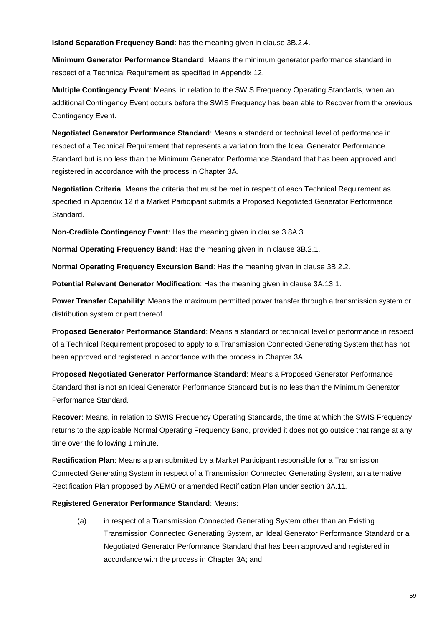**Island Separation Frequency Band**: has the meaning given in clause 3B.2.4.

**Minimum Generator Performance Standard**: Means the minimum generator performance standard in respect of a Technical Requirement as specified in Appendix 12.

**Multiple Contingency Event**: Means, in relation to the SWIS Frequency Operating Standards, when an additional Contingency Event occurs before the SWIS Frequency has been able to Recover from the previous Contingency Event.

**Negotiated Generator Performance Standard**: Means a standard or technical level of performance in respect of a Technical Requirement that represents a variation from the Ideal Generator Performance Standard but is no less than the Minimum Generator Performance Standard that has been approved and registered in accordance with the process in Chapter 3A.

**Negotiation Criteria**: Means the criteria that must be met in respect of each Technical Requirement as specified in Appendix 12 if a Market Participant submits a Proposed Negotiated Generator Performance Standard.

**Non-Credible Contingency Event**: Has the meaning given in clause 3.8A.3.

**Normal Operating Frequency Band**: Has the meaning given in in clause 3B.2.1.

**Normal Operating Frequency Excursion Band**: Has the meaning given in clause 3B.2.2.

**Potential Relevant Generator Modification**: Has the meaning given in clause 3A.13.1.

**Power Transfer Capability**: Means the maximum permitted power transfer through a transmission system or distribution system or part thereof.

**Proposed Generator Performance Standard**: Means a standard or technical level of performance in respect of a Technical Requirement proposed to apply to a Transmission Connected Generating System that has not been approved and registered in accordance with the process in Chapter 3A.

**Proposed Negotiated Generator Performance Standard**: Means a Proposed Generator Performance Standard that is not an Ideal Generator Performance Standard but is no less than the Minimum Generator Performance Standard.

**Recover**: Means, in relation to SWIS Frequency Operating Standards, the time at which the SWIS Frequency returns to the applicable Normal Operating Frequency Band, provided it does not go outside that range at any time over the following 1 minute.

**Rectification Plan**: Means a plan submitted by a Market Participant responsible for a Transmission Connected Generating System in respect of a Transmission Connected Generating System, an alternative Rectification Plan proposed by AEMO or amended Rectification Plan under section 3A.11.

#### **Registered Generator Performance Standard**: Means:

(a) in respect of a Transmission Connected Generating System other than an Existing Transmission Connected Generating System, an Ideal Generator Performance Standard or a Negotiated Generator Performance Standard that has been approved and registered in accordance with the process in Chapter 3A; and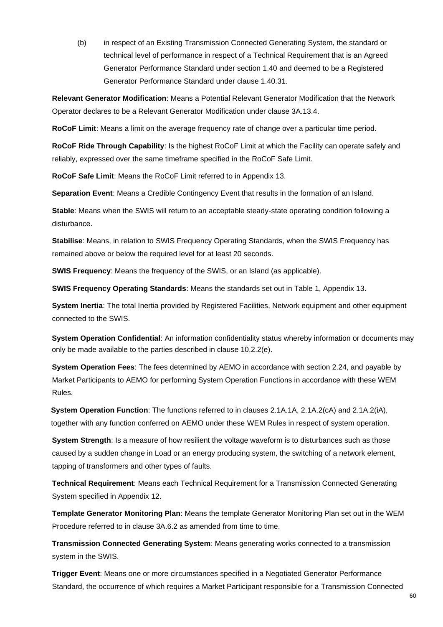(b) in respect of an Existing Transmission Connected Generating System, the standard or technical level of performance in respect of a Technical Requirement that is an Agreed Generator Performance Standard under section 1.40 and deemed to be a Registered Generator Performance Standard under clause 1.40.31.

**Relevant Generator Modification**: Means a Potential Relevant Generator Modification that the Network Operator declares to be a Relevant Generator Modification under clause 3A.13.4.

**RoCoF Limit**: Means a limit on the average frequency rate of change over a particular time period.

**RoCoF Ride Through Capability**: Is the highest RoCoF Limit at which the Facility can operate safely and reliably, expressed over the same timeframe specified in the RoCoF Safe Limit.

**RoCoF Safe Limit**: Means the RoCoF Limit referred to in Appendix 13.

**Separation Event**: Means a Credible Contingency Event that results in the formation of an Island.

**Stable**: Means when the SWIS will return to an acceptable steady-state operating condition following a disturbance.

**Stabilise**: Means, in relation to SWIS Frequency Operating Standards, when the SWIS Frequency has remained above or below the required level for at least 20 seconds.

**SWIS Frequency**: Means the frequency of the SWIS, or an Island (as applicable).

**SWIS Frequency Operating Standards**: Means the standards set out in Table 1, Appendix 13.

**System Inertia**: The total Inertia provided by Registered Facilities, Network equipment and other equipment connected to the SWIS.

**System Operation Confidential**: An information confidentiality status whereby information or documents may only be made available to the parties described in clause 10.2.2(e).

**System Operation Fees**: The fees determined by AEMO in accordance with section 2.24, and payable by Market Participants to AEMO for performing System Operation Functions in accordance with these WEM Rules.

**System Operation Function**: The functions referred to in clauses 2.1A.1A, 2.1A.2(cA) and 2.1A.2(iA), together with any function conferred on AEMO under these WEM Rules in respect of system operation.

**System Strength**: Is a measure of how resilient the voltage waveform is to disturbances such as those caused by a sudden change in Load or an energy producing system, the switching of a network element, tapping of transformers and other types of faults.

**Technical Requirement**: Means each Technical Requirement for a Transmission Connected Generating System specified in Appendix 12.

**Template Generator Monitoring Plan**: Means the template Generator Monitoring Plan set out in the WEM Procedure referred to in clause 3A.6.2 as amended from time to time.

**Transmission Connected Generating System**: Means generating works connected to a transmission system in the SWIS.

**Trigger Event**: Means one or more circumstances specified in a Negotiated Generator Performance Standard, the occurrence of which requires a Market Participant responsible for a Transmission Connected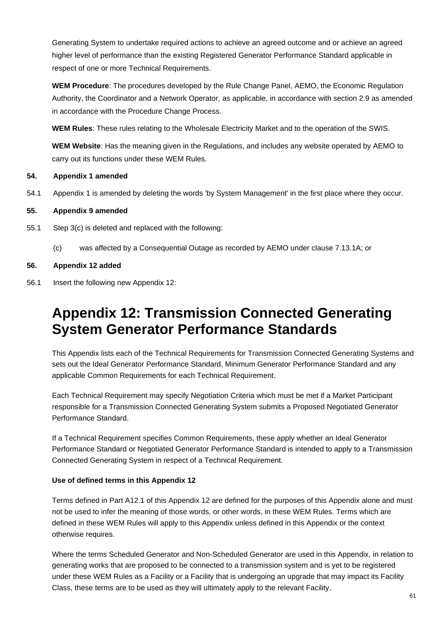Generating System to undertake required actions to achieve an agreed outcome and or achieve an agreed higher level of performance than the existing Registered Generator Performance Standard applicable in respect of one or more Technical Requirements.

**WEM Procedure**: The procedures developed by the Rule Change Panel, AEMO, the Economic Regulation Authority, the Coordinator and a Network Operator, as applicable, in accordance with section 2.9 as amended in accordance with the Procedure Change Process.

**WEM Rules**: These rules relating to the Wholesale Electricity Market and to the operation of the SWIS.

**WEM Website**: Has the meaning given in the Regulations, and includes any website operated by AEMO to carry out its functions under these WEM Rules.

#### **54. Appendix 1 amended**

54.1 Appendix 1 is amended by deleting the words 'by System Management' in the first place where they occur.

#### **55. Appendix 9 amended**

- 55.1 Step 3(c) is deleted and replaced with the following:
	- (c) was affected by a Consequential Outage as recorded by AEMO under clause 7.13.1A; or

#### **56. Appendix 12 added**

56.1 Insert the following new Appendix 12:

## **Appendix 12: Transmission Connected Generating System Generator Performance Standards**

This Appendix lists each of the Technical Requirements for Transmission Connected Generating Systems and sets out the Ideal Generator Performance Standard, Minimum Generator Performance Standard and any applicable Common Requirements for each Technical Requirement.

Each Technical Requirement may specify Negotiation Criteria which must be met if a Market Participant responsible for a Transmission Connected Generating System submits a Proposed Negotiated Generator Performance Standard.

If a Technical Requirement specifies Common Requirements, these apply whether an Ideal Generator Performance Standard or Negotiated Generator Performance Standard is intended to apply to a Transmission Connected Generating System in respect of a Technical Requirement.

## **Use of defined terms in this Appendix 12**

Terms defined in Part A12.1 of this Appendix 12 are defined for the purposes of this Appendix alone and must not be used to infer the meaning of those words, or other words, in these WEM Rules. Terms which are defined in these WEM Rules will apply to this Appendix unless defined in this Appendix or the context otherwise requires.

Where the terms Scheduled Generator and Non-Scheduled Generator are used in this Appendix, in relation to generating works that are proposed to be connected to a transmission system and is yet to be registered under these WEM Rules as a Facility or a Facility that is undergoing an upgrade that may impact its Facility Class, these terms are to be used as they will ultimately apply to the relevant Facility.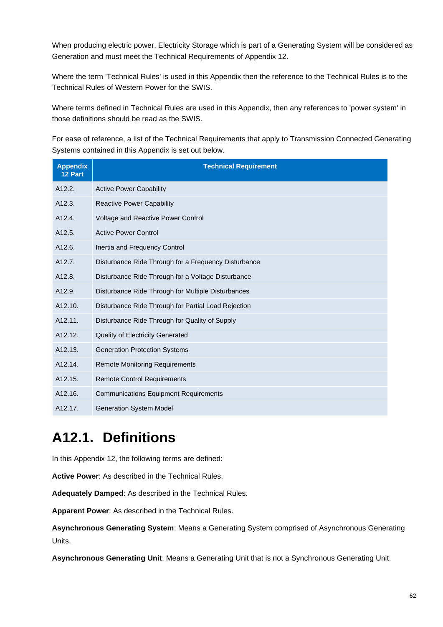When producing electric power, Electricity Storage which is part of a Generating System will be considered as Generation and must meet the Technical Requirements of Appendix 12.

Where the term 'Technical Rules' is used in this Appendix then the reference to the Technical Rules is to the Technical Rules of Western Power for the SWIS.

Where terms defined in Technical Rules are used in this Appendix, then any references to 'power system' in those definitions should be read as the SWIS.

For ease of reference, a list of the Technical Requirements that apply to Transmission Connected Generating Systems contained in this Appendix is set out below.

| <b>Appendix</b><br>12 Part | <b>Technical Requirement</b>                         |  |
|----------------------------|------------------------------------------------------|--|
| A12.2.                     | <b>Active Power Capability</b>                       |  |
| A12.3.                     | <b>Reactive Power Capability</b>                     |  |
| A12.4.                     | Voltage and Reactive Power Control                   |  |
| A12.5.                     | <b>Active Power Control</b>                          |  |
| A12.6.                     | Inertia and Frequency Control                        |  |
| A12.7.                     | Disturbance Ride Through for a Frequency Disturbance |  |
| A12.8.                     | Disturbance Ride Through for a Voltage Disturbance   |  |
| A12.9.                     | Disturbance Ride Through for Multiple Disturbances   |  |
| A <sub>12.10</sub> .       | Disturbance Ride Through for Partial Load Rejection  |  |
| A <sub>12.11</sub> .       | Disturbance Ride Through for Quality of Supply       |  |
| A12.12.                    | <b>Quality of Electricity Generated</b>              |  |
| A12.13.                    | <b>Generation Protection Systems</b>                 |  |
| A12.14.                    | <b>Remote Monitoring Requirements</b>                |  |
| A <sub>12.15</sub> .       | <b>Remote Control Requirements</b>                   |  |
| A <sub>12.16</sub> .       | <b>Communications Equipment Requirements</b>         |  |
| A12.17.                    | <b>Generation System Model</b>                       |  |

# **A12.1. Definitions**

In this Appendix 12, the following terms are defined:

**Active Power**: As described in the Technical Rules.

**Adequately Damped**: As described in the Technical Rules.

**Apparent Power**: As described in the Technical Rules.

**Asynchronous Generating System**: Means a Generating System comprised of Asynchronous Generating Units.

**Asynchronous Generating Unit**: Means a Generating Unit that is not a Synchronous Generating Unit.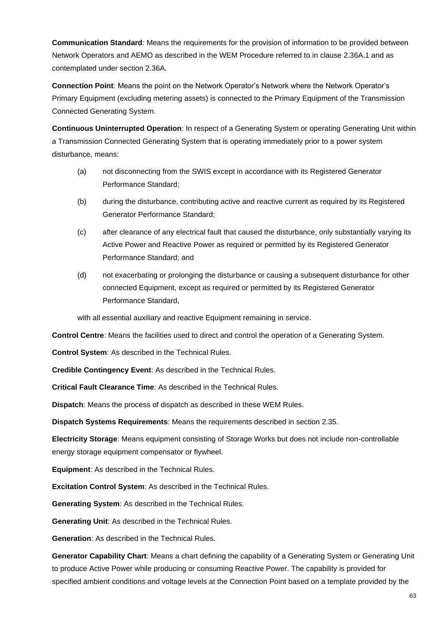**Communication Standard**: Means the requirements for the provision of information to be provided between Network Operators and AEMO as described in the WEM Procedure referred to in clause 2.36A.1 and as contemplated under section 2.36A.

**Connection Point**: Means the point on the Network Operator's Network where the Network Operator's Primary Equipment (excluding metering assets) is connected to the Primary Equipment of the Transmission Connected Generating System.

**Continuous Uninterrupted Operation**: In respect of a Generating System or operating Generating Unit within a Transmission Connected Generating System that is operating immediately prior to a power system disturbance, means:

- (a) not disconnecting from the SWIS except in accordance with its Registered Generator Performance Standard;
- (b) during the disturbance, contributing active and reactive current as required by its Registered Generator Performance Standard;
- (c) after clearance of any electrical fault that caused the disturbance, only substantially varying its Active Power and Reactive Power as required or permitted by its Registered Generator Performance Standard; and
- (d) not exacerbating or prolonging the disturbance or causing a subsequent disturbance for other connected Equipment, except as required or permitted by its Registered Generator Performance Standard,

with all essential auxiliary and reactive Equipment remaining in service.

**Control Centre**: Means the facilities used to direct and control the operation of a Generating System.

**Control System**: As described in the Technical Rules.

**Credible Contingency Event**: As described in the Technical Rules.

**Critical Fault Clearance Time**: As described in the Technical Rules.

**Dispatch**: Means the process of dispatch as described in these WEM Rules.

**Dispatch Systems Requirements**: Means the requirements described in section 2.35.

**Electricity Storage**: Means equipment consisting of Storage Works but does not include non-controllable energy storage equipment compensator or flywheel.

**Equipment**: As described in the Technical Rules.

**Excitation Control System**: As described in the Technical Rules.

**Generating System**: As described in the Technical Rules.

**Generating Unit**: As described in the Technical Rules.

**Generation**: As described in the Technical Rules.

**Generator Capability Chart**: Means a chart defining the capability of a Generating System or Generating Unit to produce Active Power while producing or consuming Reactive Power. The capability is provided for specified ambient conditions and voltage levels at the Connection Point based on a template provided by the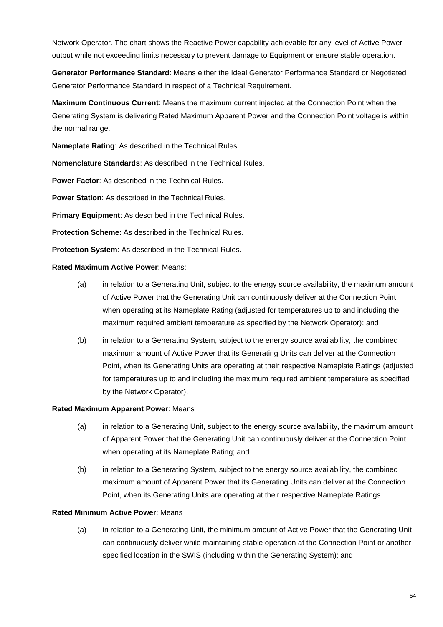Network Operator*.* The chart shows the Reactive Power capability achievable for any level of Active Power output while not exceeding limits necessary to prevent damage to Equipment or ensure stable operation.

**Generator Performance Standard**: Means either the Ideal Generator Performance Standard or Negotiated Generator Performance Standard in respect of a Technical Requirement.

**Maximum Continuous Current**: Means the maximum current injected at the Connection Point when the Generating System is delivering Rated Maximum Apparent Power and the Connection Point voltage is within the normal range.

**Nameplate Rating**: As described in the Technical Rules.

**Nomenclature Standards**: As described in the Technical Rules.

**Power Factor:** As described in the Technical Rules.

**Power Station**: As described in the Technical Rules.

**Primary Equipment**: As described in the Technical Rules.

**Protection Scheme**: As described in the Technical Rules.

**Protection System**: As described in the Technical Rules.

**Rated Maximum Active Power**: Means:

- (a) in relation to a Generating Unit, subject to the energy source availability, the maximum amount of Active Power that the Generating Unit can continuously deliver at the Connection Point when operating at its Nameplate Rating (adjusted for temperatures up to and including the maximum required ambient temperature as specified by the Network Operator); and
- (b) in relation to a Generating System, subject to the energy source availability, the combined maximum amount of Active Power that its Generating Units can deliver at the Connection Point, when its Generating Units are operating at their respective Nameplate Ratings (adjusted for temperatures up to and including the maximum required ambient temperature as specified by the Network Operator).

#### **Rated Maximum Apparent Power**: Means

- (a) in relation to a Generating Unit, subject to the energy source availability, the maximum amount of Apparent Power that the Generating Unit can continuously deliver at the Connection Point when operating at its Nameplate Rating; and
- (b) in relation to a Generating System, subject to the energy source availability, the combined maximum amount of Apparent Power that its Generating Units can deliver at the Connection Point, when its Generating Units are operating at their respective Nameplate Ratings.

#### **Rated Minimum Active Power**: Means

(a) in relation to a Generating Unit, the minimum amount of Active Power that the Generating Unit can continuously deliver while maintaining stable operation at the Connection Point or another specified location in the SWIS (including within the Generating System); and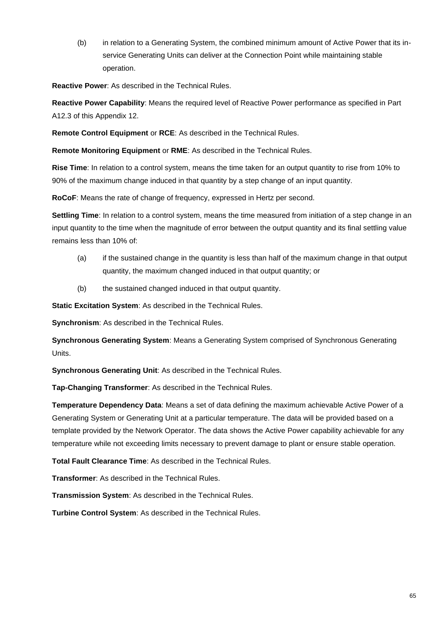(b) in relation to a Generating System, the combined minimum amount of Active Power that its inservice Generating Units can deliver at the Connection Point while maintaining stable operation.

**Reactive Power**: As described in the Technical Rules.

**Reactive Power Capability**: Means the required level of Reactive Power performance as specified in Part A12.3 of this Appendix 12.

**Remote Control Equipment** or **RCE**: As described in the Technical Rules.

**Remote Monitoring Equipment** or **RME**: As described in the Technical Rules.

**Rise Time**: In relation to a control system, means the time taken for an output quantity to rise from 10% to 90% of the maximum change induced in that quantity by a step change of an input quantity.

**RoCoF**: Means the rate of change of frequency, expressed in Hertz per second.

**Settling Time**: In relation to a control system, means the time measured from initiation of a step change in an input quantity to the time when the magnitude of error between the output quantity and its final settling value remains less than 10% of:

- (a) if the sustained change in the quantity is less than half of the maximum change in that output quantity, the maximum changed induced in that output quantity; or
- (b) the sustained changed induced in that output quantity.

**Static Excitation System**: As described in the Technical Rules.

**Synchronism**: As described in the Technical Rules.

**Synchronous Generating System**: Means a Generating System comprised of Synchronous Generating Units.

**Synchronous Generating Unit**: As described in the Technical Rules.

**Tap-Changing Transformer**: As described in the Technical Rules.

**Temperature Dependency Data**: Means a set of data defining the maximum achievable Active Power of a Generating System or Generating Unit at a particular temperature. The data will be provided based on a template provided by the Network Operator. The data shows the Active Power capability achievable for any temperature while not exceeding limits necessary to prevent damage to plant or ensure stable operation.

**Total Fault Clearance Time**: As described in the Technical Rules.

**Transformer**: As described in the Technical Rules.

**Transmission System**: As described in the Technical Rules.

**Turbine Control System**: As described in the Technical Rules.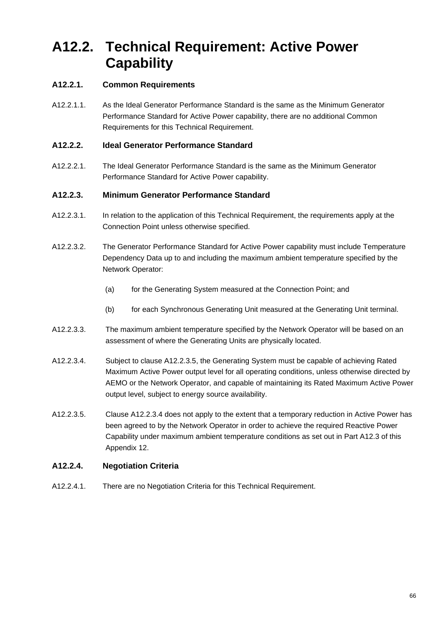# **A12.2. Technical Requirement: Active Power Capability**

## **A12.2.1. Common Requirements**

A12.2.1.1. As the Ideal Generator Performance Standard is the same as the Minimum Generator Performance Standard for Active Power capability, there are no additional Common Requirements for this Technical Requirement.

## **A12.2.2. Ideal Generator Performance Standard**

A12.2.2.1. The Ideal Generator Performance Standard is the same as the Minimum Generator Performance Standard for Active Power capability.

## **A12.2.3. Minimum Generator Performance Standard**

- A12.2.3.1. In relation to the application of this Technical Requirement, the requirements apply at the Connection Point unless otherwise specified.
- A12.2.3.2. The Generator Performance Standard for Active Power capability must include Temperature Dependency Data up to and including the maximum ambient temperature specified by the Network Operator:
	- (a) for the Generating System measured at the Connection Point; and
	- (b) for each Synchronous Generating Unit measured at the Generating Unit terminal.
- A12.2.3.3. The maximum ambient temperature specified by the Network Operator will be based on an assessment of where the Generating Units are physically located.
- A12.2.3.4. Subject to clause A12.2.3.5, the Generating System must be capable of achieving Rated Maximum Active Power output level for all operating conditions, unless otherwise directed by AEMO or the Network Operator, and capable of maintaining its Rated Maximum Active Power output level, subject to energy source availability.
- A12.2.3.5. Clause A12.2.3.4 does not apply to the extent that a temporary reduction in Active Power has been agreed to by the Network Operator in order to achieve the required Reactive Power Capability under maximum ambient temperature conditions as set out in Part A12.3 of this Appendix 12.

## **A12.2.4. Negotiation Criteria**

A12.2.4.1. There are no Negotiation Criteria for this Technical Requirement.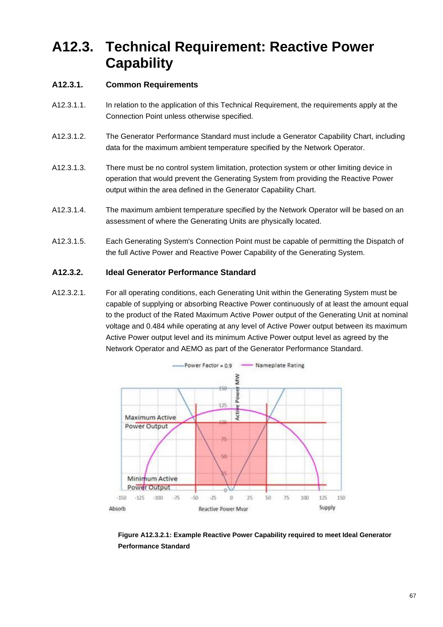# **A12.3. Technical Requirement: Reactive Power Capability**

## **A12.3.1. Common Requirements**

- A12.3.1.1. In relation to the application of this Technical Requirement, the requirements apply at the Connection Point unless otherwise specified.
- A12.3.1.2. The Generator Performance Standard must include a Generator Capability Chart, including data for the maximum ambient temperature specified by the Network Operator.
- A12.3.1.3. There must be no control system limitation, protection system or other limiting device in operation that would prevent the Generating System from providing the Reactive Power output within the area defined in the Generator Capability Chart.
- A12.3.1.4. The maximum ambient temperature specified by the Network Operator will be based on an assessment of where the Generating Units are physically located.
- A12.3.1.5. Each Generating System's Connection Point must be capable of permitting the Dispatch of the full Active Power and Reactive Power Capability of the Generating System.

## **A12.3.2. Ideal Generator Performance Standard**

A12.3.2.1. For all operating conditions, each Generating Unit within the Generating System must be capable of supplying or absorbing Reactive Power continuously of at least the amount equal to the product of the Rated Maximum Active Power output of the Generating Unit at nominal voltage and 0.484 while operating at any level of Active Power output between its maximum Active Power output level and its minimum Active Power output level as agreed by the Network Operator and AEMO as part of the Generator Performance Standard.



**Figure A12.3.2.1: Example Reactive Power Capability required to meet Ideal Generator Performance Standard**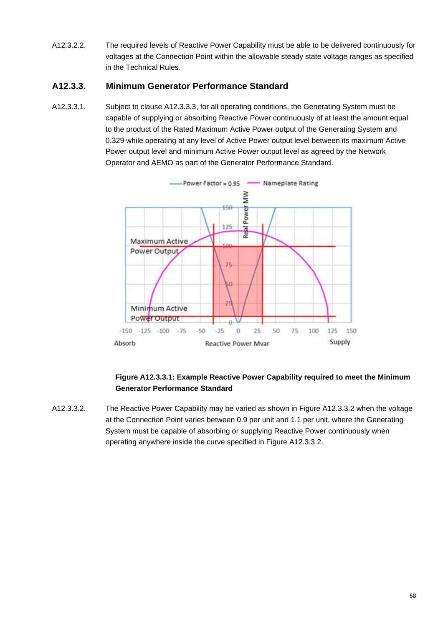A12.3.2.2. The required levels of Reactive Power Capability must be able to be delivered continuously for voltages at the Connection Point within the allowable steady state voltage ranges as specified in the Technical Rules.

## **A12.3.3. Minimum Generator Performance Standard**

A12.3.3.1. Subject to clause A12.3.3.3, for all operating conditions, the Generating System must be capable of supplying or absorbing Reactive Power continuously of at least the amount equal to the product of the Rated Maximum Active Power output of the Generating System and 0.329 while operating at any level of Active Power output level between its maximum Active Power output level and minimum Active Power output level as agreed by the Network Operator and AEMO as part of the Generator Performance Standard.



## **Figure A12.3.3.1: Example Reactive Power Capability required to meet the Minimum Generator Performance Standard**

A12.3.3.2. The Reactive Power Capability may be varied as shown in Figure A12.3.3.2 when the voltage at the Connection Point varies between 0.9 per unit and 1.1 per unit, where the Generating System must be capable of absorbing or supplying Reactive Power continuously when operating anywhere inside the curve specified in Figure A12.3.3.2.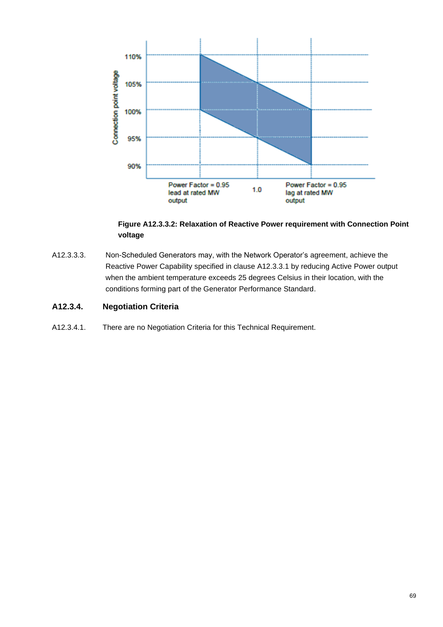

## **Figure A12.3.3.2: Relaxation of Reactive Power requirement with Connection Point voltage**

A12.3.3.3. Non-Scheduled Generators may, with the Network Operator's agreement, achieve the Reactive Power Capability specified in clause A12.3.3.1 by reducing Active Power output when the ambient temperature exceeds 25 degrees Celsius in their location, with the conditions forming part of the Generator Performance Standard.

## **A12.3.4. Negotiation Criteria**

A12.3.4.1. There are no Negotiation Criteria for this Technical Requirement.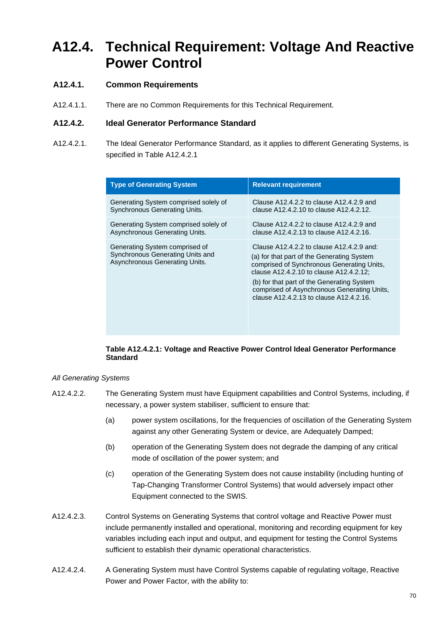## **A12.4. Technical Requirement: Voltage And Reactive Power Control**

## **A12.4.1. Common Requirements**

A12.4.1.1. There are no Common Requirements for this Technical Requirement.

## **A12.4.2. Ideal Generator Performance Standard**

A12.4.2.1. The Ideal Generator Performance Standard, as it applies to different Generating Systems, is specified in Table A12.4.2.1

| <b>Type of Generating System</b>                                                                     | <b>Relevant requirement</b>                                                                                                                                                                                                                                                                                              |
|------------------------------------------------------------------------------------------------------|--------------------------------------------------------------------------------------------------------------------------------------------------------------------------------------------------------------------------------------------------------------------------------------------------------------------------|
| Generating System comprised solely of                                                                | Clause A12.4.2.2 to clause A12.4.2.9 and                                                                                                                                                                                                                                                                                 |
| <b>Synchronous Generating Units.</b>                                                                 | clause A12.4.2.10 to clause A12.4.2.12.                                                                                                                                                                                                                                                                                  |
| Generating System comprised solely of                                                                | Clause A12.4.2.2 to clause A12.4.2.9 and                                                                                                                                                                                                                                                                                 |
| Asynchronous Generating Units.                                                                       | clause A12.4.2.13 to clause A12.4.2.16.                                                                                                                                                                                                                                                                                  |
| Generating System comprised of<br>Synchronous Generating Units and<br>Asynchronous Generating Units. | Clause A12.4.2.2 to clause A12.4.2.9 and:<br>(a) for that part of the Generating System<br>comprised of Synchronous Generating Units,<br>clause A12.4.2.10 to clause A12.4.2.12:<br>(b) for that part of the Generating System<br>comprised of Asynchronous Generating Units,<br>clause A12.4.2.13 to clause A12.4.2.16. |

#### **Table A12.4.2.1: Voltage and Reactive Power Control Ideal Generator Performance Standard**

#### *All Generating Systems*

- A12.4.2.2. The Generating System must have Equipment capabilities and Control Systems, including, if necessary, a power system stabiliser, sufficient to ensure that:
	- (a) power system oscillations, for the frequencies of oscillation of the Generating System against any other Generating System or device, are Adequately Damped;
	- (b) operation of the Generating System does not degrade the damping of any critical mode of oscillation of the power system; and
	- (c) operation of the Generating System does not cause instability (including hunting of Tap-Changing Transformer Control Systems) that would adversely impact other Equipment connected to the SWIS.
- A12.4.2.3. Control Systems on Generating Systems that control voltage and Reactive Power must include permanently installed and operational, monitoring and recording equipment for key variables including each input and output, and equipment for testing the Control Systems sufficient to establish their dynamic operational characteristics.
- A12.4.2.4. A Generating System must have Control Systems capable of regulating voltage, Reactive Power and Power Factor, with the ability to: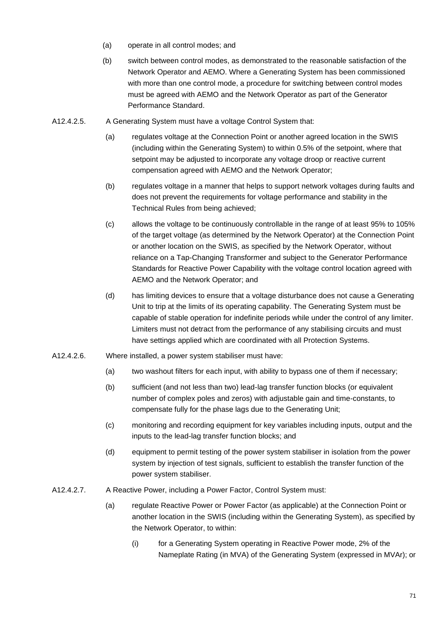- (a) operate in all control modes; and
- (b) switch between control modes, as demonstrated to the reasonable satisfaction of the Network Operator and AEMO. Where a Generating System has been commissioned with more than one control mode, a procedure for switching between control modes must be agreed with AEMO and the Network Operator as part of the Generator Performance Standard.
- A12.4.2.5. A Generating System must have a voltage Control System that:
	- (a) regulates voltage at the Connection Point or another agreed location in the SWIS (including within the Generating System) to within 0.5% of the setpoint, where that setpoint may be adjusted to incorporate any voltage droop or reactive current compensation agreed with AEMO and the Network Operator;
	- (b) regulates voltage in a manner that helps to support network voltages during faults and does not prevent the requirements for voltage performance and stability in the Technical Rules from being achieved;
	- (c) allows the voltage to be continuously controllable in the range of at least 95% to 105% of the target voltage (as determined by the Network Operator) at the Connection Point or another location on the SWIS, as specified by the Network Operator, without reliance on a Tap-Changing Transformer and subject to the Generator Performance Standards for Reactive Power Capability with the voltage control location agreed with AEMO and the Network Operator; and
	- (d) has limiting devices to ensure that a voltage disturbance does not cause a Generating Unit to trip at the limits of its operating capability. The Generating System must be capable of stable operation for indefinite periods while under the control of any limiter. Limiters must not detract from the performance of any stabilising circuits and must have settings applied which are coordinated with all Protection Systems.
- A12.4.2.6. Where installed, a power system stabiliser must have:
	- (a) two washout filters for each input, with ability to bypass one of them if necessary;
	- (b) sufficient (and not less than two) lead-lag transfer function blocks (or equivalent number of complex poles and zeros) with adjustable gain and time-constants, to compensate fully for the phase lags due to the Generating Unit;
	- (c) monitoring and recording equipment for key variables including inputs, output and the inputs to the lead-lag transfer function blocks; and
	- (d) equipment to permit testing of the power system stabiliser in isolation from the power system by injection of test signals, sufficient to establish the transfer function of the power system stabiliser.
- A12.4.2.7. A Reactive Power, including a Power Factor, Control System must:
	- (a) regulate Reactive Power or Power Factor (as applicable) at the Connection Point or another location in the SWIS (including within the Generating System), as specified by the Network Operator, to within:
		- (i) for a Generating System operating in Reactive Power mode, 2% of the Nameplate Rating (in MVA) of the Generating System (expressed in MVAr); or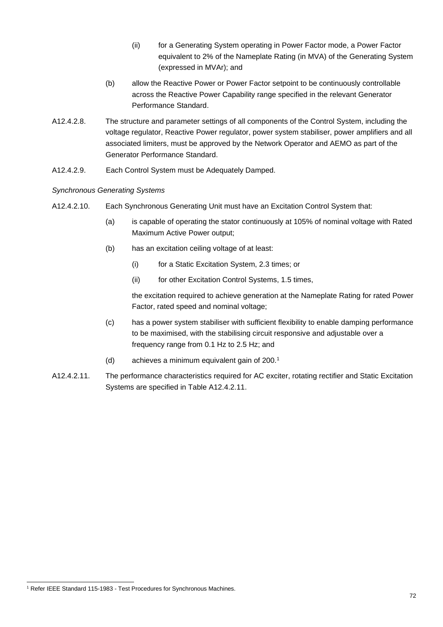- (ii) for a Generating System operating in Power Factor mode, a Power Factor equivalent to 2% of the Nameplate Rating (in MVA) of the Generating System (expressed in MVAr); and
- (b) allow the Reactive Power or Power Factor setpoint to be continuously controllable across the Reactive Power Capability range specified in the relevant Generator Performance Standard.
- A12.4.2.8. The structure and parameter settings of all components of the Control System, including the voltage regulator, Reactive Power regulator, power system stabiliser, power amplifiers and all associated limiters, must be approved by the Network Operator and AEMO as part of the Generator Performance Standard.
- A12.4.2.9. Each Control System must be Adequately Damped.

## *Synchronous Generating Systems*

- A12.4.2.10. Each Synchronous Generating Unit must have an Excitation Control System that:
	- (a) is capable of operating the stator continuously at 105% of nominal voltage with Rated Maximum Active Power output;
	- (b) has an excitation ceiling voltage of at least:
		- (i) for a Static Excitation System, 2.3 times; or
		- (ii) for other Excitation Control Systems, 1.5 times,

the excitation required to achieve generation at the Nameplate Rating for rated Power Factor, rated speed and nominal voltage;

- (c) has a power system stabiliser with sufficient flexibility to enable damping performance to be maximised, with the stabilising circuit responsive and adjustable over a frequency range from 0.1 Hz to 2.5 Hz; and
- (d) achieves a minimum equivalent gain of 200.<sup>1</sup>
- A12.4.2.11. The performance characteristics required for AC exciter, rotating rectifier and Static Excitation Systems are specified in Table A12.4.2.11.

<sup>1</sup> Refer IEEE Standard 115-1983 - Test Procedures for Synchronous Machines.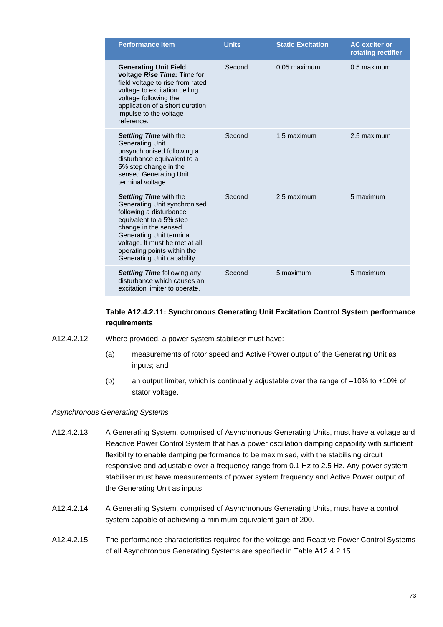| <b>Performance Item</b>                                                                                                                                                                                                                                                        | <b>Units</b> | <b>Static Excitation</b> | <b>AC</b> exciter or<br>rotating rectifier |
|--------------------------------------------------------------------------------------------------------------------------------------------------------------------------------------------------------------------------------------------------------------------------------|--------------|--------------------------|--------------------------------------------|
| <b>Generating Unit Field</b><br>voltage Rise Time: Time for<br>field voltage to rise from rated<br>voltage to excitation ceiling<br>voltage following the<br>application of a short duration<br>impulse to the voltage<br>reference.                                           | Second       | 0.05 maximum             | 0.5 maximum                                |
| <b>Settling Time with the</b><br><b>Generating Unit</b><br>unsynchronised following a<br>disturbance equivalent to a<br>5% step change in the<br>sensed Generating Unit<br>terminal voltage.                                                                                   | Second       | 1.5 maximum              | 2.5 maximum                                |
| <b>Settling Time with the</b><br>Generating Unit synchronised<br>following a disturbance<br>equivalent to a 5% step<br>change in the sensed<br><b>Generating Unit terminal</b><br>voltage. It must be met at all<br>operating points within the<br>Generating Unit capability. | Second       | 2.5 maximum              | 5 maximum                                  |
| <b>Settling Time following any</b><br>disturbance which causes an<br>excitation limiter to operate.                                                                                                                                                                            | Second       | 5 maximum                | 5 maximum                                  |

#### **Table A12.4.2.11: Synchronous Generating Unit Excitation Control System performance requirements**

- A12.4.2.12. Where provided, a power system stabiliser must have:
	- (a) measurements of rotor speed and Active Power output of the Generating Unit as inputs; and
	- (b) an output limiter, which is continually adjustable over the range of –10% to +10% of stator voltage.

### *Asynchronous Generating Systems*

- A12.4.2.13. A Generating System, comprised of Asynchronous Generating Units, must have a voltage and Reactive Power Control System that has a power oscillation damping capability with sufficient flexibility to enable damping performance to be maximised, with the stabilising circuit responsive and adjustable over a frequency range from 0.1 Hz to 2.5 Hz. Any power system stabiliser must have measurements of power system frequency and Active Power output of the Generating Unit as inputs.
- A12.4.2.14. A Generating System, comprised of Asynchronous Generating Units, must have a control system capable of achieving a minimum equivalent gain of 200.
- A12.4.2.15. The performance characteristics required for the voltage and Reactive Power Control Systems of all Asynchronous Generating Systems are specified in Table A12.4.2.15.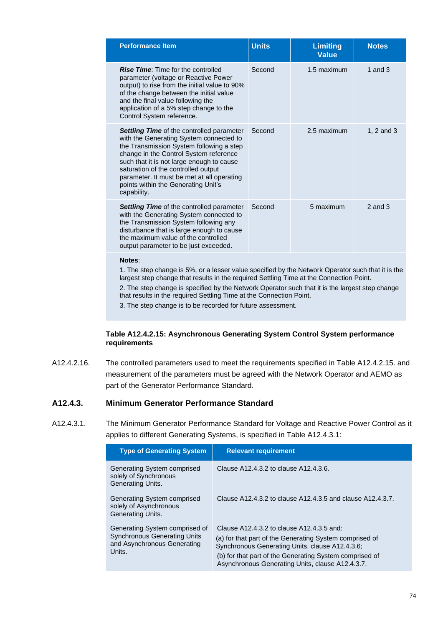| <b>Performance Item</b>                                                                                                                                                                                                                                                                                                                                                   | <b>Units</b> | <b>Limiting</b><br><b>Value</b> | <b>Notes</b> |
|---------------------------------------------------------------------------------------------------------------------------------------------------------------------------------------------------------------------------------------------------------------------------------------------------------------------------------------------------------------------------|--------------|---------------------------------|--------------|
| <b>Rise Time:</b> Time for the controlled<br>parameter (voltage or Reactive Power<br>output) to rise from the initial value to 90%<br>of the change between the initial value<br>and the final value following the<br>application of a 5% step change to the<br>Control System reference.                                                                                 | Second       | 1.5 maximum                     | 1 and $3$    |
| <b>Settling Time of the controlled parameter</b><br>with the Generating System connected to<br>the Transmission System following a step<br>change in the Control System reference<br>such that it is not large enough to cause<br>saturation of the controlled output<br>parameter. It must be met at all operating<br>points within the Generating Unit's<br>capability. | Second       | 2.5 maximum                     | 1, 2 and 3   |
| <b>Settling Time</b> of the controlled parameter<br>with the Generating System connected to<br>the Transmission System following any<br>disturbance that is large enough to cause<br>the maximum value of the controlled<br>output parameter to be just exceeded.                                                                                                         | Second       | 5 maximum                       | $2$ and $3$  |
| Mata                                                                                                                                                                                                                                                                                                                                                                      |              |                                 |              |

**Notes**:

1. The step change is 5%, or a lesser value specified by the Network Operator such that it is the largest step change that results in the required Settling Time at the Connection Point.

2. The step change is specified by the Network Operator such that it is the largest step change that results in the required Settling Time at the Connection Point.

3. The step change is to be recorded for future assessment.

#### **Table A12.4.2.15: Asynchronous Generating System Control System performance requirements**

A12.4.2.16. The controlled parameters used to meet the requirements specified in Table A12.4.2.15. and measurement of the parameters must be agreed with the Network Operator and AEMO as part of the Generator Performance Standard.

#### **A12.4.3. Minimum Generator Performance Standard**

A12.4.3.1. The Minimum Generator Performance Standard for Voltage and Reactive Power Control as it applies to different Generating Systems, is specified in Table A12.4.3.1:

| <b>Type of Generating System</b>                                                                               | <b>Relevant requirement</b>                                                                                                                                                                                                                                            |
|----------------------------------------------------------------------------------------------------------------|------------------------------------------------------------------------------------------------------------------------------------------------------------------------------------------------------------------------------------------------------------------------|
| Generating System comprised<br>solely of Synchronous<br><b>Generating Units.</b>                               | Clause A12.4.3.2 to clause A12.4.3.6.                                                                                                                                                                                                                                  |
| Generating System comprised<br>solely of Asynchronous<br><b>Generating Units.</b>                              | Clause A12.4.3.2 to clause A12.4.3.5 and clause A12.4.3.7.                                                                                                                                                                                                             |
| Generating System comprised of<br><b>Synchronous Generating Units</b><br>and Asynchronous Generating<br>Units. | Clause A12.4.3.2 to clause A12.4.3.5 and:<br>(a) for that part of the Generating System comprised of<br>Synchronous Generating Units, clause A12.4.3.6;<br>(b) for that part of the Generating System comprised of<br>Asynchronous Generating Units, clause A12.4.3.7. |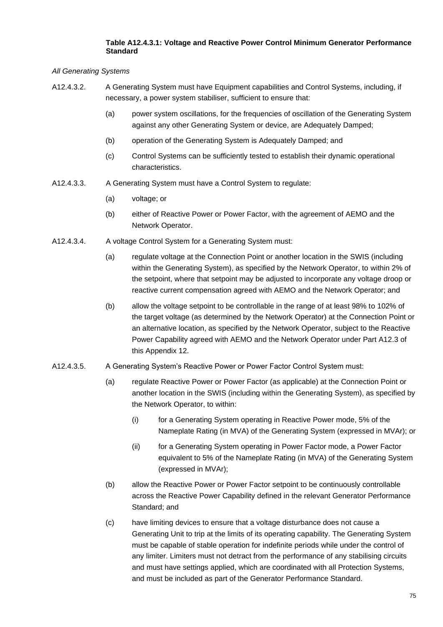#### **Table A12.4.3.1: Voltage and Reactive Power Control Minimum Generator Performance Standard**

*All Generating Systems*

- A12.4.3.2. A Generating System must have Equipment capabilities and Control Systems, including, if necessary, a power system stabiliser, sufficient to ensure that:
	- (a) power system oscillations, for the frequencies of oscillation of the Generating System against any other Generating System or device, are Adequately Damped;
	- (b) operation of the Generating System is Adequately Damped; and
	- (c) Control Systems can be sufficiently tested to establish their dynamic operational characteristics.
- A12.4.3.3. A Generating System must have a Control System to regulate:
	- (a) voltage; or
	- (b) either of Reactive Power or Power Factor, with the agreement of AEMO and the Network Operator.
- A12.4.3.4. A voltage Control System for a Generating System must:
	- (a) regulate voltage at the Connection Point or another location in the SWIS (including within the Generating System), as specified by the Network Operator, to within 2% of the setpoint, where that setpoint may be adjusted to incorporate any voltage droop or reactive current compensation agreed with AEMO and the Network Operator; and
	- (b) allow the voltage setpoint to be controllable in the range of at least 98% to 102% of the target voltage (as determined by the Network Operator) at the Connection Point or an alternative location, as specified by the Network Operator, subject to the Reactive Power Capability agreed with AEMO and the Network Operator under Part A12.3 of this Appendix 12.
- A12.4.3.5. A Generating System's Reactive Power or Power Factor Control System must:
	- (a) regulate Reactive Power or Power Factor (as applicable) at the Connection Point or another location in the SWIS (including within the Generating System), as specified by the Network Operator, to within:
		- (i) for a Generating System operating in Reactive Power mode, 5% of the Nameplate Rating (in MVA) of the Generating System (expressed in MVAr); or
		- (ii) for a Generating System operating in Power Factor mode, a Power Factor equivalent to 5% of the Nameplate Rating (in MVA) of the Generating System (expressed in MVAr);
	- (b) allow the Reactive Power or Power Factor setpoint to be continuously controllable across the Reactive Power Capability defined in the relevant Generator Performance Standard; and
	- (c) have limiting devices to ensure that a voltage disturbance does not cause a Generating Unit to trip at the limits of its operating capability. The Generating System must be capable of stable operation for indefinite periods while under the control of any limiter. Limiters must not detract from the performance of any stabilising circuits and must have settings applied, which are coordinated with all Protection Systems, and must be included as part of the Generator Performance Standard.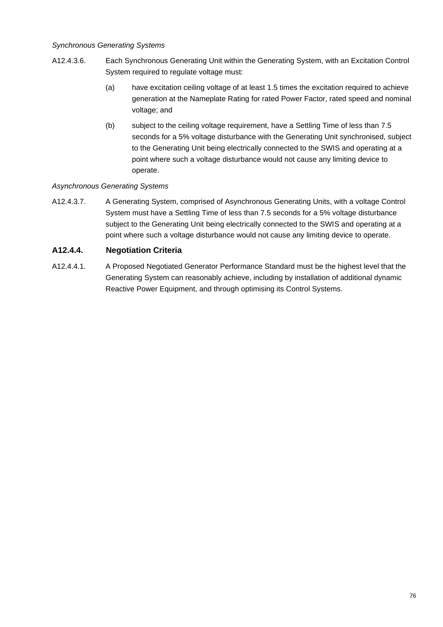#### *Synchronous Generating Systems*

- A12.4.3.6. Each Synchronous Generating Unit within the Generating System, with an Excitation Control System required to regulate voltage must:
	- (a) have excitation ceiling voltage of at least 1.5 times the excitation required to achieve generation at the Nameplate Rating for rated Power Factor, rated speed and nominal voltage; and
	- (b) subject to the ceiling voltage requirement, have a Settling Time of less than 7.5 seconds for a 5% voltage disturbance with the Generating Unit synchronised, subject to the Generating Unit being electrically connected to the SWIS and operating at a point where such a voltage disturbance would not cause any limiting device to operate.

#### *Asynchronous Generating Systems*

A12.4.3.7. A Generating System, comprised of Asynchronous Generating Units, with a voltage Control System must have a Settling Time of less than 7.5 seconds for a 5% voltage disturbance subject to the Generating Unit being electrically connected to the SWIS and operating at a point where such a voltage disturbance would not cause any limiting device to operate.

## **A12.4.4. Negotiation Criteria**

A12.4.4.1. A Proposed Negotiated Generator Performance Standard must be the highest level that the Generating System can reasonably achieve, including by installation of additional dynamic Reactive Power Equipment, and through optimising its Control Systems.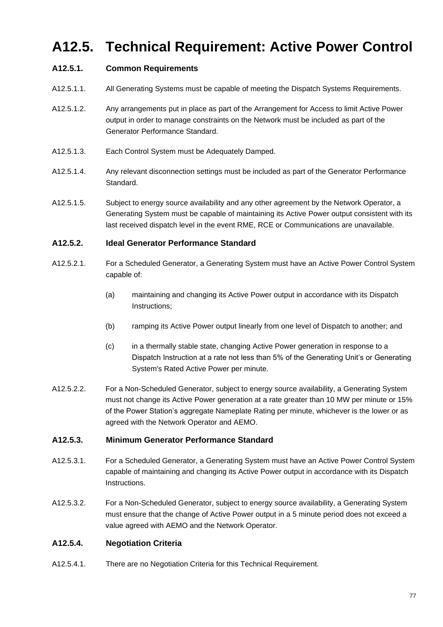# **A12.5. Technical Requirement: Active Power Control**

# **A12.5.1. Common Requirements**

- A12.5.1.1. All Generating Systems must be capable of meeting the Dispatch Systems Requirements.
- A12.5.1.2. Any arrangements put in place as part of the Arrangement for Access to limit Active Power output in order to manage constraints on the Network must be included as part of the Generator Performance Standard.
- A12.5.1.3. Each Control System must be Adequately Damped.
- A12.5.1.4. Any relevant disconnection settings must be included as part of the Generator Performance Standard.
- A12.5.1.5. Subject to energy source availability and any other agreement by the Network Operator, a Generating System must be capable of maintaining its Active Power output consistent with its last received dispatch level in the event RME, RCE or Communications are unavailable.

#### **A12.5.2. Ideal Generator Performance Standard**

- A12.5.2.1. For a Scheduled Generator, a Generating System must have an Active Power Control System capable of:
	- (a) maintaining and changing its Active Power output in accordance with its Dispatch Instructions;
	- (b) ramping its Active Power output linearly from one level of Dispatch to another; and
	- (c) in a thermally stable state, changing Active Power generation in response to a Dispatch Instruction at a rate not less than 5% of the Generating Unit's or Generating System's Rated Active Power per minute.
- A12.5.2.2. For a Non-Scheduled Generator, subject to energy source availability, a Generating System must not change its Active Power generation at a rate greater than 10 MW per minute or 15% of the Power Station's aggregate Nameplate Rating per minute, whichever is the lower or as agreed with the Network Operator and AEMO.

#### **A12.5.3. Minimum Generator Performance Standard**

- A12.5.3.1. For a Scheduled Generator, a Generating System must have an Active Power Control System capable of maintaining and changing its Active Power output in accordance with its Dispatch Instructions.
- A12.5.3.2. For a Non-Scheduled Generator, subject to energy source availability, a Generating System must ensure that the change of Active Power output in a 5 minute period does not exceed a value agreed with AEMO and the Network Operator.

#### **A12.5.4. Negotiation Criteria**

A12.5.4.1. There are no Negotiation Criteria for this Technical Requirement.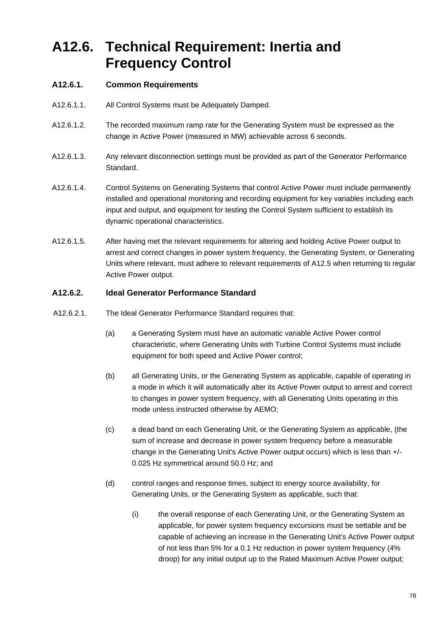# **A12.6. Technical Requirement: Inertia and Frequency Control**

# **A12.6.1. Common Requirements**

- A12.6.1.1. All Control Systems must be Adequately Damped.
- A12.6.1.2. The recorded maximum ramp rate for the Generating System must be expressed as the change in Active Power (measured in MW) achievable across 6 seconds.
- A12.6.1.3. Any relevant disconnection settings must be provided as part of the Generator Performance Standard.
- A12.6.1.4. Control Systems on Generating Systems that control Active Power must include permanently installed and operational monitoring and recording equipment for key variables including each input and output, and equipment for testing the Control System sufficient to establish its dynamic operational characteristics.
- A12.6.1.5. After having met the relevant requirements for altering and holding Active Power output to arrest and correct changes in power system frequency, the Generating System, or Generating Units where relevant, must adhere to relevant requirements of A12.5 when returning to regular Active Power output.

### **A12.6.2. Ideal Generator Performance Standard**

- A12.6.2.1. The Ideal Generator Performance Standard requires that:
	- (a) a Generating System must have an automatic variable Active Power control characteristic, where Generating Units with Turbine Control Systems must include equipment for both speed and Active Power control;
	- (b) all Generating Units, or the Generating System as applicable, capable of operating in a mode in which it will automatically alter its Active Power output to arrest and correct to changes in power system frequency, with all Generating Units operating in this mode unless instructed otherwise by AEMO;
	- (c) a dead band on each Generating Unit, or the Generating System as applicable, (the sum of increase and decrease in power system frequency before a measurable change in the Generating Unit's Active Power output occurs) which is less than +/- 0.025 Hz symmetrical around 50.0 Hz; and
	- (d) control ranges and response times, subject to energy source availability, for Generating Units, or the Generating System as applicable, such that:
		- (i) the overall response of each Generating Unit, or the Generating System as applicable, for power system frequency excursions must be settable and be capable of achieving an increase in the Generating Unit's Active Power output of not less than 5% for a 0.1 Hz reduction in power system frequency (4% droop) for any initial output up to the Rated Maximum Active Power output;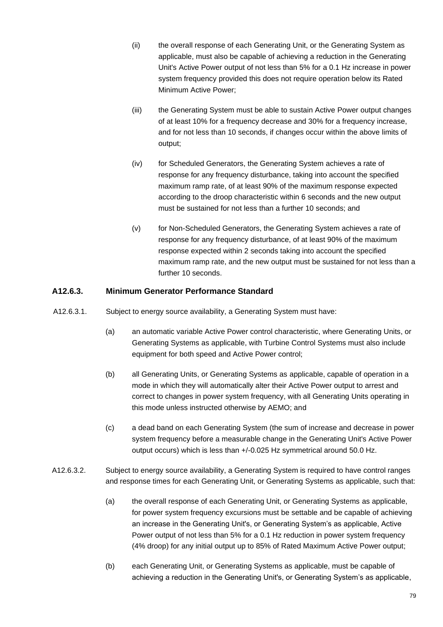- (ii) the overall response of each Generating Unit, or the Generating System as applicable, must also be capable of achieving a reduction in the Generating Unit's Active Power output of not less than 5% for a 0.1 Hz increase in power system frequency provided this does not require operation below its Rated Minimum Active Power;
- (iii) the Generating System must be able to sustain Active Power output changes of at least 10% for a frequency decrease and 30% for a frequency increase, and for not less than 10 seconds, if changes occur within the above limits of output;
- (iv) for Scheduled Generators, the Generating System achieves a rate of response for any frequency disturbance, taking into account the specified maximum ramp rate, of at least 90% of the maximum response expected according to the droop characteristic within 6 seconds and the new output must be sustained for not less than a further 10 seconds; and
- (v) for Non-Scheduled Generators, the Generating System achieves a rate of response for any frequency disturbance, of at least 90% of the maximum response expected within 2 seconds taking into account the specified maximum ramp rate, and the new output must be sustained for not less than a further 10 seconds.

## **A12.6.3. Minimum Generator Performance Standard**

- A12.6.3.1. Subject to energy source availability, a Generating System must have:
	- (a) an automatic variable Active Power control characteristic, where Generating Units, or Generating Systems as applicable, with Turbine Control Systems must also include equipment for both speed and Active Power control;
	- (b) all Generating Units, or Generating Systems as applicable, capable of operation in a mode in which they will automatically alter their Active Power output to arrest and correct to changes in power system frequency, with all Generating Units operating in this mode unless instructed otherwise by AEMO; and
	- (c) a dead band on each Generating System (the sum of increase and decrease in power system frequency before a measurable change in the Generating Unit's Active Power output occurs) which is less than +/-0.025 Hz symmetrical around 50.0 Hz.
- A12.6.3.2. Subject to energy source availability, a Generating System is required to have control ranges and response times for each Generating Unit, or Generating Systems as applicable, such that:
	- (a) the overall response of each Generating Unit, or Generating Systems as applicable, for power system frequency excursions must be settable and be capable of achieving an increase in the Generating Unit's, or Generating System's as applicable, Active Power output of not less than 5% for a 0.1 Hz reduction in power system frequency (4% droop) for any initial output up to 85% of Rated Maximum Active Power output;
	- (b) each Generating Unit, or Generating Systems as applicable, must be capable of achieving a reduction in the Generating Unit's, or Generating System's as applicable,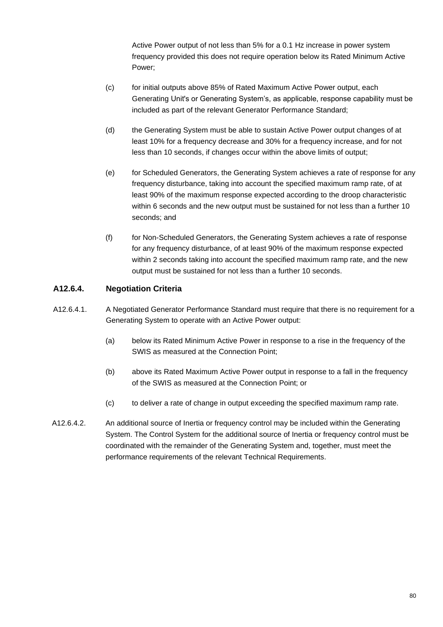Active Power output of not less than 5% for a 0.1 Hz increase in power system frequency provided this does not require operation below its Rated Minimum Active Power;

- (c) for initial outputs above 85% of Rated Maximum Active Power output, each Generating Unit's or Generating System's, as applicable, response capability must be included as part of the relevant Generator Performance Standard;
- (d) the Generating System must be able to sustain Active Power output changes of at least 10% for a frequency decrease and 30% for a frequency increase, and for not less than 10 seconds, if changes occur within the above limits of output;
- (e) for Scheduled Generators, the Generating System achieves a rate of response for any frequency disturbance, taking into account the specified maximum ramp rate, of at least 90% of the maximum response expected according to the droop characteristic within 6 seconds and the new output must be sustained for not less than a further 10 seconds; and
- (f) for Non-Scheduled Generators, the Generating System achieves a rate of response for any frequency disturbance, of at least 90% of the maximum response expected within 2 seconds taking into account the specified maximum ramp rate, and the new output must be sustained for not less than a further 10 seconds.

## **A12.6.4. Negotiation Criteria**

- A12.6.4.1. A Negotiated Generator Performance Standard must require that there is no requirement for a Generating System to operate with an Active Power output:
	- (a) below its Rated Minimum Active Power in response to a rise in the frequency of the SWIS as measured at the Connection Point;
	- (b) above its Rated Maximum Active Power output in response to a fall in the frequency of the SWIS as measured at the Connection Point; or
	- (c) to deliver a rate of change in output exceeding the specified maximum ramp rate.
- A12.6.4.2. An additional source of Inertia or frequency control may be included within the Generating System. The Control System for the additional source of Inertia or frequency control must be coordinated with the remainder of the Generating System and, together, must meet the performance requirements of the relevant Technical Requirements.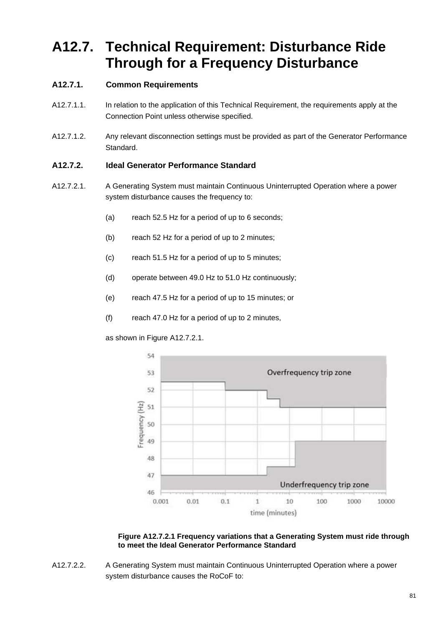# **A12.7. Technical Requirement: Disturbance Ride Through for a Frequency Disturbance**

# **A12.7.1. Common Requirements**

- A12.7.1.1. In relation to the application of this Technical Requirement, the requirements apply at the Connection Point unless otherwise specified.
- A12.7.1.2. Any relevant disconnection settings must be provided as part of the Generator Performance Standard.

## **A12.7.2. Ideal Generator Performance Standard**

- A12.7.2.1. A Generating System must maintain Continuous Uninterrupted Operation where a power system disturbance causes the frequency to:
	- (a) reach 52.5 Hz for a period of up to 6 seconds;
	- (b) reach 52 Hz for a period of up to 2 minutes;
	- (c) reach 51.5 Hz for a period of up to 5 minutes;
	- (d) operate between 49.0 Hz to 51.0 Hz continuously;
	- (e) reach 47.5 Hz for a period of up to 15 minutes; or
	- (f) reach 47.0 Hz for a period of up to 2 minutes,

as shown in Figure A12.7.2.1.



**Figure A12.7.2.1 Frequency variations that a Generating System must ride through to meet the Ideal Generator Performance Standard** 

A12.7.2.2. A Generating System must maintain Continuous Uninterrupted Operation where a power system disturbance causes the RoCoF to: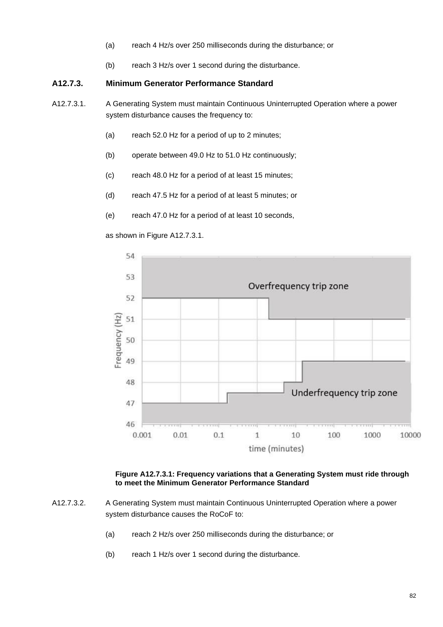- (a) reach 4 Hz/s over 250 milliseconds during the disturbance; or
- (b) reach 3 Hz/s over 1 second during the disturbance.

#### **A12.7.3. Minimum Generator Performance Standard**

- A12.7.3.1. A Generating System must maintain Continuous Uninterrupted Operation where a power system disturbance causes the frequency to:
	- (a) reach 52.0 Hz for a period of up to 2 minutes;
	- (b) operate between 49.0 Hz to 51.0 Hz continuously;
	- (c) reach 48.0 Hz for a period of at least 15 minutes;
	- (d) reach 47.5 Hz for a period of at least 5 minutes; or
	- (e) reach 47.0 Hz for a period of at least 10 seconds,

as shown in Figure A12.7.3.1.



**Figure A12.7.3.1: Frequency variations that a Generating System must ride through to meet the Minimum Generator Performance Standard** 

- A12.7.3.2. A Generating System must maintain Continuous Uninterrupted Operation where a power system disturbance causes the RoCoF to:
	- (a) reach 2 Hz/s over 250 milliseconds during the disturbance; or
	- (b) reach 1 Hz/s over 1 second during the disturbance.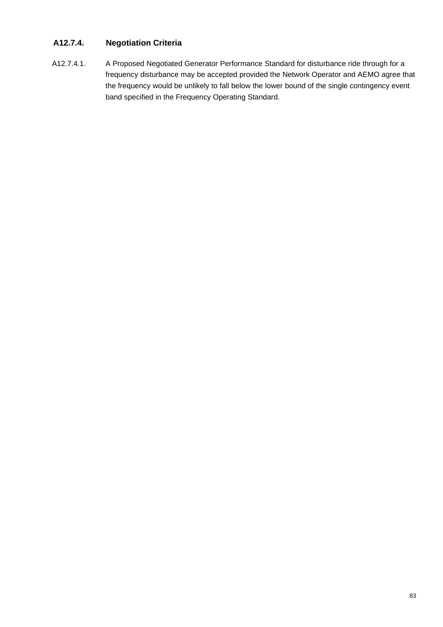# **A12.7.4. Negotiation Criteria**

A12.7.4.1. A Proposed Negotiated Generator Performance Standard for disturbance ride through for a frequency disturbance may be accepted provided the Network Operator and AEMO agree that the frequency would be unlikely to fall below the lower bound of the single contingency event band specified in the Frequency Operating Standard.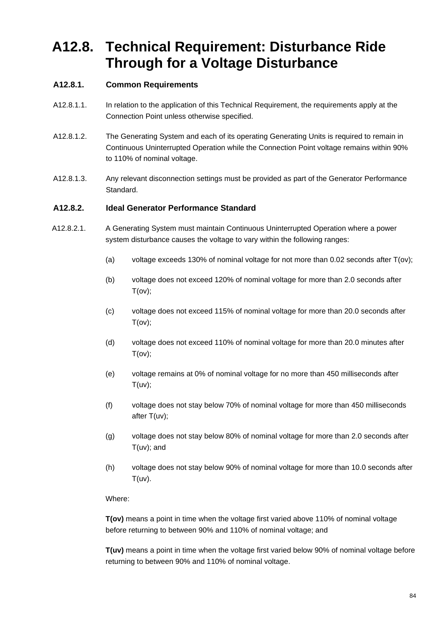# **A12.8. Technical Requirement: Disturbance Ride Through for a Voltage Disturbance**

## **A12.8.1. Common Requirements**

- A12.8.1.1. In relation to the application of this Technical Requirement, the requirements apply at the Connection Point unless otherwise specified.
- A12.8.1.2. The Generating System and each of its operating Generating Units is required to remain in Continuous Uninterrupted Operation while the Connection Point voltage remains within 90% to 110% of nominal voltage.
- A12.8.1.3. Any relevant disconnection settings must be provided as part of the Generator Performance Standard.

#### **A12.8.2. Ideal Generator Performance Standard**

- A12.8.2.1. A Generating System must maintain Continuous Uninterrupted Operation where a power system disturbance causes the voltage to vary within the following ranges:
	- (a) voltage exceeds 130% of nominal voltage for not more than 0.02 seconds after T(ov);
	- (b) voltage does not exceed 120% of nominal voltage for more than 2.0 seconds after  $T(ov)$ ;
	- (c) voltage does not exceed 115% of nominal voltage for more than 20.0 seconds after  $T(ov)$ ;
	- (d) voltage does not exceed 110% of nominal voltage for more than 20.0 minutes after  $T(ov)$ ;
	- (e) voltage remains at 0% of nominal voltage for no more than 450 milliseconds after  $T(uv)$ ;
	- (f) voltage does not stay below 70% of nominal voltage for more than 450 milliseconds after T(uv);
	- (g) voltage does not stay below 80% of nominal voltage for more than 2.0 seconds after T(uv); and
	- (h) voltage does not stay below 90% of nominal voltage for more than 10.0 seconds after  $T(uv)$ .

#### Where:

**T(ov)** means a point in time when the voltage first varied above 110% of nominal voltage before returning to between 90% and 110% of nominal voltage; and

**T(uv)** means a point in time when the voltage first varied below 90% of nominal voltage before returning to between 90% and 110% of nominal voltage.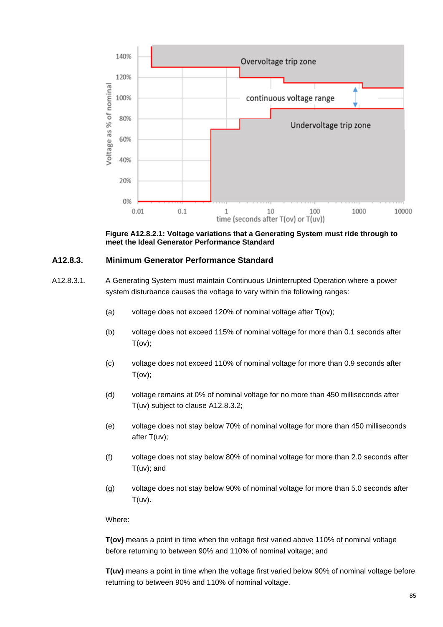

**Figure A12.8.2.1: Voltage variations that a Generating System must ride through to meet the Ideal Generator Performance Standard**

### **A12.8.3. Minimum Generator Performance Standard**

A12.8.3.1. A Generating System must maintain Continuous Uninterrupted Operation where a power system disturbance causes the voltage to vary within the following ranges:

- (a) voltage does not exceed 120% of nominal voltage after T(ov);
- (b) voltage does not exceed 115% of nominal voltage for more than 0.1 seconds after  $T(ov)$ ;
- (c) voltage does not exceed 110% of nominal voltage for more than 0.9 seconds after T(ov);
- (d) voltage remains at 0% of nominal voltage for no more than 450 milliseconds after T(uv) subject to clause A12.8.3.2;
- (e) voltage does not stay below 70% of nominal voltage for more than 450 milliseconds after T(uv);
- (f) voltage does not stay below 80% of nominal voltage for more than 2.0 seconds after T(uv); and
- (g) voltage does not stay below 90% of nominal voltage for more than 5.0 seconds after  $T(uv)$ .

Where:

**T(ov)** means a point in time when the voltage first varied above 110% of nominal voltage before returning to between 90% and 110% of nominal voltage; and

**T(uv)** means a point in time when the voltage first varied below 90% of nominal voltage before returning to between 90% and 110% of nominal voltage.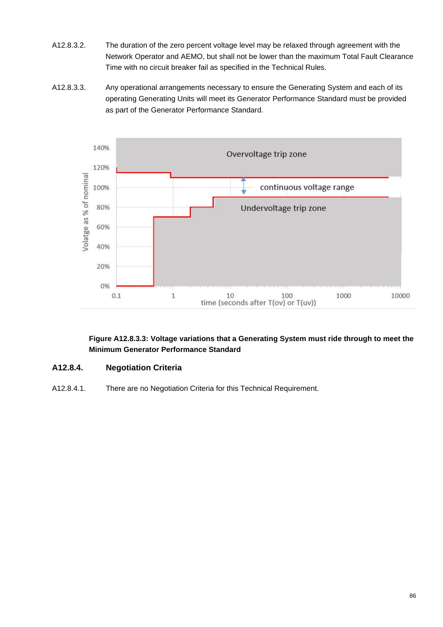- A12.8.3.2. The duration of the zero percent voltage level may be relaxed through agreement with the Network Operator and AEMO, but shall not be lower than the maximum Total Fault Clearance Time with no circuit breaker fail as specified in the Technical Rules.
- A12.8.3.3. Any operational arrangements necessary to ensure the Generating System and each of its operating Generating Units will meet its Generator Performance Standard must be provided as part of the Generator Performance Standard.



**Figure A12.8.3.3: Voltage variations that a Generating System must ride through to meet the Minimum Generator Performance Standard**

### **A12.8.4. Negotiation Criteria**

A12.8.4.1. There are no Negotiation Criteria for this Technical Requirement.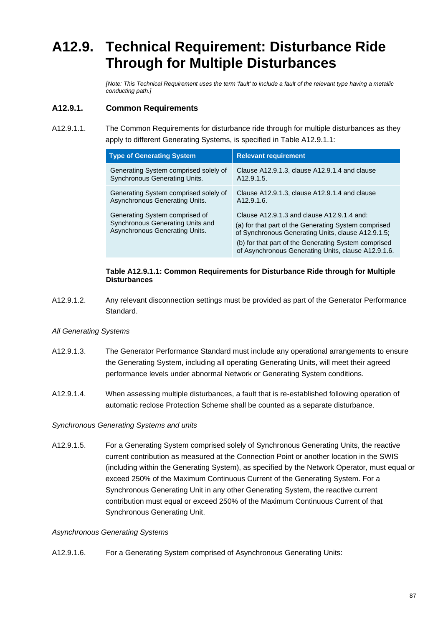# **A12.9. Technical Requirement: Disturbance Ride Through for Multiple Disturbances**

*[Note: This Technical Requirement uses the term 'fault' to include a fault of the relevant type having a metallic conducting path.]*

## **A12.9.1. Common Requirements**

A12.9.1.1. The Common Requirements for disturbance ride through for multiple disturbances as they apply to different Generating Systems, is specified in Table A12.9.1.1:

| <b>Type of Generating System</b>                                                                     | <b>Relevant requirement</b>                                                                                                                                                                                                                                             |
|------------------------------------------------------------------------------------------------------|-------------------------------------------------------------------------------------------------------------------------------------------------------------------------------------------------------------------------------------------------------------------------|
| Generating System comprised solely of                                                                | Clause A12.9.1.3, clause A12.9.1.4 and clause                                                                                                                                                                                                                           |
| Synchronous Generating Units.                                                                        | A12.9.1.5.                                                                                                                                                                                                                                                              |
| Generating System comprised solely of                                                                | Clause A12.9.1.3, clause A12.9.1.4 and clause                                                                                                                                                                                                                           |
| Asynchronous Generating Units.                                                                       | A12.9.1.6.                                                                                                                                                                                                                                                              |
| Generating System comprised of<br>Synchronous Generating Units and<br>Asynchronous Generating Units. | Clause A12.9.1.3 and clause A12.9.1.4 and:<br>(a) for that part of the Generating System comprised<br>of Synchronous Generating Units, clause A12.9.1.5;<br>(b) for that part of the Generating System comprised<br>of Asynchronous Generating Units, clause A12.9.1.6. |

#### **Table A12.9.1.1: Common Requirements for Disturbance Ride through for Multiple Disturbances**

A12.9.1.2. Any relevant disconnection settings must be provided as part of the Generator Performance Standard.

#### *All Generating Systems*

- A12.9.1.3. The Generator Performance Standard must include any operational arrangements to ensure the Generating System, including all operating Generating Units, will meet their agreed performance levels under abnormal Network or Generating System conditions.
- A12.9.1.4. When assessing multiple disturbances, a fault that is re-established following operation of automatic reclose Protection Scheme shall be counted as a separate disturbance.

#### *Synchronous Generating Systems and units*

A12.9.1.5. For a Generating System comprised solely of Synchronous Generating Units, the reactive current contribution as measured at the Connection Point or another location in the SWIS (including within the Generating System), as specified by the Network Operator, must equal or exceed 250% of the Maximum Continuous Current of the Generating System. For a Synchronous Generating Unit in any other Generating System, the reactive current contribution must equal or exceed 250% of the Maximum Continuous Current of that Synchronous Generating Unit.

#### *Asynchronous Generating Systems*

A12.9.1.6. For a Generating System comprised of Asynchronous Generating Units: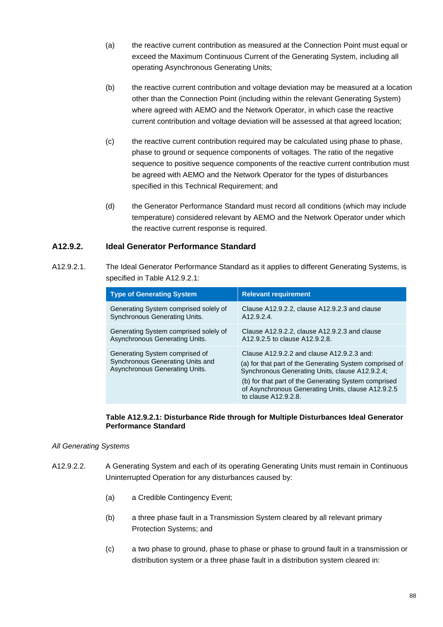- (a) the reactive current contribution as measured at the Connection Point must equal or exceed the Maximum Continuous Current of the Generating System, including all operating Asynchronous Generating Units;
- (b) the reactive current contribution and voltage deviation may be measured at a location other than the Connection Point (including within the relevant Generating System) where agreed with AEMO and the Network Operator, in which case the reactive current contribution and voltage deviation will be assessed at that agreed location;
- (c) the reactive current contribution required may be calculated using phase to phase, phase to ground or sequence components of voltages. The ratio of the negative sequence to positive sequence components of the reactive current contribution must be agreed with AEMO and the Network Operator for the types of disturbances specified in this Technical Requirement; and
- (d) the Generator Performance Standard must record all conditions (which may include temperature) considered relevant by AEMO and the Network Operator under which the reactive current response is required.

### **A12.9.2. Ideal Generator Performance Standard**

A12.9.2.1. The Ideal Generator Performance Standard as it applies to different Generating Systems, is specified in Table A12.9.2.1:

| <b>Type of Generating System</b>                                                                     | <b>Relevant requirement</b>                                                                                                                                                                                                                                                                    |
|------------------------------------------------------------------------------------------------------|------------------------------------------------------------------------------------------------------------------------------------------------------------------------------------------------------------------------------------------------------------------------------------------------|
| Generating System comprised solely of                                                                | Clause A12.9.2.2, clause A12.9.2.3 and clause                                                                                                                                                                                                                                                  |
| <b>Synchronous Generating Units.</b>                                                                 | A12.9.2.4                                                                                                                                                                                                                                                                                      |
| Generating System comprised solely of                                                                | Clause A12.9.2.2, clause A12.9.2.3 and clause                                                                                                                                                                                                                                                  |
| Asynchronous Generating Units.                                                                       | A12.9.2.5 to clause A12.9.2.8.                                                                                                                                                                                                                                                                 |
| Generating System comprised of<br>Synchronous Generating Units and<br>Asynchronous Generating Units. | Clause A12.9.2.2 and clause A12.9.2.3 and:<br>(a) for that part of the Generating System comprised of<br>Synchronous Generating Units, clause A12.9.2.4;<br>(b) for that part of the Generating System comprised<br>of Asynchronous Generating Units, clause A12.9.2.5<br>to clause A12.9.2.8. |

#### **Table A12.9.2.1: Disturbance Ride through for Multiple Disturbances Ideal Generator Performance Standard**

#### *All Generating Systems*

- A12.9.2.2. A Generating System and each of its operating Generating Units must remain in Continuous Uninterrupted Operation for any disturbances caused by:
	- (a) a Credible Contingency Event;
	- (b) a three phase fault in a Transmission System cleared by all relevant primary Protection Systems; and
	- (c) a two phase to ground, phase to phase or phase to ground fault in a transmission or distribution system or a three phase fault in a distribution system cleared in: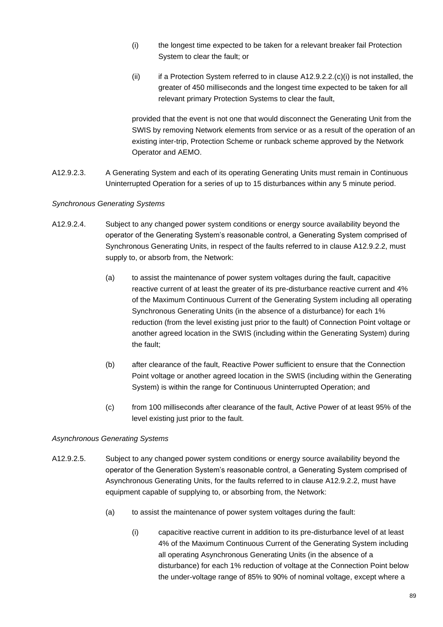- (i) the longest time expected to be taken for a relevant breaker fail Protection System to clear the fault; or
- (ii) if a Protection System referred to in clause  $A12.9.2.2.$ (c)(i) is not installed, the greater of 450 milliseconds and the longest time expected to be taken for all relevant primary Protection Systems to clear the fault,

provided that the event is not one that would disconnect the Generating Unit from the SWIS by removing Network elements from service or as a result of the operation of an existing inter-trip, Protection Scheme or runback scheme approved by the Network Operator and AEMO.

A12.9.2.3. A Generating System and each of its operating Generating Units must remain in Continuous Uninterrupted Operation for a series of up to 15 disturbances within any 5 minute period.

### *Synchronous Generating Systems*

- A12.9.2.4. Subject to any changed power system conditions or energy source availability beyond the operator of the Generating System's reasonable control, a Generating System comprised of Synchronous Generating Units, in respect of the faults referred to in clause A12.9.2.2, must supply to, or absorb from, the Network:
	- (a) to assist the maintenance of power system voltages during the fault, capacitive reactive current of at least the greater of its pre-disturbance reactive current and 4% of the Maximum Continuous Current of the Generating System including all operating Synchronous Generating Units (in the absence of a disturbance) for each 1% reduction (from the level existing just prior to the fault) of Connection Point voltage or another agreed location in the SWIS (including within the Generating System) during the fault;
	- (b) after clearance of the fault, Reactive Power sufficient to ensure that the Connection Point voltage or another agreed location in the SWIS (including within the Generating System) is within the range for Continuous Uninterrupted Operation; and
	- (c) from 100 milliseconds after clearance of the fault, Active Power of at least 95% of the level existing just prior to the fault.

### *Asynchronous Generating Systems*

- A12.9.2.5. Subject to any changed power system conditions or energy source availability beyond the operator of the Generation System's reasonable control, a Generating System comprised of Asynchronous Generating Units, for the faults referred to in clause A12.9.2.2, must have equipment capable of supplying to, or absorbing from, the Network:
	- (a) to assist the maintenance of power system voltages during the fault:
		- (i) capacitive reactive current in addition to its pre-disturbance level of at least 4% of the Maximum Continuous Current of the Generating System including all operating Asynchronous Generating Units (in the absence of a disturbance) for each 1% reduction of voltage at the Connection Point below the under-voltage range of 85% to 90% of nominal voltage, except where a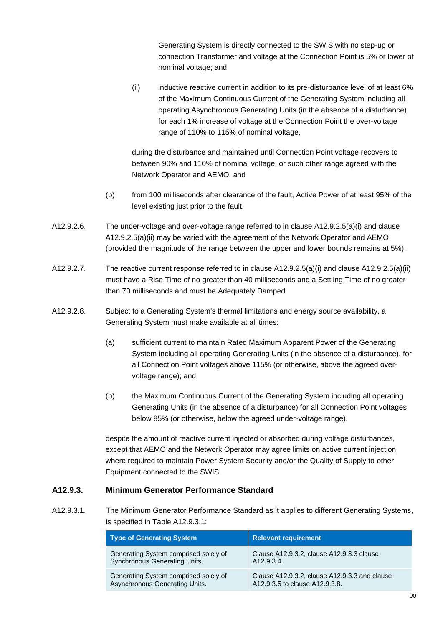Generating System is directly connected to the SWIS with no step-up or connection Transformer and voltage at the Connection Point is 5% or lower of nominal voltage; and

(ii) inductive reactive current in addition to its pre-disturbance level of at least 6% of the Maximum Continuous Current of the Generating System including all operating Asynchronous Generating Units (in the absence of a disturbance) for each 1% increase of voltage at the Connection Point the over-voltage range of 110% to 115% of nominal voltage,

during the disturbance and maintained until Connection Point voltage recovers to between 90% and 110% of nominal voltage, or such other range agreed with the Network Operator and AEMO; and

- (b) from 100 milliseconds after clearance of the fault, Active Power of at least 95% of the level existing just prior to the fault.
- A12.9.2.6. The under-voltage and over-voltage range referred to in clause A12.9.2.5(a)(i) and clause A12.9.2.5(a)(ii) may be varied with the agreement of the Network Operator and AEMO (provided the magnitude of the range between the upper and lower bounds remains at 5%).
- A12.9.2.7. The reactive current response referred to in clause A12.9.2.5(a)(i) and clause A12.9.2.5(a)(ii) must have a Rise Time of no greater than 40 milliseconds and a Settling Time of no greater than 70 milliseconds and must be Adequately Damped.
- A12.9.2.8. Subject to a Generating System's thermal limitations and energy source availability, a Generating System must make available at all times:
	- (a) sufficient current to maintain Rated Maximum Apparent Power of the Generating System including all operating Generating Units (in the absence of a disturbance), for all Connection Point voltages above 115% (or otherwise, above the agreed overvoltage range); and
	- (b) the Maximum Continuous Current of the Generating System including all operating Generating Units (in the absence of a disturbance) for all Connection Point voltages below 85% (or otherwise, below the agreed under-voltage range),

despite the amount of reactive current injected or absorbed during voltage disturbances, except that AEMO and the Network Operator may agree limits on active current injection where required to maintain Power System Security and/or the Quality of Supply to other Equipment connected to the SWIS.

### **A12.9.3. Minimum Generator Performance Standard**

A12.9.3.1. The Minimum Generator Performance Standard as it applies to different Generating Systems, is specified in Table A12.9.3.1:

| <b>Type of Generating System</b>      | <b>Relevant requirement</b>                   |
|---------------------------------------|-----------------------------------------------|
| Generating System comprised solely of | Clause A12.9.3.2, clause A12.9.3.3 clause     |
| <b>Synchronous Generating Units.</b>  | A12.9.3.4.                                    |
| Generating System comprised solely of | Clause A12.9.3.2, clause A12.9.3.3 and clause |
| Asynchronous Generating Units.        | A12,9,3,5 to clause A12,9,3,8.                |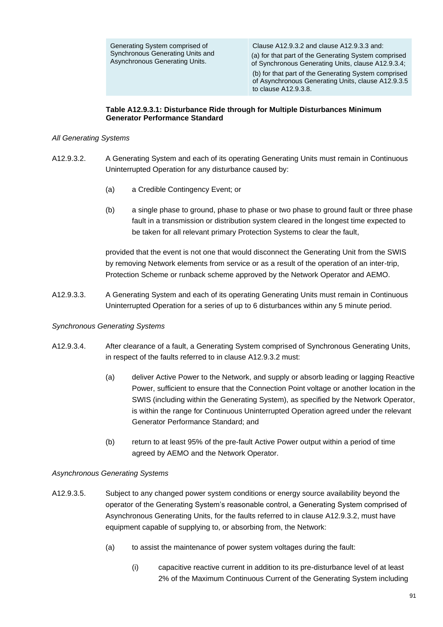Clause A12.9.3.2 and clause A12.9.3.3 and: (a) for that part of the Generating System comprised of Synchronous Generating Units, clause A12.9.3.4; (b) for that part of the Generating System comprised of Asynchronous Generating Units, clause A12.9.3.5 to clause A12.9.3.8.

#### **Table A12.9.3.1: Disturbance Ride through for Multiple Disturbances Minimum Generator Performance Standard**

#### *All Generating Systems*

- A12.9.3.2. A Generating System and each of its operating Generating Units must remain in Continuous Uninterrupted Operation for any disturbance caused by:
	- (a) a Credible Contingency Event; or
	- (b) a single phase to ground, phase to phase or two phase to ground fault or three phase fault in a transmission or distribution system cleared in the longest time expected to be taken for all relevant primary Protection Systems to clear the fault,

provided that the event is not one that would disconnect the Generating Unit from the SWIS by removing Network elements from service or as a result of the operation of an inter-trip, Protection Scheme or runback scheme approved by the Network Operator and AEMO.

A12.9.3.3. A Generating System and each of its operating Generating Units must remain in Continuous Uninterrupted Operation for a series of up to 6 disturbances within any 5 minute period.

#### *Synchronous Generating Systems*

- A12.9.3.4. After clearance of a fault, a Generating System comprised of Synchronous Generating Units, in respect of the faults referred to in clause A12.9.3.2 must:
	- (a) deliver Active Power to the Network, and supply or absorb leading or lagging Reactive Power, sufficient to ensure that the Connection Point voltage or another location in the SWIS (including within the Generating System), as specified by the Network Operator, is within the range for Continuous Uninterrupted Operation agreed under the relevant Generator Performance Standard; and
	- (b) return to at least 95% of the pre-fault Active Power output within a period of time agreed by AEMO and the Network Operator.

#### *Asynchronous Generating Systems*

- A12.9.3.5. Subject to any changed power system conditions or energy source availability beyond the operator of the Generating System's reasonable control, a Generating System comprised of Asynchronous Generating Units, for the faults referred to in clause A12.9.3.2, must have equipment capable of supplying to, or absorbing from, the Network:
	- (a) to assist the maintenance of power system voltages during the fault:
		- (i) capacitive reactive current in addition to its pre-disturbance level of at least 2% of the Maximum Continuous Current of the Generating System including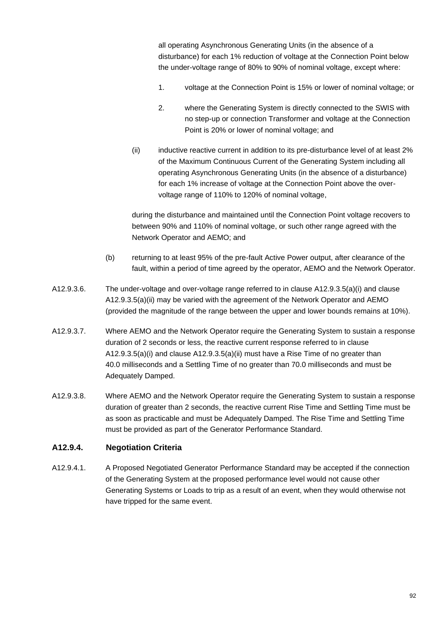all operating Asynchronous Generating Units (in the absence of a disturbance) for each 1% reduction of voltage at the Connection Point below the under-voltage range of 80% to 90% of nominal voltage, except where:

- 1. voltage at the Connection Point is 15% or lower of nominal voltage; or
- 2. where the Generating System is directly connected to the SWIS with no step-up or connection Transformer and voltage at the Connection Point is 20% or lower of nominal voltage; and
- (ii) inductive reactive current in addition to its pre-disturbance level of at least 2% of the Maximum Continuous Current of the Generating System including all operating Asynchronous Generating Units (in the absence of a disturbance) for each 1% increase of voltage at the Connection Point above the overvoltage range of 110% to 120% of nominal voltage,

during the disturbance and maintained until the Connection Point voltage recovers to between 90% and 110% of nominal voltage, or such other range agreed with the Network Operator and AEMO; and

- (b) returning to at least 95% of the pre-fault Active Power output, after clearance of the fault, within a period of time agreed by the operator, AEMO and the Network Operator.
- A12.9.3.6. The under-voltage and over-voltage range referred to in clause A12.9.3.5(a)(i) and clause A12.9.3.5(a)(ii) may be varied with the agreement of the Network Operator and AEMO (provided the magnitude of the range between the upper and lower bounds remains at 10%).
- A12.9.3.7. Where AEMO and the Network Operator require the Generating System to sustain a response duration of 2 seconds or less, the reactive current response referred to in clause A12.9.3.5(a)(i) and clause A12.9.3.5(a)(ii) must have a Rise Time of no greater than 40.0 milliseconds and a Settling Time of no greater than 70.0 milliseconds and must be Adequately Damped.
- A12.9.3.8. Where AEMO and the Network Operator require the Generating System to sustain a response duration of greater than 2 seconds, the reactive current Rise Time and Settling Time must be as soon as practicable and must be Adequately Damped. The Rise Time and Settling Time must be provided as part of the Generator Performance Standard.

### **A12.9.4. Negotiation Criteria**

A12.9.4.1. A Proposed Negotiated Generator Performance Standard may be accepted if the connection of the Generating System at the proposed performance level would not cause other Generating Systems or Loads to trip as a result of an event, when they would otherwise not have tripped for the same event.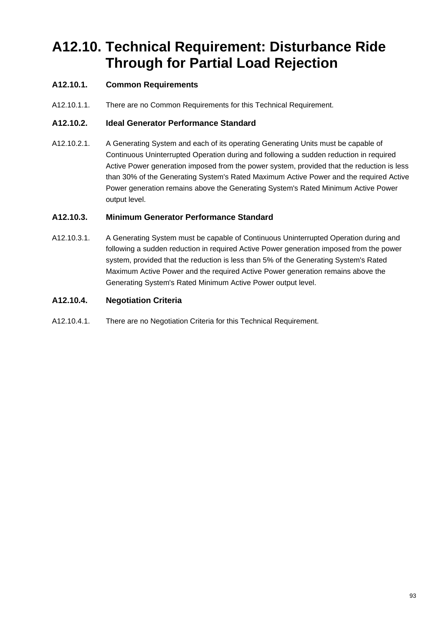# **A12.10. Technical Requirement: Disturbance Ride Through for Partial Load Rejection**

# **A12.10.1. Common Requirements**

A12.10.1.1. There are no Common Requirements for this Technical Requirement.

## **A12.10.2. Ideal Generator Performance Standard**

A12.10.2.1. A Generating System and each of its operating Generating Units must be capable of Continuous Uninterrupted Operation during and following a sudden reduction in required Active Power generation imposed from the power system, provided that the reduction is less than 30% of the Generating System's Rated Maximum Active Power and the required Active Power generation remains above the Generating System's Rated Minimum Active Power output level.

# **A12.10.3. Minimum Generator Performance Standard**

A12.10.3.1. A Generating System must be capable of Continuous Uninterrupted Operation during and following a sudden reduction in required Active Power generation imposed from the power system, provided that the reduction is less than 5% of the Generating System's Rated Maximum Active Power and the required Active Power generation remains above the Generating System's Rated Minimum Active Power output level.

## **A12.10.4. Negotiation Criteria**

A12.10.4.1. There are no Negotiation Criteria for this Technical Requirement.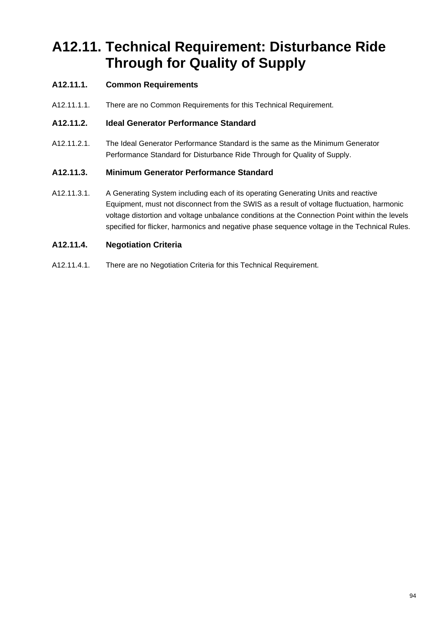# **A12.11. Technical Requirement: Disturbance Ride Through for Quality of Supply**

# **A12.11.1. Common Requirements**

A12.11.1.1. There are no Common Requirements for this Technical Requirement.

## **A12.11.2. Ideal Generator Performance Standard**

A12.11.2.1. The Ideal Generator Performance Standard is the same as the Minimum Generator Performance Standard for Disturbance Ride Through for Quality of Supply.

# **A12.11.3. Minimum Generator Performance Standard**

A12.11.3.1. A Generating System including each of its operating Generating Units and reactive Equipment, must not disconnect from the SWIS as a result of voltage fluctuation, harmonic voltage distortion and voltage unbalance conditions at the Connection Point within the levels specified for flicker, harmonics and negative phase sequence voltage in the Technical Rules.

# **A12.11.4. Negotiation Criteria**

A12.11.4.1. There are no Negotiation Criteria for this Technical Requirement.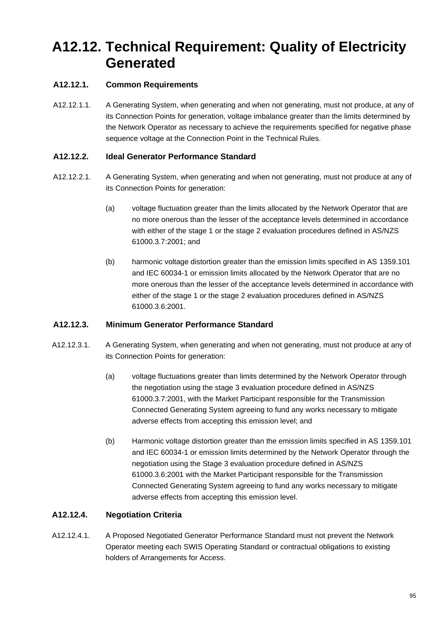# **A12.12. Technical Requirement: Quality of Electricity Generated**

# **A12.12.1. Common Requirements**

A12.12.1.1. A Generating System, when generating and when not generating, must not produce, at any of its Connection Points for generation, voltage imbalance greater than the limits determined by the Network Operator as necessary to achieve the requirements specified for negative phase sequence voltage at the Connection Point in the Technical Rules.

## **A12.12.2. Ideal Generator Performance Standard**

- A12.12.2.1. A Generating System, when generating and when not generating, must not produce at any of its Connection Points for generation:
	- (a) voltage fluctuation greater than the limits allocated by the Network Operator that are no more onerous than the lesser of the acceptance levels determined in accordance with either of the stage 1 or the stage 2 evaluation procedures defined in AS/NZS 61000.3.7:2001; and
	- (b) harmonic voltage distortion greater than the emission limits specified in AS 1359.101 and IEC 60034-1 or emission limits allocated by the Network Operator that are no more onerous than the lesser of the acceptance levels determined in accordance with either of the stage 1 or the stage 2 evaluation procedures defined in AS/NZS 61000.3.6:2001.

# **A12.12.3. Minimum Generator Performance Standard**

- A12.12.3.1. A Generating System, when generating and when not generating, must not produce at any of its Connection Points for generation:
	- (a) voltage fluctuations greater than limits determined by the Network Operator through the negotiation using the stage 3 evaluation procedure defined in AS/NZS 61000.3.7:2001, with the Market Participant responsible for the Transmission Connected Generating System agreeing to fund any works necessary to mitigate adverse effects from accepting this emission level; and
	- (b) Harmonic voltage distortion greater than the emission limits specified in AS 1359.101 and IEC 60034-1 or emission limits determined by the Network Operator through the negotiation using the Stage 3 evaluation procedure defined in AS/NZS 61000.3.6:2001 with the Market Participant responsible for the Transmission Connected Generating System agreeing to fund any works necessary to mitigate adverse effects from accepting this emission level.

# **A12.12.4. Negotiation Criteria**

A12.12.4.1. A Proposed Negotiated Generator Performance Standard must not prevent the Network Operator meeting each SWIS Operating Standard or contractual obligations to existing holders of Arrangements for Access.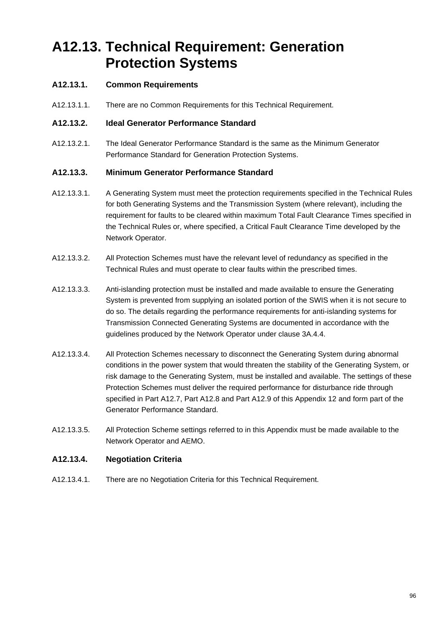# **A12.13. Technical Requirement: Generation Protection Systems**

# **A12.13.1. Common Requirements**

A12.13.1.1. There are no Common Requirements for this Technical Requirement.

#### **A12.13.2. Ideal Generator Performance Standard**

A12.13.2.1. The Ideal Generator Performance Standard is the same as the Minimum Generator Performance Standard for Generation Protection Systems.

### **A12.13.3. Minimum Generator Performance Standard**

- A12.13.3.1. A Generating System must meet the protection requirements specified in the Technical Rules for both Generating Systems and the Transmission System (where relevant), including the requirement for faults to be cleared within maximum Total Fault Clearance Times specified in the Technical Rules or, where specified, a Critical Fault Clearance Time developed by the Network Operator.
- A12.13.3.2. All Protection Schemes must have the relevant level of redundancy as specified in the Technical Rules and must operate to clear faults within the prescribed times.
- A12.13.3.3. Anti-islanding protection must be installed and made available to ensure the Generating System is prevented from supplying an isolated portion of the SWIS when it is not secure to do so. The details regarding the performance requirements for anti-islanding systems for Transmission Connected Generating Systems are documented in accordance with the guidelines produced by the Network Operator under clause 3A.4.4.
- A12.13.3.4. All Protection Schemes necessary to disconnect the Generating System during abnormal conditions in the power system that would threaten the stability of the Generating System, or risk damage to the Generating System, must be installed and available. The settings of these Protection Schemes must deliver the required performance for disturbance ride through specified in Part A12.7, Part A12.8 and Part A12.9 of this Appendix 12 and form part of the Generator Performance Standard.
- A12.13.3.5. All Protection Scheme settings referred to in this Appendix must be made available to the Network Operator and AEMO.

### **A12.13.4. Negotiation Criteria**

A12.13.4.1. There are no Negotiation Criteria for this Technical Requirement.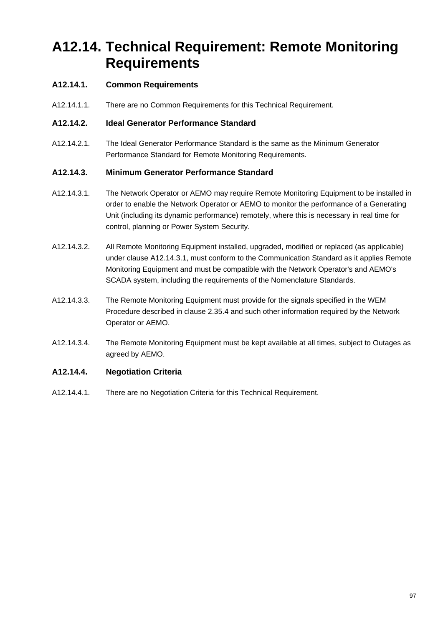# **A12.14. Technical Requirement: Remote Monitoring Requirements**

# **A12.14.1. Common Requirements**

A12.14.1.1. There are no Common Requirements for this Technical Requirement.

### **A12.14.2. Ideal Generator Performance Standard**

A12.14.2.1. The Ideal Generator Performance Standard is the same as the Minimum Generator Performance Standard for Remote Monitoring Requirements.

## **A12.14.3. Minimum Generator Performance Standard**

- A12.14.3.1. The Network Operator or AEMO may require Remote Monitoring Equipment to be installed in order to enable the Network Operator or AEMO to monitor the performance of a Generating Unit (including its dynamic performance) remotely, where this is necessary in real time for control, planning or Power System Security.
- A12.14.3.2. All Remote Monitoring Equipment installed, upgraded, modified or replaced (as applicable) under clause A12.14.3.1, must conform to the Communication Standard as it applies Remote Monitoring Equipment and must be compatible with the Network Operator's and AEMO's SCADA system, including the requirements of the Nomenclature Standards.
- A12.14.3.3. The Remote Monitoring Equipment must provide for the signals specified in the WEM Procedure described in clause 2.35.4 and such other information required by the Network Operator or AEMO.
- A12.14.3.4. The Remote Monitoring Equipment must be kept available at all times, subject to Outages as agreed by AEMO.

# **A12.14.4. Negotiation Criteria**

A12.14.4.1. There are no Negotiation Criteria for this Technical Requirement.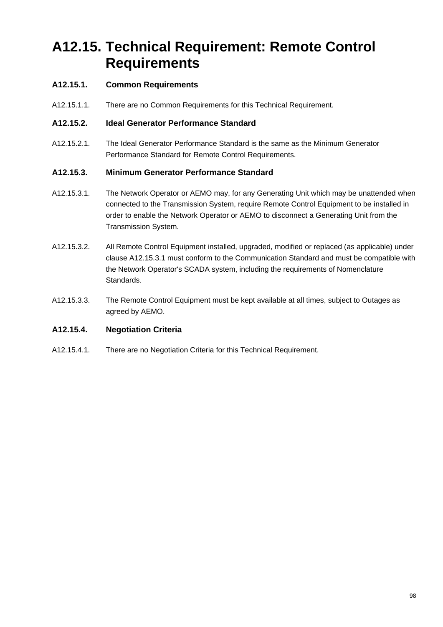# **A12.15. Technical Requirement: Remote Control Requirements**

# **A12.15.1. Common Requirements**

A12.15.1.1. There are no Common Requirements for this Technical Requirement.

## **A12.15.2. Ideal Generator Performance Standard**

A12.15.2.1. The Ideal Generator Performance Standard is the same as the Minimum Generator Performance Standard for Remote Control Requirements.

# **A12.15.3. Minimum Generator Performance Standard**

- A12.15.3.1. The Network Operator or AEMO may, for any Generating Unit which may be unattended when connected to the Transmission System, require Remote Control Equipment to be installed in order to enable the Network Operator or AEMO to disconnect a Generating Unit from the Transmission System.
- A12.15.3.2. All Remote Control Equipment installed, upgraded, modified or replaced (as applicable) under clause A12.15.3.1 must conform to the Communication Standard and must be compatible with the Network Operator's SCADA system, including the requirements of Nomenclature Standards.
- A12.15.3.3. The Remote Control Equipment must be kept available at all times, subject to Outages as agreed by AEMO.

# **A12.15.4. Negotiation Criteria**

A12.15.4.1. There are no Negotiation Criteria for this Technical Requirement.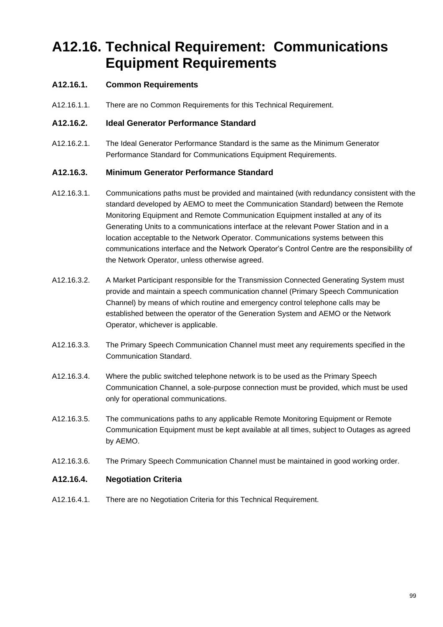# **A12.16. Technical Requirement: Communications Equipment Requirements**

# **A12.16.1. Common Requirements**

A12.16.1.1. There are no Common Requirements for this Technical Requirement.

### **A12.16.2. Ideal Generator Performance Standard**

A12.16.2.1. The Ideal Generator Performance Standard is the same as the Minimum Generator Performance Standard for Communications Equipment Requirements.

## **A12.16.3. Minimum Generator Performance Standard**

- A12.16.3.1. Communications paths must be provided and maintained (with redundancy consistent with the standard developed by AEMO to meet the Communication Standard) between the Remote Monitoring Equipment and Remote Communication Equipment installed at any of its Generating Units to a communications interface at the relevant Power Station and in a location acceptable to the Network Operator. Communications systems between this communications interface and the Network Operator's Control Centre are the responsibility of the Network Operator, unless otherwise agreed.
- A12.16.3.2. A Market Participant responsible for the Transmission Connected Generating System must provide and maintain a speech communication channel (Primary Speech Communication Channel) by means of which routine and emergency control telephone calls may be established between the operator of the Generation System and AEMO or the Network Operator, whichever is applicable.
- A12.16.3.3. The Primary Speech Communication Channel must meet any requirements specified in the Communication Standard.
- A12.16.3.4. Where the public switched telephone network is to be used as the Primary Speech Communication Channel, a sole-purpose connection must be provided, which must be used only for operational communications.
- A12.16.3.5. The communications paths to any applicable Remote Monitoring Equipment or Remote Communication Equipment must be kept available at all times, subject to Outages as agreed by AEMO.
- A12.16.3.6. The Primary Speech Communication Channel must be maintained in good working order.

### **A12.16.4. Negotiation Criteria**

A12.16.4.1. There are no Negotiation Criteria for this Technical Requirement.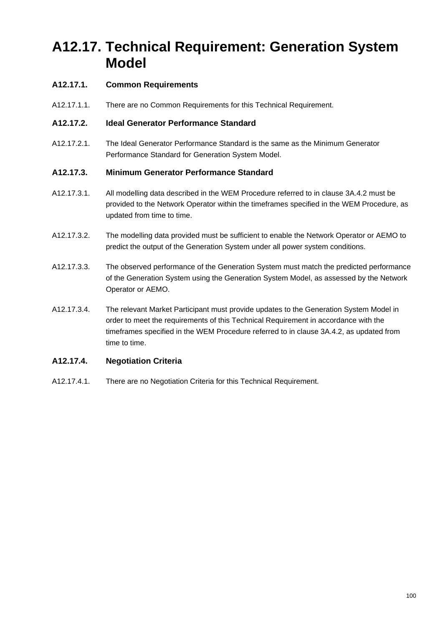# **A12.17. Technical Requirement: Generation System Model**

# **A12.17.1. Common Requirements**

A12.17.1.1. There are no Common Requirements for this Technical Requirement.

### **A12.17.2. Ideal Generator Performance Standard**

A12.17.2.1. The Ideal Generator Performance Standard is the same as the Minimum Generator Performance Standard for Generation System Model.

## **A12.17.3. Minimum Generator Performance Standard**

- A12.17.3.1. All modelling data described in the WEM Procedure referred to in clause 3A.4.2 must be provided to the Network Operator within the timeframes specified in the WEM Procedure, as updated from time to time.
- A12.17.3.2. The modelling data provided must be sufficient to enable the Network Operator or AEMO to predict the output of the Generation System under all power system conditions.
- A12.17.3.3. The observed performance of the Generation System must match the predicted performance of the Generation System using the Generation System Model, as assessed by the Network Operator or AEMO.
- A12.17.3.4. The relevant Market Participant must provide updates to the Generation System Model in order to meet the requirements of this Technical Requirement in accordance with the timeframes specified in the WEM Procedure referred to in clause 3A.4.2, as updated from time to time.

# **A12.17.4. Negotiation Criteria**

A12.17.4.1. There are no Negotiation Criteria for this Technical Requirement.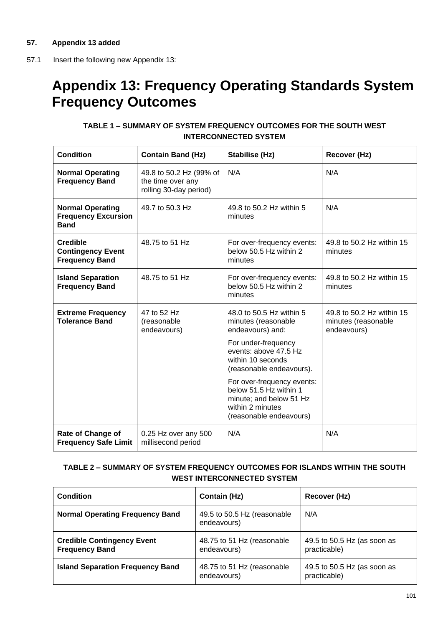57.1 Insert the following new Appendix 13:

# **Appendix 13: Frequency Operating Standards System Frequency Outcomes**

# **TABLE 1 – SUMMARY OF SYSTEM FREQUENCY OUTCOMES FOR THE SOUTH WEST INTERCONNECTED SYSTEM**

| <b>Condition</b>                                                     | <b>Contain Band (Hz)</b>                                               | <b>Stabilise (Hz)</b>                                                                                                                                                                                                                                                                                  | Recover (Hz)                                                    |
|----------------------------------------------------------------------|------------------------------------------------------------------------|--------------------------------------------------------------------------------------------------------------------------------------------------------------------------------------------------------------------------------------------------------------------------------------------------------|-----------------------------------------------------------------|
| <b>Normal Operating</b><br><b>Frequency Band</b>                     | 49.8 to 50.2 Hz (99% of<br>the time over any<br>rolling 30-day period) | N/A                                                                                                                                                                                                                                                                                                    | N/A                                                             |
| <b>Normal Operating</b><br><b>Frequency Excursion</b><br><b>Band</b> | 49.7 to 50.3 Hz                                                        | 49.8 to 50.2 Hz within 5<br>minutes                                                                                                                                                                                                                                                                    | N/A                                                             |
| <b>Credible</b><br><b>Contingency Event</b><br><b>Frequency Band</b> | 48.75 to 51 Hz                                                         | For over-frequency events:<br>below 50.5 Hz within 2<br>minutes                                                                                                                                                                                                                                        | 49.8 to 50.2 Hz within 15<br>minutes                            |
| <b>Island Separation</b><br><b>Frequency Band</b>                    | 48.75 to 51 Hz                                                         | For over-frequency events:<br>below 50.5 Hz within 2<br>minutes                                                                                                                                                                                                                                        | 49.8 to 50.2 Hz within 15<br>minutes                            |
| <b>Extreme Frequency</b><br><b>Tolerance Band</b>                    | 47 to 52 Hz<br>(reasonable<br>endeavours)                              | 48.0 to 50.5 Hz within 5<br>minutes (reasonable<br>endeavours) and:<br>For under-frequency<br>events: above 47.5 Hz<br>within 10 seconds<br>(reasonable endeavours).<br>For over-frequency events:<br>below 51.5 Hz within 1<br>minute; and below 51 Hz<br>within 2 minutes<br>(reasonable endeavours) | 49.8 to 50.2 Hz within 15<br>minutes (reasonable<br>endeavours) |
| <b>Rate of Change of</b><br><b>Frequency Safe Limit</b>              | 0.25 Hz over any 500<br>millisecond period                             | N/A                                                                                                                                                                                                                                                                                                    | N/A                                                             |

# **TABLE 2 – SUMMARY OF SYSTEM FREQUENCY OUTCOMES FOR ISLANDS WITHIN THE SOUTH WEST INTERCONNECTED SYSTEM**

| <b>Condition</b>                                           | <b>Contain (Hz)</b>                        | Recover (Hz)                                |
|------------------------------------------------------------|--------------------------------------------|---------------------------------------------|
| <b>Normal Operating Frequency Band</b>                     | 49.5 to 50.5 Hz (reasonable<br>endeavours) | N/A                                         |
| <b>Credible Contingency Event</b><br><b>Frequency Band</b> | 48.75 to 51 Hz (reasonable<br>endeavours)  | 49.5 to 50.5 Hz (as soon as<br>practicable) |
| <b>Island Separation Frequency Band</b>                    | 48.75 to 51 Hz (reasonable<br>endeavours)  | 49.5 to 50.5 Hz (as soon as<br>practicable) |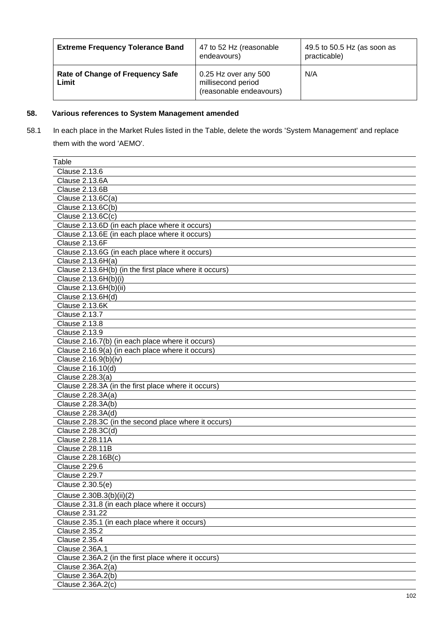| <b>Extreme Frequency Tolerance Band</b>          | 47 to 52 Hz (reasonable<br>endeavours)                                | 49.5 to 50.5 Hz (as soon as<br>practicable) |
|--------------------------------------------------|-----------------------------------------------------------------------|---------------------------------------------|
| <b>Rate of Change of Frequency Safe</b><br>Limit | 0.25 Hz over any 500<br>millisecond period<br>(reasonable endeavours) | N/A                                         |

# **58. Various references to System Management amended**

58.1 In each place in the Market Rules listed in the Table, delete the words 'System Management' and replace them with the word 'AEMO'.

| <b>Clause 2.13.6</b><br>Clause 2.13.6A<br><b>Clause 2.13.6B</b><br>Clause 2.13.6C(a)<br>Clause 2.13.6C(b)<br>Clause 2.13.6C(c)<br>Clause 2.13.6D (in each place where it occurs)<br>Clause 2.13.6E (in each place where it occurs)<br><b>Clause 2.13.6F</b><br>Clause 2.13.6G (in each place where it occurs)<br>Clause 2.13.6H(a)<br>Clause 2.13.6H(b) (in the first place where it occurs)<br>Clause 2.13.6H(b)(i)<br>Clause 2.13.6H(b)(ii)<br>Clause 2.13.6H(d)<br><b>Clause 2.13.6K</b><br>Clause 2.13.7<br><b>Clause 2.13.8</b><br><b>Clause 2.13.9</b><br>Clause 2.16.7(b) (in each place where it occurs)<br>Clause 2.16.9(a) (in each place where it occurs)<br>Clause 2.16.9(b)(iv)<br>Clause 2.16.10(d)<br>Clause 2.28.3(a)<br>Clause 2.28.3A (in the first place where it occurs)<br>Clause 2.28.3A(a)<br>Clause 2.28.3A(b)<br>Clause 2.28.3A(d)<br>Clause 2.28.3C (in the second place where it occurs)<br>Clause 2.28.3C(d)<br>Clause 2.28.11A<br>Clause 2.28.11B<br>Clause 2.28.16B(c)<br><b>Clause 2.29.6</b><br>Clause 2.29.7<br>Clause 2.30.5(e)<br>Clause 2.30B.3(b)(ii)(2)<br>Clause 2.31.8 (in each place where it occurs)<br>Clause 2.31.22<br>Clause 2.35.1 (in each place where it occurs)<br><b>Clause 2.35.2</b><br><b>Clause 2.35.4</b><br>Clause 2.36A.1<br>Clause 2.36A.2 (in the first place where it occurs)<br>Clause 2.36A.2(a)<br>Clause 2.36A.2(b) | Table             |
|--------------------------------------------------------------------------------------------------------------------------------------------------------------------------------------------------------------------------------------------------------------------------------------------------------------------------------------------------------------------------------------------------------------------------------------------------------------------------------------------------------------------------------------------------------------------------------------------------------------------------------------------------------------------------------------------------------------------------------------------------------------------------------------------------------------------------------------------------------------------------------------------------------------------------------------------------------------------------------------------------------------------------------------------------------------------------------------------------------------------------------------------------------------------------------------------------------------------------------------------------------------------------------------------------------------------------------------------------------------------------------------|-------------------|
|                                                                                                                                                                                                                                                                                                                                                                                                                                                                                                                                                                                                                                                                                                                                                                                                                                                                                                                                                                                                                                                                                                                                                                                                                                                                                                                                                                                      |                   |
|                                                                                                                                                                                                                                                                                                                                                                                                                                                                                                                                                                                                                                                                                                                                                                                                                                                                                                                                                                                                                                                                                                                                                                                                                                                                                                                                                                                      |                   |
|                                                                                                                                                                                                                                                                                                                                                                                                                                                                                                                                                                                                                                                                                                                                                                                                                                                                                                                                                                                                                                                                                                                                                                                                                                                                                                                                                                                      |                   |
|                                                                                                                                                                                                                                                                                                                                                                                                                                                                                                                                                                                                                                                                                                                                                                                                                                                                                                                                                                                                                                                                                                                                                                                                                                                                                                                                                                                      |                   |
|                                                                                                                                                                                                                                                                                                                                                                                                                                                                                                                                                                                                                                                                                                                                                                                                                                                                                                                                                                                                                                                                                                                                                                                                                                                                                                                                                                                      |                   |
|                                                                                                                                                                                                                                                                                                                                                                                                                                                                                                                                                                                                                                                                                                                                                                                                                                                                                                                                                                                                                                                                                                                                                                                                                                                                                                                                                                                      |                   |
|                                                                                                                                                                                                                                                                                                                                                                                                                                                                                                                                                                                                                                                                                                                                                                                                                                                                                                                                                                                                                                                                                                                                                                                                                                                                                                                                                                                      |                   |
|                                                                                                                                                                                                                                                                                                                                                                                                                                                                                                                                                                                                                                                                                                                                                                                                                                                                                                                                                                                                                                                                                                                                                                                                                                                                                                                                                                                      |                   |
|                                                                                                                                                                                                                                                                                                                                                                                                                                                                                                                                                                                                                                                                                                                                                                                                                                                                                                                                                                                                                                                                                                                                                                                                                                                                                                                                                                                      |                   |
|                                                                                                                                                                                                                                                                                                                                                                                                                                                                                                                                                                                                                                                                                                                                                                                                                                                                                                                                                                                                                                                                                                                                                                                                                                                                                                                                                                                      |                   |
|                                                                                                                                                                                                                                                                                                                                                                                                                                                                                                                                                                                                                                                                                                                                                                                                                                                                                                                                                                                                                                                                                                                                                                                                                                                                                                                                                                                      |                   |
|                                                                                                                                                                                                                                                                                                                                                                                                                                                                                                                                                                                                                                                                                                                                                                                                                                                                                                                                                                                                                                                                                                                                                                                                                                                                                                                                                                                      |                   |
|                                                                                                                                                                                                                                                                                                                                                                                                                                                                                                                                                                                                                                                                                                                                                                                                                                                                                                                                                                                                                                                                                                                                                                                                                                                                                                                                                                                      |                   |
|                                                                                                                                                                                                                                                                                                                                                                                                                                                                                                                                                                                                                                                                                                                                                                                                                                                                                                                                                                                                                                                                                                                                                                                                                                                                                                                                                                                      |                   |
|                                                                                                                                                                                                                                                                                                                                                                                                                                                                                                                                                                                                                                                                                                                                                                                                                                                                                                                                                                                                                                                                                                                                                                                                                                                                                                                                                                                      |                   |
|                                                                                                                                                                                                                                                                                                                                                                                                                                                                                                                                                                                                                                                                                                                                                                                                                                                                                                                                                                                                                                                                                                                                                                                                                                                                                                                                                                                      |                   |
|                                                                                                                                                                                                                                                                                                                                                                                                                                                                                                                                                                                                                                                                                                                                                                                                                                                                                                                                                                                                                                                                                                                                                                                                                                                                                                                                                                                      |                   |
|                                                                                                                                                                                                                                                                                                                                                                                                                                                                                                                                                                                                                                                                                                                                                                                                                                                                                                                                                                                                                                                                                                                                                                                                                                                                                                                                                                                      |                   |
|                                                                                                                                                                                                                                                                                                                                                                                                                                                                                                                                                                                                                                                                                                                                                                                                                                                                                                                                                                                                                                                                                                                                                                                                                                                                                                                                                                                      |                   |
|                                                                                                                                                                                                                                                                                                                                                                                                                                                                                                                                                                                                                                                                                                                                                                                                                                                                                                                                                                                                                                                                                                                                                                                                                                                                                                                                                                                      |                   |
|                                                                                                                                                                                                                                                                                                                                                                                                                                                                                                                                                                                                                                                                                                                                                                                                                                                                                                                                                                                                                                                                                                                                                                                                                                                                                                                                                                                      |                   |
|                                                                                                                                                                                                                                                                                                                                                                                                                                                                                                                                                                                                                                                                                                                                                                                                                                                                                                                                                                                                                                                                                                                                                                                                                                                                                                                                                                                      |                   |
|                                                                                                                                                                                                                                                                                                                                                                                                                                                                                                                                                                                                                                                                                                                                                                                                                                                                                                                                                                                                                                                                                                                                                                                                                                                                                                                                                                                      |                   |
|                                                                                                                                                                                                                                                                                                                                                                                                                                                                                                                                                                                                                                                                                                                                                                                                                                                                                                                                                                                                                                                                                                                                                                                                                                                                                                                                                                                      |                   |
|                                                                                                                                                                                                                                                                                                                                                                                                                                                                                                                                                                                                                                                                                                                                                                                                                                                                                                                                                                                                                                                                                                                                                                                                                                                                                                                                                                                      |                   |
|                                                                                                                                                                                                                                                                                                                                                                                                                                                                                                                                                                                                                                                                                                                                                                                                                                                                                                                                                                                                                                                                                                                                                                                                                                                                                                                                                                                      |                   |
|                                                                                                                                                                                                                                                                                                                                                                                                                                                                                                                                                                                                                                                                                                                                                                                                                                                                                                                                                                                                                                                                                                                                                                                                                                                                                                                                                                                      |                   |
|                                                                                                                                                                                                                                                                                                                                                                                                                                                                                                                                                                                                                                                                                                                                                                                                                                                                                                                                                                                                                                                                                                                                                                                                                                                                                                                                                                                      |                   |
|                                                                                                                                                                                                                                                                                                                                                                                                                                                                                                                                                                                                                                                                                                                                                                                                                                                                                                                                                                                                                                                                                                                                                                                                                                                                                                                                                                                      |                   |
|                                                                                                                                                                                                                                                                                                                                                                                                                                                                                                                                                                                                                                                                                                                                                                                                                                                                                                                                                                                                                                                                                                                                                                                                                                                                                                                                                                                      |                   |
|                                                                                                                                                                                                                                                                                                                                                                                                                                                                                                                                                                                                                                                                                                                                                                                                                                                                                                                                                                                                                                                                                                                                                                                                                                                                                                                                                                                      |                   |
|                                                                                                                                                                                                                                                                                                                                                                                                                                                                                                                                                                                                                                                                                                                                                                                                                                                                                                                                                                                                                                                                                                                                                                                                                                                                                                                                                                                      |                   |
|                                                                                                                                                                                                                                                                                                                                                                                                                                                                                                                                                                                                                                                                                                                                                                                                                                                                                                                                                                                                                                                                                                                                                                                                                                                                                                                                                                                      |                   |
|                                                                                                                                                                                                                                                                                                                                                                                                                                                                                                                                                                                                                                                                                                                                                                                                                                                                                                                                                                                                                                                                                                                                                                                                                                                                                                                                                                                      |                   |
|                                                                                                                                                                                                                                                                                                                                                                                                                                                                                                                                                                                                                                                                                                                                                                                                                                                                                                                                                                                                                                                                                                                                                                                                                                                                                                                                                                                      |                   |
|                                                                                                                                                                                                                                                                                                                                                                                                                                                                                                                                                                                                                                                                                                                                                                                                                                                                                                                                                                                                                                                                                                                                                                                                                                                                                                                                                                                      |                   |
|                                                                                                                                                                                                                                                                                                                                                                                                                                                                                                                                                                                                                                                                                                                                                                                                                                                                                                                                                                                                                                                                                                                                                                                                                                                                                                                                                                                      |                   |
|                                                                                                                                                                                                                                                                                                                                                                                                                                                                                                                                                                                                                                                                                                                                                                                                                                                                                                                                                                                                                                                                                                                                                                                                                                                                                                                                                                                      |                   |
|                                                                                                                                                                                                                                                                                                                                                                                                                                                                                                                                                                                                                                                                                                                                                                                                                                                                                                                                                                                                                                                                                                                                                                                                                                                                                                                                                                                      |                   |
|                                                                                                                                                                                                                                                                                                                                                                                                                                                                                                                                                                                                                                                                                                                                                                                                                                                                                                                                                                                                                                                                                                                                                                                                                                                                                                                                                                                      |                   |
|                                                                                                                                                                                                                                                                                                                                                                                                                                                                                                                                                                                                                                                                                                                                                                                                                                                                                                                                                                                                                                                                                                                                                                                                                                                                                                                                                                                      |                   |
|                                                                                                                                                                                                                                                                                                                                                                                                                                                                                                                                                                                                                                                                                                                                                                                                                                                                                                                                                                                                                                                                                                                                                                                                                                                                                                                                                                                      |                   |
|                                                                                                                                                                                                                                                                                                                                                                                                                                                                                                                                                                                                                                                                                                                                                                                                                                                                                                                                                                                                                                                                                                                                                                                                                                                                                                                                                                                      |                   |
|                                                                                                                                                                                                                                                                                                                                                                                                                                                                                                                                                                                                                                                                                                                                                                                                                                                                                                                                                                                                                                                                                                                                                                                                                                                                                                                                                                                      |                   |
|                                                                                                                                                                                                                                                                                                                                                                                                                                                                                                                                                                                                                                                                                                                                                                                                                                                                                                                                                                                                                                                                                                                                                                                                                                                                                                                                                                                      |                   |
|                                                                                                                                                                                                                                                                                                                                                                                                                                                                                                                                                                                                                                                                                                                                                                                                                                                                                                                                                                                                                                                                                                                                                                                                                                                                                                                                                                                      |                   |
|                                                                                                                                                                                                                                                                                                                                                                                                                                                                                                                                                                                                                                                                                                                                                                                                                                                                                                                                                                                                                                                                                                                                                                                                                                                                                                                                                                                      | Clause 2.36A.2(c) |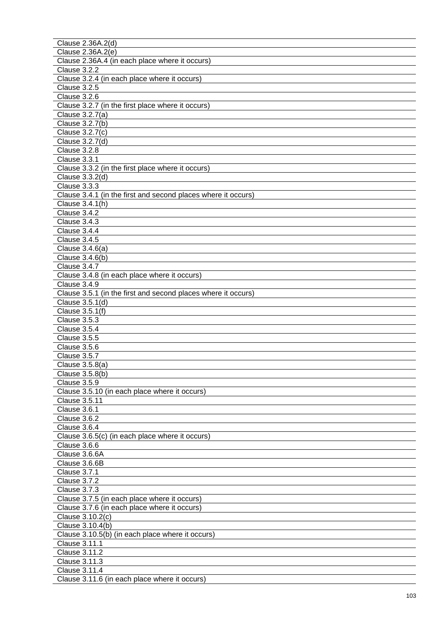| Clause 2.36A.2(d)                                             |
|---------------------------------------------------------------|
| Clause 2.36A.2(e)                                             |
| Clause 2.36A.4 (in each place where it occurs)                |
| Clause 3.2.2                                                  |
| Clause 3.2.4 (in each place where it occurs)                  |
| <b>Clause 3.2.5</b>                                           |
| Clause 3.2.6                                                  |
| Clause 3.2.7 (in the first place where it occurs)             |
|                                                               |
| Clause 3.2.7(a)                                               |
| Clause 3.2.7(b)                                               |
| Clause 3.2.7(c)                                               |
| Clause 3.2.7(d)                                               |
| Clause 3.2.8                                                  |
| Clause 3.3.1                                                  |
| Clause 3.3.2 (in the first place where it occurs)             |
| Clause 3.3.2(d)                                               |
| Clause 3.3.3                                                  |
| Clause 3.4.1 (in the first and second places where it occurs) |
| Clause 3.4.1(h)                                               |
| Clause 3.4.2                                                  |
| Clause 3.4.3                                                  |
| Clause 3.4.4                                                  |
| Clause 3.4.5                                                  |
| Clause 3.4.6(a)                                               |
| Clause 3.4.6(b)                                               |
| Clause 3.4.7                                                  |
| Clause 3.4.8 (in each place where it occurs)                  |
| Clause 3.4.9                                                  |
| Clause 3.5.1 (in the first and second places where it occurs) |
| Clause 3.5.1(d)                                               |
|                                                               |
| Clause 3.5.1(f)                                               |
| <b>Clause 3.5.3</b>                                           |
| Clause 3.5.4                                                  |
| <b>Clause 3.5.5</b>                                           |
| Clause 3.5.6                                                  |
| Clause 3.5.7                                                  |
| Clause 3.5.8(a)                                               |
| Clause 3.5.8(b)                                               |
| <b>Clause 3.5.9</b>                                           |
| Clause 3.5.10 (in each place where it occurs)                 |
| <b>Clause 3.5.11</b>                                          |
| Clause 3.6.1                                                  |
| Clause 3.6.2                                                  |
| Clause 3.6.4                                                  |
| Clause 3.6.5(c) (in each place where it occurs)               |
| Clause 3.6.6                                                  |
| Clause 3.6.6A                                                 |
| Clause 3.6.6B                                                 |
| Clause 3.7.1                                                  |
| Clause 3.7.2                                                  |
| Clause 3.7.3                                                  |
| Clause 3.7.5 (in each place where it occurs)                  |
|                                                               |
| Clause 3.7.6 (in each place where it occurs)                  |
| Clause 3.10.2(c)                                              |
| Clause 3.10.4(b)                                              |
| Clause 3.10.5(b) (in each place where it occurs)              |
| Clause 3.11.1                                                 |
| Clause 3.11.2                                                 |
| Clause 3.11.3                                                 |
| Clause 3.11.4                                                 |
| Clause 3.11.6 (in each place where it occurs)                 |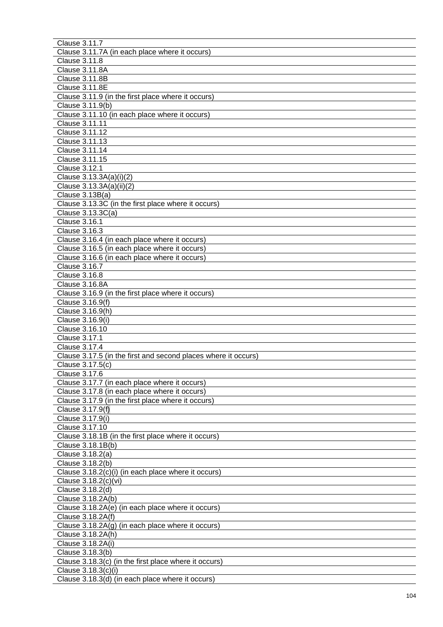| Clause 3.11.7                                                  |
|----------------------------------------------------------------|
| Clause 3.11.7A (in each place where it occurs)                 |
| <b>Clause 3.11.8</b>                                           |
| Clause 3.11.8A                                                 |
| Clause 3.11.8B                                                 |
| <b>Clause 3.11.8E</b>                                          |
| Clause 3.11.9 (in the first place where it occurs)             |
| Clause 3.11.9(b)                                               |
| Clause 3.11.10 (in each place where it occurs)                 |
| Clause 3.11.11                                                 |
| Clause 3.11.12                                                 |
| Clause 3.11.13                                                 |
| Clause 3.11.14                                                 |
| Clause 3.11.15                                                 |
| <b>Clause 3.12.1</b>                                           |
|                                                                |
| Clause 3.13.3A(a)(i)(2)                                        |
| Clause 3.13.3A(a)(ii)(2)                                       |
| Clause 3.13B(a)                                                |
| Clause 3.13.3C (in the first place where it occurs)            |
| Clause $3.13.3C(a)$                                            |
| <b>Clause 3.16.1</b>                                           |
| Clause 3.16.3                                                  |
| Clause 3.16.4 (in each place where it occurs)                  |
| Clause 3.16.5 (in each place where it occurs)                  |
| Clause 3.16.6 (in each place where it occurs)                  |
| <b>Clause 3.16.7</b>                                           |
| Clause 3.16.8                                                  |
| Clause 3.16.8A                                                 |
| Clause 3.16.9 (in the first place where it occurs)             |
| Clause 3.16.9(f)                                               |
| Clause 3.16.9(h)                                               |
| Clause 3.16.9(i)                                               |
| Clause 3.16.10                                                 |
| <b>Clause 3.17.1</b>                                           |
| Clause 3.17.4                                                  |
| Clause 3.17.5 (in the first and second places where it occurs) |
| Clause 3.17.5(c)                                               |
| Clause 3.17.6                                                  |
| Clause 3.17.7 (in each place where it occurs)                  |
| Clause 3.17.8 (in each place where it occurs)                  |
| Clause 3.17.9 (in the first place where it occurs)             |
| Clause 3.17.9(f)                                               |
| Clause 3.17.9(i)                                               |
| Clause 3.17.10                                                 |
| Clause 3.18.1B (in the first place where it occurs)            |
| Clause 3.18.1B(b)                                              |
| Clause 3.18.2(a)                                               |
| Clause 3.18.2(b)                                               |
| Clause 3.18.2(c)(i) (in each place where it occurs)            |
| Clause 3.18.2(c)(vi)                                           |
| Clause 3.18.2(d)                                               |
| Clause 3.18.2A(b)                                              |
| Clause 3.18.2A(e) (in each place where it occurs)              |
| Clause 3.18.2A(f)                                              |
|                                                                |
| Clause 3.18.2A(g) (in each place where it occurs)              |
| Clause 3.18.2A(h)                                              |
| Clause 3.18.2A(i)                                              |
| Clause 3.18.3(b)                                               |
| Clause 3.18.3(c) (in the first place where it occurs)          |
| Clause 3.18.3(c)(i)                                            |
| Clause 3.18.3(d) (in each place where it occurs)               |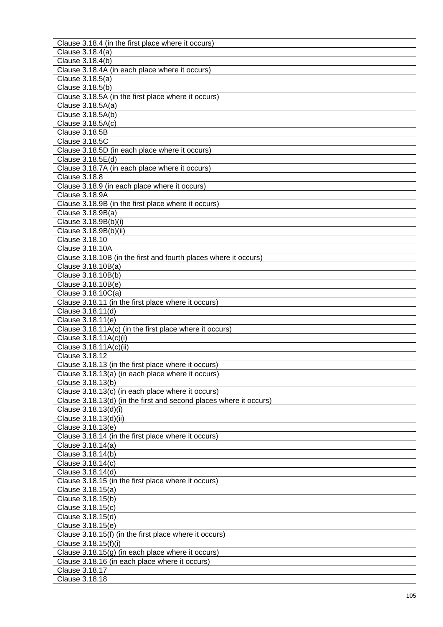| Clause 3.18.4 (in the first place where it occurs)                 |
|--------------------------------------------------------------------|
| Clause 3.18.4(a)                                                   |
| Clause 3.18.4(b)                                                   |
| Clause 3.18.4A (in each place where it occurs)                     |
| Clause 3.18.5(a)                                                   |
| Clause 3.18.5(b)                                                   |
| Clause 3.18.5A (in the first place where it occurs)                |
| Clause 3.18.5A(a)                                                  |
| Clause 3.18.5A(b)                                                  |
| Clause 3.18.5A(c)                                                  |
| Clause 3.18.5B                                                     |
| Clause 3.18.5C                                                     |
| Clause 3.18.5D (in each place where it occurs)                     |
| Clause 3.18.5E(d)                                                  |
| Clause 3.18.7A (in each place where it occurs)                     |
| Clause 3.18.8                                                      |
|                                                                    |
| Clause 3.18.9 (in each place where it occurs)                      |
| <b>Clause 3.18.9A</b>                                              |
| Clause 3.18.9B (in the first place where it occurs)                |
| Clause 3.18.9B(a)                                                  |
| Clause 3.18.9B(b)(i)                                               |
| Clause 3.18.9B(b)(ii)                                              |
| Clause 3.18.10                                                     |
| Clause 3.18.10A                                                    |
| Clause 3.18.10B (in the first and fourth places where it occurs)   |
| Clause 3.18.10B(a)                                                 |
| Clause 3.18.10B(b)                                                 |
| Clause 3.18.10B(e)                                                 |
| Clause 3.18.10C(a)                                                 |
| Clause 3.18.11 (in the first place where it occurs)                |
| Clause 3.18.11(d)                                                  |
| Clause 3.18.11(e)                                                  |
| Clause 3.18.11A(c) (in the first place where it occurs)            |
| Clause 3.18.11A(c)(i)                                              |
| Clause 3.18.11A(c)(ii)                                             |
| Clause 3.18.12                                                     |
| Clause 3.18.13 (in the first place where it occurs)                |
| Clause 3.18.13(a) (in each place where it occurs)                  |
| Clause 3.18.13(b)                                                  |
| Clause 3.18.13(c) (in each place where it occurs)                  |
| Clause 3.18.13(d) (in the first and second places where it occurs) |
| Clause 3.18.13(d)(i)                                               |
| Clause 3.18.13(d)(ii)                                              |
| Clause 3.18.13(e)                                                  |
|                                                                    |
| Clause 3.18.14 (in the first place where it occurs)                |
| Clause 3.18.14(a)                                                  |
| Clause 3.18.14(b)                                                  |
| Clause 3.18.14(c)                                                  |
| Clause 3.18.14(d)                                                  |
| Clause 3.18.15 (in the first place where it occurs)                |
| Clause 3.18.15(a)                                                  |
| Clause 3.18.15(b)                                                  |
| Clause 3.18.15(c)                                                  |
| Clause 3.18.15(d)                                                  |
| Clause 3.18.15(e)                                                  |
| Clause 3.18.15(f) (in the first place where it occurs)             |
| Clause 3.18.15(f)(i)                                               |
| Clause $3.18.15(g)$ (in each place where it occurs)                |
| Clause 3.18.16 (in each place where it occurs)                     |
| Clause 3.18.17                                                     |
| Clause 3.18.18                                                     |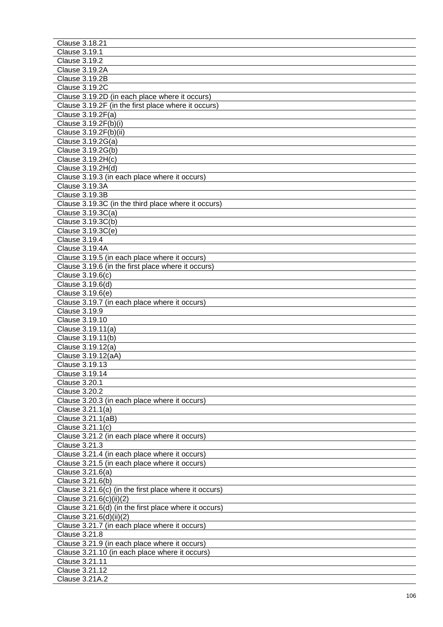| Clause 3.18.21                                        |
|-------------------------------------------------------|
| <b>Clause 3.19.1</b>                                  |
| <b>Clause 3.19.2</b>                                  |
| <b>Clause 3.19.2A</b>                                 |
| <b>Clause 3.19.2B</b>                                 |
| <b>Clause 3.19.2C</b>                                 |
| Clause 3.19.2D (in each place where it occurs)        |
| Clause 3.19.2F (in the first place where it occurs)   |
| Clause 3.19.2F(a)                                     |
| Clause 3.19.2F(b)(i)                                  |
| Clause 3.19.2F(b)(ii)                                 |
| Clause 3.19.2G(a)                                     |
| Clause 3.19.2G(b)                                     |
| Clause 3.19.2H(c)                                     |
| Clause 3.19.2H(d)                                     |
| Clause 3.19.3 (in each place where it occurs)         |
| <b>Clause 3.19.3A</b>                                 |
| <b>Clause 3.19.3B</b>                                 |
| Clause 3.19.3C (in the third place where it occurs)   |
| Clause 3.19.3C(a)                                     |
|                                                       |
| Clause 3.19.3C(b)                                     |
| Clause $3.19.3C(e)$                                   |
| <b>Clause 3.19.4</b>                                  |
| <b>Clause 3.19.4A</b>                                 |
| Clause 3.19.5 (in each place where it occurs)         |
| Clause 3.19.6 (in the first place where it occurs)    |
| Clause 3.19.6(c)                                      |
| Clause 3.19.6(d)                                      |
| Clause 3.19.6(e)                                      |
| Clause 3.19.7 (in each place where it occurs)         |
| <b>Clause 3.19.9</b>                                  |
| Clause 3.19.10                                        |
| Clause 3.19.11(a)                                     |
| Clause 3.19.11(b)                                     |
| Clause 3.19.12(a)                                     |
| Clause 3.19.12(aA)                                    |
| Clause 3.19.13                                        |
| Clause 3.19.14                                        |
| Clause 3.20.1                                         |
| <b>Clause 3.20.2</b>                                  |
| Clause 3.20.3 (in each place where it occurs)         |
| Clause 3.21.1(a)                                      |
| Clause 3.21.1(aB)                                     |
| Clause 3.21.1(c)                                      |
| Clause 3.21.2 (in each place where it occurs)         |
| Clause 3.21.3                                         |
| Clause 3.21.4 (in each place where it occurs)         |
| Clause 3.21.5 (in each place where it occurs)         |
| Clause 3.21.6(a)                                      |
| Clause 3.21.6(b)                                      |
| Clause 3.21.6(c) (in the first place where it occurs) |
| Clause 3.21.6(c)(ii)(2)                               |
| Clause 3.21.6(d) (in the first place where it occurs) |
| Clause 3.21.6(d)(ii)(2)                               |
| Clause 3.21.7 (in each place where it occurs)         |
| <b>Clause 3.21.8</b>                                  |
| Clause 3.21.9 (in each place where it occurs)         |
| Clause 3.21.10 (in each place where it occurs)        |
| Clause 3.21.11                                        |
| Clause 3.21.12                                        |
| Clause 3.21A.2                                        |
|                                                       |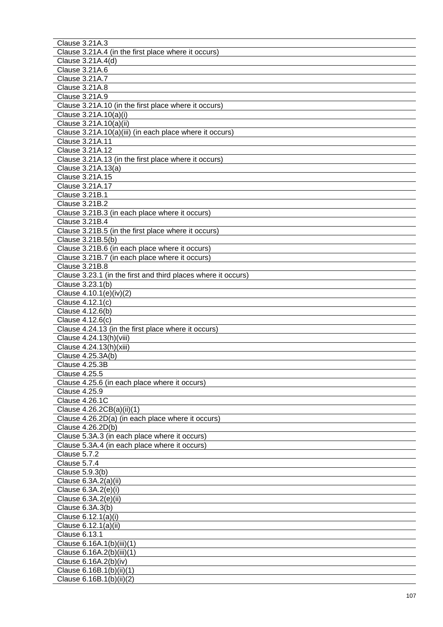| Clause 3.21A.3                                                |
|---------------------------------------------------------------|
| Clause 3.21A.4 (in the first place where it occurs)           |
| Clause 3.21A.4(d)                                             |
| Clause 3.21A.6                                                |
| Clause 3.21A.7                                                |
| <b>Clause 3.21A.8</b>                                         |
| Clause 3.21A.9                                                |
| Clause 3.21A.10 (in the first place where it occurs)          |
| Clause 3.21A.10(a)(i)                                         |
| Clause 3.21A.10(a)(ii)                                        |
| Clause 3.21A.10(a)(iii) (in each place where it occurs)       |
| Clause 3.21A.11                                               |
| Clause 3.21A.12                                               |
| Clause 3.21A.13 (in the first place where it occurs)          |
| Clause 3.21A.13(a)                                            |
|                                                               |
| Clause 3.21A.15                                               |
| Clause 3.21A.17                                               |
| Clause 3.21B.1                                                |
| Clause 3.21B.2                                                |
| Clause 3.21B.3 (in each place where it occurs)                |
| Clause 3.21B.4                                                |
| Clause 3.21B.5 (in the first place where it occurs)           |
| Clause 3.21B.5(b)                                             |
| Clause 3.21B.6 (in each place where it occurs)                |
| Clause 3.21B.7 (in each place where it occurs)                |
| Clause 3.21B.8                                                |
| Clause 3.23.1 (in the first and third places where it occurs) |
| Clause 3.23.1(b)                                              |
| Clause 4.10.1(e)(iv)(2)                                       |
| Clause 4.12.1(c)                                              |
| Clause 4.12.6(b)                                              |
| Clause 4.12.6(c)                                              |
| Clause 4.24.13 (in the first place where it occurs)           |
| Clause 4.24.13(h)(viii)                                       |
| Clause 4.24.13(h)(xiii)                                       |
| Clause 4.25.3A(b)                                             |
| Clause 4.25.3B                                                |
| <b>Clause 4.25.5</b>                                          |
| Clause 4.25.6 (in each place where it occurs)                 |
| Clause 4.25.9                                                 |
| <b>Clause 4.26.1C</b>                                         |
| Clause 4.26.2CB(a)(ii)(1)                                     |
|                                                               |
| Clause 4.26.2D(a) (in each place where it occurs)             |
| Clause 4.26.2D(b)                                             |
| Clause 5.3A.3 (in each place where it occurs)                 |
| Clause 5.3A.4 (in each place where it occurs)                 |
| <b>Clause 5.7.2</b>                                           |
| <b>Clause 5.7.4</b>                                           |
| Clause 5.9.3(b)                                               |
| Clause 6.3A.2(a)(ii)                                          |
| Clause 6.3A.2(e)(i)                                           |
| Clause 6.3A.2(e)(ii)                                          |
| Clause 6.3A.3(b)                                              |
| Clause 6.12.1(a)(i)                                           |
| Clause 6.12.1(a)(ii)                                          |
| Clause 6.13.1                                                 |
| Clause 6.16A.1(b)(iii)(1)                                     |
| Clause 6.16A.2(b)(iii)(1)                                     |
| Clause 6.16A.2(b)(iv)                                         |
| Clause 6.16B.1(b)(ii)(1)                                      |
| Clause 6.16B.1(b)(ii)(2)                                      |
|                                                               |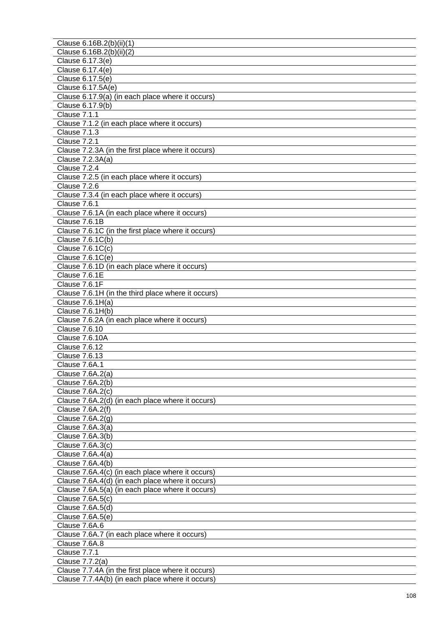| Clause 6.16B.2(b)(ii)(1)                                     |
|--------------------------------------------------------------|
| Clause 6.16B.2(b)(ii)(2)                                     |
| Clause 6.17.3(e)                                             |
| Clause 6.17.4(e)                                             |
| Clause 6.17.5(e)                                             |
| Clause 6.17.5A(e)                                            |
| Clause 6.17.9(a) (in each place where it occurs)             |
| Clause 6.17.9(b)                                             |
| Clause 7.1.1                                                 |
| Clause 7.1.2 (in each place where it occurs)                 |
| <b>Clause 7.1.3</b>                                          |
| Clause 7.2.1                                                 |
| Clause 7.2.3A (in the first place where it occurs)           |
| Clause $7.2.3A(a)$                                           |
| Clause 7.2.4                                                 |
| Clause 7.2.5 (in each place where it occurs)                 |
| Clause 7.2.6                                                 |
|                                                              |
| Clause 7.3.4 (in each place where it occurs)<br>Clause 7.6.1 |
|                                                              |
| Clause 7.6.1A (in each place where it occurs)                |
| Clause 7.6.1B                                                |
| Clause 7.6.1C (in the first place where it occurs)           |
| Clause 7.6.1C(b)                                             |
| Clause $7.6.1C(c)$                                           |
| Clause 7.6.1C(e)                                             |
| Clause 7.6.1D (in each place where it occurs)                |
| Clause 7.6.1E                                                |
| Clause 7.6.1F                                                |
| Clause 7.6.1H (in the third place where it occurs)           |
| Clause 7.6.1H(a)                                             |
| Clause 7.6.1H(b)                                             |
| Clause 7.6.2A (in each place where it occurs)                |
| Clause 7.6.10                                                |
| Clause 7.6.10A                                               |
| <b>Clause 7.6.12</b>                                         |
| Clause 7.6.13                                                |
| Clause 7.6A.1                                                |
| Clause 7.6A.2(a)                                             |
| Clause 7.6A.2(b)                                             |
| Clause 7.6A.2(c)                                             |
| Clause 7.6A.2(d) (in each place where it occurs)             |
| Clause $7.6A.2(f)$                                           |
| Clause $7.6A.2(g)$                                           |
| Clause 7.6A.3(a)                                             |
| Clause 7.6A.3(b)                                             |
| Clause 7.6A.3(c)                                             |
| Clause 7.6A.4(a)                                             |
| Clause $7.6A.4(b)$                                           |
| Clause 7.6A.4(c) (in each place where it occurs)             |
| Clause 7.6A.4(d) (in each place where it occurs)             |
| Clause 7.6A.5(a) (in each place where it occurs)             |
| Clause 7.6A.5(c)                                             |
| Clause 7.6A.5(d)                                             |
| Clause 7.6A.5(e)                                             |
| Clause 7.6A.6                                                |
| Clause 7.6A.7 (in each place where it occurs)                |
| Clause 7.6A.8                                                |
| <b>Clause 7.7.1</b>                                          |
|                                                              |
| Clause 7.7.2(a)                                              |
| Clause 7.7.4A (in the first place where it occurs)           |
| Clause 7.7.4A(b) (in each place where it occurs)             |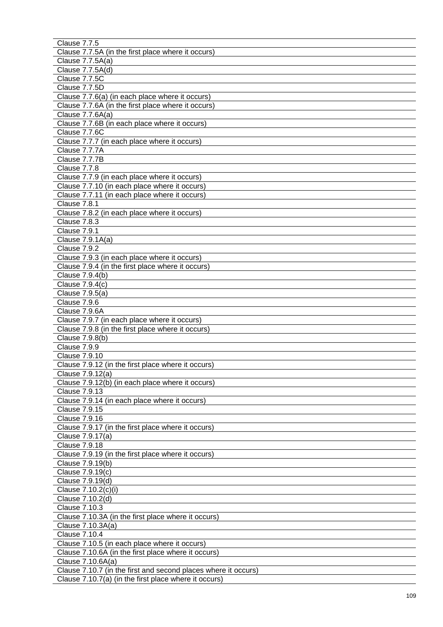| <b>Clause 7.7.5</b>                                                                 |
|-------------------------------------------------------------------------------------|
| Clause 7.7.5A (in the first place where it occurs)                                  |
| Clause 7.7.5A(a)                                                                    |
| Clause 7.7.5A(d)                                                                    |
| Clause 7.7.5C                                                                       |
| Clause 7.7.5D                                                                       |
| Clause 7.7.6(a) (in each place where it occurs)                                     |
| Clause 7.7.6A (in the first place where it occurs)                                  |
| Clause 7.7.6A(a)                                                                    |
| Clause 7.7.6B (in each place where it occurs)                                       |
| Clause 7.7.6C                                                                       |
| Clause 7.7.7 (in each place where it occurs)                                        |
| Clause 7.7.7A                                                                       |
| Clause 7.7.7B                                                                       |
| Clause 7.7.8                                                                        |
| Clause 7.7.9 (in each place where it occurs)                                        |
| Clause 7.7.10 (in each place where it occurs)                                       |
| Clause 7.7.11 (in each place where it occurs)                                       |
| Clause 7.8.1                                                                        |
| Clause 7.8.2 (in each place where it occurs)                                        |
| Clause 7.8.3                                                                        |
| Clause 7.9.1                                                                        |
| Clause 7.9.1A(a)                                                                    |
| Clause 7.9.2                                                                        |
| Clause 7.9.3 (in each place where it occurs)                                        |
| Clause 7.9.4 (in the first place where it occurs)                                   |
| Clause 7.9.4(b)                                                                     |
| Clause 7.9.4(c)                                                                     |
| Clause 7.9.5(a)                                                                     |
| Clause 7.9.6                                                                        |
| Clause 7.9.6A                                                                       |
| Clause 7.9.7 (in each place where it occurs)                                        |
| Clause 7.9.8 (in the first place where it occurs)                                   |
| Clause 7.9.8(b)                                                                     |
| Clause 7.9.9                                                                        |
| <b>Clause 7.9.10</b>                                                                |
| Clause 7.9.12 (in the first place where it occurs)                                  |
| Clause 7.9.12(a)                                                                    |
| Clause 7.9.12(b) (in each place where it occurs)                                    |
| <b>Clause 7.9.13</b>                                                                |
| Clause 7.9.14 (in each place where it occurs)                                       |
| Clause 7.9.15                                                                       |
| Clause 7.9.16                                                                       |
| Clause 7.9.17 (in the first place where it occurs)                                  |
| Clause 7.9.17(a)                                                                    |
| <b>Clause 7.9.18</b>                                                                |
| Clause 7.9.19 (in the first place where it occurs)                                  |
| Clause 7.9.19(b)                                                                    |
| Clause 7.9.19(c)                                                                    |
| Clause 7.9.19(d)                                                                    |
| Clause 7.10.2(c)(i)                                                                 |
| Clause 7.10.2(d)                                                                    |
| Clause 7.10.3                                                                       |
| Clause 7.10.3A (in the first place where it occurs)                                 |
| Clause 7.10.3A(a)                                                                   |
| Clause 7.10.4                                                                       |
| Clause 7.10.5 (in each place where it occurs)                                       |
| Clause 7.10.6A (in the first place where it occurs)                                 |
| Clause 7.10.6A(a)<br>Clause 7.10.7 (in the first and second places where it occurs) |
|                                                                                     |
| Clause 7.10.7(a) (in the first place where it occurs)                               |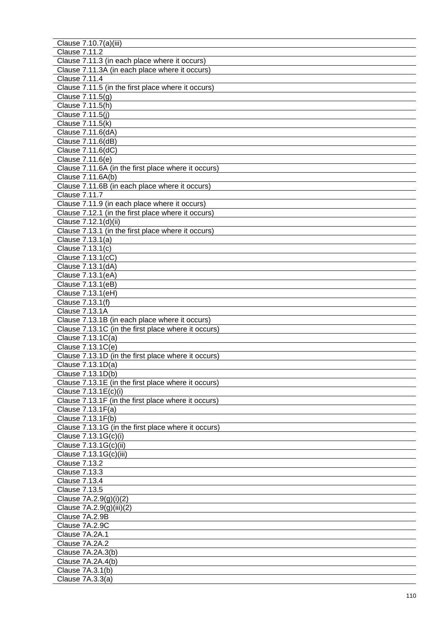| Clause 7.10.7(a)(iii)                               |
|-----------------------------------------------------|
| <b>Clause 7.11.2</b>                                |
| Clause 7.11.3 (in each place where it occurs)       |
| Clause 7.11.3A (in each place where it occurs)      |
| <b>Clause 7.11.4</b>                                |
| Clause 7.11.5 (in the first place where it occurs)  |
|                                                     |
| Clause 7.11.5(g)                                    |
| Clause 7.11.5(h)                                    |
| Clause 7.11.5(j)                                    |
| Clause 7.11.5(k)                                    |
| Clause 7.11.6(dA)                                   |
| Clause 7.11.6(dB)                                   |
| Clause 7.11.6(dC)                                   |
| Clause 7.11.6(e)                                    |
| Clause 7.11.6A (in the first place where it occurs) |
| Clause 7.11.6A(b)                                   |
| Clause 7.11.6B (in each place where it occurs)      |
| Clause 7.11.7                                       |
| Clause 7.11.9 (in each place where it occurs)       |
|                                                     |
| Clause 7.12.1 (in the first place where it occurs)  |
| Clause 7.12.1(d)(ii)                                |
| Clause 7.13.1 (in the first place where it occurs)  |
| Clause 7.13.1(a)                                    |
| Clause 7.13.1(c)                                    |
| Clause 7.13.1(cC)                                   |
| Clause 7.13.1(dA)                                   |
| Clause 7.13.1(eA)                                   |
| Clause 7.13.1(eB)                                   |
| Clause 7.13.1(eH)                                   |
| Clause 7.13.1(f)                                    |
| <b>Clause 7.13.1A</b>                               |
| Clause 7.13.1B (in each place where it occurs)      |
|                                                     |
| Clause 7.13.1C (in the first place where it occurs) |
| Clause 7.13.1C(a)                                   |
| Clause 7.13.1C(e)                                   |
| Clause 7.13.1D (in the first place where it occurs) |
| Clause 7.13.1D(a)                                   |
| Clause 7.13.1D(b)                                   |
| Clause 7.13.1E (in the first place where it occurs) |
| Clause 7.13.1E(c)(i)                                |
| Clause 7.13.1F (in the first place where it occurs) |
| Clause 7.13.1F(a)                                   |
| Clause 7.13.1F(b)                                   |
| Clause 7.13.1G (in the first place where it occurs) |
| Clause 7.13.1G(c)(i)                                |
| Clause 7.13.1G(c)(ii)                               |
| Clause 7.13.1G(c)(iii)                              |
| <b>Clause 7.13.2</b>                                |
|                                                     |
| Clause 7.13.3                                       |
| Clause 7.13.4                                       |
| Clause 7.13.5                                       |
| Clause $7A.2.9(g)(i)(2)$                            |
| Clause 7A.2.9(g)(iii)(2)                            |
| Clause 7A.2.9B                                      |
| Clause 7A.2.9C                                      |
| Clause 7A.2A.1                                      |
| Clause 7A.2A.2                                      |
| Clause 7A.2A.3(b)                                   |
| Clause 7A.2A.4(b)                                   |
| Clause 7A.3.1(b)                                    |
| Clause 7A.3.3(a)                                    |
|                                                     |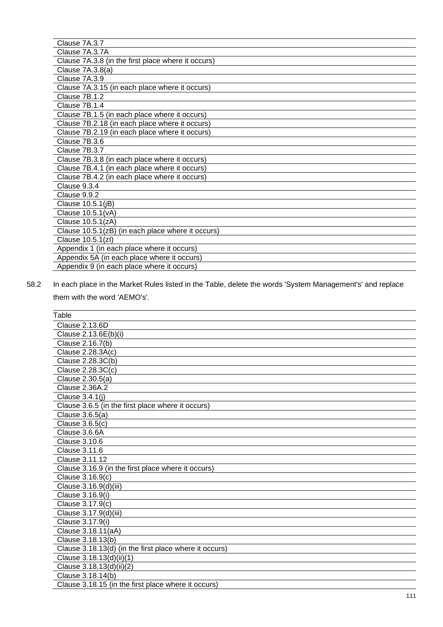| Clause 7A.3.7                                      |
|----------------------------------------------------|
|                                                    |
| Clause 7A.3.7A                                     |
| Clause 7A.3.8 (in the first place where it occurs) |
| Clause 7A.3.8(a)                                   |
| Clause 7A.3.9                                      |
| Clause 7A.3.15 (in each place where it occurs)     |
| Clause 7B.1.2                                      |
| Clause 7B.1.4                                      |
| Clause 7B.1.5 (in each place where it occurs)      |
| Clause 7B.2.18 (in each place where it occurs)     |
| Clause 7B.2.19 (in each place where it occurs)     |
| Clause 7B.3.6                                      |
| Clause 7B.3.7                                      |
| Clause 7B.3.8 (in each place where it occurs)      |
| Clause 7B.4.1 (in each place where it occurs)      |
| Clause 7B.4.2 (in each place where it occurs)      |
| Clause 9.3.4                                       |
| Clause 9.9.2                                       |
| Clause 10.5.1(jB)                                  |
| Clause 10.5.1(vA)                                  |
| Clause 10.5.1(zA)                                  |
| Clause 10.5.1(zB) (in each place where it occurs)  |
| Clause 10.5.1(zl)                                  |
| Appendix 1 (in each place where it occurs)         |
| Appendix 5A (in each place where it occurs)        |
| Appendix 9 (in each place where it occurs)         |

58.2 In each place in the Market Rules listed in the Table, delete the words 'System Management's' and replace them with the word 'AEMO's'.

| <b>Clause 2.13.6D</b><br>Clause 2.13.6E(b)(i)<br>Clause 2.16.7(b)<br>Clause 2.28.3A(c)<br>Clause 2.28.3C(b)<br>Clause 2.28.3C(c)<br>Clause 2.30.5(a)<br><b>Clause 2.36A.2</b> |
|-------------------------------------------------------------------------------------------------------------------------------------------------------------------------------|
|                                                                                                                                                                               |
|                                                                                                                                                                               |
|                                                                                                                                                                               |
|                                                                                                                                                                               |
|                                                                                                                                                                               |
|                                                                                                                                                                               |
|                                                                                                                                                                               |
|                                                                                                                                                                               |
| Clause 3.4.1(j)                                                                                                                                                               |
| Clause 3.6.5 (in the first place where it occurs)                                                                                                                             |
| Clause 3.6.5(a)                                                                                                                                                               |
| Clause 3.6.5(c)                                                                                                                                                               |
| Clause 3.6.6A                                                                                                                                                                 |
| <b>Clause 3.10.6</b>                                                                                                                                                          |
| Clause 3.11.6                                                                                                                                                                 |
| Clause 3.11.12                                                                                                                                                                |
| Clause 3.16.9 (in the first place where it occurs)                                                                                                                            |
| Clause 3.16.9(c)                                                                                                                                                              |
| Clause 3.16.9(d)(iii)                                                                                                                                                         |
| Clause 3.16.9(i)                                                                                                                                                              |
| Clause 3.17.9(c)                                                                                                                                                              |
| Clause 3.17.9(d)(iii)                                                                                                                                                         |
| Clause 3.17.9(i)                                                                                                                                                              |
| Clause 3.18.11(aA)                                                                                                                                                            |
| Clause 3.18.13(b)                                                                                                                                                             |
| Clause 3.18.13(d) (in the first place where it occurs)                                                                                                                        |
| Clause 3.18.13(d)(ii)(1)                                                                                                                                                      |
| Clause 3.18.13(d)(ii)(2)                                                                                                                                                      |
| Clause 3.18.14(b)                                                                                                                                                             |
| Clause 3.18.15 (in the first place where it occurs)                                                                                                                           |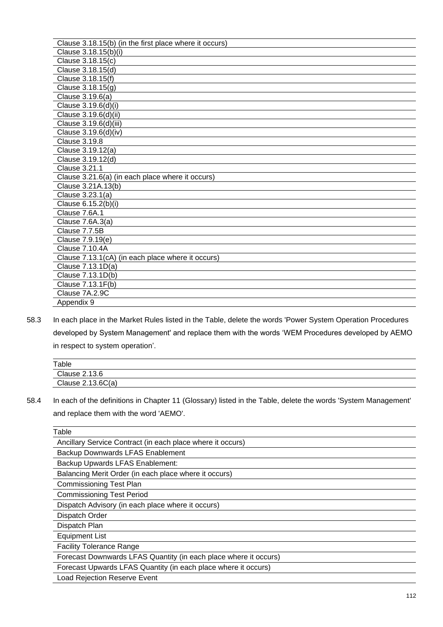| Clause 3.18.15(b) (in the first place where it occurs) |
|--------------------------------------------------------|
| Clause 3.18.15(b)(i)                                   |
| Clause 3.18.15(c)                                      |
| Clause 3.18.15(d)                                      |
| Clause 3.18.15(f)                                      |
| Clause 3.18.15(g)                                      |
| Clause 3.19.6(a)                                       |
| Clause 3.19.6(d)(i)                                    |
| Clause 3.19.6(d)(ii)                                   |
| Clause 3.19.6(d)(iii)                                  |
| Clause 3.19.6(d)(iv)                                   |
| <b>Clause 3.19.8</b>                                   |
| Clause 3.19.12(a)                                      |
| Clause 3.19.12(d)                                      |
| <b>Clause 3.21.1</b>                                   |
| Clause 3.21.6(a) (in each place where it occurs)       |
| Clause 3.21A.13(b)                                     |
| Clause 3.23.1(a)                                       |
| Clause 6.15.2(b)(i)                                    |
| Clause 7.6A.1                                          |
| Clause 7.6A.3(a)                                       |
| Clause 7.7.5B                                          |
| Clause 7.9.19(e)                                       |
| Clause 7.10.4A                                         |
| Clause 7.13.1(cA) (in each place where it occurs)      |
| Clause 7.13.1D(a)                                      |
| Clause 7.13.1D(b)                                      |
| Clause 7.13.1F(b)                                      |
| Clause 7A.2.9C                                         |
| Appendix 9                                             |

58.3 In each place in the Market Rules listed in the Table, delete the words 'Power System Operation Procedures developed by System Management' and replace them with the words 'WEM Procedures developed by AEMO in respect to system operation'.

| Table               |  |
|---------------------|--|
| Clause 2.13.6       |  |
| Clause $2.13.6C(a)$ |  |

58.4 In each of the definitions in Chapter 11 (Glossary) listed in the Table, delete the words 'System Management' and replace them with the word 'AEMO'.

| Ancillary Service Contract (in each place where it occurs)<br>Backup Downwards LFAS Enablement<br>Backup Upwards LFAS Enablement:<br>Balancing Merit Order (in each place where it occurs)<br><b>Commissioning Test Plan</b><br><b>Commissioning Test Period</b><br>Dispatch Advisory (in each place where it occurs)<br>Dispatch Order |
|-----------------------------------------------------------------------------------------------------------------------------------------------------------------------------------------------------------------------------------------------------------------------------------------------------------------------------------------|
|                                                                                                                                                                                                                                                                                                                                         |
|                                                                                                                                                                                                                                                                                                                                         |
|                                                                                                                                                                                                                                                                                                                                         |
|                                                                                                                                                                                                                                                                                                                                         |
|                                                                                                                                                                                                                                                                                                                                         |
|                                                                                                                                                                                                                                                                                                                                         |
|                                                                                                                                                                                                                                                                                                                                         |
|                                                                                                                                                                                                                                                                                                                                         |
| Dispatch Plan                                                                                                                                                                                                                                                                                                                           |
| <b>Equipment List</b>                                                                                                                                                                                                                                                                                                                   |
| <b>Facility Tolerance Range</b>                                                                                                                                                                                                                                                                                                         |
| Forecast Downwards LFAS Quantity (in each place where it occurs)                                                                                                                                                                                                                                                                        |
| Forecast Upwards LFAS Quantity (in each place where it occurs)                                                                                                                                                                                                                                                                          |
| <b>Load Rejection Reserve Event</b>                                                                                                                                                                                                                                                                                                     |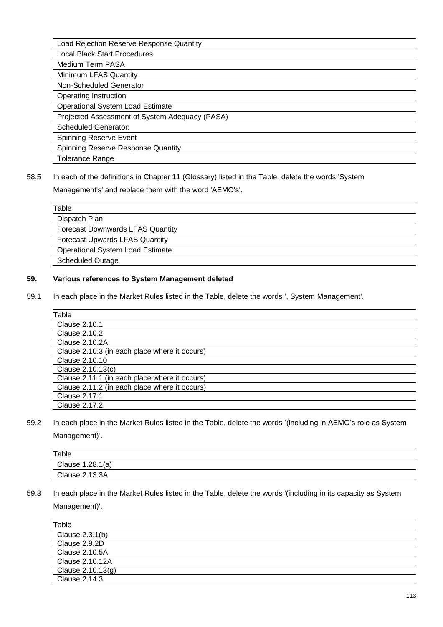Load Rejection Reserve Response Quantity

Local Black Start Procedures

Medium Term PASA

Minimum LFAS Quantity

Non-Scheduled Generator Operating Instruction

Operational System Load Estimate

Projected Assessment of System Adequacy (PASA)

Scheduled Generator:

Spinning Reserve Event

Spinning Reserve Response Quantity

Tolerance Range

58.5 In each of the definitions in Chapter 11 (Glossary) listed in the Table, delete the words 'System

Management's' and replace them with the word 'AEMO's'.

| Table                                   |  |
|-----------------------------------------|--|
| Dispatch Plan                           |  |
| <b>Forecast Downwards LFAS Quantity</b> |  |
| <b>Forecast Upwards LFAS Quantity</b>   |  |
| <b>Operational System Load Estimate</b> |  |
| <b>Scheduled Outage</b>                 |  |

# **59. Various references to System Management deleted**

59.1 In each place in the Market Rules listed in the Table, delete the words ', System Management'.

| Table                                         |
|-----------------------------------------------|
| Clause 2.10.1                                 |
| <b>Clause 2.10.2</b>                          |
| Clause 2.10.2A                                |
| Clause 2.10.3 (in each place where it occurs) |
| Clause 2.10.10                                |
| Clause 2.10.13(c)                             |
| Clause 2.11.1 (in each place where it occurs) |
| Clause 2.11.2 (in each place where it occurs) |
| Clause 2.17.1                                 |
| Clause 2.17.2                                 |

59.2 In each place in the Market Rules listed in the Table, delete the words '(including in AEMO's role as System Management)'.

| Table            |
|------------------|
| Clause 1.28.1(a) |
| Clause 2.13.3A   |
|                  |

59.3 In each place in the Market Rules listed in the Table, delete the words '(including in its capacity as System Management)'.

| Table                 |
|-----------------------|
| Clause 2.3.1(b)       |
| Clause 2.9.2D         |
| <b>Clause 2.10.5A</b> |
| Clause 2.10.12A       |
| Clause 2.10.13(g)     |
| Clause 2.14.3         |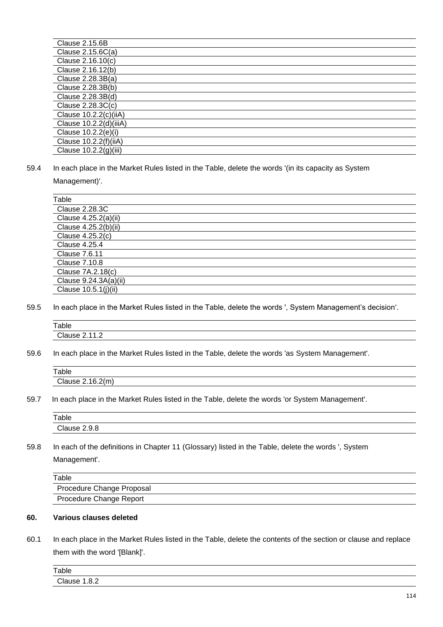| Clause 2.15.6B         |
|------------------------|
| Clause $2.15.6C(a)$    |
| Clause 2.16.10(c)      |
| Clause 2.16.12(b)      |
| Clause 2.28.3B(a)      |
| Clause 2.28.3B(b)      |
| Clause 2.28.3B(d)      |
| Clause $2.28.3C(c)$    |
| Clause 10.2.2(c)(iiA)  |
| Clause 10.2.2(d)(iiiA) |
| Clause 10.2.2(e)(i)    |
| Clause 10.2.2(f)(iiA)  |
| Clause 10.2.2(g)(iii)  |

59.4 In each place in the Market Rules listed in the Table, delete the words '(in its capacity as System Management)'.

| Table                 |
|-----------------------|
| <b>Clause 2.28.3C</b> |
| Clause 4.25.2(a)(ii)  |
| Clause 4.25.2(b)(ii)  |
| Clause 4.25.2(c)      |
| Clause 4.25.4         |
| Clause 7.6.11         |
| Clause 7.10.8         |
| Clause 7A.2.18(c)     |
| Clause 9.24.3A(a)(ii) |
| Clause 10.5.1(j)(ii)  |

59.5 In each place in the Market Rules listed in the Table, delete the words ', System Management's decision'.

| Table                                                     |  |  |
|-----------------------------------------------------------|--|--|
| Clause 2<br>$\overline{\phantom{0}}$<br>и<br>-<br>.<br>-- |  |  |

59.6 In each place in the Market Rules listed in the Table, delete the words 'as System Management'.

| Table                                      |  |  |
|--------------------------------------------|--|--|
| 2(m)<br>$\cap$ lause $>$<br>៲឵ឝ<br><u></u> |  |  |
|                                            |  |  |

59.7 In each place in the Market Rules listed in the Table, delete the words 'or System Management'.

| Table        |  |
|--------------|--|
| Clause 2.9.8 |  |
|              |  |

59.8 In each of the definitions in Chapter 11 (Glossary) listed in the Table, delete the words ', System Management'.

| Table                     |  |
|---------------------------|--|
| Procedure Change Proposal |  |
| Procedure Change Report   |  |

# **60. Various clauses deleted**

60.1 In each place in the Market Rules listed in the Table, delete the contents of the section or clause and replace them with the word '[Blank]'.

| Table              |  |
|--------------------|--|
| Clause 1.<br>l.8.2 |  |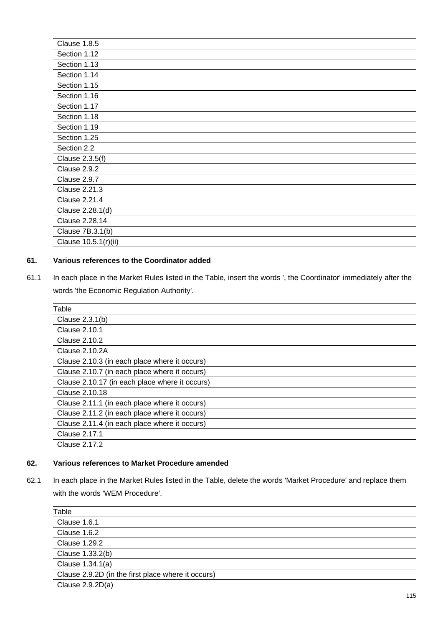| Clause 1.8.5         |
|----------------------|
| Section 1.12         |
| Section 1.13         |
| Section 1.14         |
| Section 1.15         |
| Section 1.16         |
| Section 1.17         |
| Section 1.18         |
| Section 1.19         |
| Section 1.25         |
| Section 2.2          |
| Clause 2.3.5(f)      |
| Clause 2.9.2         |
| Clause 2.9.7         |
| <b>Clause 2.21.3</b> |
| <b>Clause 2.21.4</b> |
| Clause 2.28.1(d)     |
| Clause 2.28.14       |
| Clause 7B.3.1(b)     |
| Clause 10.5.1(r)(ii) |

# **61. Various references to the Coordinator added**

61.1 In each place in the Market Rules listed in the Table, insert the words ', the Coordinator' immediately after the words 'the Economic Regulation Authority'.

| Table                                          |
|------------------------------------------------|
| Clause $2.3.1(b)$                              |
| <b>Clause 2.10.1</b>                           |
| Clause 2.10.2                                  |
| <b>Clause 2.10.2A</b>                          |
| Clause 2.10.3 (in each place where it occurs)  |
| Clause 2.10.7 (in each place where it occurs)  |
| Clause 2.10.17 (in each place where it occurs) |
| Clause 2.10.18                                 |
| Clause 2.11.1 (in each place where it occurs)  |
| Clause 2.11.2 (in each place where it occurs)  |
| Clause 2.11.4 (in each place where it occurs)  |
| Clause 2.17.1                                  |
| Clause 2.17.2                                  |

#### **62. Various references to Market Procedure amended**

62.1 In each place in the Market Rules listed in the Table, delete the words 'Market Procedure' and replace them with the words 'WEM Procedure'.

| Table                                              |
|----------------------------------------------------|
| Clause 1.6.1                                       |
| Clause 1.6.2                                       |
| <b>Clause 1.29.2</b>                               |
| Clause 1.33.2(b)                                   |
| Clause 1.34.1(a)                                   |
| Clause 2.9.2D (in the first place where it occurs) |
| Clause $2.9.2D(a)$                                 |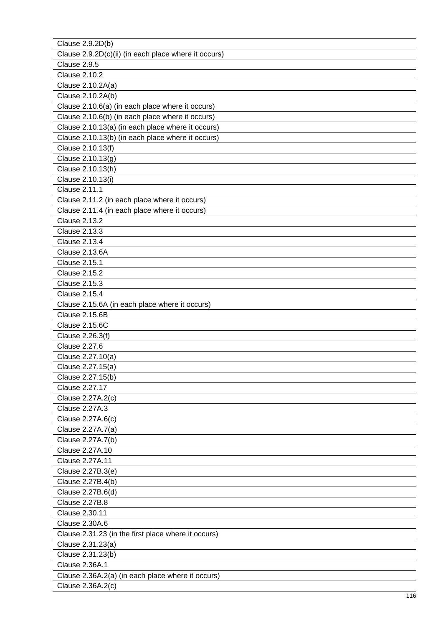| Clause 2.9.2D(b)                                     |
|------------------------------------------------------|
| Clause 2.9.2D(c)(ii) (in each place where it occurs) |
| Clause 2.9.5                                         |
| <b>Clause 2.10.2</b>                                 |
| Clause 2.10.2A(a)                                    |
| Clause 2.10.2A(b)                                    |
| Clause 2.10.6(a) (in each place where it occurs)     |
| Clause 2.10.6(b) (in each place where it occurs)     |
| Clause 2.10.13(a) (in each place where it occurs)    |
| Clause 2.10.13(b) (in each place where it occurs)    |
| Clause 2.10.13(f)                                    |
| Clause 2.10.13(g)                                    |
| Clause 2.10.13(h)                                    |
| Clause 2.10.13(i)                                    |
| <b>Clause 2.11.1</b>                                 |
| Clause 2.11.2 (in each place where it occurs)        |
| Clause 2.11.4 (in each place where it occurs)        |
| <b>Clause 2.13.2</b>                                 |
| <b>Clause 2.13.3</b>                                 |
| <b>Clause 2.13.4</b>                                 |
| Clause 2.13.6A                                       |
| <b>Clause 2.15.1</b>                                 |
| <b>Clause 2.15.2</b>                                 |
| <b>Clause 2.15.3</b>                                 |
| <b>Clause 2.15.4</b>                                 |
| Clause 2.15.6A (in each place where it occurs)       |
| <b>Clause 2.15.6B</b>                                |
| <b>Clause 2.15.6C</b>                                |
| Clause 2.26.3(f)                                     |
| <b>Clause 2.27.6</b>                                 |
| Clause 2.27.10(a)                                    |
| Clause 2.27.15(a)                                    |
| Clause 2.27.15(b)                                    |
| Clause 2.27.17                                       |
| Clause 2.27A.2(c)                                    |
| Clause 2.27A.3                                       |
| Clause 2.27A.6(c)                                    |
| Clause 2.27A.7(a)                                    |
| Clause 2.27A.7(b)                                    |
| Clause 2.27A.10                                      |
| Clause 2.27A.11                                      |
| Clause 2.27B.3(e)                                    |
| Clause 2.27B.4(b)                                    |
| Clause 2.27B.6(d)                                    |
| <b>Clause 2.27B.8</b>                                |
| Clause 2.30.11                                       |
| <b>Clause 2.30A.6</b>                                |
| Clause 2.31.23 (in the first place where it occurs)  |
| Clause 2.31.23(a)                                    |
| Clause 2.31.23(b)                                    |
| <b>Clause 2.36A.1</b>                                |
| Clause 2.36A.2(a) (in each place where it occurs)    |
| Clause 2.36A.2(c)                                    |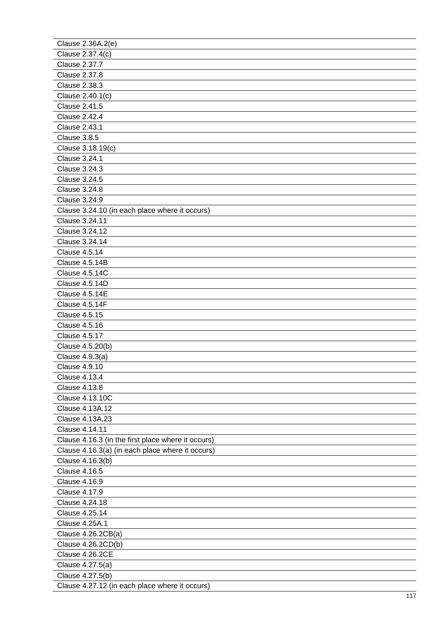| Clause 2.36A.2(e)                                  |
|----------------------------------------------------|
| Clause 2.37.4(c)                                   |
| <b>Clause 2.37.7</b>                               |
| <b>Clause 2.37.8</b>                               |
| <b>Clause 2.38.3</b>                               |
| Clause 2.40.1(c)                                   |
| <b>Clause 2.41.5</b>                               |
| <b>Clause 2.42.4</b>                               |
| <b>Clause 2.43.1</b>                               |
| Clause 3.8.5                                       |
| Clause 3.18.19(c)                                  |
| <b>Clause 3.24.1</b>                               |
| <b>Clause 3.24.3</b>                               |
| <b>Clause 3.24.5</b>                               |
| <b>Clause 3.24.8</b>                               |
| <b>Clause 3.24.9</b>                               |
| Clause 3.24.10 (in each place where it occurs)     |
| <b>Clause 3.24.11</b>                              |
| Clause 3.24.12                                     |
| <b>Clause 3.24.14</b>                              |
| <b>Clause 4.5.14</b>                               |
| Clause 4.5.14B                                     |
| Clause 4.5.14C                                     |
| Clause 4.5.14D                                     |
| Clause 4.5.14E                                     |
| Clause 4.5.14F                                     |
| <b>Clause 4.5.15</b>                               |
| <b>Clause 4.5.16</b>                               |
| <b>Clause 4.5.17</b>                               |
| Clause 4.5.20(b)                                   |
| Clause 4.9.3(a)                                    |
| <b>Clause 4.9.10</b>                               |
| <b>Clause 4.13.4</b>                               |
| <b>Clause 4.13.8</b>                               |
| <b>Clause 4.13.10C</b>                             |
| Clause 4.13A.12                                    |
| Clause 4.13A.23                                    |
| Clause 4.14.11                                     |
| Clause 4.16.3 (in the first place where it occurs) |
| Clause 4.16.3(a) (in each place where it occurs)   |
| Clause 4.16.3(b)                                   |
| <b>Clause 4.16.5</b>                               |
| <b>Clause 4.16.9</b>                               |
| <b>Clause 4.17.9</b>                               |
| Clause 4.24.18                                     |
| <b>Clause 4.25.14</b>                              |
| <b>Clause 4.25A.1</b>                              |
| Clause 4.26.2CB(a)                                 |
| Clause 4.26.2CD(b)                                 |
| Clause 4.26.2CE                                    |
| Clause 4.27.5(a)                                   |
| Clause 4.27.5(b)                                   |
| Clause 4.27.12 (in each place where it occurs)     |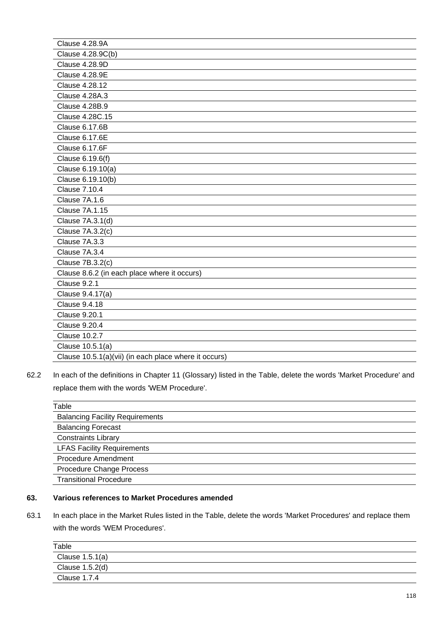| Clause 4.28.9A                                        |
|-------------------------------------------------------|
| Clause 4.28.9C(b)                                     |
| <b>Clause 4.28.9D</b>                                 |
| <b>Clause 4.28.9E</b>                                 |
| <b>Clause 4.28.12</b>                                 |
| Clause 4.28A.3                                        |
| <b>Clause 4.28B.9</b>                                 |
| Clause 4.28C.15                                       |
| Clause 6.17.6B                                        |
| Clause 6.17.6E                                        |
| Clause 6.17.6F                                        |
| Clause 6.19.6(f)                                      |
| Clause 6.19.10(a)                                     |
| Clause 6.19.10(b)                                     |
| <b>Clause 7.10.4</b>                                  |
| Clause 7A.1.6                                         |
| <b>Clause 7A.1.15</b>                                 |
| Clause 7A.3.1(d)                                      |
| Clause 7A.3.2(c)                                      |
| Clause 7A.3.3                                         |
| Clause 7A.3.4                                         |
| Clause 7B.3.2(c)                                      |
| Clause 8.6.2 (in each place where it occurs)          |
| Clause 9.2.1                                          |
| Clause 9.4.17(a)                                      |
| <b>Clause 9.4.18</b>                                  |
| <b>Clause 9.20.1</b>                                  |
| <b>Clause 9.20.4</b>                                  |
| <b>Clause 10.2.7</b>                                  |
| Clause 10.5.1(a)                                      |
| Clause 10.5.1(a)(vii) (in each place where it occurs) |

62.2 In each of the definitions in Chapter 11 (Glossary) listed in the Table, delete the words 'Market Procedure' and replace them with the words 'WEM Procedure'.

| Table                                  |
|----------------------------------------|
| <b>Balancing Facility Requirements</b> |
| <b>Balancing Forecast</b>              |
| <b>Constraints Library</b>             |
| <b>LFAS Facility Requirements</b>      |
| <b>Procedure Amendment</b>             |
| Procedure Change Process               |
| <b>Transitional Procedure</b>          |

#### **63. Various references to Market Procedures amended**

63.1 In each place in the Market Rules listed in the Table, delete the words 'Market Procedures' and replace them with the words 'WEM Procedures'.

| Table           |  |
|-----------------|--|
| Clause 1.5.1(a) |  |
| Clause 1.5.2(d) |  |
| Clause 1.7.4    |  |
|                 |  |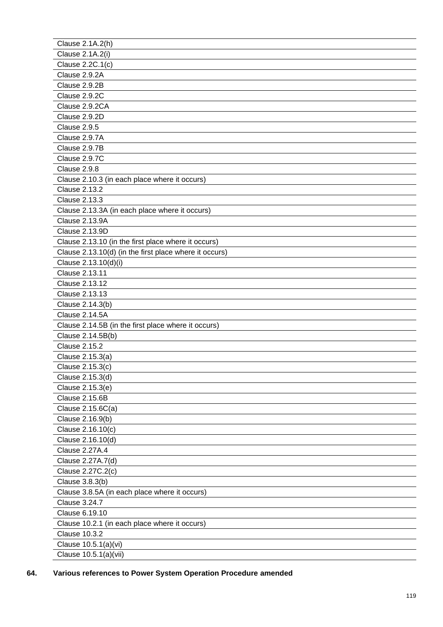| Clause 2.1A.2(h)                                       |
|--------------------------------------------------------|
| Clause 2.1A.2(i)                                       |
| Clause 2.2C.1(c)                                       |
| Clause 2.9.2A                                          |
| Clause 2.9.2B                                          |
| Clause 2.9.2C                                          |
| Clause 2.9.2CA                                         |
| Clause 2.9.2D                                          |
| Clause 2.9.5                                           |
| Clause 2.9.7A                                          |
| Clause 2.9.7B                                          |
| Clause 2.9.7C                                          |
| Clause 2.9.8                                           |
| Clause 2.10.3 (in each place where it occurs)          |
| <b>Clause 2.13.2</b>                                   |
| <b>Clause 2.13.3</b>                                   |
| Clause 2.13.3A (in each place where it occurs)         |
| <b>Clause 2.13.9A</b>                                  |
| Clause 2.13.9D                                         |
| Clause 2.13.10 (in the first place where it occurs)    |
| Clause 2.13.10(d) (in the first place where it occurs) |
| Clause 2.13.10(d)(i)                                   |
| Clause 2.13.11                                         |
| Clause 2.13.12                                         |
| Clause 2.13.13                                         |
| Clause 2.14.3(b)                                       |
| <b>Clause 2.14.5A</b>                                  |
| Clause 2.14.5B (in the first place where it occurs)    |
| Clause 2.14.5B(b)                                      |
| <b>Clause 2.15.2</b>                                   |
| Clause 2.15.3(a)                                       |
| Clause 2.15.3(c)                                       |
| Clause 2.15.3(d)                                       |
| Clause 2.15.3(e)                                       |
| <b>Clause 2.15.6B</b>                                  |
| Clause 2.15.6C(a)                                      |
| Clause 2.16.9(b)                                       |
| Clause 2.16.10(c)                                      |
| Clause 2.16.10(d)                                      |
| <b>Clause 2.27A.4</b>                                  |
| Clause 2.27A.7(d)                                      |
| Clause 2.27C.2(c)                                      |
| Clause 3.8.3(b)                                        |
| Clause 3.8.5A (in each place where it occurs)          |
| <b>Clause 3.24.7</b>                                   |
| Clause 6.19.10                                         |
| Clause 10.2.1 (in each place where it occurs)          |
| <b>Clause 10.3.2</b>                                   |
| Clause 10.5.1(a)(vi)                                   |
| Clause 10.5.1(a)(vii)                                  |
|                                                        |

**64. Various references to Power System Operation Procedure amended**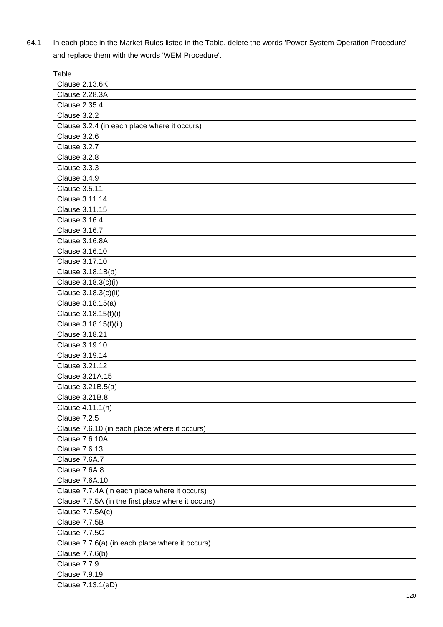64.1 In each place in the Market Rules listed in the Table, delete the words 'Power System Operation Procedure' and replace them with the words 'WEM Procedure'.

| Table                                              |
|----------------------------------------------------|
| <b>Clause 2.13.6K</b>                              |
| <b>Clause 2.28.3A</b>                              |
| <b>Clause 2.35.4</b>                               |
| Clause 3.2.2                                       |
| Clause 3.2.4 (in each place where it occurs)       |
| Clause 3.2.6                                       |
| Clause 3.2.7                                       |
| Clause 3.2.8                                       |
| Clause 3.3.3                                       |
| Clause 3.4.9                                       |
| <b>Clause 3.5.11</b>                               |
| Clause 3.11.14                                     |
| Clause 3.11.15                                     |
| <b>Clause 3.16.4</b>                               |
| <b>Clause 3.16.7</b>                               |
| Clause 3.16.8A                                     |
| Clause 3.16.10                                     |
| Clause 3.17.10                                     |
| Clause 3.18.1B(b)                                  |
| Clause 3.18.3(c)(i)                                |
| Clause 3.18.3(c)(ii)                               |
|                                                    |
| Clause 3.18.15(a)                                  |
| Clause 3.18.15(f)(i)                               |
| Clause 3.18.15(f)(ii)                              |
| Clause 3.18.21                                     |
| Clause 3.19.10                                     |
| Clause 3.19.14                                     |
| Clause 3.21.12                                     |
| Clause 3.21A.15                                    |
| Clause 3.21B.5(a)                                  |
| <b>Clause 3.21B.8</b>                              |
| Clause 4.11.1(h)                                   |
| Clause 7.2.5                                       |
| Clause 7.6.10 (in each place where it occurs)      |
| Clause 7.6.10A                                     |
| <b>Clause 7.6.13</b>                               |
| Clause 7.6A.7                                      |
| Clause 7.6A.8                                      |
| <b>Clause 7.6A.10</b>                              |
| Clause 7.7.4A (in each place where it occurs)      |
| Clause 7.7.5A (in the first place where it occurs) |
| Clause 7.7.5A(c)                                   |
| Clause 7.7.5B                                      |
| Clause 7.7.5C                                      |
| Clause 7.7.6(a) (in each place where it occurs)    |
| Clause 7.7.6(b)                                    |
| Clause 7.7.9                                       |
| Clause 7.9.19                                      |
| Clause 7.13.1(eD)                                  |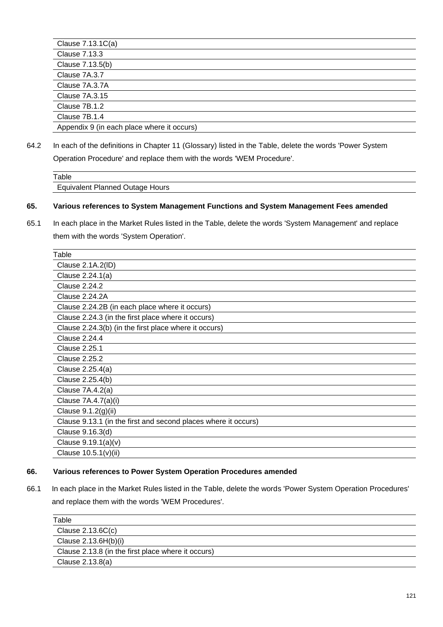| Clause 7.13.1C(a)                          |
|--------------------------------------------|
| <b>Clause 7.13.3</b>                       |
| Clause 7.13.5(b)                           |
| Clause 7A.3.7                              |
| Clause 7A.3.7A                             |
| Clause 7A.3.15                             |
| Clause 7B.1.2                              |
| Clause 7B.1.4                              |
| Appendix 9 (in each place where it occurs) |

64.2 In each of the definitions in Chapter 11 (Glossary) listed in the Table, delete the words 'Power System Operation Procedure' and replace them with the words 'WEM Procedure'.

| Table                                  |  |  |
|----------------------------------------|--|--|
| <b>Equivalent Planned Outage Hours</b> |  |  |

#### **65. Various references to System Management Functions and System Management Fees amended**

65.1 In each place in the Market Rules listed in the Table, delete the words 'System Management' and replace them with the words 'System Operation'.

| Clause 2.1A.2(ID)<br>Clause 2.24.1(a)<br><b>Clause 2.24.2</b>  |
|----------------------------------------------------------------|
|                                                                |
|                                                                |
|                                                                |
| <b>Clause 2.24.2A</b>                                          |
| Clause 2.24.2B (in each place where it occurs)                 |
| Clause 2.24.3 (in the first place where it occurs)             |
| Clause 2.24.3(b) (in the first place where it occurs)          |
| <b>Clause 2.24.4</b>                                           |
| Clause 2.25.1                                                  |
| Clause 2.25.2                                                  |
| Clause 2.25.4(a)                                               |
| Clause 2.25.4(b)                                               |
| Clause 7A.4.2(a)                                               |
| Clause 7A.4.7(a)(i)                                            |
| Clause 9.1.2(g)(ii)                                            |
| Clause 9.13.1 (in the first and second places where it occurs) |
| Clause 9.16.3(d)                                               |
| Clause 9.19.1(a)(v)                                            |
| Clause $10.5.1(v)(ii)$                                         |

#### **66. Various references to Power System Operation Procedures amended**

66.1 In each place in the Market Rules listed in the Table, delete the words 'Power System Operation Procedures' and replace them with the words 'WEM Procedures'.

| Table                                              |  |
|----------------------------------------------------|--|
| Clause $2.13.6C(c)$                                |  |
| Clause $2.13.6H(b)(i)$                             |  |
| Clause 2.13.8 (in the first place where it occurs) |  |
| Clause 2.13.8(a)                                   |  |
|                                                    |  |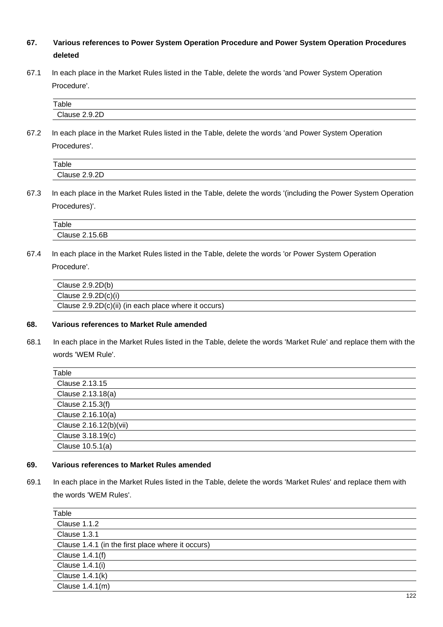# **67. Various references to Power System Operation Procedure and Power System Operation Procedures deleted**

67.1 In each place in the Market Rules listed in the Table, delete the words 'and Power System Operation Procedure'.

| Table                                           |  |
|-------------------------------------------------|--|
| $\sim$<br>$^{\circ}$ lause $\sim$ .<br><br>____ |  |

67.2 In each place in the Market Rules listed in the Table, delete the words 'and Power System Operation Procedures'.

| Table         |  |
|---------------|--|
| Clause 2.9.2D |  |

67.3 In each place in the Market Rules listed in the Table, delete the words '(including the Power System Operation Procedures)'.

| Table                 |  |
|-----------------------|--|
| <b>Clause 2.15.6B</b> |  |
|                       |  |

67.4 In each place in the Market Rules listed in the Table, delete the words 'or Power System Operation Procedure'.

| Clause $2.9.2D(b)$                                   |
|------------------------------------------------------|
| Clause $2.9.2D(c)(i)$                                |
| Clause 2.9.2D(c)(ii) (in each place where it occurs) |

## **68. Various references to Market Rule amended**

68.1 In each place in the Market Rules listed in the Table, delete the words 'Market Rule' and replace them with the words 'WEM Rule'.

| Table                  |  |
|------------------------|--|
| Clause 2.13.15         |  |
| Clause 2.13.18(a)      |  |
| Clause 2.15.3(f)       |  |
| Clause 2.16.10(a)      |  |
| Clause 2.16.12(b)(vii) |  |
| Clause 3.18.19(c)      |  |
| Clause 10.5.1(a)       |  |
|                        |  |

## **69. Various references to Market Rules amended**

69.1 In each place in the Market Rules listed in the Table, delete the words 'Market Rules' and replace them with the words 'WEM Rules'.

| Table                                             |
|---------------------------------------------------|
| <b>Clause 1.1.2</b>                               |
| Clause 1.3.1                                      |
| Clause 1.4.1 (in the first place where it occurs) |
| Clause 1.4.1(f)                                   |
| Clause 1.4.1(i)                                   |
| Clause 1.4.1(k)                                   |
| Clause 1.4.1(m)                                   |

 $\overline{\phantom{a}}$  $\overline{\phantom{a}}$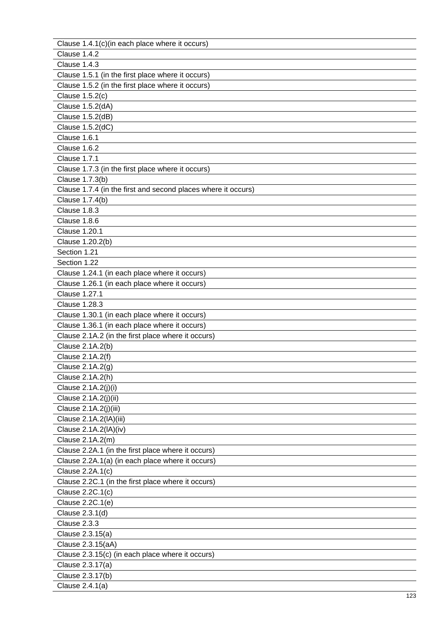| Clause 1.4.1(c)(in each place where it occurs)                |  |
|---------------------------------------------------------------|--|
| Clause 1.4.2                                                  |  |
| Clause 1.4.3                                                  |  |
| Clause 1.5.1 (in the first place where it occurs)             |  |
| Clause 1.5.2 (in the first place where it occurs)             |  |
| Clause 1.5.2(c)                                               |  |
| Clause 1.5.2(dA)                                              |  |
| Clause 1.5.2(dB)                                              |  |
| Clause 1.5.2(dC)                                              |  |
| Clause 1.6.1                                                  |  |
| Clause 1.6.2                                                  |  |
| <b>Clause 1.7.1</b>                                           |  |
| Clause 1.7.3 (in the first place where it occurs)             |  |
| Clause 1.7.3(b)                                               |  |
| Clause 1.7.4 (in the first and second places where it occurs) |  |
| Clause 1.7.4(b)                                               |  |
| Clause 1.8.3                                                  |  |
| Clause 1.8.6                                                  |  |
| <b>Clause 1.20.1</b>                                          |  |
| Clause 1.20.2(b)                                              |  |
| Section 1.21                                                  |  |
| Section 1.22                                                  |  |
| Clause 1.24.1 (in each place where it occurs)                 |  |
| Clause 1.26.1 (in each place where it occurs)                 |  |
| <b>Clause 1.27.1</b>                                          |  |
| <b>Clause 1.28.3</b>                                          |  |
| Clause 1.30.1 (in each place where it occurs)                 |  |
| Clause 1.36.1 (in each place where it occurs)                 |  |
| Clause 2.1A.2 (in the first place where it occurs)            |  |
| Clause 2.1A.2(b)                                              |  |
| Clause 2.1A.2(f)                                              |  |
| Clause 2.1A.2(g)                                              |  |
| Clause 2.1A.2(h)                                              |  |
| Clause 2.1A.2(j)(i)                                           |  |
| Clause 2.1A.2(j)(ii)                                          |  |
| Clause 2.1A.2(j)(iii)                                         |  |
| Clause 2.1A.2(IA)(iii)                                        |  |
| Clause 2.1A.2(IA)(iv)                                         |  |
| Clause 2.1A.2(m)                                              |  |
| Clause 2.2A.1 (in the first place where it occurs)            |  |
| Clause 2.2A.1(a) (in each place where it occurs)              |  |
| Clause 2.2A.1(c)                                              |  |
| Clause 2.2C.1 (in the first place where it occurs)            |  |
| Clause 2.2C.1(c)                                              |  |
| Clause 2.2C.1(e)                                              |  |
| Clause 2.3.1(d)                                               |  |
| Clause 2.3.3                                                  |  |
| Clause 2.3.15(a)                                              |  |
| Clause 2.3.15(aA)                                             |  |
| Clause 2.3.15(c) (in each place where it occurs)              |  |
| Clause 2.3.17(a)                                              |  |
| Clause 2.3.17(b)                                              |  |
| Clause 2.4.1(a)                                               |  |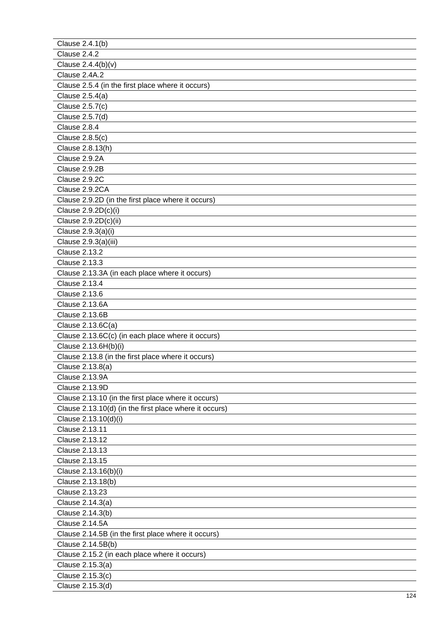| Clause 2.4.1(b)                                        |
|--------------------------------------------------------|
| Clause 2.4.2                                           |
| Clause 2.4.4(b)(v)                                     |
| Clause 2.4A.2                                          |
| Clause 2.5.4 (in the first place where it occurs)      |
| Clause 2.5.4(a)                                        |
| Clause 2.5.7(c)                                        |
| Clause 2.5.7(d)                                        |
| Clause 2.8.4                                           |
| Clause 2.8.5(c)                                        |
| Clause 2.8.13(h)                                       |
| Clause 2.9.2A                                          |
| Clause 2.9.2B                                          |
| Clause 2.9.2C                                          |
| Clause 2.9.2CA                                         |
| Clause 2.9.2D (in the first place where it occurs)     |
| Clause 2.9.2D(c)(i)                                    |
| Clause 2.9.2D(c)(ii)                                   |
| Clause 2.9.3(a)(i)                                     |
| Clause 2.9.3(a)(iii)                                   |
| <b>Clause 2.13.2</b>                                   |
| <b>Clause 2.13.3</b>                                   |
| Clause 2.13.3A (in each place where it occurs)         |
| <b>Clause 2.13.4</b>                                   |
| <b>Clause 2.13.6</b>                                   |
| Clause 2.13.6A                                         |
| <b>Clause 2.13.6B</b>                                  |
| Clause 2.13.6C(a)                                      |
| Clause 2.13.6C(c) (in each place where it occurs)      |
| Clause 2.13.6H(b)(i)                                   |
| Clause 2.13.8 (in the first place where it occurs)     |
| Clause 2.13.8(a)                                       |
| <b>Clause 2.13.9A</b>                                  |
| <b>Clause 2.13.9D</b>                                  |
| Clause 2.13.10 (in the first place where it occurs)    |
| Clause 2.13.10(d) (in the first place where it occurs) |
| Clause 2.13.10(d)(i)                                   |
| Clause 2.13.11                                         |
| Clause 2.13.12                                         |
| Clause 2.13.13                                         |
| Clause 2.13.15                                         |
| Clause 2.13.16(b)(i)                                   |
| Clause 2.13.18(b)                                      |
| <b>Clause 2.13.23</b>                                  |
| Clause 2.14.3(a)                                       |
|                                                        |
| Clause 2.14.3(b)<br>Clause 2.14.5A                     |
| Clause 2.14.5B (in the first place where it occurs)    |
|                                                        |
| Clause 2.14.5B(b)                                      |
| Clause 2.15.2 (in each place where it occurs)          |
| Clause 2.15.3(a)                                       |
| Clause 2.15.3(c)                                       |
| Clause 2.15.3(d)                                       |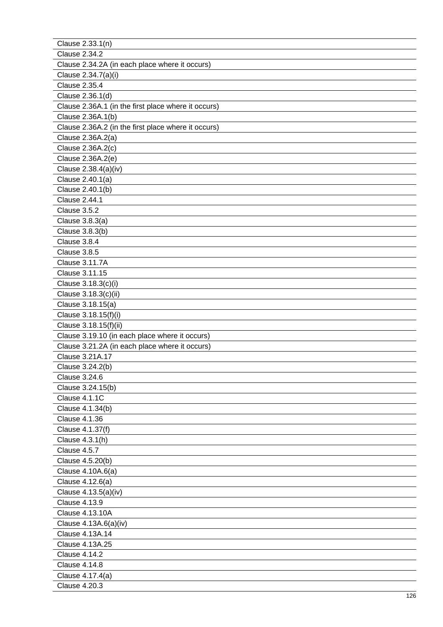| Clause 2.33.1(n)                                    |
|-----------------------------------------------------|
| <b>Clause 2.34.2</b>                                |
| Clause 2.34.2A (in each place where it occurs)      |
| Clause 2.34.7(a)(i)                                 |
| <b>Clause 2.35.4</b>                                |
| Clause 2.36.1(d)                                    |
| Clause 2.36A.1 (in the first place where it occurs) |
| Clause 2.36A.1(b)                                   |
| Clause 2.36A.2 (in the first place where it occurs) |
| Clause 2.36A.2(a)                                   |
| Clause 2.36A.2(c)                                   |
| Clause 2.36A.2(e)                                   |
| Clause 2.38.4(a)(iv)                                |
| Clause 2.40.1(a)                                    |
| Clause 2.40.1(b)                                    |
| Clause 2.44.1                                       |
| Clause 3.5.2                                        |
| Clause 3.8.3(a)                                     |
| Clause 3.8.3(b)                                     |
| Clause 3.8.4                                        |
| Clause 3.8.5                                        |
| Clause 3.11.7A                                      |
| Clause 3.11.15                                      |
| Clause 3.18.3(c)(i)                                 |
| Clause 3.18.3(c)(ii)                                |
| Clause 3.18.15(a)                                   |
| Clause 3.18.15(f)(i)                                |
| Clause 3.18.15(f)(ii)                               |
| Clause 3.19.10 (in each place where it occurs)      |
| Clause 3.21.2A (in each place where it occurs)      |
| Clause 3.21A.17                                     |
| Clause 3.24.2(b)                                    |
| <b>Clause 3.24.6</b>                                |
| Clause 3.24.15(b)                                   |
| Clause 4.1.1C                                       |
| Clause 4.1.34(b)                                    |
| <b>Clause 4.1.36</b>                                |
| Clause 4.1.37(f)                                    |
| Clause 4.3.1(h)                                     |
| Clause 4.5.7                                        |
| Clause 4.5.20(b)                                    |
| Clause 4.10A.6(a)                                   |
| Clause 4.12.6(a)                                    |
| Clause 4.13.5(a)(iv)                                |
| <b>Clause 4.13.9</b>                                |
| <b>Clause 4.13.10A</b>                              |
| Clause 4.13A.6(a)(iv)                               |
| Clause 4.13A.14                                     |
| Clause 4.13A.25                                     |
| <b>Clause 4.14.2</b>                                |
| <b>Clause 4.14.8</b>                                |
| Clause 4.17.4(a)                                    |
| <b>Clause 4.20.3</b>                                |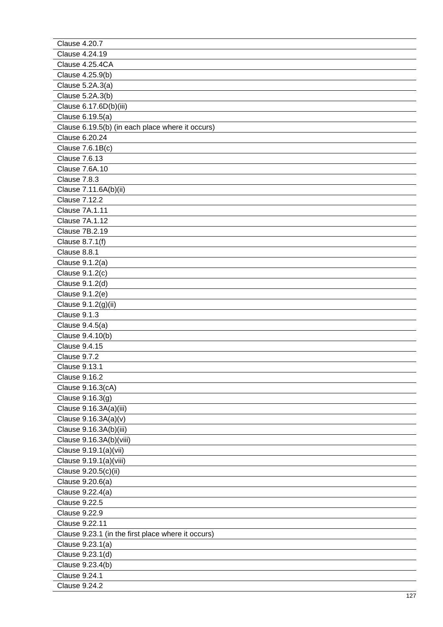| <b>Clause 4.20.7</b>                               |
|----------------------------------------------------|
| Clause 4.24.19                                     |
| Clause 4.25.4CA                                    |
| Clause 4.25.9(b)                                   |
| Clause 5.2A.3(a)                                   |
| Clause 5.2A.3(b)                                   |
| Clause 6.17.6D(b)(iii)                             |
| Clause 6.19.5(a)                                   |
| Clause 6.19.5(b) (in each place where it occurs)   |
| Clause 6.20.24                                     |
| Clause 7.6.1B(c)                                   |
| <b>Clause 7.6.13</b>                               |
| <b>Clause 7.6A.10</b>                              |
| Clause 7.8.3                                       |
| Clause 7.11.6A(b)(ii)                              |
| <b>Clause 7.12.2</b>                               |
| Clause 7A.1.11                                     |
| <b>Clause 7A.1.12</b>                              |
| <b>Clause 7B.2.19</b>                              |
| Clause 8.7.1(f)                                    |
| Clause 8.8.1                                       |
| Clause 9.1.2(a)                                    |
| Clause 9.1.2(c)                                    |
| Clause 9.1.2(d)                                    |
| Clause 9.1.2(e)                                    |
| Clause 9.1.2(g)(ii)                                |
| Clause 9.1.3                                       |
| Clause 9.4.5(a)                                    |
| Clause 9.4.10(b)                                   |
| <b>Clause 9.4.15</b>                               |
| Clause 9.7.2                                       |
| <b>Clause 9.13.1</b>                               |
| <b>Clause 9.16.2</b>                               |
| Clause 9.16.3(cA)                                  |
| Clause 9.16.3(g)                                   |
| Clause 9.16.3A(a)(iii)                             |
| Clause 9.16.3A(a)(v)                               |
| Clause 9.16.3A(b)(iii)                             |
| Clause 9.16.3A(b)(viii)                            |
| Clause 9.19.1(a)(vii)                              |
| Clause 9.19.1(a)(viii)                             |
| Clause 9.20.5(c)(ii)                               |
| Clause 9.20.6(a)                                   |
| Clause 9.22.4(a)                                   |
| <b>Clause 9.22.5</b>                               |
| <b>Clause 9.22.9</b>                               |
| Clause 9.22.11                                     |
| Clause 9.23.1 (in the first place where it occurs) |
| Clause 9.23.1(a)                                   |
| Clause 9.23.1(d)                                   |
| Clause 9.23.4(b)                                   |
| <b>Clause 9.24.1</b>                               |
| <b>Clause 9.24.2</b>                               |
|                                                    |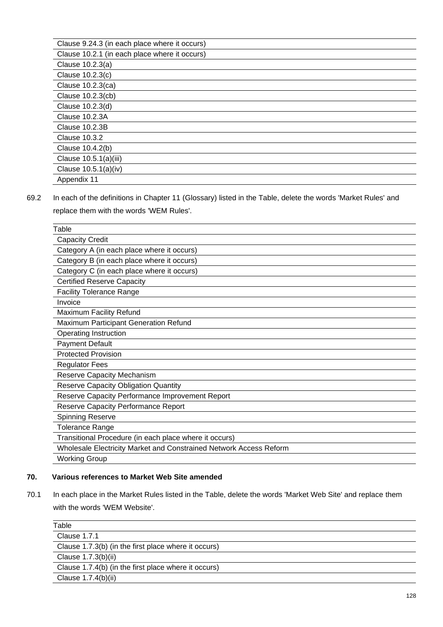| Clause 9.24.3 (in each place where it occurs) |
|-----------------------------------------------|
| Clause 10.2.1 (in each place where it occurs) |
| Clause 10.2.3(a)                              |
| Clause 10.2.3(c)                              |
| Clause 10.2.3(ca)                             |
| Clause 10.2.3(cb)                             |
| Clause 10.2.3(d)                              |
| <b>Clause 10.2.3A</b>                         |
| <b>Clause 10.2.3B</b>                         |
| Clause 10.3.2                                 |
| Clause 10.4.2(b)                              |
| Clause 10.5.1(a)(iii)                         |
| Clause 10.5.1(a)(iv)                          |
| Appendix 11                                   |

69.2 In each of the definitions in Chapter 11 (Glossary) listed in the Table, delete the words 'Market Rules' and replace them with the words 'WEM Rules'.

| Table                                                              |
|--------------------------------------------------------------------|
| <b>Capacity Credit</b>                                             |
| Category A (in each place where it occurs)                         |
| Category B (in each place where it occurs)                         |
| Category C (in each place where it occurs)                         |
| <b>Certified Reserve Capacity</b>                                  |
| <b>Facility Tolerance Range</b>                                    |
| Invoice                                                            |
| <b>Maximum Facility Refund</b>                                     |
| Maximum Participant Generation Refund                              |
| Operating Instruction                                              |
| <b>Payment Default</b>                                             |
| <b>Protected Provision</b>                                         |
| <b>Regulator Fees</b>                                              |
| <b>Reserve Capacity Mechanism</b>                                  |
| <b>Reserve Capacity Obligation Quantity</b>                        |
| Reserve Capacity Performance Improvement Report                    |
| Reserve Capacity Performance Report                                |
| Spinning Reserve                                                   |
| Tolerance Range                                                    |
| Transitional Procedure (in each place where it occurs)             |
| Wholesale Electricity Market and Constrained Network Access Reform |
| <b>Working Group</b>                                               |
|                                                                    |

# **70. Various references to Market Web Site amended**

70.1 In each place in the Market Rules listed in the Table, delete the words 'Market Web Site' and replace them with the words 'WEM Website'.

| Table                                                |  |
|------------------------------------------------------|--|
| Clause 1.7.1                                         |  |
| Clause 1.7.3(b) (in the first place where it occurs) |  |
| Clause 1.7.3(b)(ii)                                  |  |
| Clause 1.7.4(b) (in the first place where it occurs) |  |
| Clause 1.7.4(b)(ii)                                  |  |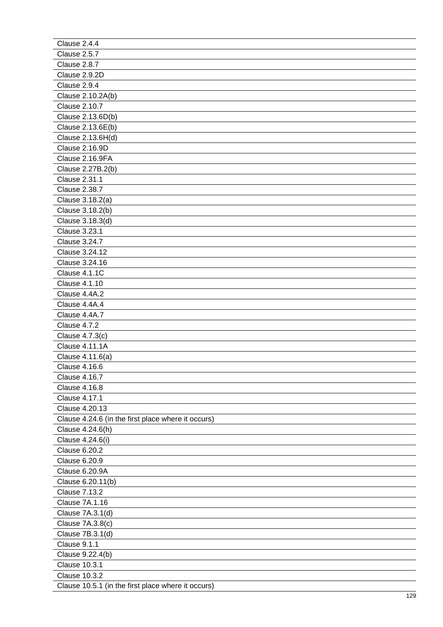| Clause 2.4.4                                       |
|----------------------------------------------------|
| Clause 2.5.7                                       |
| Clause 2.8.7                                       |
| Clause 2.9.2D                                      |
| Clause 2.9.4                                       |
| Clause 2.10.2A(b)                                  |
| <b>Clause 2.10.7</b>                               |
| Clause 2.13.6D(b)                                  |
| Clause 2.13.6E(b)                                  |
| Clause 2.13.6H(d)                                  |
| Clause 2.16.9D                                     |
| Clause 2.16.9FA                                    |
| Clause 2.27B.2(b)                                  |
| Clause 2.31.1                                      |
| <b>Clause 2.38.7</b>                               |
| Clause 3.18.2(a)                                   |
| Clause 3.18.2(b)                                   |
| Clause 3.18.3(d)                                   |
| <b>Clause 3.23.1</b>                               |
| <b>Clause 3.24.7</b>                               |
| Clause 3.24.12                                     |
| Clause 3.24.16                                     |
| Clause 4.1.1C                                      |
| <b>Clause 4.1.10</b>                               |
| Clause 4.4A.2                                      |
| Clause 4.4A.4                                      |
| Clause 4.4A.7                                      |
| Clause 4.7.2                                       |
| Clause 4.7.3(c)                                    |
| <b>Clause 4.11.1A</b>                              |
| Clause 4.11.6(a)                                   |
| <b>Clause 4.16.6</b>                               |
| <b>Clause 4.16.7</b>                               |
| <b>Clause 4.16.8</b>                               |
| <b>Clause 4.17.1</b>                               |
| Clause 4.20.13                                     |
| Clause 4.24.6 (in the first place where it occurs) |
| Clause 4.24.6(h)                                   |
| Clause 4.24.6(i)                                   |
| <b>Clause 6.20.2</b>                               |
| Clause 6.20.9                                      |
| Clause 6.20.9A                                     |
| Clause 6.20.11(b)                                  |
| <b>Clause 7.13.2</b>                               |
| <b>Clause 7A.1.16</b>                              |
| Clause 7A.3.1(d)                                   |
| Clause 7A.3.8(c)                                   |
| Clause 7B.3.1(d)                                   |
| Clause 9.1.1                                       |
| Clause 9.22.4(b)                                   |
| <b>Clause 10.3.1</b>                               |
| <b>Clause 10.3.2</b>                               |
| Clause 10.5.1 (in the first place where it occurs) |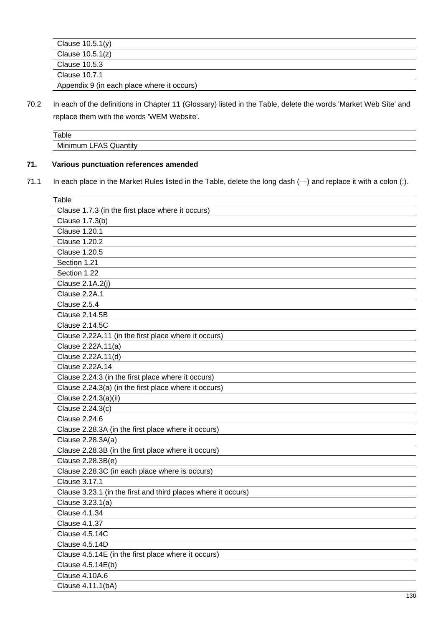| Clause $10.5.1(y)$                         |
|--------------------------------------------|
| Clause $10.5.1(z)$                         |
| Clause 10.5.3                              |
| Clause 10.7.1                              |
| Appendix 9 (in each place where it occurs) |

70.2 In each of the definitions in Chapter 11 (Glossary) listed in the Table, delete the words 'Market Web Site' and replace them with the words 'WEM Website'.

| Table                      |  |
|----------------------------|--|
| Minimum LFAS Q<br>Quantity |  |
|                            |  |

# **71. Various punctuation references amended**

71.1 In each place in the Market Rules listed in the Table, delete the long dash (-) and replace it with a colon (:).

| Table                                                         |
|---------------------------------------------------------------|
| Clause 1.7.3 (in the first place where it occurs)             |
| Clause 1.7.3(b)                                               |
| <b>Clause 1.20.1</b>                                          |
| <b>Clause 1.20.2</b>                                          |
| <b>Clause 1.20.5</b>                                          |
| Section 1.21                                                  |
| Section 1.22                                                  |
| Clause 2.1A.2(j)                                              |
| Clause 2.2A.1                                                 |
| Clause 2.5.4                                                  |
| <b>Clause 2.14.5B</b>                                         |
| <b>Clause 2.14.5C</b>                                         |
| Clause 2.22A.11 (in the first place where it occurs)          |
| Clause 2.22A.11(a)                                            |
| Clause 2.22A.11(d)                                            |
| Clause 2.22A.14                                               |
| Clause 2.24.3 (in the first place where it occurs)            |
| Clause 2.24.3(a) (in the first place where it occurs)         |
| Clause 2.24.3(a)(ii)                                          |
| Clause 2.24.3(c)                                              |
| <b>Clause 2.24.6</b>                                          |
| Clause 2.28.3A (in the first place where it occurs)           |
| Clause 2.28.3A(a)                                             |
| Clause 2.28.3B (in the first place where it occurs)           |
| Clause 2.28.3B(e)                                             |
| Clause 2.28.3C (in each place where is occurs)                |
| <b>Clause 3.17.1</b>                                          |
| Clause 3.23.1 (in the first and third places where it occurs) |
| Clause 3.23.1(a)                                              |
| <b>Clause 4.1.34</b>                                          |
| Clause 4.1.37                                                 |
| Clause 4.5.14C                                                |
| Clause 4.5.14D                                                |
| Clause 4.5.14E (in the first place where it occurs)           |
| Clause 4.5.14E(b)                                             |
| Clause 4.10A.6                                                |
| Clause 4.11.1(bA)                                             |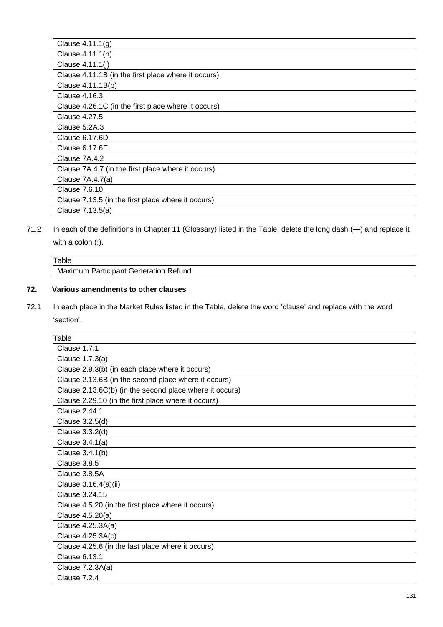| Clause $4.11.1(g)$                                  |
|-----------------------------------------------------|
| Clause 4.11.1(h)                                    |
| Clause 4.11.1(j)                                    |
| Clause 4.11.1B (in the first place where it occurs) |
| Clause 4.11.1B(b)                                   |
| Clause 4.16.3                                       |
| Clause 4.26.1C (in the first place where it occurs) |
| Clause 4.27.5                                       |
| Clause 5.2A.3                                       |
| Clause 6.17.6D                                      |
| Clause 6.17.6E                                      |
| Clause 7A.4.2                                       |
| Clause 7A.4.7 (in the first place where it occurs)  |
| Clause 7A.4.7(a)                                    |
| Clause 7.6.10                                       |
| Clause 7.13.5 (in the first place where it occurs)  |
| Clause 7.13.5(a)                                    |

71.2 In each of the definitions in Chapter 11 (Glossary) listed in the Table, delete the long dash (—) and replace it with a colon (:).

| ™able                                        |  |
|----------------------------------------------|--|
| <b>Maximum Participant Generation Refund</b> |  |
|                                              |  |

# **72. Various amendments to other clauses**

72.1 In each place in the Market Rules listed in the Table, delete the word 'clause' and replace with the word 'section'.

| <b>Clause 1.7.1</b><br>Clause 1.7.3(a)<br>Clause 2.9.3(b) (in each place where it occurs)<br>Clause 2.13.6B (in the second place where it occurs)<br>Clause 2.13.6C(b) (in the second place where it occurs)<br>Clause 2.29.10 (in the first place where it occurs)<br>Clause 2.44.1<br>Clause 3.2.5(d)<br>Clause 3.3.2(d)<br>Clause 3.4.1(a)<br>Clause 3.4.1(b)<br><b>Clause 3.8.5</b><br>Clause 3.8.5A<br>Clause 3.16.4(a)(ii)<br>Clause 3.24.15<br>Clause 4.5.20 (in the first place where it occurs)<br>Clause 4.5.20(a)<br>Clause 4.25.3A(a)<br>Clause 4.25.3A(c)<br>Clause 4.25.6 (in the last place where it occurs)<br><b>Clause 6.13.1</b><br>Clause 7.2.3A(a)<br><b>Clause 7.2.4</b> | Table |
|------------------------------------------------------------------------------------------------------------------------------------------------------------------------------------------------------------------------------------------------------------------------------------------------------------------------------------------------------------------------------------------------------------------------------------------------------------------------------------------------------------------------------------------------------------------------------------------------------------------------------------------------------------------------------------------------|-------|
|                                                                                                                                                                                                                                                                                                                                                                                                                                                                                                                                                                                                                                                                                                |       |
|                                                                                                                                                                                                                                                                                                                                                                                                                                                                                                                                                                                                                                                                                                |       |
|                                                                                                                                                                                                                                                                                                                                                                                                                                                                                                                                                                                                                                                                                                |       |
|                                                                                                                                                                                                                                                                                                                                                                                                                                                                                                                                                                                                                                                                                                |       |
|                                                                                                                                                                                                                                                                                                                                                                                                                                                                                                                                                                                                                                                                                                |       |
|                                                                                                                                                                                                                                                                                                                                                                                                                                                                                                                                                                                                                                                                                                |       |
|                                                                                                                                                                                                                                                                                                                                                                                                                                                                                                                                                                                                                                                                                                |       |
|                                                                                                                                                                                                                                                                                                                                                                                                                                                                                                                                                                                                                                                                                                |       |
|                                                                                                                                                                                                                                                                                                                                                                                                                                                                                                                                                                                                                                                                                                |       |
|                                                                                                                                                                                                                                                                                                                                                                                                                                                                                                                                                                                                                                                                                                |       |
|                                                                                                                                                                                                                                                                                                                                                                                                                                                                                                                                                                                                                                                                                                |       |
|                                                                                                                                                                                                                                                                                                                                                                                                                                                                                                                                                                                                                                                                                                |       |
|                                                                                                                                                                                                                                                                                                                                                                                                                                                                                                                                                                                                                                                                                                |       |
|                                                                                                                                                                                                                                                                                                                                                                                                                                                                                                                                                                                                                                                                                                |       |
|                                                                                                                                                                                                                                                                                                                                                                                                                                                                                                                                                                                                                                                                                                |       |
|                                                                                                                                                                                                                                                                                                                                                                                                                                                                                                                                                                                                                                                                                                |       |
|                                                                                                                                                                                                                                                                                                                                                                                                                                                                                                                                                                                                                                                                                                |       |
|                                                                                                                                                                                                                                                                                                                                                                                                                                                                                                                                                                                                                                                                                                |       |
|                                                                                                                                                                                                                                                                                                                                                                                                                                                                                                                                                                                                                                                                                                |       |
|                                                                                                                                                                                                                                                                                                                                                                                                                                                                                                                                                                                                                                                                                                |       |
|                                                                                                                                                                                                                                                                                                                                                                                                                                                                                                                                                                                                                                                                                                |       |
|                                                                                                                                                                                                                                                                                                                                                                                                                                                                                                                                                                                                                                                                                                |       |
|                                                                                                                                                                                                                                                                                                                                                                                                                                                                                                                                                                                                                                                                                                |       |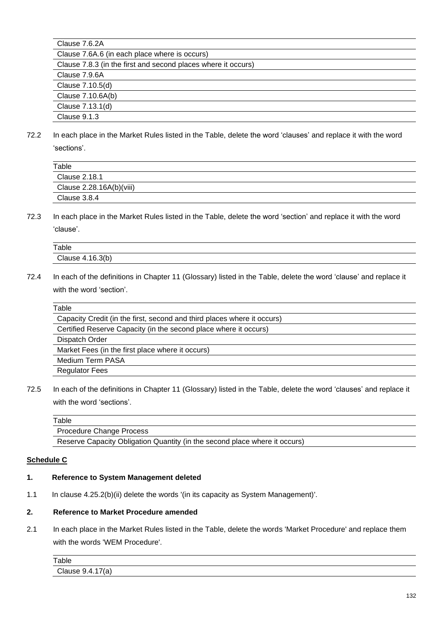| Clause 7.6.2A                                                 |
|---------------------------------------------------------------|
| Clause 7.6A.6 (in each place where is occurs)                 |
| Clause 7.8.3 (in the first and second places where it occurs) |
| Clause 7.9.6A                                                 |
| Clause 7.10.5(d)                                              |
| Clause 7.10.6A(b)                                             |
| Clause 7.13.1(d)                                              |
| Clause 9.1.3                                                  |

72.2 In each place in the Market Rules listed in the Table, delete the word 'clauses' and replace it with the word 'sections'.

| Table                    |
|--------------------------|
| Clause 2.18.1            |
| Clause 2.28.16A(b)(viii) |
| Clause 3.8.4             |
|                          |

72.3 In each place in the Market Rules listed in the Table, delete the word 'section' and replace it with the word 'clause'.

| Table            |  |
|------------------|--|
| Clause 4.16.3(b) |  |

72.4 In each of the definitions in Chapter 11 (Glossary) listed in the Table, delete the word 'clause' and replace it with the word 'section'.

| Table                                                                   |  |
|-------------------------------------------------------------------------|--|
| Capacity Credit (in the first, second and third places where it occurs) |  |
| Certified Reserve Capacity (in the second place where it occurs)        |  |
| Dispatch Order                                                          |  |
| Market Fees (in the first place where it occurs)                        |  |
| Medium Term PASA                                                        |  |
| <b>Regulator Fees</b>                                                   |  |

72.5 In each of the definitions in Chapter 11 (Glossary) listed in the Table, delete the word 'clauses' and replace it with the word 'sections'.

| Table                                                                      |  |
|----------------------------------------------------------------------------|--|
| Procedure Change Process                                                   |  |
| Reserve Capacity Obligation Quantity (in the second place where it occurs) |  |

## **Schedule C**

#### **1. Reference to System Management deleted**

1.1 In clause 4.25.2(b)(ii) delete the words '(in its capacity as System Management)'.

#### **2. Reference to Market Procedure amended**

2.1 In each place in the Market Rules listed in the Table, delete the words 'Market Procedure' and replace them with the words 'WEM Procedure'.

| Table                                |  |
|--------------------------------------|--|
| Clause 9<br>$\overline{\phantom{a}}$ |  |
|                                      |  |